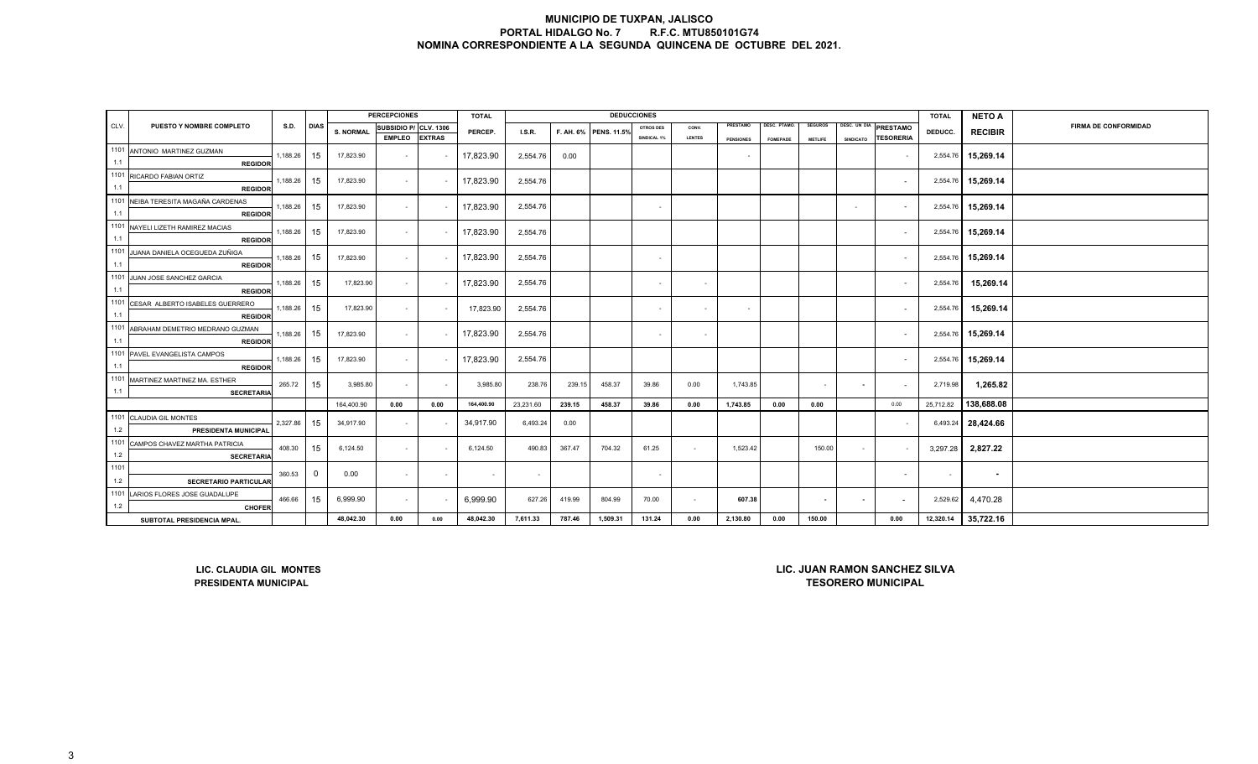|         |                                                                                                                                              |                                                                                                                      |             |                  | <b>PERCEPCIONES</b>   |               | <b>TOTAL</b> |           |        |                       | <b>DEDUCCIONES</b>       |               |                  |                 |                          |                          |                          | <b>TOTAL</b> | <b>NETO A</b>  |                             |
|---------|----------------------------------------------------------------------------------------------------------------------------------------------|----------------------------------------------------------------------------------------------------------------------|-------------|------------------|-----------------------|---------------|--------------|-----------|--------|-----------------------|--------------------------|---------------|------------------|-----------------|--------------------------|--------------------------|--------------------------|--------------|----------------|-----------------------------|
| CLV.    | PUESTO Y NOMBRE COMPLETO                                                                                                                     | S.D.                                                                                                                 | <b>DIAS</b> | <b>S. NORMAL</b> | SUBSIDIO P/ CLV. 1306 |               | PERCEP.      | I.S.R.    |        | F. AH. 6% PENS. 11.5% | <b>OTROS DES</b>         | CONV.         | PRESTAMO         | DESC. PTAMO.    | <b>SEGUROS</b>           | DESC. UN DIA             | <b>PRESTAMO</b>          | DEDUCC.      | <b>RECIBIR</b> | <b>FIRMA DE CONFORMIDAD</b> |
|         |                                                                                                                                              |                                                                                                                      |             |                  | <b>EMPLEO</b>         | <b>EXTRAS</b> |              |           |        |                       | SINDICAL 1%              | <b>LENTES</b> | <b>PENSIONES</b> | <b>FOMEPADE</b> | <b>METLIFE</b>           | <b>SINDICATO</b>         | <b>TESORERIA</b>         |              |                |                             |
| 1101    | ANTONIO MARTINEZ GUZMAN                                                                                                                      | 15                                                                                                                   | 17,823.90   | $\sim$           |                       | 17,823.90     | 2,554.76     | 0.00      |        |                       |                          |               |                  |                 |                          | $\sim$                   | 2,554.76                 | 15,269.14    |                |                             |
| 1.1     | <b>REGIDOR</b>                                                                                                                               |                                                                                                                      |             |                  |                       |               |              |           |        |                       |                          |               |                  |                 |                          |                          |                          |              |                |                             |
| 1101    | RICARDO FABIAN ORTIZ                                                                                                                         | 1,188.26                                                                                                             | 15          | 17,823.90        | $\sim$                |               | 17,823.90    | 2,554.76  |        |                       |                          |               |                  |                 |                          |                          | $\sim$                   | 2,554.76     | 15,269.14      |                             |
| 1.1     | <b>REGIDOR</b>                                                                                                                               |                                                                                                                      |             |                  |                       |               |              |           |        |                       |                          |               |                  |                 |                          |                          |                          |              |                |                             |
| 1101    | NEIBA TERESITA MAGAÑA CARDENAS                                                                                                               | 1,188.26                                                                                                             | 15          | 17,823.90        | $\sim$                |               | 17,823.90    | 2,554.76  |        |                       |                          |               |                  |                 |                          |                          | $\sim$                   | 2,554.76     | 15,269.14      |                             |
| 1.1     | <b>REGIDOR</b>                                                                                                                               |                                                                                                                      |             |                  |                       |               |              |           |        |                       |                          |               |                  |                 |                          |                          |                          |              |                |                             |
|         | 1101 NAYELI LIZETH RAMIREZ MACIAS                                                                                                            | 1,188.26                                                                                                             | 15          | 17,823.90        | $\sim$                |               | 17,823.90    | 2,554.76  |        |                       |                          |               |                  |                 |                          |                          | $\sim$                   | 2,554.76     | 15,269.14      |                             |
| 1.1     | <b>REGIDOR</b>                                                                                                                               |                                                                                                                      |             |                  |                       |               |              |           |        |                       |                          |               |                  |                 |                          |                          |                          |              |                |                             |
| 1101    | JUANA DANIELA OCEGUEDA ZUÑIGA                                                                                                                | 1,188.26                                                                                                             | 15          | 17,823.90        | $\sim$                |               | 17,823.90    | 2,554.76  |        |                       |                          |               |                  |                 |                          |                          | $\sim$                   | 2,554.76     | 15,269.14      |                             |
| 1.1     | <b>REGIDOR</b>                                                                                                                               |                                                                                                                      |             |                  |                       |               |              |           |        |                       |                          |               |                  |                 |                          |                          |                          |              |                |                             |
| 1101    | JUAN JOSE SANCHEZ GARCIA                                                                                                                     | 1,188.26                                                                                                             | 15          | 17,823.90        | $\sim$                |               | 17,823.90    | 2,554.76  |        |                       |                          |               |                  |                 |                          |                          | $\sim$                   | 2,554.76     | 15,269.14      |                             |
| 1.1     | <b>REGIDOR</b>                                                                                                                               |                                                                                                                      |             |                  |                       |               |              |           |        |                       |                          |               |                  |                 |                          |                          |                          |              |                |                             |
|         | 1101 CESAR ALBERTO ISABELES GUERRERO                                                                                                         | 1,188.26                                                                                                             | 15          | 17,823.90        | $\sim$                |               | 17,823.90    | 2,554.76  |        |                       |                          |               |                  |                 |                          |                          | $\sim$                   | 2,554.76     | 15,269.14      |                             |
| 1.1     | <b>REGIDOR</b>                                                                                                                               |                                                                                                                      |             |                  |                       |               |              |           |        |                       | $\overline{\phantom{a}}$ |               |                  |                 |                          |                          |                          |              |                |                             |
| 1101    | ABRAHAM DEMETRIO MEDRANO GUZMAN                                                                                                              |                                                                                                                      | 15          | 17,823.90        |                       |               | 17,823.90    |           |        |                       |                          |               |                  |                 |                          |                          |                          | 2,554.76     | 15,269.14      |                             |
| 1.1     | <b>REGIDOR</b>                                                                                                                               | 1,188.26                                                                                                             |             |                  | $\sim$                |               |              | 2,554.76  |        |                       | $\overline{\phantom{a}}$ |               |                  |                 |                          |                          | $\sim$                   |              |                |                             |
|         | 1101 PAVEL EVANGELISTA CAMPOS                                                                                                                |                                                                                                                      |             |                  |                       |               | 17,823.90    |           |        |                       |                          |               |                  |                 |                          |                          |                          |              |                |                             |
| 1.1     | <b>REGIDOR</b>                                                                                                                               | 1,188.26                                                                                                             | 15          | 17,823.90        | $\sim$                |               |              | 2,554.76  |        |                       |                          |               |                  |                 |                          |                          | $\sim$                   | 2,554.76     | 15,269.14      |                             |
| 1101    | MARTINEZ MARTINEZ MA. ESTHER                                                                                                                 |                                                                                                                      |             |                  |                       |               |              |           |        |                       |                          |               |                  |                 |                          |                          |                          |              |                |                             |
| 1.1     | <b>SECRETARIA</b>                                                                                                                            | 265.72                                                                                                               | 15          | 3,985.80         | $\sim$                |               | 3,985.80     | 238.76    | 239.15 | 458.37                | 39.86                    | 0.00          | 1,743.85         |                 | $\sim$                   | $\overline{\phantom{a}}$ | $\sim$                   | 2,719.98     | 1,265.82       |                             |
|         |                                                                                                                                              |                                                                                                                      |             | 164,400.90       | 0.00                  | 0.00          | 164,400.90   | 23,231.60 | 239.15 | 458.37                | 39.86                    | 0.00          | 1,743.85         | 0.00            | 0.00                     |                          | 0.00                     | 25,712.82    | 138,688.08     |                             |
|         | 1101 CLAUDIA GIL MONTES                                                                                                                      |                                                                                                                      |             |                  |                       |               |              |           |        |                       |                          |               |                  |                 |                          |                          |                          |              |                |                             |
| 1.2     | PRESIDENTA MUNICIPAL                                                                                                                         | 2,327.86                                                                                                             | 15          | 34,917.90        | $\sim$                |               | 34,917.90    | 6,493.24  | 0.00   |                       |                          |               |                  |                 |                          |                          | $\sim$                   | 6,493.24     | 28,424.66      |                             |
| 1101    | CAMPOS CHAVEZ MARTHA PATRICIA                                                                                                                |                                                                                                                      |             |                  |                       |               |              |           |        |                       |                          |               |                  |                 |                          |                          |                          |              |                |                             |
| $1.2$   | <b>SECRETARIA</b>                                                                                                                            | 408.30                                                                                                               | 15          | 6,124.50         | $\sim$                |               | 6,124.50     | 490.83    | 367.47 | 704.32                | 61.25                    | $\sim$        | 1,523.42         |                 | 150.00                   | $\sim$                   | $\sim$                   | 3,297.28     | 2,827.22       |                             |
| 1101    |                                                                                                                                              |                                                                                                                      |             |                  |                       |               |              |           |        |                       |                          |               |                  |                 |                          |                          |                          |              |                |                             |
| 1.2     | <b>SECRETARIO PARTICULAR</b>                                                                                                                 | 360.53                                                                                                               | $\mathbf 0$ | 0.00             | $\sim$                |               | $\sim$       | $\sim$    |        |                       |                          |               |                  |                 |                          |                          | $\sim$                   | $\sim$       | $\sim$         |                             |
| 1101    | LARIOS FLORES JOSE GUADALUPE                                                                                                                 |                                                                                                                      |             |                  |                       |               |              |           |        |                       |                          |               |                  |                 |                          |                          |                          |              |                |                             |
| $1.2\,$ | <b>CHOFER</b>                                                                                                                                | 466.66                                                                                                               | 15          | 6,999.90         | $\sim$                |               | 6,999.90     | 627.26    | 419.99 | 804.99                | 70.00                    | $\sim$        | 607.38           |                 | $\overline{\phantom{a}}$ | $\overline{\phantom{a}}$ | $\overline{\phantom{a}}$ | 2,529.62     | 4,470.28       |                             |
|         | 48,042.30<br>0.00<br>0.00<br>48,042.30<br>7,611.33<br>787.46<br>1,509.31<br>131.24<br>0.00<br>2,130.80<br>0.00<br>SUBTOTAL PRESIDENCIA MPAL. |                                                                                                                      |             |                  |                       |               |              |           |        |                       |                          |               | 150.00           |                 | 0.00                     | 12,320.14                | 35,722.16                |              |                |                             |
|         |                                                                                                                                              |                                                                                                                      |             |                  |                       |               |              |           |        |                       |                          |               |                  |                 |                          |                          |                          |              |                |                             |
|         |                                                                                                                                              |                                                                                                                      |             |                  |                       |               |              |           |        |                       |                          |               |                  |                 |                          |                          |                          |              |                |                             |
|         |                                                                                                                                              |                                                                                                                      |             |                  |                       |               |              |           |        |                       |                          |               |                  |                 |                          |                          |                          |              |                |                             |
|         |                                                                                                                                              |                                                                                                                      |             |                  |                       |               |              |           |        |                       |                          |               |                  |                 |                          |                          |                          |              |                |                             |
|         |                                                                                                                                              | LIC. JUAN RAMON SANCHEZ SILVA<br>LIC. CLAUDIA GIL MONTES<br><b>TESORERO MUNICIPAL</b><br><b>PRESIDENTA MUNICIPAL</b> |             |                  |                       |               |              |           |        |                       |                          |               |                  |                 |                          |                          |                          |              |                |                             |
|         |                                                                                                                                              |                                                                                                                      |             |                  |                       |               |              |           |        |                       |                          |               |                  |                 |                          |                          |                          |              |                |                             |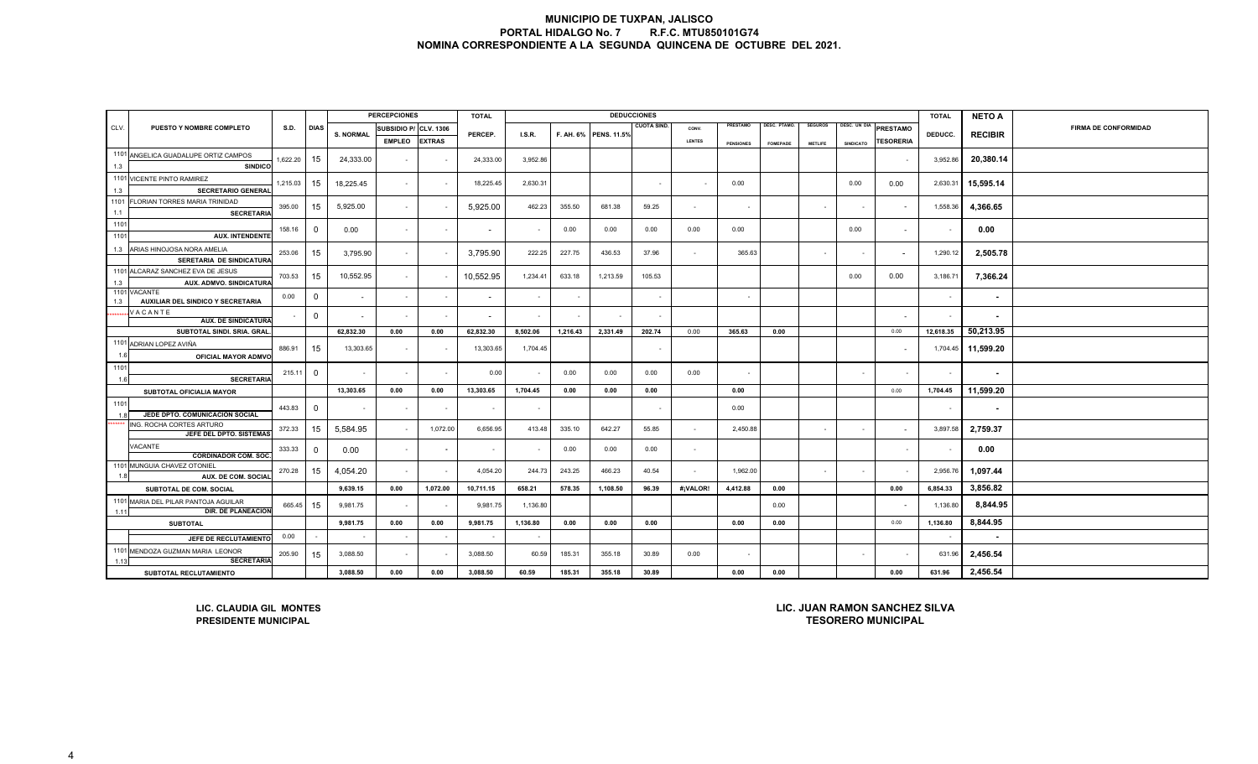|                                                                                                      |                                                                                                                      |               |              |                          | <b>PERCEPCIONES</b>      |                       | <b>TOTAL</b>             |                |                  |                 | <b>DEDUCCIONES</b>       |                          |                  |                    |                |              |                          | <b>TOTAL</b>             | <b>NETO A</b>            |                             |
|------------------------------------------------------------------------------------------------------|----------------------------------------------------------------------------------------------------------------------|---------------|--------------|--------------------------|--------------------------|-----------------------|--------------------------|----------------|------------------|-----------------|--------------------------|--------------------------|------------------|--------------------|----------------|--------------|--------------------------|--------------------------|--------------------------|-----------------------------|
| CLV.                                                                                                 | PUESTO Y NOMBRE COMPLETO                                                                                             | S.D.          | <b>DIAS</b>  | <b>S. NORMAL</b>         | SUBSIDIO P/              | <b>CLV. 1306</b>      | PERCEP.                  |                |                  |                 | <b>CUOTA SIND</b>        | CONV.                    | PRESTAMO         | <b>JESC. PTAMO</b> | <b>SEGUROS</b> | DESC. UN DIA | PRESTAMO                 |                          |                          | <b>FIRMA DE CONFORMIDAD</b> |
|                                                                                                      |                                                                                                                      | <b>EXTRAS</b> |              | <b>I.S.R.</b>            |                          | F. AH. 6% PENS. 11.5% |                          | LENTES         | <b>PENSIONES</b> | <b>FOMEPADE</b> | <b>METLIFE</b>           | <b>SINDICATO</b>         | <b>TESORERIA</b> | DEDUCC.            | <b>RECIBIR</b> |              |                          |                          |                          |                             |
|                                                                                                      | 1101 ANGELICA GUADALUPE ORTIZ CAMPOS                                                                                 | 1,622.20      | 15           | 24,333.00                | $\overline{\phantom{a}}$ |                       | 24,333.00                | 3,952.86       |                  |                 |                          |                          |                  |                    |                |              |                          | 3,952.86                 | 20,380.14                |                             |
| 1.3                                                                                                  | <b>SINDICO</b>                                                                                                       |               |              |                          |                          |                       |                          |                |                  |                 |                          |                          |                  |                    |                |              |                          |                          |                          |                             |
|                                                                                                      | 1101 VICENTE PINTO RAMIREZ                                                                                           | 1,215.03      | 15           | 18,225.45                | $\sim$                   |                       | 18,225.45                | 2,630.31       |                  |                 |                          | $\sim$                   | 0.00             |                    |                | 0.00         | 0.00                     | 2,630.31                 | 15,595.14                |                             |
| 1.3                                                                                                  | <b>SECRETARIO GENERAL</b>                                                                                            |               |              |                          |                          |                       |                          |                |                  |                 |                          |                          |                  |                    |                |              |                          |                          |                          |                             |
| 1101<br>1.1                                                                                          | FLORIAN TORRES MARIA TRINIDAD<br><b>SECRETARIA</b>                                                                   | 395.00        | 15           | 5,925.00                 | $\sim$                   |                       | 5,925.00                 | 462.23         | 355.50           | 681.38          | 59.25                    | $\overline{\phantom{a}}$ |                  |                    |                | $\sim$       |                          | 1,558.36                 | 4,366.65                 |                             |
| 1101                                                                                                 |                                                                                                                      | 158.16        | 0            | 0.00                     | $\sim$                   | $\sim$                | $\overline{\phantom{a}}$ | $\sim$         | 0.00             | 0.00            | 0.00                     | 0.00                     | 0.00             |                    |                | 0.00         | $\overline{\phantom{a}}$ | $\overline{\phantom{a}}$ | 0.00                     |                             |
| 1101                                                                                                 | <b>AUX. INTENDENTE</b>                                                                                               |               |              |                          |                          |                       |                          |                |                  |                 |                          |                          |                  |                    |                |              |                          |                          |                          |                             |
| 1.3                                                                                                  | ARIAS HINOJOSA NORA AMELIA                                                                                           | 253.06        | 15           | 3,795.90                 | $\sim$                   |                       | 3,795.90                 | 222.25         | 227.75           | 436.53          | 37.96                    | $\sim$                   | 365.63           |                    |                | $\sim$       |                          | 1,290.12                 | 2,505.78                 |                             |
|                                                                                                      | SERETARIA DE SINDICATURA                                                                                             |               |              |                          |                          |                       |                          |                |                  |                 |                          |                          |                  |                    |                |              |                          |                          |                          |                             |
| 1.3                                                                                                  | 1101 ALCARAZ SANCHEZ EVA DE JESUS<br>AUX. ADMVO. SINDICATURA                                                         | 703.53        | 15           | 10,552.95                | $\sim$                   |                       | 10,552.95                | 1,234.41       | 633.18           | 1,213.59        | 105.53                   |                          |                  |                    |                | 0.00         | 0.00                     | 3,186.71                 | 7,366.24                 |                             |
| 1.3                                                                                                  | 1101 VACANTE<br>AUXILIAR DEL SINDICO Y SECRETARIA                                                                    | 0.00          | $\mathbf 0$  | $\sim$                   | $\blacksquare$           |                       |                          | $\blacksquare$ |                  |                 |                          |                          |                  |                    |                |              |                          | $\sim$                   | $\blacksquare$           |                             |
|                                                                                                      | VACANTE<br><b>AUX. DE SINDICATURA</b>                                                                                |               | $\mathbf{0}$ | $\overline{\phantom{a}}$ | $\sim$                   |                       |                          | $\sim$         |                  |                 |                          |                          |                  |                    |                |              |                          |                          | $\blacksquare$           |                             |
|                                                                                                      | SUBTOTAL SINDI. SRIA. GRAL                                                                                           |               |              | 62,832.30                | 0.00                     | 0.00                  | 62,832.30                | 8,502.06       | 1,216.43         | 2,331.49        | 202.74                   | 0.00                     | 365.63           | 0.00               |                |              | 0.00                     | 12,618.35                | 50,213.95                |                             |
|                                                                                                      | 1101 ADRIAN LOPEZ AVIÑA                                                                                              | 886.91        | 15           | 13,303.65                | $\sim$                   |                       | 13,303.65                | 1,704.45       |                  |                 | $\overline{\phantom{a}}$ |                          |                  |                    |                |              |                          | 1,704.45                 | 11,599.20                |                             |
| 16                                                                                                   | OFICIAL MAYOR ADMVO                                                                                                  |               |              |                          |                          |                       |                          |                |                  |                 |                          |                          |                  |                    |                |              |                          |                          |                          |                             |
| 1101<br>1.6                                                                                          | <b>SECRETARIA</b>                                                                                                    | 215.11        | $\mathbf 0$  | $\overline{\phantom{a}}$ | $\sim$                   |                       | 0.00                     | $\sim$         | 0.00             | 0.00            | 0.00                     | 0.00                     |                  |                    |                | $\sim$       |                          | $\sim$                   | $\overline{\phantom{a}}$ |                             |
|                                                                                                      | <b>SUBTOTAL OFICIALIA MAYOR</b>                                                                                      |               |              | 13,303.65                | 0.00                     | 0.00                  | 13,303.65                | 1,704.45       | 0.00             | 0.00            | 0.00                     |                          | 0.00             |                    |                |              | 0.00                     | 1,704.45                 | 11,599.20                |                             |
| 1101                                                                                                 |                                                                                                                      | 443.83        | $\mathbf{0}$ |                          | $\overline{\phantom{a}}$ |                       | $\sim$                   |                |                  |                 |                          |                          | 0.00             |                    |                |              |                          | $\sim$                   |                          |                             |
| 1.8                                                                                                  | JEDE DPTO. COMUNICACIÓN SOCIAL<br>ING. ROCHA CORTES ARTURO                                                           |               |              |                          |                          |                       |                          |                |                  |                 |                          |                          |                  |                    |                |              |                          |                          |                          |                             |
|                                                                                                      | JEFE DEL DPTO. SISTEMAS                                                                                              | 372.33        | 15           | 5,584.95                 | $\sim$                   | 1,072.00              | 6,656.95                 | 413.48         | 335.10           | 642.27          | 55.85                    | $\sim$                   | 2,450.88         |                    |                | $\sim$       |                          | 3,897.58                 | 2,759.37                 |                             |
|                                                                                                      | VACANTE<br><b>CORDINADOR COM. SOC</b>                                                                                | 333.33        | $\mathbf{0}$ | 0.00                     | $\sim$                   | $\sim$                | $\sim$                   | $\sim$         | 0.00             | 0.00            | 0.00                     | $\overline{\phantom{a}}$ |                  |                    |                |              |                          |                          | 0.00                     |                             |
| 1101<br>11                                                                                           | MUNGUIA CHAVEZ OTONIEL<br>AUX. DE COM. SOCIAL                                                                        | 270.28        | 15           | 4,054.20                 | $\blacksquare$           |                       | 4,054.20                 | 244.73         | 243.25           | 466.23          | 40.54                    | $\overline{\phantom{a}}$ | 1,962.00         |                    |                | $\sim$       |                          | 2,956.76                 | 1,097.44                 |                             |
|                                                                                                      | SUBTOTAL DE COM. SOCIAL                                                                                              |               |              | 9,639.15                 | 0.00                     | 1,072.00              | 10,711.15                | 658.21         | 578.35           | 1,108.50        | 96.39                    | #¡VALOR!                 | 4,412.88         | 0.00               |                |              | 0.00                     | 6,854.33                 | 3,856.82                 |                             |
| 1.11                                                                                                 | 1101 MARIA DEL PILAR PANTOJA AGUILAR<br>DIR. DE PLANEACION                                                           | 665.45        | 15           | 9,981.75                 | $\overline{\phantom{a}}$ |                       | 9,981.75                 | 1,136.80       |                  |                 |                          |                          |                  | 0.00               |                |              |                          | 1,136.80                 | 8,844.95                 |                             |
|                                                                                                      | <b>SUBTOTAL</b>                                                                                                      |               |              | 9,981.75                 | 0.00                     | 0.00                  | 9,981.75                 | 1,136.80       | 0.00             | 0.00            | 0.00                     |                          | 0.00             | 0.00               |                |              | 0.00                     | 1,136.80                 | 8,844.95                 |                             |
|                                                                                                      | JEFE DE RECLUTAMIENTO                                                                                                | 0.00          |              | $\sim$                   | $\sim$                   | $\sim$                | $\overline{\phantom{a}}$ | $\sim$         |                  |                 |                          |                          |                  |                    |                |              |                          | $\sim$                   | $\sim$                   |                             |
| 1.13                                                                                                 | 1101 MENDOZA GUZMAN MARIA LEONOR<br><b>SECRETARIA</b>                                                                | 205.90        | 15           | 3,088.50                 | $\sim$                   |                       | 3,088.50                 | 60.59          | 185.31           | 355.18          | 30.89                    | 0.00                     |                  |                    |                | $\sim$       |                          | 631.96                   | 2,456.54                 |                             |
| 3,088.50<br>0.00<br>3,088.50<br>185.31<br>355.18<br>30.89<br>0.00<br>60.59<br>SUBTOTAL RECLUTAMIENTO |                                                                                                                      |               |              |                          |                          |                       |                          |                |                  |                 |                          | 0.00                     | 0.00             |                    |                | 0.00         | 631.96                   | 2,456.54                 |                          |                             |
|                                                                                                      | LIC. JUAN RAMON SANCHEZ SILVA<br>LIC. CLAUDIA GIL MONTES<br><b>TESORERO MUNICIPAL</b><br><b>PRESIDENTE MUNICIPAL</b> |               |              |                          |                          |                       |                          |                |                  |                 |                          |                          |                  |                    |                |              |                          |                          |                          |                             |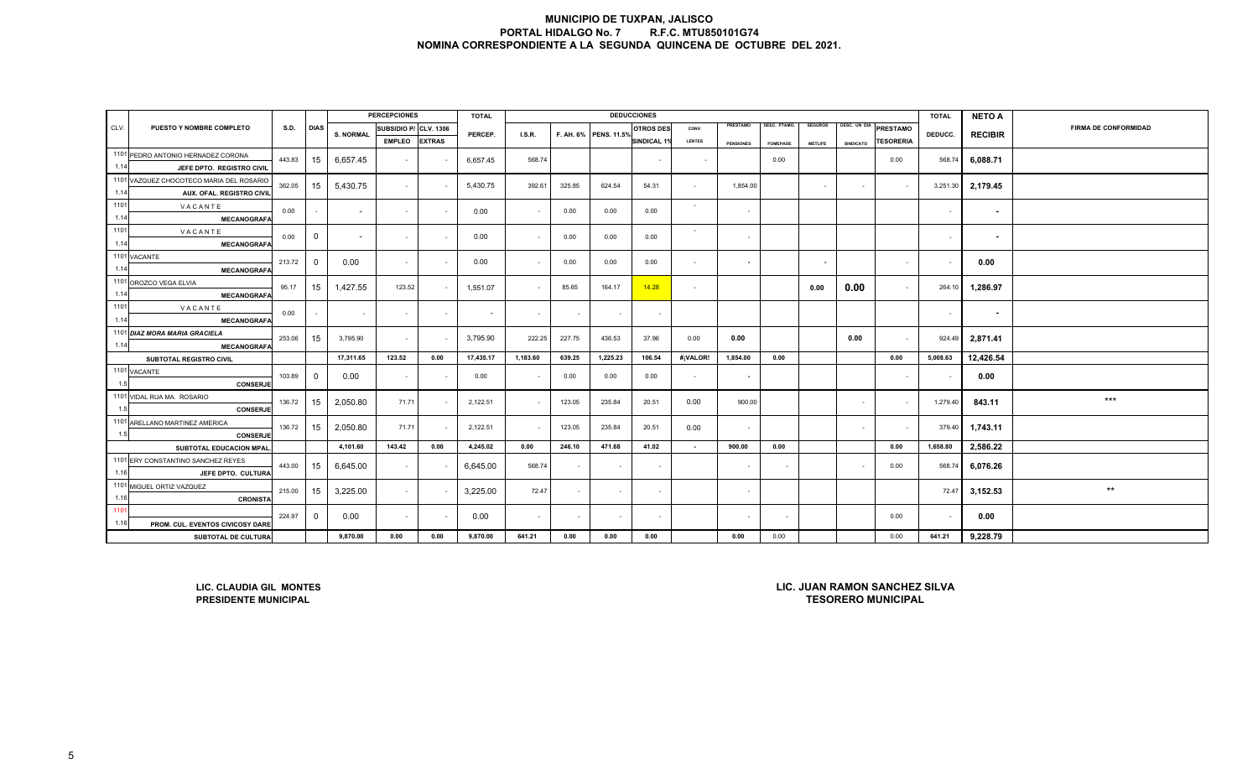|      |                                                                                                                      |        |                |                  | <b>PERCEPCIONES</b>   |               | <b>TOTAL</b> |          |        |                       | <b>DEDUCCIONES</b> |               |                  |                 |                          |                  |                          | <b>TOTAL</b> | <b>NETO A</b>  |                             |
|------|----------------------------------------------------------------------------------------------------------------------|--------|----------------|------------------|-----------------------|---------------|--------------|----------|--------|-----------------------|--------------------|---------------|------------------|-----------------|--------------------------|------------------|--------------------------|--------------|----------------|-----------------------------|
| CLV. | PUESTO Y NOMBRE COMPLETO                                                                                             | S.D.   | <b>DIAS</b>    | <b>S. NORMAL</b> | SUBSIDIO P/ CLV. 1306 |               | PERCEP.      | I.S.R.   |        | F. AH. 6% PENS. 11.5% | <b>OTROS DES</b>   | CONV.         | PRESTAMO         | DESC. PTAMO.    | <b>SEGUROS</b>           | DESC. UN DIA     | PRESTAMO                 | DEDUCC.      | <b>RECIBIR</b> | <b>FIRMA DE CONFORMIDAD</b> |
|      |                                                                                                                      |        |                |                  | <b>EMPLEO</b>         | <b>EXTRAS</b> |              |          |        |                       | <b>SINDICAL 1%</b> | <b>LENTES</b> | <b>PENSIONES</b> | <b>FOMEPADE</b> | <b>METLIFE</b>           | <b>SINDICATO</b> | <b><i>TESORERIA</i></b>  |              |                |                             |
|      | 1101 PEDRO ANTONIO HERNADEZ CORONA                                                                                   | 443.83 | 15             | 6,657.45         | $\sim$                |               | 6,657.45     | 568.74   |        |                       |                    | $\sim$        |                  | 0.00            |                          |                  | 0.00                     | 568.74       | 6,088.71       |                             |
| 1.14 | JEFE DPTO. REGISTRO CIVIL                                                                                            |        |                |                  |                       |               |              |          |        |                       |                    |               |                  |                 |                          |                  |                          |              |                |                             |
|      | 1101 VAZQUEZ CHOCOTECO MARIA DEL ROSARIO                                                                             | 362.05 | 15             | 5,430.75         | $\sim$                |               | 5,430.75     | 392.61   | 325.85 | 624.54                | 54.31              | $\sim$        | 1,854.00         |                 | $\sim$                   | $\sim$           | $\sim$                   | 3,251.30     | 2,179.45       |                             |
| 1.14 | AUX. OFAL. REGISTRO CIVIL                                                                                            |        |                |                  |                       |               |              |          |        |                       |                    |               |                  |                 |                          |                  |                          |              |                |                             |
| 1101 | VACANTE                                                                                                              | 0.00   |                | $\sim$           | $\sim$                |               | 0.00         | $\sim$   | 0.00   | 0.00                  | 0.00               | $\sim$        | $\sim$           |                 |                          |                  |                          | $\sim$       | $\sim$         |                             |
| 1.14 | <b>MECANOGRAFA</b>                                                                                                   |        |                |                  |                       |               |              |          |        |                       |                    |               |                  |                 |                          |                  |                          |              |                |                             |
| 1101 | VACANTE                                                                                                              | 0.00   | $\mathbf 0$    | $\sim$           | $\sim$                |               | 0.00         | $\sim$   | 0.00   | 0.00                  | 0.00               | $\sim$        | $\sim$           |                 |                          |                  |                          | $\sim$       | ٠              |                             |
| 1.14 | <b>MECANOGRAFA</b>                                                                                                   |        |                |                  |                       |               |              |          |        |                       |                    |               |                  |                 |                          |                  |                          |              |                |                             |
|      | 1101 VACANTE                                                                                                         | 213.72 | $\overline{0}$ | 0.00             | $\sim$                |               | 0.00         | $\sim$   | 0.00   | 0.00                  | 0.00               | $\sim$        | $\sim$           |                 | $\overline{\phantom{a}}$ |                  | $\sim$                   |              | 0.00           |                             |
| 1.14 | <b>MECANOGRAFA</b>                                                                                                   |        |                |                  |                       |               |              |          |        |                       |                    |               |                  |                 |                          |                  |                          |              |                |                             |
| 1.14 | 1101 OROZCO VEGA ELVIA                                                                                               | 95.17  | 15             | 1,427.55         | 123.52                |               | 1,551.07     | $\sim$   | 85.65  | 164.17                | 14.28              | $\sim$        |                  |                 | 0.00                     | 0.00             | $\sim$                   | 264.10       | 1,286.97       |                             |
| 1101 | <b>MECANOGRAFA</b>                                                                                                   |        |                |                  |                       |               |              |          |        |                       |                    |               |                  |                 |                          |                  |                          |              |                |                             |
| 1.14 | VACANTE<br><b>MECANOGRAFA</b>                                                                                        | 0.00   | $\sim$         | $\sim$           | $\sim$                | $\sim$        | $\sim$       | $\sim$   |        | $\sim$                | $\sim$             |               |                  |                 |                          |                  |                          | $\sim$       | $\sim$         |                             |
|      | 1101 DIAZ MORA MARIA GRACIELA                                                                                        |        |                |                  |                       |               |              |          |        |                       |                    |               |                  |                 |                          |                  |                          |              |                |                             |
| 1.14 | <b>MECANOGRAFA</b>                                                                                                   | 253.06 | 15             | 3,795.90         | $\sim$                |               | 3,795.90     | 222.25   | 227.75 | 436.53                | 37.96              | 0.00          | 0.00             |                 |                          | 0.00             | $\overline{\phantom{a}}$ | 924.49       | 2,871.41       |                             |
|      | SUBTOTAL REGISTRO CIVIL                                                                                              |        |                | 17,311.65        | 123.52                | 0.00          | 17,435.17    | 1,183.60 | 639.25 | 1,225.23              | 106.54             | #¡VALOR!      | 1,854.00         | 0.00            |                          |                  | 0.00                     | 5,008.63     | 12,426.54      |                             |
|      | 1101 VACANTE                                                                                                         |        |                |                  |                       |               |              |          |        |                       |                    |               |                  |                 |                          |                  |                          |              |                |                             |
| 1.5  | CONSERJE                                                                                                             | 103.89 | $\overline{0}$ | 0.00             | $\sim$                |               | 0.00         | $\sim$   | 0.00   | 0.00                  | 0.00               | $\sim$        |                  |                 |                          |                  |                          |              | 0.00           |                             |
|      | 1101 VIDAL RUA MA. ROSARIO                                                                                           | 136.72 | 15             | 2,050.80         | 71.71                 |               | 2,122.51     | $\sim$   | 123.05 | 235.84                | 20.51              | 0.00          | 900.00           |                 |                          | $\sim$           | $\overline{\phantom{a}}$ | 1,279.40     | 843.11         | $***$                       |
| 1.5  | <b>CONSERJE</b>                                                                                                      |        |                |                  |                       |               |              |          |        |                       |                    |               |                  |                 |                          |                  |                          |              |                |                             |
|      | 1101 ARELLANO MARTINEZ AMERICA                                                                                       | 136.72 | 15             | 2,050.80         | 71.71                 |               | 2,122.51     | $\sim$   | 123.05 | 235.84                | 20.51              | 0.00          | $\sim$           |                 |                          | $\sim$           | $\sim$                   | 379.40       | 1,743.11       |                             |
| 1.5  | <b>CONSERJE</b>                                                                                                      |        |                |                  |                       |               |              |          |        |                       |                    |               |                  |                 |                          |                  |                          |              |                |                             |
|      | SUBTOTAL EDUCACION MPAL.                                                                                             |        |                | 4,101.60         | 143.42                | 0.00          | 4,245.02     | 0.00     | 246.10 | 471.68                | 41.02              | $\sim$        | 900.00           | 0.00            |                          |                  | 0.00                     | 1,658.80     | 2,586.22       |                             |
|      | 1101 ERY CONSTANTINO SANCHEZ REYES                                                                                   | 443.00 | 15             | 6,645.00         | $\sim$                |               | 6,645.00     | 568.74   |        | $\sim$                | $\sim$             |               | $\sim$           | $\sim$          |                          | $\sim$           | 0.00                     | 568.74       | 6,076.26       |                             |
| 1.16 | JEFE DPTO. CULTURA                                                                                                   |        |                |                  |                       |               |              |          |        |                       |                    |               |                  |                 |                          |                  |                          |              |                |                             |
|      | 1101 MIGUEL ORTIZ VAZQUEZ                                                                                            | 215.00 | 15             | 3,225.00         | $\sim$                |               | 3,225.00     | 72.47    |        | $\sim$                | $\sim$             |               | $\sim$           |                 |                          |                  |                          | 72.47        | 3,152.53       | $***$                       |
| 1.16 | <b>CRONISTA</b>                                                                                                      |        |                |                  |                       |               |              |          |        |                       |                    |               |                  |                 |                          |                  |                          |              |                |                             |
| 1101 |                                                                                                                      | 224.97 | $\overline{0}$ | 0.00             | $\sim$                |               | 0.00         | $\sim$   |        | $\sim$                |                    |               |                  |                 |                          |                  | 0.00                     |              | 0.00           |                             |
| 1.16 | PROM. CUL. EVENTOS CIVICOSY DARE                                                                                     |        | 9,870.00       | 0.00             | 0.00                  | 9,870.00      | 641.21       | 0.00     | 0.00   | 0.00                  |                    | 0.00          | 0.00             |                 |                          | 0.00             | 641.21                   | 9,228.79     |                |                             |
|      | SUBTOTAL DE CULTURA                                                                                                  |        |                |                  |                       |               |              |          |        |                       |                    |               |                  |                 |                          |                  |                          |              |                |                             |
|      | LIC. JUAN RAMON SANCHEZ SILVA<br>LIC. CLAUDIA GIL MONTES<br><b>TESORERO MUNICIPAL</b><br><b>PRESIDENTE MUNICIPAL</b> |        |                |                  |                       |               |              |          |        |                       |                    |               |                  |                 |                          |                  |                          |              |                |                             |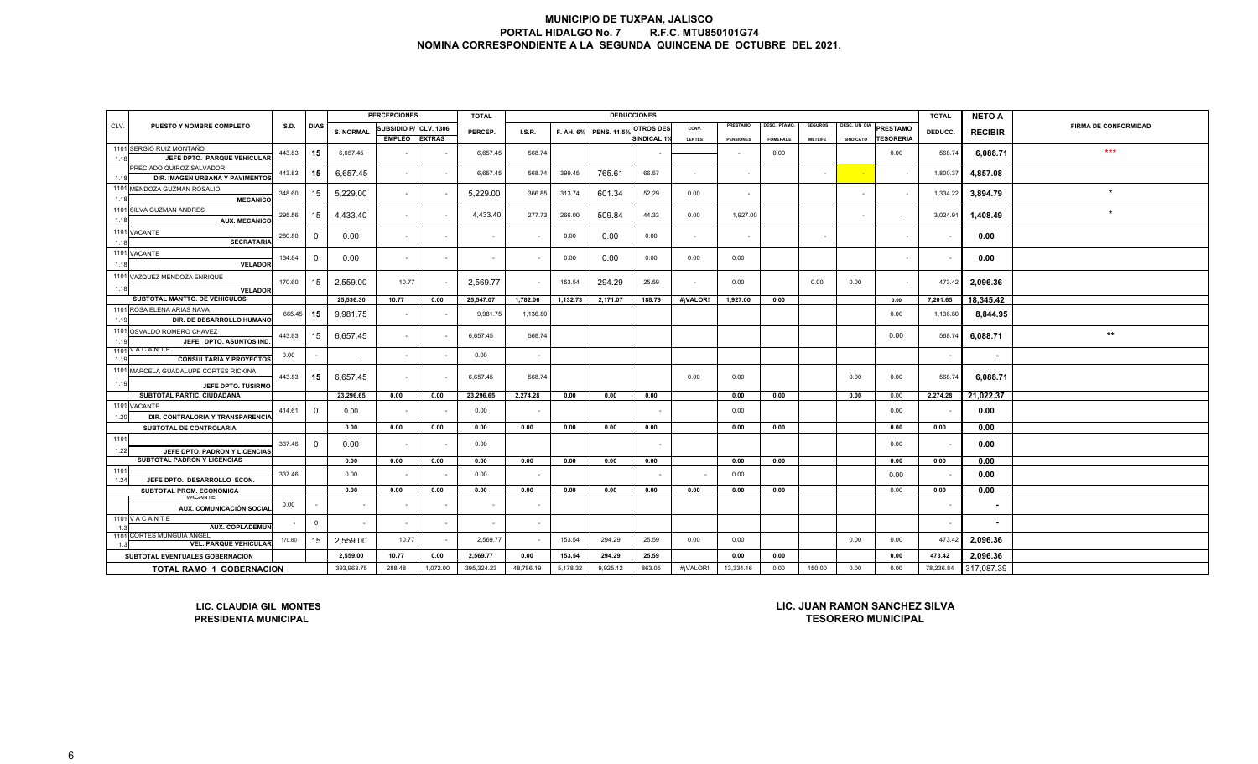|                                                                                                                               |                                                                                                                                                                                             |             |                |                          | <b>PERCEPCIONES</b>      |               | <b>TOTAL</b> |          |          |                       | <b>DEDUCCIONES</b> |               |                  |                 |                |              |                  | <b>TOTAL</b> | <b>NETO A</b>  |                             |
|-------------------------------------------------------------------------------------------------------------------------------|---------------------------------------------------------------------------------------------------------------------------------------------------------------------------------------------|-------------|----------------|--------------------------|--------------------------|---------------|--------------|----------|----------|-----------------------|--------------------|---------------|------------------|-----------------|----------------|--------------|------------------|--------------|----------------|-----------------------------|
| CLV.                                                                                                                          | <b>PUESTO Y NOMBRE COMPLETO</b>                                                                                                                                                             | <b>S.D.</b> | <b>DIAS</b>    | <b>S. NORMAL</b>         | SUBSIDIO P/ CLV. 1306    |               | PERCEP.      | I.S.R.   |          | F. AH. 6% PENS. 11.5% | OTROS DES          | CONV.         | PRESTAMO         | DESC. PTAMO.    | <b>SEGUROS</b> | DESC. UN DIA | <b>PRESTAMO</b>  | DEDUCC.      | <b>RECIBIR</b> | <b>FIRMA DE CONFORMIDAD</b> |
|                                                                                                                               |                                                                                                                                                                                             |             |                |                          | <b>EMPLEO</b>            | <b>EXTRAS</b> |              |          |          |                       | <b>SINDICAL 1%</b> | <b>LENTES</b> | <b>PENSIONES</b> | <b>FOMEPADE</b> | <b>METLIFE</b> | SINDICATO    | <b>TESORERIA</b> |              |                |                             |
| 1.18                                                                                                                          | 1101 SERGIO RUIZ MONTAÑO<br>JEFE DPTO. PARQUE VEHICULAR                                                                                                                                     | 443.83      | 15             | 6,657.45                 |                          |               | 6,657.45     | 568.74   |          |                       |                    |               |                  | 0.00            |                |              | 0.00             | 568.74       | 6,088.71       | $***$                       |
| 1.18                                                                                                                          | PRECIADO QUIROZ SALVADOR<br>DIR. IMAGEN URBANA Y PAVIMENTO:                                                                                                                                 | 443.83      | 15             | 6,657.45                 | $\sim$                   |               | 6,657.45     | 568.74   | 399.45   | 765.61                | 66.57              |               |                  |                 |                |              |                  | 1,800.37     | 4,857.08       |                             |
| 1.18                                                                                                                          | 1101 MENDOZA GUZMAN ROSALIO<br><b>MECANICO</b>                                                                                                                                              | 348.60      | 15             | 5,229.00                 | $\sim$                   |               | 5,229.00     | 366.85   | 313.74   | 601.34                | 52.29              | 0.00          |                  |                 |                |              |                  | 1,334.22     | 3,894.79       | $\star$                     |
| 1.18                                                                                                                          | 1101 SILVA GUZMAN ANDRES<br><b>AUX. MECANICO</b>                                                                                                                                            | 295.56      | 15             | 4,433.40                 | $\sim$                   |               | 4,433.40     | 277.73   | 266.00   | 509.84                | 44.33              | 0.00          | 1,927.00         |                 |                |              |                  | 3,024.91     | 1,408.49       |                             |
|                                                                                                                               | 1101 VACANTE                                                                                                                                                                                | 280.80      | $\Omega$       | 0.00                     | $\sim$                   |               |              |          | 0.00     | 0.00                  | 0.00               |               |                  |                 |                |              |                  |              | 0.00           |                             |
| 1.18                                                                                                                          | <b>SECRATARIA</b><br>1101 VACANTE                                                                                                                                                           | 134.84      | $\Omega$       | 0.00                     | $\sim$                   | $\sim$        | $\sim$       |          | 0.00     | 0.00                  | 0.00               | 0.00          | 0.00             |                 |                |              | $\sim$           |              | 0.00           |                             |
| 1.18                                                                                                                          | <b>VELADOR</b>                                                                                                                                                                              |             |                |                          |                          |               |              |          |          |                       |                    |               |                  |                 |                |              |                  |              |                |                             |
| 1.18                                                                                                                          | 1101 VAZQUEZ MENDOZA ENRIQUE<br><b>VELADOR</b>                                                                                                                                              | 170.60      | 15             | 2,559.00                 | 10.77                    |               | 2,569.77     |          | 153.54   | 294.29                | 25.59              | $\sim$        | 0.00             |                 | 0.00           | 0.00         | $\sim$           | 473.42       | 2,096.36       |                             |
|                                                                                                                               | SUBTOTAL MANTTO. DE VEHICULOS                                                                                                                                                               |             |                | 25,536.30                | 10.77                    | 0.00          | 25,547.07    | 1,782.06 | 1,132.73 | 2,171.07              | 188.79             | #¡VALOR!      | 1,927.00         | 0.00            |                |              | 0.00             | 7,201.65     | 18,345.42      |                             |
| 1.19                                                                                                                          | 1101 ROSA ELENA ARIAS NAVA<br>DIR. DE DESARROLLO HUMANO                                                                                                                                     | 665.45      | 15             | 9,981.75                 | $\sim$                   |               | 9,981.75     | 1,136.80 |          |                       |                    |               |                  |                 |                |              | 0.00             | 1,136.80     | 8,844.95       |                             |
| 1.19                                                                                                                          | 1101 OSVALDO ROMERO CHAVEZ<br>JEFE DPTO. ASUNTOS IND                                                                                                                                        | 443.83      | 15             | 6,657.45                 | $\sim$                   |               | 6,657.45     | 568.74   |          |                       |                    |               |                  |                 |                |              | 0.00             | 568.74       | 6,088.71       | $^{\star\star}$             |
| 1.19                                                                                                                          | 1101 VACANTE<br><b>CONSULTARIA Y PROYECTOS</b>                                                                                                                                              | 0.00        |                | $\overline{\phantom{a}}$ | $\sim$                   |               | 0.00         | $\sim$   |          |                       |                    |               |                  |                 |                |              |                  | $\sim$       | ٠              |                             |
|                                                                                                                               | 1101 MARCELA GUADALUPE CORTES RICKINA                                                                                                                                                       | 443.83      | 15             | 6,657.45                 | $\sim$                   |               | 6,657.45     | 568.74   |          |                       |                    | 0.00          | 0.00             |                 |                | 0.00         | 0.00             | 568.74       | 6,088.71       |                             |
| 1.19                                                                                                                          | JEFE DPTO, TUSIRMO                                                                                                                                                                          |             |                |                          |                          |               |              |          |          |                       |                    |               |                  |                 |                |              |                  |              |                |                             |
|                                                                                                                               | SUBTOTAL PARTIC. CIUDADANA<br>1101 VACANTE                                                                                                                                                  |             |                | 23,296.65                | 0.00                     | 0.00          | 23,296.65    | 2,274.28 | 0.00     | 0.00                  | 0.00               |               | 0.00             | 0.00            |                | 0.00         | 0.00             | 2,274.28     | 21,022.37      |                             |
| 1.20                                                                                                                          | DIR. CONTRALORIA Y TRANSPARENCIA                                                                                                                                                            | 414.61      | 0              | 0.00                     | $\sim$                   |               | 0.00         |          |          |                       |                    |               | 0.00             |                 |                |              | 0.00             |              | 0.00           |                             |
|                                                                                                                               | SUBTOTAL DE CONTROLARIA                                                                                                                                                                     |             |                | 0.00                     | 0.00                     | 0.00          | 0.00         | 0.00     | 0.00     | 0.00                  | 0.00               |               | 0.00             | 0.00            |                |              | 0.00             | 0.00         | 0.00           |                             |
| 1101<br>1.22                                                                                                                  | JEFE DPTO. PADRON Y LICENCIAS                                                                                                                                                               | 337.46      | $\Omega$       | 0.00                     | $\overline{\phantom{a}}$ |               | 0.00         |          |          |                       |                    |               |                  |                 |                |              | 0.00             |              | 0.00           |                             |
|                                                                                                                               | SUBTOTAL PADRON Y LICENCIAS                                                                                                                                                                 |             |                | 0.00                     | 0.00                     | 0.00          | 0.00         | 0.00     | 0.00     | 0.00                  | 0.00               |               | 0.00             | 0.00            |                |              | 0.00             | 0.00         | 0.00           |                             |
| 1101<br>1.24                                                                                                                  | JEFE DPTO. DESARROLLO ECON.                                                                                                                                                                 | 337.46      |                | 0.00                     |                          |               | 0.00         |          |          |                       |                    |               | 0.00             |                 |                |              | 0.00             |              | 0.00           |                             |
|                                                                                                                               | SUBTOTAL PROM. ECONOMICA                                                                                                                                                                    |             |                | 0.00                     | 0.00                     | 0.00          | 0.00         | 0.00     | 0.00     | 0.00                  | 0.00               | 0.00          | 0.00             | 0.00            |                |              | 0.00             | 0.00         | 0.00           |                             |
|                                                                                                                               | VACANIE<br>AUX. COMUNICACIÓN SOCIAL                                                                                                                                                         | 0.00        |                |                          |                          |               |              |          |          |                       |                    |               |                  |                 |                |              |                  |              | ٠              |                             |
|                                                                                                                               | 1101 VACANTE<br><b>AUX. COPLADEMUN</b>                                                                                                                                                      |             | $\overline{0}$ |                          | $\overline{\phantom{a}}$ |               | $\sim$       |          |          |                       |                    |               |                  |                 |                |              |                  | $\sim$       | ٠              |                             |
|                                                                                                                               | 1101 CORTES MUNGUIA ANGEL<br><b>VEL. PARQUE VEHICULAR</b>                                                                                                                                   | 170.60      | 15             | 2,559.00                 | 10.77                    | $\sim$        | 2,569.77     |          | 153.54   | 294.29                | 25.59              | 0.00          | 0.00             |                 |                | 0.00         | 0.00             | 473.42       | 2,096.36       |                             |
| 2,559.00<br>2,569.77<br>153.54<br>25.59<br>0.00<br>10.77<br>0.00<br>0.00<br>294.29<br>0.00<br>SUBTOTAL EVENTUALES GOBERNACION |                                                                                                                                                                                             |             |                |                          |                          |               |              |          |          |                       |                    | 0.00          | 473.42           | 2,096.36        |                |              |                  |              |                |                             |
|                                                                                                                               | 395,324.23<br><b>TOTAL RAMO 1 GOBERNACION</b><br>393,963.75<br>288.48<br>1,072.00<br>48,786.19<br>5,178.32<br>9,925.12<br>863.05<br>#¡VALOR!<br>13,334.16<br>0.00<br>150.00<br>0.00<br>0.00 |             |                |                          |                          |               |              |          |          |                       |                    |               |                  | 78,236.84       | 317,087.39     |              |                  |              |                |                             |
|                                                                                                                               | LIC. JUAN RAMON SANCHEZ SILVA<br>LIC. CLAUDIA GIL MONTES                                                                                                                                    |             |                |                          |                          |               |              |          |          |                       |                    |               |                  |                 |                |              |                  |              |                |                             |

**LIC. CLAUDIA GIL MONTESPRESIDENTA MUNICIPAL** 

**TESORERO MUNICIPAL**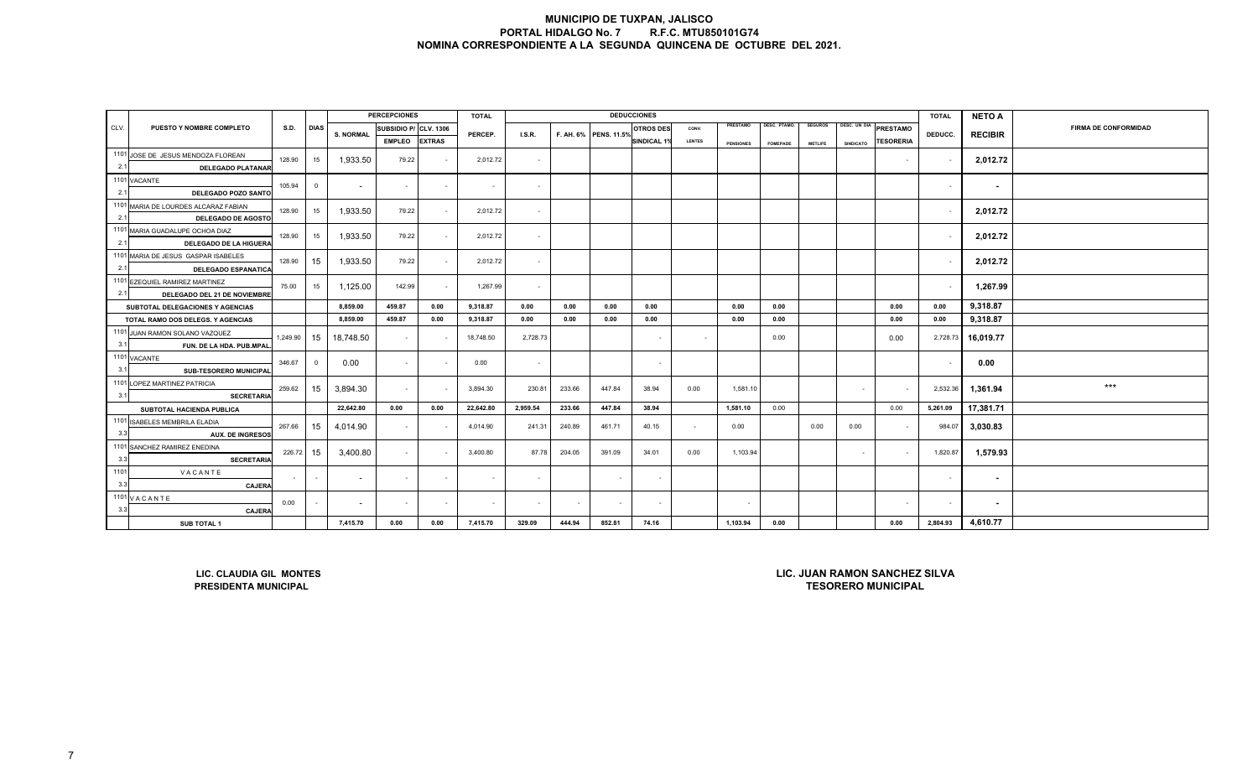|      |                                                                                                                               |             |                |                  | <b>PERCEPCIONES</b>      |               | <b>TOTAL</b> |          |        |                       | <b>DEDUCCIONES</b> |        |                  |                 |                |                  |                                                            | <b>TOTAL</b> | <b>NETO A</b>  |                             |
|------|-------------------------------------------------------------------------------------------------------------------------------|-------------|----------------|------------------|--------------------------|---------------|--------------|----------|--------|-----------------------|--------------------|--------|------------------|-----------------|----------------|------------------|------------------------------------------------------------|--------------|----------------|-----------------------------|
| CLV. | PUESTO Y NOMBRE COMPLETO                                                                                                      | <b>S.D.</b> | <b>DIAS</b>    | <b>S. NORMAL</b> | SUBSIDIO P/ CLV. 1306    |               | PERCEP.      | LS.R.    |        | F. AH. 6% PENS. 11.5% | <b>OTROS DES</b>   | CONV.  | PRESTAMO         | DESC. PTAMO.    | <b>SEGUROS</b> |                  | DESC. UN DIA PRESTAMO                                      | DEDUCC.      |                | <b>FIRMA DE CONFORMIDAD</b> |
|      |                                                                                                                               |             |                |                  | <b>EMPLEO</b>            | <b>EXTRAS</b> |              |          |        |                       | SINDICAL 1%        | LENTES | <b>PENSIONES</b> | <b>FOMEPADE</b> | <b>METLIFE</b> | <b>SINDICATO</b> | <b>TESORERIA</b>                                           |              | <b>RECIBIR</b> |                             |
|      | 1101 JOSE DE JESUS MENDOZA FLOREAN                                                                                            | 15          | 1,933.50       | 79.22            | $\sim$                   | 2,012.72      | $\sim$       |          |        |                       |                    |        |                  |                 |                | $\sim$           |                                                            | 2,012.72     |                |                             |
| 2.1  | <b>DELEGADO PLATANAR</b>                                                                                                      | 128.90      |                |                  |                          |               |              |          |        |                       |                    |        |                  |                 |                |                  |                                                            |              |                |                             |
| 2.1  | 1101 VACANTE                                                                                                                  | 105.94      | $\overline{0}$ | $\sim$           | $\sim$                   | $\sim$        | $\sim$       | $\sim$   |        |                       |                    |        |                  |                 |                |                  |                                                            | $\sim$       | $\sim$         |                             |
|      | DELEGADO POZO SANTO<br>1101 MARIA DE LOURDES ALCARAZ FABIAN                                                                   |             |                |                  |                          |               |              |          |        |                       |                    |        |                  |                 |                |                  |                                                            |              |                |                             |
| 2.1  | <b>DELEGADO DE AGOSTO</b>                                                                                                     | 128.90      | 15             | 1,933.50         | 79.22                    | $\sim$        | 2,012.72     | $\sim$   |        |                       |                    |        |                  |                 |                |                  |                                                            |              | 2,012.72       |                             |
|      | 1101 MARIA GUADALUPE OCHOA DIAZ                                                                                               | 128.90      | 15             | 1,933.50         | 79.22                    | $\sim$        | 2,012.72     | $\sim$   |        |                       |                    |        |                  |                 |                |                  |                                                            |              | 2,012.72       |                             |
| 2.1  | DELEGADO DE LA HIGUERA                                                                                                        |             |                |                  |                          |               |              |          |        |                       |                    |        |                  |                 |                |                  |                                                            |              |                |                             |
|      | 1101 MARIA DE JESUS GASPAR ISABELES                                                                                           | 128.90      | 15             | 1,933.50         | 79.22                    | $\sim$        | 2,012.72     | $\sim$   |        |                       |                    |        |                  |                 |                |                  |                                                            |              | 2,012.72       |                             |
| 2.1  | <b>DELEGADO ESPANATICA</b>                                                                                                    |             |                |                  |                          |               |              |          |        |                       |                    |        |                  |                 |                |                  |                                                            |              |                |                             |
| 2.1  | 1101 EZEQUIEL RAMIREZ MARTINEZ<br>DELEGADO DEL 21 DE NOVIEMBRE                                                                | 75.00       | 15             | 1,125.00         | 142.99                   | $\sim$        | 1,267.99     | $\sim$   |        |                       |                    |        |                  |                 |                |                  |                                                            |              | 1,267.99       |                             |
|      | SUBTOTAL DELEGACIONES Y AGENCIAS                                                                                              |             |                | 8,859.00         | 459.87                   | 0.00          | 9,318.87     | 0.00     | 0.00   | 0.00                  | 0.00               |        | 0.00             | 0.00            |                |                  | 0.00                                                       | 0.00         | 9,318.87       |                             |
|      | TOTAL RAMO DOS DELEGS. Y AGENCIAS                                                                                             |             |                | 8,859.00         | 459.87                   | 0.00          | 9,318.87     | 0.00     | 0.00   | 0.00                  | 0.00               |        | 0.00             | 0.00            |                |                  | 0.00                                                       | 0.00         | 9,318.87       |                             |
|      | 1101 JUAN RAMON SOLANO VAZQUEZ                                                                                                | 1,249.90    | 15             | 18,748.50        | $\overline{\phantom{a}}$ |               | 18,748.50    | 2,728.73 |        |                       | $\sim$             |        |                  | 0.00            |                |                  | 0.00                                                       | 2,728.73     | 16,019.77      |                             |
| 3.1  | FUN. DE LA HDA. PUB.MPAL                                                                                                      |             |                |                  |                          |               |              |          |        |                       |                    |        |                  |                 |                |                  |                                                            |              |                |                             |
|      | 1101 VACANTE                                                                                                                  | 346.67      | $\overline{0}$ | 0.00             | $\blacksquare$           |               | 0.00         | $\sim$   |        |                       | $\sim$             |        |                  |                 |                |                  |                                                            |              | 0.00           |                             |
| 3.1  | SUB-TESORERO MUNICIPAL                                                                                                        |             |                |                  |                          |               |              |          |        |                       |                    |        |                  |                 |                |                  |                                                            |              |                |                             |
| 3.1  | 1101 LOPEZ MARTINEZ PATRICIA<br><b>SECRETARIA</b>                                                                             | 259.62      | 15             | 3,894.30         | $\overline{\phantom{a}}$ |               | 3,894.30     | 230.81   | 233.66 | 447.84                | 38.94              | 0.00   | 1,581.10         |                 |                | $\sim$           | $\sim$                                                     | 2,532.36     | 1,361.94       | $***$                       |
|      | SUBTOTAL HACIENDA PUBLICA                                                                                                     |             |                | 22,642.80        | 0.00                     | 0.00          | 22,642.80    | 2,959.54 | 233.66 | 447.84                | 38.94              |        | 1,581.10         | 0.00            |                |                  | 0.00                                                       | 5,261.09     | 17,381.71      |                             |
|      | 1101 ISABELES MEMBRILA ELADIA                                                                                                 | 267.66      | 15             | 4,014.90         | $\overline{\phantom{a}}$ |               | 4,014.90     | 241.31   | 240.89 | 461.71                | 40.15              | $\sim$ | 0.00             |                 | 0.00           | 0.00             | $\sim$                                                     | 984.07       | 3,030.83       |                             |
| 3.3  | <b>AUX. DE INGRESOS</b>                                                                                                       |             |                |                  |                          |               |              |          |        |                       |                    |        |                  |                 |                |                  |                                                            |              |                |                             |
| 3.3  | 1101 SANCHEZ RAMIREZ ENEDINA<br><b>SECRETARIA</b>                                                                             | 226.72      | 15             | 3,400.80         | $\sim$                   |               | 3,400.80     | 87.78    | 204.05 | 391.09                | 34.01              | 0.00   | 1,103.94         |                 |                | $\sim$           | $\sim$                                                     | 1,820.87     | 1,579.93       |                             |
| 1101 | VACANTE                                                                                                                       |             |                |                  |                          |               |              |          |        |                       |                    |        |                  |                 |                |                  |                                                            |              |                |                             |
| 3.3  | <b>CAJERA</b>                                                                                                                 | $\sim$      | $\sim$         | $\sim$           | $\sim$                   | $\sim$        | $\sim$       | $\sim$   |        | $\sim$                | $\sim$             |        |                  |                 |                |                  |                                                            |              | $\sim$         |                             |
|      | 1101 VACANTE                                                                                                                  | 0.00        | $\sim$         | $\sim$           | $\sim$                   | $\sim$        | $\sim$       | $\sim$   | $\sim$ | $\sim$                | $\sim$             |        | $\sim$           |                 |                |                  | $\sim$                                                     | $\sim$       | $\sim$         |                             |
| 3.3  | CAJERA                                                                                                                        |             |                |                  |                          |               |              |          |        |                       |                    |        |                  |                 |                |                  |                                                            |              |                |                             |
|      | 7,415.70<br>0.00<br>0.00<br>444.94<br>852.81<br>74.16<br>1,103.94<br>0.00<br>0.00<br>7,415.70<br>329.09<br><b>SUB TOTAL 1</b> |             |                |                  |                          |               |              |          |        |                       |                    |        |                  |                 | 2,804.93       | 4,610.77         |                                                            |              |                |                             |
|      | LIC. CLAUDIA GIL MONTES<br><b>PRESIDENTA MUNICIPAL</b>                                                                        |             |                |                  |                          |               |              |          |        |                       |                    |        |                  |                 |                |                  | LIC. JUAN RAMON SANCHEZ SILVA<br><b>TESORERO MUNICIPAL</b> |              |                |                             |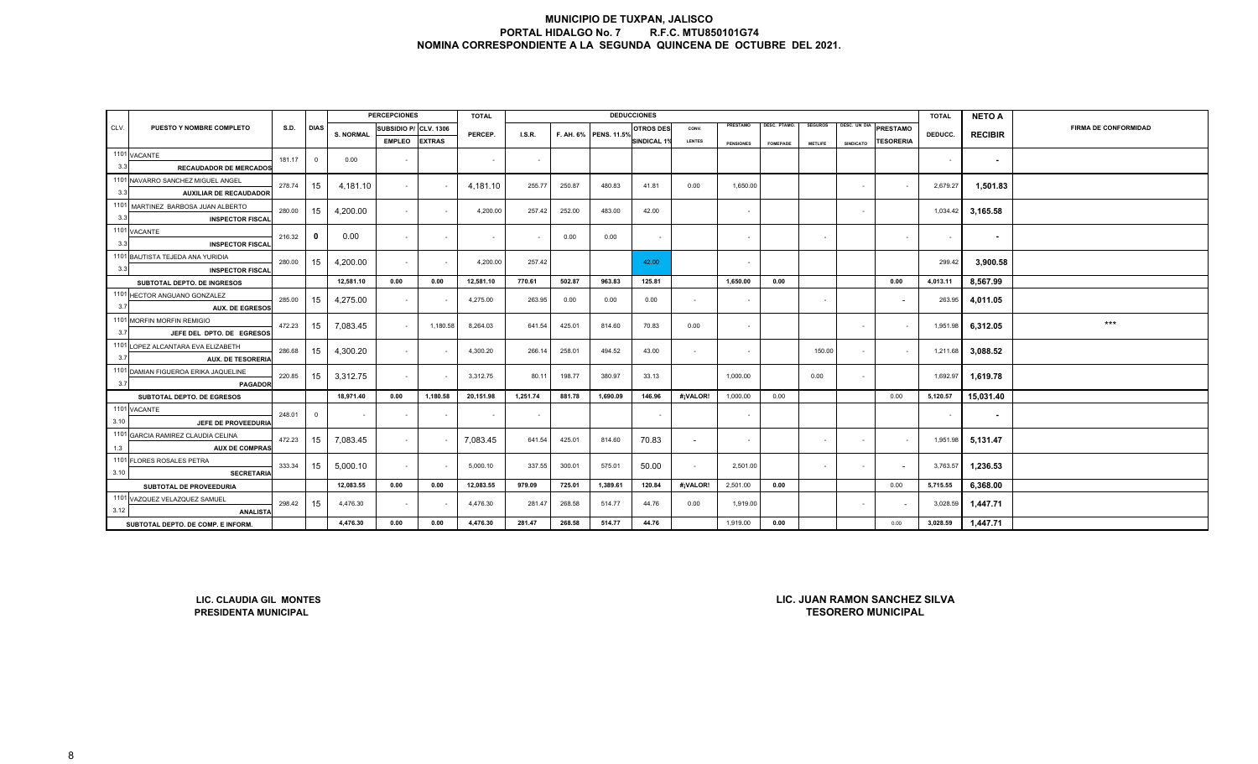|      |                                                             |             |                |                  | <b>PERCEPCIONES</b> |                  | <b>TOTAL</b> |          |        |                       | <b>DEDUCCIONES</b>       |                |                  |                 |                |                  |                           | <b>TOTAL</b> | <b>NETO A</b>  |                             |
|------|-------------------------------------------------------------|-------------|----------------|------------------|---------------------|------------------|--------------|----------|--------|-----------------------|--------------------------|----------------|------------------|-----------------|----------------|------------------|---------------------------|--------------|----------------|-----------------------------|
| CLV. | PUESTO Y NOMBRE COMPLETO                                    | <b>S.D.</b> | <b>DIAS</b>    | <b>S. NORMAL</b> | SUBSIDIO P/         | <b>CLV. 1306</b> | PERCEP.      | I.S.R.   |        | F. AH. 6% PENS. 11.5% | <b>OTROS DES</b>         | CONV.          | PRESTAMO         | DESC. PTAMO.    | <b>SEGUROS</b> |                  | DESC. UN DIA PRESTAMO     | DEDUCC.      |                | <b>FIRMA DE CONFORMIDAD</b> |
|      | <b>EMPLEO</b>                                               |             |                |                  |                     |                  |              |          |        |                       | <b>SINDICAL 1%</b>       | <b>LENTES</b>  | <b>PENSIONES</b> | <b>FOMEPADE</b> | <b>METLIFE</b> | <b>SINDICATO</b> | <b>TESORERIA</b>          |              | <b>RECIBIR</b> |                             |
|      | 1101 VACANTE                                                | 181.17      | $\overline{0}$ | 0.00             |                     |                  |              |          |        |                       |                          |                |                  |                 |                |                  |                           |              |                |                             |
| 3.3  | <b>RECAUDADOR DE MERCADOS</b>                               |             |                |                  | $\blacksquare$      |                  | $\sim$       | $\sim$   |        |                       |                          |                |                  |                 |                |                  |                           | $\sim$       | $\sim$         |                             |
|      | 1101 NAVARRO SANCHEZ MIGUEL ANGEL                           | 278.74      | 15             | 4,181.10         |                     |                  | 4,181.10     | 255.77   | 250.87 | 480.83                | 41.81                    | 0.00           | 1,650.00         |                 |                | $\sim$           |                           | 2,679.27     | 1,501.83       |                             |
| 3.3  | <b>AUXILIAR DE RECAUDADOR</b>                               |             |                |                  | $\sim$              |                  |              |          |        |                       |                          |                |                  |                 |                |                  |                           |              |                |                             |
|      | 1101 MARTINEZ BARBOSA JUAN ALBERTO                          | 280.00      | 15             | 4,200.00         | $\sim$              |                  | 4,200.00     | 257.42   | 252.00 | 483.00                | 42.00                    |                | $\sim$           |                 |                | $\sim$           |                           | 1,034.42     | 3,165.58       |                             |
| 3.3  | <b>INSPECTOR FISCAL</b>                                     |             |                |                  |                     |                  |              |          |        |                       |                          |                |                  |                 |                |                  |                           |              |                |                             |
|      | 1101 VACANTE                                                | 216.32      | $\mathbf{0}$   | 0.00             | $\sim$              | $\sim$           | $\sim$       | $\sim$   | 0.00   | 0.00                  | $\overline{\phantom{a}}$ |                | $\sim$           |                 | $\sim$         |                  | $\sim$                    | $\sim$       | $\sim$         |                             |
| 3.3  | <b>INSPECTOR FISCAL</b>                                     |             |                |                  |                     |                  |              |          |        |                       |                          |                |                  |                 |                |                  |                           |              |                |                             |
|      | 1101 BAUTISTA TEJEDA ANA YURIDIA                            | 280.00      | 15             | 4,200.00         | $\sim$              | $\sim$           | 4,200.00     | 257.42   |        |                       | 42.00                    |                | $\sim$           |                 |                |                  |                           | 299.42       | 3,900.58       |                             |
| 3.3  | <b>INSPECTOR FISCAL</b>                                     |             |                |                  |                     |                  |              |          |        |                       |                          |                |                  |                 |                |                  |                           |              |                |                             |
|      | SUBTOTAL DEPTO. DE INGRESOS                                 |             |                | 12,581.10        | 0.00                | 0.00             | 12,581.10    | 770.61   | 502.87 | 963.83                | 125.81                   |                | 1,650.00         | 0.00            |                |                  | 0.00                      | 4,013.11     | 8,567.99       |                             |
|      | 1101 HECTOR ANGUANO GONZALEZ                                | 285.00      | 15             | 4,275.00         | $\sim$              |                  | 4,275.00     | 263.95   | 0.00   | 0.00                  | 0.00                     | $\overline{a}$ | $\sim$           |                 | $\sim$         |                  |                           | 263.95       | 4,011.05       |                             |
| 3.7  | <b>AUX. DE EGRESOS</b>                                      |             |                |                  |                     |                  |              |          |        |                       |                          |                |                  |                 |                |                  |                           |              |                |                             |
|      | 1101 MORFIN MORFIN REMIGIO                                  | 472.23      | 15             | 7,083.45         | $\sim$              | 1,180.58         | 8,264.03     | 641.54   | 425.01 | 814.60                | 70.83                    | 0.00           | $\sim$           |                 |                | $\sim$           | $\sim$                    | 1,951.98     | 6,312.05       | $***$                       |
| 3.7  | JEFE DEL DPTO. DE EGRESOS                                   |             |                |                  |                     |                  |              |          |        |                       |                          |                |                  |                 |                |                  |                           |              |                |                             |
|      | 1101 LOPEZ ALCANTARA EVA ELIZABETH                          | 286.68      | 15             | 4,300.20         | $\sim$              |                  | 4,300.20     | 266.14   | 258.01 | 494.52                | 43.00                    | $\sim$         | $\sim$           |                 | 150.00         | $\sim$           | $\sim$                    | 1,211.68     | 3,088.52       |                             |
| 3.7  | <b>AUX. DE TESORERIA</b>                                    |             |                |                  |                     |                  |              |          |        |                       |                          |                |                  |                 |                |                  |                           |              |                |                             |
|      | 1101 DAMIAN FIGUEROA ERIKA JAQUELINE                        | 220.85      | 15             | 3,312.75         | $\sim$              |                  | 3,312.75     | 80.11    | 198.77 | 380.97                | 33.13                    |                | 1,000.00         |                 | 0.00           | $\sim$           |                           | 1,692.97     | 1,619.78       |                             |
| 3.7  | <b>PAGADOR</b>                                              |             |                |                  |                     |                  |              |          |        |                       |                          |                |                  |                 |                |                  |                           |              |                |                             |
|      | SUBTOTAL DEPTO. DE EGRESOS                                  |             |                | 18,971.40        | 0.00                | 1,180.58         | 20,151.98    | 1,251.74 | 881.78 | 1,690.09              | 146.96                   | #¡VALOR!       | 1,000.00         | 0.00            |                |                  | 0.00                      | 5,120.57     | 15,031.40      |                             |
| 3.10 | 1101 VACANTE                                                | 248.01      | $\overline{0}$ | $\sim$           | $\sim$              | $\sim$           | $\sim$       | $\sim$   |        |                       | $\sim$                   |                | $\sim$           |                 |                |                  |                           | $\sim$       | $\sim$         |                             |
|      | JEFE DE PROVEEDURIA                                         |             |                |                  |                     |                  |              |          |        |                       |                          |                |                  |                 |                |                  |                           |              |                |                             |
|      | 1101 GARCIA RAMIREZ CLAUDIA CELINA<br><b>AUX DE COMPRAS</b> | 472.23      | 15             | 7,083.45         | $\sim$              |                  | 7,083.45     | 641.54   | 425.01 | 814.60                | 70.83                    | $\sim$         | $\sim$           |                 | $\sim$         | $\sim$           | $\sim$                    | 1,951.98     | 5,131.47       |                             |
| 1.3  | 1101 FLORES ROSALES PETRA                                   |             |                |                  |                     |                  |              |          |        |                       |                          |                |                  |                 |                |                  |                           |              |                |                             |
| 3.10 | <b>SECRETARIA</b>                                           | 333.34      | 15             | 5,000.10         | $\sim$              |                  | 5,000.10     | 337.55   | 300.01 | 575.01                | 50.00                    | $\sim$         | 2,501.00         |                 | $\sim$         | $\sim$           |                           | 3,763.57     | 1,236.53       |                             |
|      | SUBTOTAL DE PROVEEDURIA                                     |             |                | 12,083.55        | 0.00                | 0.00             | 12,083.55    | 979.09   | 725.01 | 1,389.61              | 120.84                   | #¡VALOR!       | 2,501.00         | 0.00            |                |                  | 0.00                      | 5,715.55     | 6,368.00       |                             |
|      | 1101 VAZQUEZ VELAZQUEZ SAMUEL                               |             |                |                  |                     |                  |              |          |        |                       |                          |                |                  |                 |                |                  |                           |              |                |                             |
| 3.12 | <b>ANALISTA</b>                                             | 298.42      | 15             | 4,476.30         | $\sim$              |                  | 4,476.30     | 281.47   | 268.58 | 514.77                | 44.76                    | 0.00           | 1,919.00         |                 |                | $\sim$           |                           | 3,028.59     | 1,447.71       |                             |
|      | SUBTOTAL DEPTO. DE COMP. E INFORM                           |             |                | 4,476.30         | 0.00                | 0.00             | 4,476.30     | 281.47   | 268.58 | 514.77                | 44.76                    |                | 1,919.00         | 0.00            |                |                  | 0.00                      | 3,028.59     | 1,447.71       |                             |
|      | LIC. JUAN RAMON SANCHEZ SILVA<br>LIC. CLAUDIA GIL MONTES    |             |                |                  |                     |                  |              |          |        |                       |                          |                |                  |                 |                |                  |                           |              |                |                             |
|      | <b>PRESIDENTA MUNICIPAL</b>                                 |             |                |                  |                     |                  |              |          |        |                       |                          |                |                  |                 |                |                  | <b>TESORERO MUNICIPAL</b> |              |                |                             |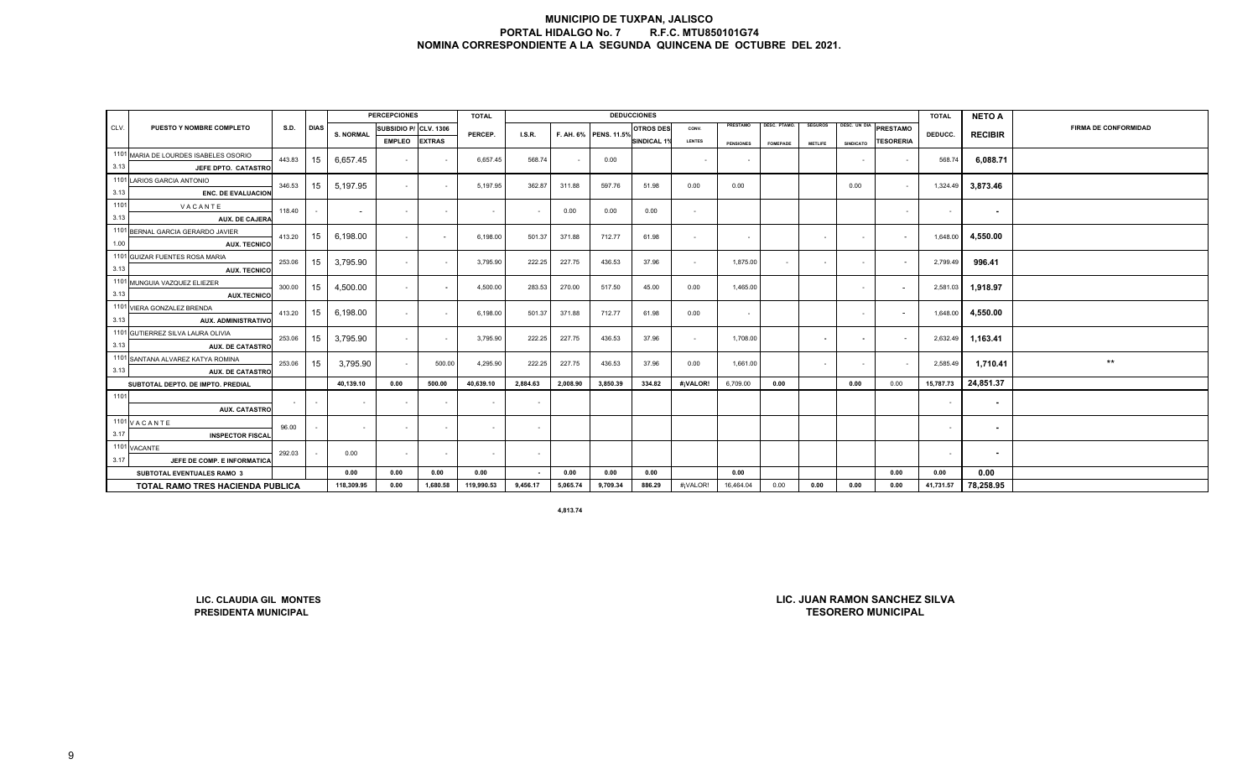|      |                                                          |             |             |                          | <b>PERCEPCIONES</b>      |               | <b>TOTAL</b> |                |          |                       | <b>DEDUCCIONES</b> |               |                  |                     |                          |                          |                           | <b>TOTAL</b> | <b>NETO A</b>  |                             |
|------|----------------------------------------------------------|-------------|-------------|--------------------------|--------------------------|---------------|--------------|----------------|----------|-----------------------|--------------------|---------------|------------------|---------------------|--------------------------|--------------------------|---------------------------|--------------|----------------|-----------------------------|
| CLV. | PUESTO Y NOMBRE COMPLETO                                 | <b>S.D.</b> | <b>DIAS</b> | <b>S. NORMAL</b>         | SUBSIDIO P/ CLV. 1306    |               | PERCEP.      | LS.R.          |          | F. AH. 6% PENS. 11.5% | <b>OTROS DES</b>   | CONV.         | PRESTAMO         | <b>DESC. PTAMO.</b> | <b>SEGUROS</b>           | DESC. UN DIA             | <b>PRESTAMO</b>           | DEDUCC.      | <b>RECIBIR</b> | <b>FIRMA DE CONFORMIDAD</b> |
|      |                                                          |             |             |                          | <b>EMPLEO</b>            | <b>EXTRAS</b> |              |                |          |                       | SINDICAL 1%        | <b>LENTES</b> | <b>PENSIONES</b> | <b>FOMEPADE</b>     | <b>METLIFE</b>           | <b>SINDICATO</b>         | <b>TESORERIA</b>          |              |                |                             |
|      | 1101 MARIA DE LOURDES ISABELES OSORIO                    | 443.83      | 15          | 6,657.45                 | $\blacksquare$           | $\sim$        | 6,657.45     | 568.74         |          | 0.00                  |                    |               |                  |                     |                          |                          |                           | 568.74       | 6,088.71       |                             |
| 3.13 | JEFE DPTO. CATASTRO                                      |             |             |                          |                          |               |              |                |          |                       |                    |               |                  |                     |                          |                          | $\sim$                    |              |                |                             |
|      | 1101 LARIOS GARCIA ANTONIO                               | 346.53      | 15          | 5,197.95                 | $\sim$                   | $\sim$        | 5,197.95     | 362.87         | 311.88   | 597.76                | 51.98              | 0.00          | 0.00             |                     |                          | 0.00                     | $\sim$                    | 1,324.49     | 3,873.46       |                             |
| 3.13 | <b>ENC. DE EVALUACION</b>                                |             |             |                          |                          |               |              |                |          |                       |                    |               |                  |                     |                          |                          |                           |              |                |                             |
| 1101 | VACANTE                                                  | 118.40      |             | $\overline{\phantom{a}}$ | $\sim$                   | $\sim$        | $\sim$       | $\sim$         | 0.00     | 0.00                  | 0.00               | $\sim$        |                  |                     |                          |                          | $\sim$                    | $\sim$       | $\sim$         |                             |
| 3.13 | AUX. DE CAJERA                                           |             |             |                          |                          |               |              |                |          |                       |                    |               |                  |                     |                          |                          |                           |              |                |                             |
|      | 1101 BERNAL GARCIA GERARDO JAVIER                        | 413.20      | 15          | 6,198.00                 | $\sim$                   | $\sim$        | 6,198.00     | 501.37         | 371.88   | 712.77                | 61.98              | $\sim$        | $\sim$           |                     |                          | $\sim$                   | $\sim$                    | 1,648.00     | 4,550.00       |                             |
| 1.00 | <b>AUX. TECNICO</b>                                      |             |             |                          |                          |               |              |                |          |                       |                    |               |                  |                     |                          |                          |                           |              |                |                             |
|      | 1101 GUIZAR FUENTES ROSA MARIA                           | 253.06      | 15          | 3,795.90                 | $\sim$                   | $\sim$        | 3,795.90     | 222.25         | 227.75   | 436.53                | 37.96              | $\sim$        | 1,875.00         | $\sim$              |                          | $\blacksquare$           | $\sim$                    | 2,799.49     | 996.41         |                             |
| 3.13 | <b>AUX. TECNICO</b>                                      |             |             |                          |                          |               |              |                |          |                       |                    |               |                  |                     |                          |                          |                           |              |                |                             |
|      | 1101 MUNGUIA VAZQUEZ ELIEZER                             | 300.00      | 15          | 4,500.00                 | $\sim$                   |               | 4,500.00     | 283.53         | 270.00   | 517.50                | 45.00              | 0.00          | 1,465.00         |                     |                          | $\blacksquare$           |                           | 2,581.03     | 1,918.97       |                             |
| 3.13 | <b>AUX.TECNICO</b>                                       |             |             |                          |                          |               |              |                |          |                       |                    |               |                  |                     |                          |                          |                           |              |                |                             |
|      | 1101 VIERA GONZALEZ BRENDA                               | 413.20      | 15          | 6,198.00                 | $\sim$                   | $\sim$        | 6,198.00     | 501.37         | 371.88   | 712.77                | 61.98              | 0.00          | $\sim$           |                     |                          | $\blacksquare$           | $\overline{\phantom{a}}$  | 1,648.00     | 4,550.00       |                             |
| 3.13 | <b>AUX. ADMINISTRATIVO</b>                               |             |             |                          |                          |               |              |                |          |                       |                    |               |                  |                     |                          |                          |                           |              |                |                             |
|      | 1101 GUTIERREZ SILVA LAURA OLIVIA                        | 253.06      | 15          | 3,795.90                 | $\sim$                   | $\sim$        | 3,795.90     | 222.25         | 227.75   | 436.53                | 37.96              | $\sim$        | 1,708.00         |                     | $\overline{\phantom{a}}$ | $\overline{\phantom{a}}$ | $\sim$                    | 2,632.49     | 1,163.41       |                             |
| 3.13 | <b>AUX. DE CATASTRO</b>                                  |             |             |                          |                          |               |              |                |          |                       |                    |               |                  |                     |                          |                          |                           |              |                |                             |
|      | 1101 SANTANA ALVAREZ KATYA ROMINA                        | 253.06      | 15          | 3,795.90                 | $\sim$                   | 500.00        | 4,295.90     | 222.25         | 227.75   | 436.53                | 37.96              | 0.00          | 1,661.00         |                     | $\sim$                   | $\sim$                   | $\sim$                    | 2,585.49     | 1,710.41       | $\star\star$                |
| 3.13 | <b>AUX. DE CATASTRO</b>                                  |             |             |                          |                          |               |              |                |          |                       |                    |               |                  |                     |                          |                          |                           |              |                |                             |
|      | SUBTOTAL DEPTO. DE IMPTO. PREDIAL                        |             |             | 40,139.10                | 0.00                     | 500.00        | 40,639.10    | 2,884.63       | 2,008.90 | 3,850.39              | 334.82             | #¡VALOR!      | 6,709.00         | 0.00                |                          | 0.00                     | 0.00                      | 15,787.73    | 24,851.37      |                             |
| 1101 |                                                          |             |             |                          | $\overline{\phantom{a}}$ |               | $\sim$       | $\sim$         |          |                       |                    |               |                  |                     |                          |                          |                           | $\sim$       | $\sim$         |                             |
|      | <b>AUX. CATASTRO</b>                                     |             |             |                          |                          |               |              |                |          |                       |                    |               |                  |                     |                          |                          |                           |              |                |                             |
| 3.17 | 1101 VACANTE                                             | 96.00       | $\sim$      | $\sim$                   | $\blacksquare$           | $\sim$        | $\sim$       | $\sim$         |          |                       |                    |               |                  |                     |                          |                          |                           | $\sim$       | $\sim$         |                             |
|      | <b>INSPECTOR FISCAL</b>                                  |             |             |                          |                          |               |              |                |          |                       |                    |               |                  |                     |                          |                          |                           |              |                |                             |
| 3.17 | 1101 VACANTE<br>JEFE DE COMP. E INFORMATICA              | 292.03      |             | 0.00                     | $\blacksquare$           | $\sim$        | $\sim$       | $\sim$         |          |                       |                    |               |                  |                     |                          |                          |                           | $\sim$       | $\blacksquare$ |                             |
|      | SUBTOTAL EVENTUALES RAMO 3                               |             |             | 0.00                     | 0.00                     | 0.00          | 0.00         | $\blacksquare$ | 0.00     | 0.00                  | 0.00               |               | 0.00             |                     |                          |                          | 0.00                      | 0.00         | 0.00           |                             |
|      | TOTAL RAMO TRES HACIENDA PUBLICA                         |             |             | 118,309.95               | 0.00                     | 1,680.58      | 119,990.53   | 9,456.17       | 5,065.74 | 9,709.34              | 886.29             | #¡VALOR!      | 16,464.04        | 0.00                | 0.00                     | 0.00                     | 0.00                      | 41,731.57    | 78,258.95      |                             |
|      |                                                          |             |             |                          |                          |               |              |                |          |                       |                    |               |                  |                     |                          |                          |                           |              |                |                             |
|      |                                                          |             |             |                          |                          |               |              |                | 4,813.74 |                       |                    |               |                  |                     |                          |                          |                           |              |                |                             |
|      |                                                          |             |             |                          |                          |               |              |                |          |                       |                    |               |                  |                     |                          |                          |                           |              |                |                             |
|      |                                                          |             |             |                          |                          |               |              |                |          |                       |                    |               |                  |                     |                          |                          |                           |              |                |                             |
|      |                                                          |             |             |                          |                          |               |              |                |          |                       |                    |               |                  |                     |                          |                          |                           |              |                |                             |
|      |                                                          |             |             |                          |                          |               |              |                |          |                       |                    |               |                  |                     |                          |                          |                           |              |                |                             |
|      |                                                          |             |             |                          |                          |               |              |                |          |                       |                    |               |                  |                     |                          |                          |                           |              |                |                             |
|      |                                                          |             |             |                          |                          |               |              |                |          |                       |                    |               |                  |                     |                          |                          |                           |              |                |                             |
|      | LIC. JUAN RAMON SANCHEZ SILVA<br>LIC. CLAUDIA GIL MONTES |             |             |                          |                          |               |              |                |          |                       |                    |               |                  |                     |                          |                          |                           |              |                |                             |
|      | <b>PRESIDENTA MUNICIPAL</b>                              |             |             |                          |                          |               |              |                |          |                       |                    |               |                  |                     |                          |                          | <b>TESORERO MUNICIPAL</b> |              |                |                             |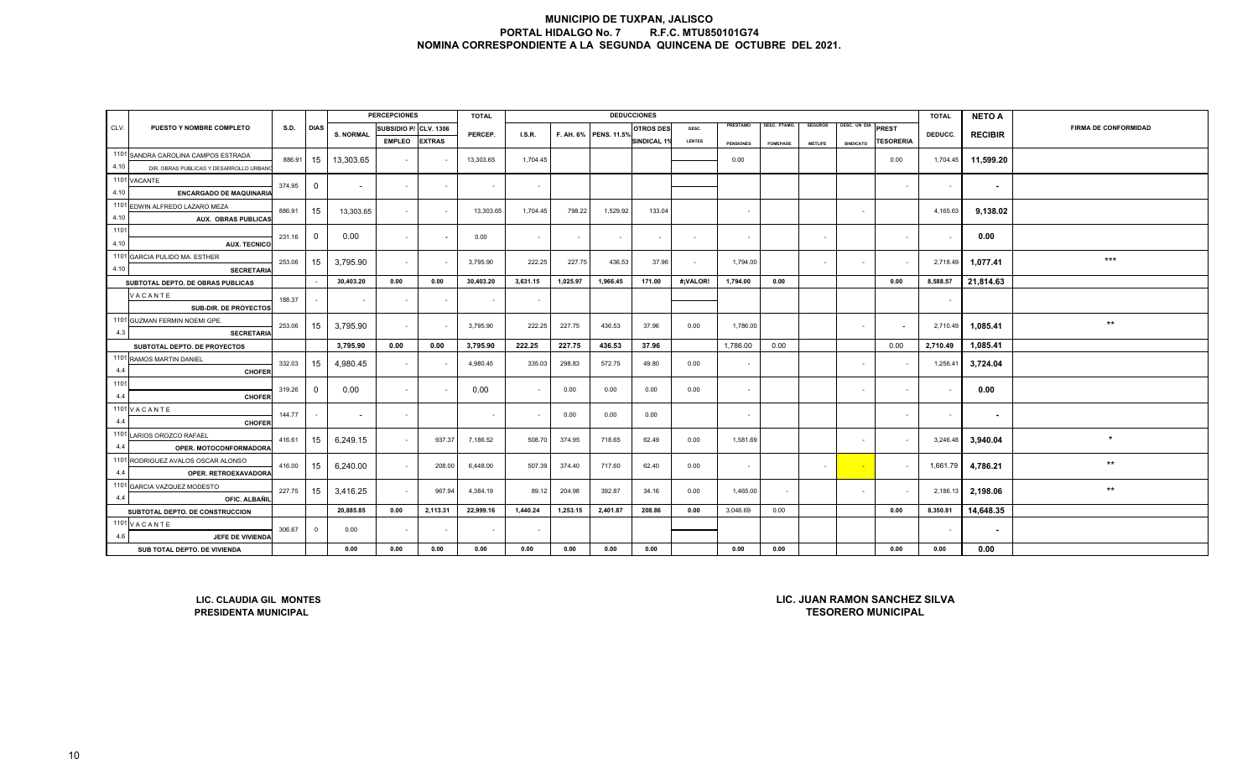|      |                                           |        |                |                  | <b>PERCEPCIONES</b>      |               | <b>TOTAL</b> |               |          |                       | <b>DEDUCCIONES</b> |               |                  |                 |                |                    |                          | <b>TOTAL</b>             | <b>NETO A</b>            |                      |
|------|-------------------------------------------|--------|----------------|------------------|--------------------------|---------------|--------------|---------------|----------|-----------------------|--------------------|---------------|------------------|-----------------|----------------|--------------------|--------------------------|--------------------------|--------------------------|----------------------|
| CLV. | PUESTO Y NOMBRE COMPLETO                  | S.D.   | <b>DIAS</b>    | <b>S. NORMAL</b> | SUBSIDIO P/ CLV. 1306    |               | PERCEP.      | <b>I.S.R.</b> |          | F. AH. 6% PENS. 11.5% | <b>OTROS DES</b>   | DESC.         | PRESTAMO         | DESC. PTAMO.    | <b>SEGUROS</b> | DESC. UN DIA PREST |                          | DEDUCC.                  | <b>RECIBIR</b>           | FIRMA DE CONFORMIDAD |
|      |                                           |        |                |                  | <b>EMPLEO</b>            | <b>EXTRAS</b> |              |               |          |                       | <b>SINDICAL 1%</b> | <b>LENTES</b> | <b>PENSIONES</b> | <b>FOMEPADE</b> | <b>METLIFE</b> | <b>SINDICATO</b>   | <b>TESORERIA</b>         |                          |                          |                      |
|      | 1101 SANDRA CAROLINA CAMPOS ESTRADA       |        | 886.91 15      | 13,303.65        | $\sim$                   |               | 13,303.65    | 1,704.45      |          |                       |                    |               | 0.00             |                 |                |                    | 0.00                     | 1,704.45                 | 11,599.20                |                      |
| 4.10 | DIR. OBRAS PUBLICAS Y DESARROLLO URBANO   |        |                |                  |                          |               |              |               |          |                       |                    |               |                  |                 |                |                    |                          |                          |                          |                      |
|      | 1101 VACANTE                              | 374.95 | $\overline{0}$ | $\sim$           | $\sim$                   |               |              | $\sim$        |          |                       |                    |               |                  |                 |                |                    |                          | $\sim$                   | $\overline{\phantom{a}}$ |                      |
| 4.10 | <b>ENCARGADO DE MAQUINARIA</b>            |        |                |                  |                          |               |              |               |          |                       |                    |               |                  |                 |                |                    |                          |                          |                          |                      |
|      | 1101 EDWIN ALFREDO LAZARO MEZA            | 886.91 | 15             | 13,303.65        | $\sim$                   |               | 13,303.65    | 1,704.45      | 798.22   | 1,529.92              | 133.04             |               |                  |                 |                | $\sim$             |                          | 4,165.63                 | 9,138.02                 |                      |
| 4.10 | <b>AUX. OBRAS PUBLICAS</b>                |        |                |                  |                          |               |              |               |          |                       |                    |               |                  |                 |                |                    |                          |                          |                          |                      |
| 1101 |                                           | 231.16 | $\overline{0}$ | 0.00             | $\sim$                   |               | 0.00         | $\sim$        |          | $\sim$                | $\sim$             | $\sim$        | $\sim$           |                 |                |                    | $\sim$                   |                          | 0.00                     |                      |
| 4.10 | <b>AUX. TECNICO</b>                       |        |                |                  |                          |               |              |               |          |                       |                    |               |                  |                 |                |                    |                          |                          |                          |                      |
|      | 1101 GARCIA PULIDO MA. ESTHER             | 253.06 | 15             | 3,795.90         | $\sim$                   |               | 3,795.90     | 222.25        | 227.75   | 436.53                | 37.96              | $\sim$        | 1,794.00         |                 | $\sim$         | $\sim$ $-$         | $\overline{\phantom{a}}$ | 2,718.49                 | 1,077.41                 | $***$                |
| 4.10 | <b>SECRETARIA</b>                         |        |                |                  |                          |               |              |               |          |                       |                    |               |                  |                 |                |                    |                          |                          |                          |                      |
|      | SUBTOTAL DEPTO. DE OBRAS PUBLICAS         |        |                | 30,403.20        | 0.00                     | 0.00          | 30,403.20    | 3,631.15      | 1,025.97 | 1,966.45              | 171.00             | #¡VALOR!      | 1,794.00         | 0.00            |                |                    | 0.00                     | 8,588.57                 | 21,814.63                |                      |
|      | VACANTE                                   | 188.37 |                |                  | $\overline{\phantom{a}}$ |               |              | $\sim$        |          |                       |                    |               |                  |                 |                |                    |                          | $\overline{\phantom{a}}$ |                          |                      |
|      | SUB-DIR. DE PROYECTOS                     |        |                |                  |                          |               |              |               |          |                       |                    |               |                  |                 |                |                    |                          |                          |                          |                      |
|      | 1101 GUZMAN FERMIN NOEMI GPE.             | 253.06 | 15             | 3,795.90         | $\sim$                   |               | 3,795.90     | 222.25        | 227.75   | 436.53                | 37.96              | 0.00          | 1,786.00         |                 |                | $\sim$             | $\sim$                   | 2,710.49                 | 1,085.41                 | $***$                |
| 4.3  | <b>SECRETARIA</b>                         |        |                |                  |                          |               |              |               |          |                       |                    |               |                  |                 |                |                    |                          |                          |                          |                      |
|      | SUBTOTAL DEPTO. DE PROYECTOS              |        |                | 3,795.90         | 0.00                     | 0.00          | 3,795.90     | 222.25        | 227.75   | 436.53                | 37.96              |               | 1,786.00         | 0.00            |                |                    | 0.00                     | 2,710.49                 | 1,085.41                 |                      |
| 4.4  | 1101 RAMOS MARTIN DANIEL<br><b>CHOFER</b> | 332.03 | 15             | 4,980.45         | $\sim$                   |               | 4,980.45     | 335.03        | 298.83   | 572.75                | 49.80              | 0.00          | $\sim$           |                 |                | $\sim$             |                          | 1,256.41                 | 3,724.04                 |                      |
| 1101 |                                           |        |                |                  |                          |               |              |               |          |                       |                    |               |                  |                 |                |                    |                          |                          |                          |                      |
| 4.4  | <b>CHOFER</b>                             | 319.26 | $\overline{0}$ | 0.00             | $\sim$                   |               | 0.00         | $\sim$        | 0.00     | 0.00                  | 0.00               | 0.00          |                  |                 |                | $\sim$             |                          |                          | 0.00                     |                      |
|      | 1101 V A C A N T E                        |        |                |                  |                          |               |              |               |          |                       |                    |               |                  |                 |                |                    |                          |                          |                          |                      |
| 4.4  | <b>CHOFER</b>                             | 144.77 |                | $\sim$           | $\sim$                   |               |              | $\sim$        | 0.00     | 0.00                  | 0.00               |               | $\sim$           |                 |                |                    |                          | $\sim$                   | $\sim$                   |                      |
|      | 1101 LARIOS OROZCO RAFAEL                 | 416.61 | 15             | 6,249.15         | $\sim$                   | 937.37        | 7,186.52     | 508.70        | 374.95   | 718.65                | 62.49              | 0.00          | 1,581.69         |                 |                | $\sim$             |                          | 3,246.48                 | 3,940.04                 |                      |
| 4.4  | OPER. MOTOCONFORMADORA                    |        |                |                  |                          |               |              |               |          |                       |                    |               |                  |                 |                |                    |                          |                          |                          |                      |
|      | 1101 RODRIGUEZ AVALOS OSCAR ALONSO        | 416.00 | 15             | 6,240.00         | $\sim$                   | 208.00        | 6,448.00     | 507.39        | 374.40   | 717.60                | 62.40              | 0.00          | $\sim$           |                 |                | $\sim$             |                          | 1,661.79                 | 4,786.21                 | $***$                |
| 4.4  | OPER. RETROEXAVADORA                      |        |                |                  |                          |               |              |               |          |                       |                    |               |                  |                 |                |                    |                          |                          |                          |                      |
|      | 1101 GARCIA VAZQUEZ MODESTO               | 227.75 | 15             | 3,416.25         | $\sim$                   | 967.94        | 4,384.19     | 89.12         | 204.98   | 392.87                | 34.16              | 0.00          | 1,465.00         |                 |                | $\sim$             |                          | 2,186.13                 | 2,198.06                 | $***$                |
| 4.4  | OFIC. ALBAÑIL                             |        |                |                  |                          |               |              |               |          |                       |                    |               |                  |                 |                |                    |                          |                          |                          |                      |
|      | SUBTOTAL DEPTO. DE CONSTRUCCION           |        |                | 20,885.85        | 0.00                     | 2,113.31      | 22,999.16    | 1,440.24      | 1,253.15 | 2,401.87              | 208.86             | 0.00          | 3,046.69         | 0.00            |                |                    | 0.00                     | 8,350.81                 | 14,648.35                |                      |
|      | 1101 VACANTE                              | 306.67 | $\overline{0}$ | 0.00             | $\sim$                   | $\sim$        | $\sim$       | $\sim$        |          |                       |                    |               |                  |                 |                |                    |                          | $\sim$                   | $\sim$                   |                      |
| 4.6  | JEFE DE VIVIENDA                          |        |                |                  |                          |               |              |               |          |                       |                    |               |                  |                 |                |                    |                          |                          |                          |                      |
|      | SUB TOTAL DEPTO. DE VIVIENDA              |        |                | 0.00             | 0.00                     | 0.00          | 0.00         | 0.00          | 0.00     | 0.00                  | 0.00               |               | 0.00             | 0.00            |                |                    | 0.00                     | 0.00                     | 0.00                     |                      |

**LIC. CLAUDIA GIL MONTESPRESIDENTA MUNICIPAL** 

**TESORERO MUNICIPALLIC. JUAN RAMON SANCHEZ SILVA**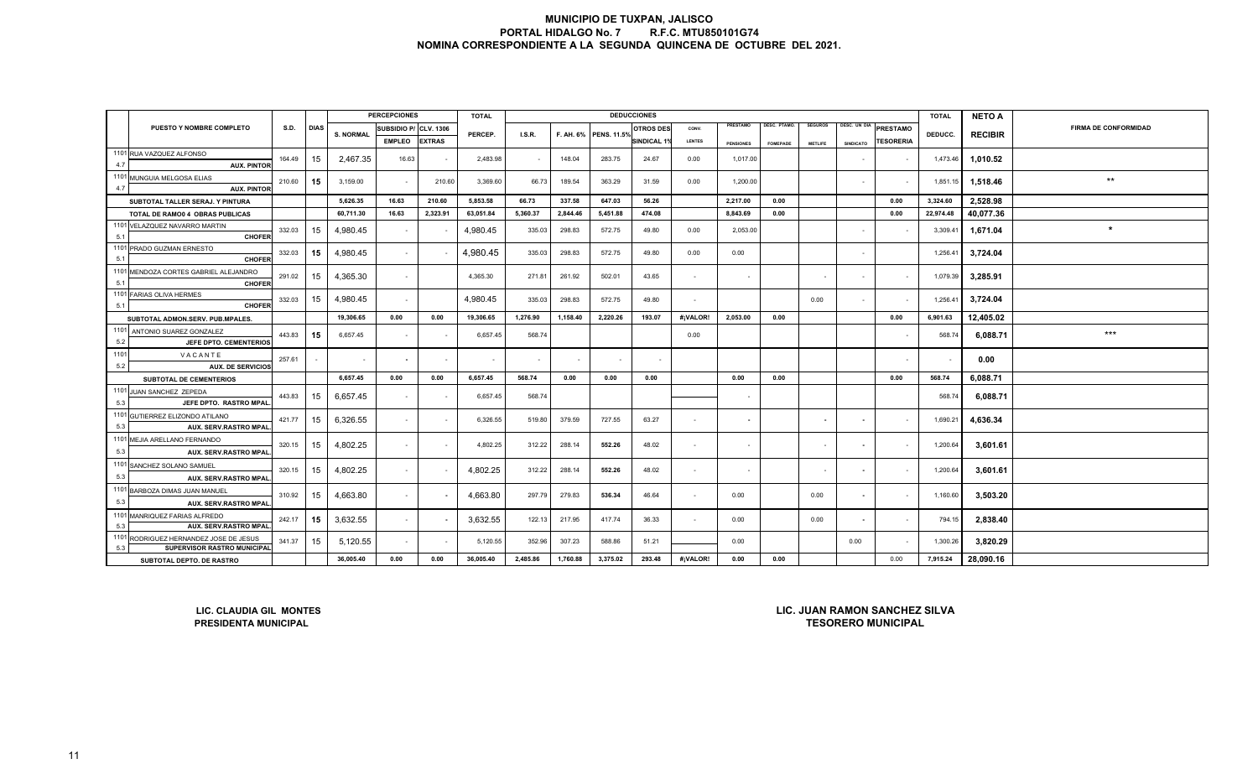|      |                                                                                                                                                                                 |          |             |                  | <b>PERCEPCIONES</b>   |               | <b>TOTAL</b>             |          |           |                    | <b>DEDUCCIONES</b>    |               |                          |                 |                          |                  |                         | <b>TOTAL</b> | <b>NETO A</b>  |                             |
|------|---------------------------------------------------------------------------------------------------------------------------------------------------------------------------------|----------|-------------|------------------|-----------------------|---------------|--------------------------|----------|-----------|--------------------|-----------------------|---------------|--------------------------|-----------------|--------------------------|------------------|-------------------------|--------------|----------------|-----------------------------|
|      | PUESTO Y NOMBRE COMPLETO                                                                                                                                                        | S.D.     | <b>DIAS</b> | <b>S. NORMAL</b> | SUBSIDIO P/ CLV. 1306 |               |                          |          |           |                    | <b>OTROS DES</b>      | CONV.         | PRESTAMO                 | DESC. PTAMO.    | <b>SEGUROS</b>           | DESC. UN DIA     | <b>PRESTAMO</b>         |              |                | <b>FIRMA DE CONFORMIDAD</b> |
|      |                                                                                                                                                                                 |          |             |                  | <b>EMPLEO</b>         | <b>EXTRAS</b> | PERCEP.                  | LS.R.    | F. AH. 6% | <b>PENS. 11.5%</b> | SINDICAL <sub>1</sub> | <b>LENTES</b> | <b>PENSIONES</b>         | <b>FOMEPADE</b> | <b>METLIFE</b>           | <b>SINDICATO</b> | <b><i>TESORERIA</i></b> | DEDUCC.      | <b>RECIBIR</b> |                             |
|      | 1101 RUA VAZQUEZ ALFONSO                                                                                                                                                        | 164.49   | 15          | 2,467.35         | 16.63                 | $\sim$        | 2,483.98                 |          | 148.04    | 283.75             | 24.67                 | 0.00          | 1,017.00                 |                 |                          |                  | $\sim$                  | 1,473.46     | 1,010.52       |                             |
| 4.7  | <b>AUX. PINTOR</b>                                                                                                                                                              |          |             |                  |                       |               |                          |          |           |                    |                       |               |                          |                 |                          |                  |                         |              |                |                             |
| 4.7  | 1101 MUNGUIA MELGOSA ELIAS<br><b>AUX. PINTOR</b>                                                                                                                                | 210.60   | 15          | 3,159.00         | $\sim$                | 210.60        | 3,369.60                 | 66.73    | 189.54    | 363.29             | 31.59                 | 0.00          | 1,200.00                 |                 |                          | $\sim$           | $\sim$                  | 1,851.15     | 1,518.46       | $\star\star$                |
|      | SUBTOTAL TALLER SERAJ. Y PINTURA                                                                                                                                                |          |             | 5,626.35         | 16.63                 | 210.60        | 5,853.58                 | 66.73    | 337.58    | 647.03             | 56.26                 |               | 2,217.00                 | 0.00            |                          |                  | 0.00                    | 3,324.60     | 2.528.98       |                             |
|      | TOTAL DE RAMO0 4 OBRAS PUBLICAS                                                                                                                                                 |          |             | 60,711.30        | 16.63                 | 2,323.91      | 63,051.84                | 5,360.37 | 2,844.46  | 5,451.88           | 474.08                |               | 8.843.69                 | 0.00            |                          |                  | 0.00                    | 22,974.48    | 40,077.36      |                             |
|      | 1101 VELAZQUEZ NAVARRO MARTIN                                                                                                                                                   |          |             |                  |                       |               |                          |          |           |                    |                       |               |                          |                 |                          |                  |                         |              |                | $\ast$                      |
| 5.1  | <b>CHOFER</b>                                                                                                                                                                   | 332.03   | 15          | 4,980.45         | $\sim$                |               | 4,980.45                 | 335.03   | 298.83    | 572.75             | 49.80                 | 0.00          | 2,053.00                 |                 |                          | $\sim$           |                         | 3,309.41     | 1,671.04       |                             |
| 5.1  | 1101 PRADO GUZMAN ERNESTO<br><b>CHOFER</b>                                                                                                                                      | 332.03   | 15          | 4,980.45         | $\sim$                |               | 4,980.45                 | 335.03   | 298.83    | 572.75             | 49.80                 | 0.00          | 0.00                     |                 |                          | $\sim$           |                         | 1,256.41     | 3,724.04       |                             |
|      | 1101 MENDOZA CORTES GABRIEL ALEJANDRO                                                                                                                                           |          |             |                  |                       |               |                          |          |           |                    |                       |               |                          |                 |                          |                  |                         |              |                |                             |
| 5.1  | <b>CHOFER</b>                                                                                                                                                                   | 291.02   | 15          | 4,365.30         | $\sim$                |               | 4,365.30                 | 271.81   | 261.92    | 502.01             | 43.65                 | $\sim$        | $\sim$                   |                 |                          | $\sim$           | $\sim$                  | 1,079.39     | 3,285.91       |                             |
| 5.1  | 1101 FARIAS OLIVA HERMES<br><b>CHOFER</b>                                                                                                                                       | 332.03   | 15          | 4,980.45         | $\sim$                |               | 4.980.45                 | 335.03   | 298.83    | 572.75             | 49.80                 | $\sim$        |                          |                 | 0.00                     | $\sim$           | $\sim$                  | 1,256.41     | 3,724.04       |                             |
|      | 0.00<br>1,276.90<br>2,220.26<br>19,306.65<br>0.00<br>19,306.65<br>1,158.40<br>193.07<br>#¡VALOR!<br>2,053.00<br>SUBTOTAL ADMON.SERV. PUB.MPALES.                                |          |             |                  |                       |               |                          |          |           |                    |                       |               |                          | 0.00            |                          |                  | 0.00                    | 6,901.63     | 12,405.02      |                             |
|      | 1101 ANTONIO SUAREZ GONZALEZ                                                                                                                                                    |          |             |                  |                       |               |                          |          |           |                    |                       |               |                          |                 |                          |                  |                         |              |                | $***$                       |
| 5.2  | JEFE DPTO. CEMENTERIOS                                                                                                                                                          | 443.83   | 15          | 6,657.45         | $\sim$                |               | 6,657.45                 | 568.74   |           |                    |                       | 0.00          |                          |                 |                          |                  |                         | 568.74       | 6,088.71       |                             |
| 1101 | VACANTE                                                                                                                                                                         | 257.61   | $\sim$      | $\sim$           | $\sim$                | $\sim$        | $\overline{\phantom{a}}$ |          | $\sim$    |                    | $\sim$                |               |                          |                 |                          |                  | $\sim$                  |              | 0.00           |                             |
| 5.2  | <b>AUX. DE SERVICIOS</b>                                                                                                                                                        |          |             | 6,657.45         | 0.00                  | 0.00          | 6,657.45                 | 568.74   | 0.00      | 0.00               | 0.00                  |               | 0.00                     | 0.00            |                          |                  | 0.00                    | 568.74       | 6,088.71       |                             |
|      | SUBTOTAL DE CEMENTERIOS<br>1101 JUAN SANCHEZ ZEPEDA                                                                                                                             |          |             |                  |                       |               |                          |          |           |                    |                       |               |                          |                 |                          |                  |                         |              |                |                             |
| 5.3  | JEFE DPTO. RASTRO MPAL                                                                                                                                                          | 443.83   | 15          | 6,657.45         | $\sim$                |               | 6,657.45                 | 568.74   |           |                    |                       |               |                          |                 |                          |                  |                         | 568.74       | 6,088.71       |                             |
|      | 1101 GUTIERREZ ELIZONDO ATILANO                                                                                                                                                 | 421.77   | 15          | 6.326.55         | $\sim$                |               | 6,326.55                 | 519.80   | 379.59    | 727.55             | 63.27                 | $\sim$        | $\overline{\phantom{a}}$ |                 | $\blacksquare$           | $\sim$           | $\sim$                  | 1,690.21     | 4,636.34       |                             |
| 5.3  | AUX. SERV.RASTRO MPAL                                                                                                                                                           |          |             |                  |                       |               |                          |          |           |                    |                       |               |                          |                 |                          |                  |                         |              |                |                             |
| 5.3  | 1101 MEJIA ARELLANO FERNANDO<br>AUX. SERV.RASTRO MPAL                                                                                                                           | 320.15   | 15          | 4,802.25         | $\sim$                | $\sim$        | 4,802.25                 | 312.22   | 288.14    | 552.26             | 48.02                 | $\sim$        | $\sim$                   |                 |                          |                  | $\sim$                  | 1,200.64     | 3,601.61       |                             |
|      | 1101 SANCHEZ SOLANO SAMUEL                                                                                                                                                      |          |             |                  |                       |               |                          |          |           |                    |                       |               |                          |                 |                          |                  |                         |              |                |                             |
| 5.3  | AUX. SERV.RASTRO MPAL                                                                                                                                                           | 320.15   | 15          | 4,802.25         | $\sim$                |               | 4,802.25                 | 312.22   | 288.14    | 552.26             | 48.02                 | $\sim$        | $\sim$                   |                 | $\overline{\phantom{a}}$ | $\sim$           | $\sim$                  | 1,200.64     | 3,601.61       |                             |
|      | 1101 BARBOZA DIMAS JUAN MANUEL                                                                                                                                                  |          |             |                  |                       |               |                          |          |           |                    |                       |               |                          |                 |                          |                  |                         |              |                |                             |
| 5.3  | AUX. SERV.RASTRO MPAL                                                                                                                                                           | 310.92   | 15          | 4.663.80         | $\sim$                |               | 4,663.80                 | 297.79   | 279.83    | 536.34             | 46.64                 | $\sim$        | 0.00                     |                 | 0.00                     | $\sim$           | $\sim$                  | 1,160.60     | 3,503.20       |                             |
|      | 1101 MANRIQUEZ FARIAS ALFREDO                                                                                                                                                   | 242.17   | 15          | 3,632.55         | $\sim$                |               | 3,632.55                 | 122.13   | 217.95    | 417.74             | 36.33                 |               | 0.00                     |                 | 0.00                     |                  | $\sim$                  | 794.15       | 2,838.40       |                             |
| 5.3  | AUX. SERV.RASTRO MPAL                                                                                                                                                           |          |             |                  |                       |               |                          |          |           |                    |                       |               |                          |                 |                          |                  |                         |              |                |                             |
| 5.3  | 1101 RODRIGUEZ HERNANDEZ JOSE DE JESUS<br><b>SUPERVISOR RASTRO MUNICIPAL</b>                                                                                                    | 5,120.55 |             | 5,120.55         | 352.96                | 307.23        | 588.86                   | 51.21    |           | 0.00               |                       |               | 0.00                     | $\sim$          | 1,300.26                 | 3,820.29         |                         |              |                |                             |
|      | 15<br>341.37<br>$\sim$<br>36,005.40<br>0.00<br>1,760.88<br>3,375.02<br>293.48<br>#¡VALOR!<br>0.00<br>36,005.40<br>2,485.86<br>0.00<br>0.00<br>0.00<br>SUBTOTAL DEPTO. DE RASTRO |          |             |                  |                       |               |                          |          |           |                    |                       |               |                          |                 | 7,915.24                 | 28,090.16        |                         |              |                |                             |
|      | LIC. JUAN RAMON SANCHEZ SILVA<br>LIC. CLAUDIA GIL MONTES                                                                                                                        |          |             |                  |                       |               |                          |          |           |                    |                       |               |                          |                 |                          |                  |                         |              |                |                             |

**LIC. CLAUDIA GIL MONTESPRESIDENTA MUNICIPAL**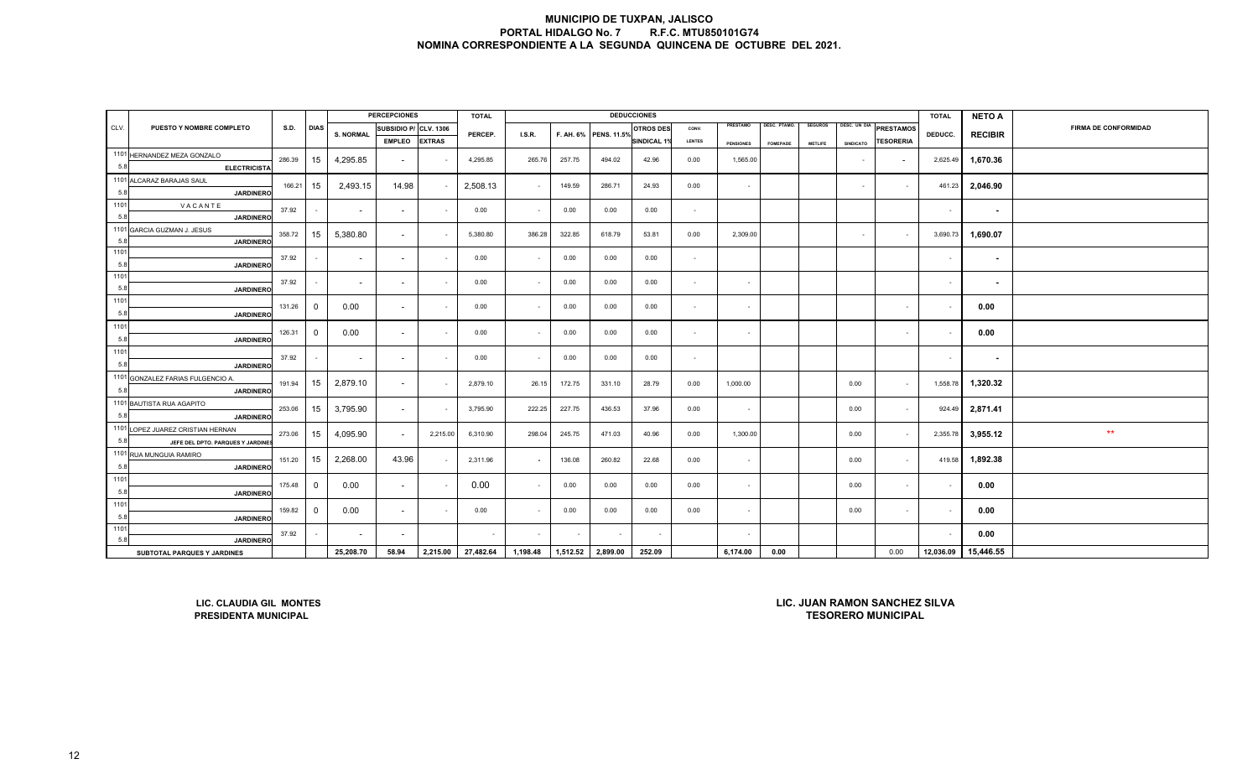|             |                                                                                                                                                                          |        |                |                          | <b>PERCEPCIONES</b>      |               | <b>TOTAL</b> |                          |        |                       | <b>DEDUCCIONES</b> |               |                  |                     |                |                  |                  | <b>TOTAL</b>             | <b>NETO A</b>            |                             |
|-------------|--------------------------------------------------------------------------------------------------------------------------------------------------------------------------|--------|----------------|--------------------------|--------------------------|---------------|--------------|--------------------------|--------|-----------------------|--------------------|---------------|------------------|---------------------|----------------|------------------|------------------|--------------------------|--------------------------|-----------------------------|
| CLV.        | PUESTO Y NOMBRE COMPLETO                                                                                                                                                 | S.D.   | <b>DIAS</b>    | <b>S. NORMAL</b>         | SUBSIDIO P/ CLV. 1306    |               | PERCEP.      | I.S.R.                   |        | F. AH. 6% PENS. 11.5% | <b>OTROS DES</b>   | CONV.         | PRESTAMO         | <b>DESC. PTAMO.</b> | <b>SEGUROS</b> | DESC. UN DIA     | PRESTAMOS        | DEDUCC.                  | <b>RECIBIR</b>           | <b>FIRMA DE CONFORMIDAD</b> |
|             |                                                                                                                                                                          |        |                |                          | <b>EMPLEO</b>            | <b>EXTRAS</b> |              |                          |        |                       | <b>INDICAL 19</b>  | <b>LENTES</b> | <b>PENSIONES</b> | <b>FOMEPADE</b>     | <b>METLIFE</b> | <b>SINDICATO</b> | <b>TESORERIA</b> |                          |                          |                             |
|             | 1101 HERNANDEZ MEZA GONZALO                                                                                                                                              | 286.39 | 15             | 4,295.85                 | $\overline{\phantom{a}}$ |               | 4,295.85     | 265.76                   | 257.75 | 494.02                | 42.96              | 0.00          | 1,565.00         |                     |                | $\sim$           |                  | 2,625.49                 | 1,670.36                 |                             |
| 5.8         | <b>ELECTRICISTA</b>                                                                                                                                                      |        |                |                          |                          |               |              |                          |        |                       |                    |               |                  |                     |                |                  |                  |                          |                          |                             |
|             | 1101 ALCARAZ BARAJAS SAUL                                                                                                                                                | 166.21 | 15             | 2,493.15                 | 14.98                    |               | 2,508.13     | $\sim$                   | 149.59 | 286.71                | 24.93              | 0.00          | $\sim$           |                     |                | $\sim$           | $\sim$           | 461.23                   | 2,046.90                 |                             |
| 5.8         | <b>JARDINERO</b>                                                                                                                                                         |        |                |                          |                          |               |              |                          |        |                       |                    |               |                  |                     |                |                  |                  |                          |                          |                             |
| 1101        | VACANTE                                                                                                                                                                  | 37.92  |                | $\sim$                   | $\sim$                   |               | 0.00         | $\blacksquare$           | 0.00   | 0.00                  | 0.00               | $\sim$        |                  |                     |                |                  |                  | $\overline{\phantom{a}}$ | $\overline{\phantom{a}}$ |                             |
| 5.8         | <b>JARDINERC</b>                                                                                                                                                         |        |                |                          |                          |               |              |                          |        |                       |                    |               |                  |                     |                |                  |                  |                          |                          |                             |
|             | 1101 GARCIA GUZMAN J. JESUS                                                                                                                                              | 358.72 | 15             | 5,380.80                 | $\sim$                   |               | 5,380.80     | 386.28                   | 322.85 | 618.79                | 53.81              | 0.00          | 2,309.00         |                     |                | $\sim$           | $\sim$           | 3,690.73                 | 1,690.07                 |                             |
| 5.8<br>1101 | <b>JARDINERO</b>                                                                                                                                                         |        |                |                          |                          |               |              |                          |        |                       |                    |               |                  |                     |                |                  |                  |                          |                          |                             |
| 5.8         |                                                                                                                                                                          | 37.92  |                | $\sim$                   | $\sim$                   |               | 0.00         | $\sim$                   | 0.00   | 0.00                  | 0.00               | $\sim$        |                  |                     |                |                  |                  | $\sim$                   | $\blacksquare$           |                             |
| 1101        | <b>JARDINERO</b>                                                                                                                                                         |        |                |                          |                          |               |              |                          |        |                       |                    |               |                  |                     |                |                  |                  |                          |                          |                             |
| 5.8         | <b>JARDINERO</b>                                                                                                                                                         | 37.92  |                | $\sim$                   | $\sim$                   |               | 0.00         | $\sim$                   | 0.00   | 0.00                  | 0.00               | $\sim$        | $\sim$           |                     |                |                  |                  | $\overline{\phantom{a}}$ | $\blacksquare$           |                             |
| 1101        |                                                                                                                                                                          |        |                |                          |                          |               |              |                          |        |                       |                    |               |                  |                     |                |                  |                  |                          |                          |                             |
| 5.8         | <b>JARDINERC</b>                                                                                                                                                         | 131.26 | $\overline{0}$ | 0.00                     | $\sim$                   |               | 0.00         | $\sim$                   | 0.00   | 0.00                  | 0.00               | $\sim$        | $\sim$           |                     |                |                  | $\sim$           |                          | 0.00                     |                             |
| 1101        |                                                                                                                                                                          |        |                |                          |                          |               |              |                          |        |                       |                    |               |                  |                     |                |                  |                  |                          |                          |                             |
| 5.8         | <b>JARDINERO</b>                                                                                                                                                         | 126.31 | $\overline{0}$ | 0.00                     | $\sim$                   |               | 0.00         | $\blacksquare$           | 0.00   | 0.00                  | 0.00               | $\sim$        | $\sim$           |                     |                |                  | $\sim$           |                          | 0.00                     |                             |
| 1101        |                                                                                                                                                                          |        |                |                          |                          |               |              |                          |        |                       |                    |               |                  |                     |                |                  |                  |                          |                          |                             |
| 5.8         | <b>JARDINERO</b>                                                                                                                                                         | 37.92  |                | $\overline{\phantom{a}}$ | $\sim$                   |               | 0.00         | $\sim$                   | 0.00   | 0.00                  | 0.00               | $\sim$        |                  |                     |                |                  |                  | $\overline{\phantom{a}}$ | $\blacksquare$           |                             |
|             | 1101 GONZALEZ FARIAS FULGENCIO A.                                                                                                                                        | 191.94 | 15             | 2,879.10                 |                          |               | 2,879.10     | 26.15                    | 172.75 | 331.10                | 28.79              | 0.00          | 1,000.00         |                     |                | 0.00             |                  | 1,558.78                 |                          |                             |
| 5.8         | <b>JARDINERO</b>                                                                                                                                                         |        |                |                          | $\sim$                   |               |              |                          |        |                       |                    |               |                  |                     |                |                  | $\sim$           |                          | 1,320.32                 |                             |
|             | 1101 BAUTISTA RUA AGAPITO                                                                                                                                                | 253.06 | 15             | 3,795.90                 | $\sim$                   |               | 3,795.90     | 222.25                   | 227.75 | 436.53                | 37.96              | 0.00          | $\sim$           |                     |                | 0.00             | $\sim$           | 924.49                   | 2,871.41                 |                             |
| 5.8         | <b>JARDINERO</b>                                                                                                                                                         |        |                |                          |                          |               |              |                          |        |                       |                    |               |                  |                     |                |                  |                  |                          |                          |                             |
|             | 1101 LOPEZ JUAREZ CRISTIAN HERNAN                                                                                                                                        | 273.06 | 15             | 4,095.90                 | $\sim$                   | 2,215.00      | 6,310.90     | 298.04                   | 245.75 | 471.03                | 40.96              | 0.00          | 1,300.00         |                     |                | 0.00             | $\sim$           | 2,355.78                 | 3,955.12                 | $***$                       |
| 5.8         | JEFE DEL DPTO. PARQUES Y JARDINE                                                                                                                                         |        |                |                          |                          |               |              |                          |        |                       |                    |               |                  |                     |                |                  |                  |                          |                          |                             |
|             | 1101 RUA MUNGUIA RAMIRO                                                                                                                                                  | 151.20 | 15             | 2,268.00                 | 43.96                    |               | 2,311.96     | $\overline{\phantom{a}}$ | 136.08 | 260.82                | 22.68              | 0.00          | $\sim$           |                     |                | 0.00             | $\sim$           | 419.58                   | 1,892.38                 |                             |
| 5.8         | <b>JARDINERO</b>                                                                                                                                                         |        |                |                          |                          |               |              |                          |        |                       |                    |               |                  |                     |                |                  |                  |                          |                          |                             |
| 1101        |                                                                                                                                                                          | 175.48 | $\overline{0}$ | 0.00                     | $\sim$                   |               | 0.00         | $\sim$                   | 0.00   | 0.00                  | 0.00               | 0.00          | $\sim$           |                     |                | 0.00             | $\sim$           |                          | 0.00                     |                             |
| 5.8         | <b>JARDINERO</b>                                                                                                                                                         |        |                |                          |                          |               |              |                          |        |                       |                    |               |                  |                     |                |                  |                  |                          |                          |                             |
| 1101        |                                                                                                                                                                          | 159.82 | $\mathbf 0$    | 0.00                     | $\sim$                   |               | 0.00         | $\blacksquare$           | 0.00   | 0.00                  | 0.00               | 0.00          | $\sim$           |                     |                | 0.00             | $\sim$           |                          | 0.00                     |                             |
| 5.8         | <b>JARDINERO</b>                                                                                                                                                         |        |                |                          |                          |               |              |                          |        |                       |                    |               |                  |                     |                |                  |                  |                          |                          |                             |
| 1101<br>5.8 |                                                                                                                                                                          | 37.92  |                | $\sim$                   | $\overline{\phantom{a}}$ |               |              | $\sim$                   |        |                       |                    |               | $\sim$           |                     |                |                  |                  |                          | 0.00                     |                             |
|             | <b>JARDINERO</b><br>58.94<br>27,482.64<br>1,512.52<br>252.09<br>25,208.70<br>2,215.00<br>1,198.48<br>2,899.00<br>6,174.00<br>0.00<br>0.00<br>SUBTOTAL PARQUES Y JARDINES |        |                |                          |                          |               |              |                          |        |                       |                    |               |                  |                     | 12,036.09      | 15,446.55        |                  |                          |                          |                             |
|             | LIC. JUAN RAMON SANCHEZ SILVA<br>LIC. CLAUDIA GIL MONTES<br><b>TESORERO MUNICIPAL</b><br>PRESIDENTA MUNICIPAL                                                            |        |                |                          |                          |               |              |                          |        |                       |                    |               |                  |                     |                |                  |                  |                          |                          |                             |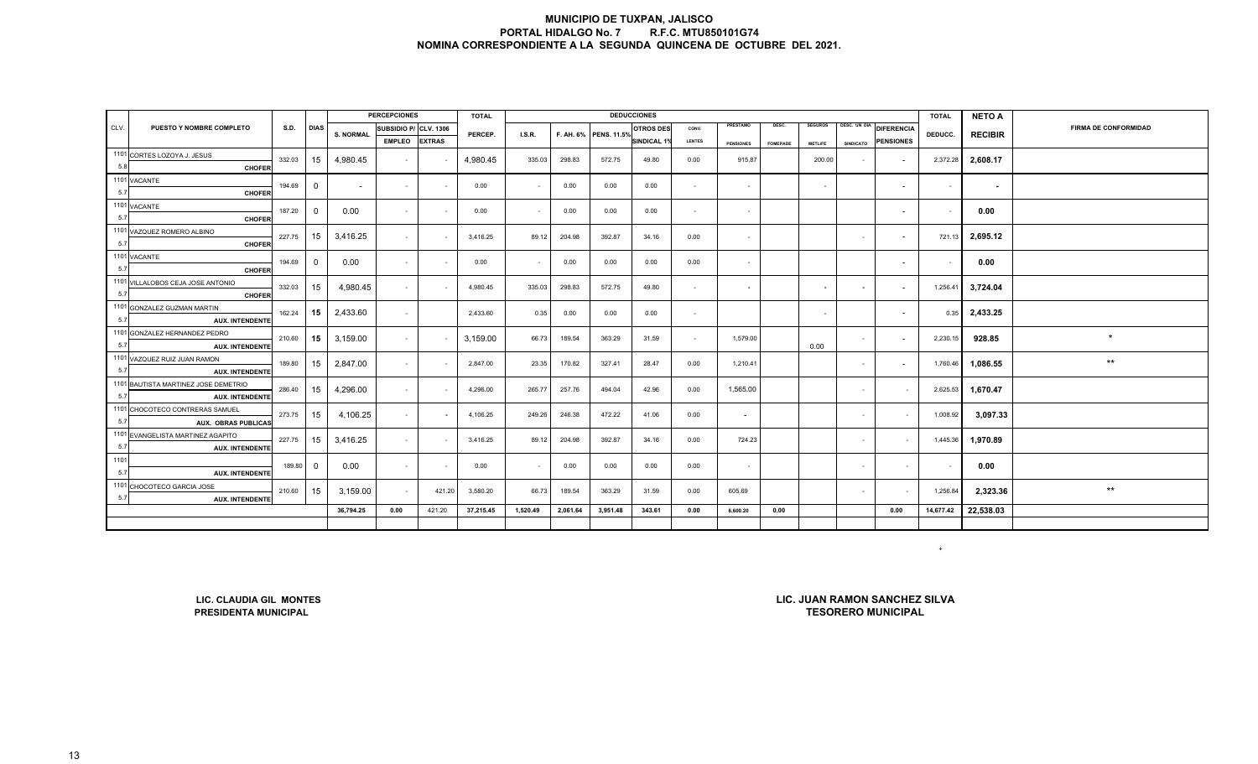|      |                                                          |               |                |                  | <b>PERCEPCIONES</b>   |        | <b>TOTAL</b> |                    |               |                       | <b>DEDUCCIONES</b> |                |                  |                  |                |                          |                          | <b>TOTAL</b> | <b>NETO A</b>  |                             |
|------|----------------------------------------------------------|---------------|----------------|------------------|-----------------------|--------|--------------|--------------------|---------------|-----------------------|--------------------|----------------|------------------|------------------|----------------|--------------------------|--------------------------|--------------|----------------|-----------------------------|
| CLV. | PUESTO Y NOMBRE COMPLETO                                 | <b>S.D.</b>   | <b>DIAS</b>    | <b>S. NORMAL</b> | SUBSIDIO P/ CLV. 1306 |        | PERCEP.      | I.S.R.             |               | F. AH. 6% PENS. 11.5% | <b>OTROS DES</b>   | CONV.          | PRESTAMO         | DESC.            | <b>SEGUROS</b> | DESC. UN DIA             | <b>DIFERENCIA</b>        | DEDUCC.      | <b>RECIBIR</b> | <b>FIRMA DE CONFORMIDAD</b> |
|      |                                                          | <b>EMPLEO</b> | <b>EXTRAS</b>  |                  |                       |        |              | <b>SINDICAL 19</b> | <b>LENTES</b> | <b>PENSIONES</b>      | <b>FOMEPADE</b>    | <b>METLIFE</b> | <b>SINDICATO</b> | <b>PENSIONES</b> |                |                          |                          |              |                |                             |
|      | 1101 CORTES LOZOYA J. JESUS                              |               |                |                  |                       |        |              |                    |               |                       |                    |                |                  |                  |                |                          |                          |              |                |                             |
| 5.8  | <b>CHOFER</b>                                            | 332.03        | 15             | 4,980.45         | $\sim$                |        | 4,980.45     | 335.03             | 298.83        | 572.75                | 49.80              | 0.00           | 915.87           |                  | 200.00         | $\sim$                   | $\overline{\phantom{a}}$ | 2,372.28     | 2,608.17       |                             |
|      | 1101 VACANTE                                             | 194.69        | $\overline{0}$ |                  | $\sim$                | $\sim$ | 0.00         | $\sim$             | 0.00          | 0.00                  | 0.00               |                | $\sim$           |                  | $\sim$         |                          | $\sim$                   |              |                |                             |
| 5.7  | <b>CHOFER</b>                                            |               |                | $\sim$           |                       |        |              |                    |               |                       |                    | $\sim$         |                  |                  |                |                          |                          | $\sim$       | $\sim$         |                             |
|      | 1101 VACANTE                                             | 187.20        | $\overline{0}$ | 0.00             | $\sim$                |        | 0.00         | $\sim$             | 0.00          | 0.00                  | 0.00               | $\sim$         | $\sim$           |                  |                |                          | $\sim$                   |              | 0.00           |                             |
| 5.7  | <b>CHOFER</b>                                            |               |                |                  |                       |        |              |                    |               |                       |                    |                |                  |                  |                |                          |                          |              |                |                             |
|      | 1101 VAZQUEZ ROMERO ALBINO                               | 227.75        | 15             | 3,416.25         | $\sim$                |        | 3,416.25     | 89.12              | 204.98        | 392.87                | 34.16              | 0.00           |                  |                  |                | $\sim$                   | $\overline{a}$           | 721.13       | 2,695.12       |                             |
| 5.7  | <b>CHOFER</b>                                            |               |                |                  |                       |        |              |                    |               |                       |                    |                |                  |                  |                |                          |                          |              |                |                             |
|      | 1101 VACANTE                                             | $\mathbf 0$   | 0.00           | $\sim$           |                       | 0.00   | $\sim$       | 0.00               | 0.00          | 0.00                  | 0.00               | $\sim$         |                  |                  |                | $\overline{\phantom{a}}$ | $\sim$                   | 0.00         |                |                             |
| 5.7  | <b>CHOFER</b>                                            | 194.69        |                |                  |                       |        |              |                    |               |                       |                    |                |                  |                  |                |                          |                          |              |                |                             |
|      | 1101 VILLALOBOS CEJA JOSE ANTONIO                        | 332.03        | 15             | 4,980.45         | $\sim$                |        | 4,980.45     | 335.03             | 298.83        | 572.75                | 49.80              | $\sim$         | $\sim$           |                  | $\sim$         | $\sim$                   | $\overline{\phantom{a}}$ | 1,256.41     | 3,724.04       |                             |
| 5.7  | <b>CHOFER</b>                                            |               |                |                  |                       |        |              |                    |               |                       |                    |                |                  |                  |                |                          |                          |              |                |                             |
|      | 1101 GONZALEZ GUZMAN MARTIN                              | 162.24        | 15             | 2,433.60         | $\sim$                |        | 2,433.60     | 0.35               | 0.00          | 0.00                  | 0.00               | $\sim$         |                  |                  | $\sim$         |                          | $\overline{a}$           | 0.35         | 2,433.25       |                             |
| 5.7  | <b>AUX. INTENDENTE</b>                                   |               |                |                  |                       |        |              |                    |               |                       |                    |                |                  |                  |                |                          |                          |              |                |                             |
|      | 1101 GONZALEZ HERNANDEZ PEDRO                            | 210.60        | 15             | 3,159.00         | $\sim$                |        | 3,159.00     | 66.73              | 189.54        | 363.29                | 31.59              | $\sim$         | 1,579.00         |                  |                | $\sim$                   |                          | 2,230.15     | 928.85         | $\star$                     |
| 5.7  | <b>AUX. INTENDENTE</b>                                   |               |                |                  |                       |        |              |                    |               |                       |                    |                |                  |                  | 0.00           |                          |                          |              |                |                             |
|      | 1101 VAZQUEZ RUIZ JUAN RAMON                             | 189.80        | 15             | 2,847.00         | $\sim$                |        | 2,847.00     | 23.35              | 170.82        | 327.41                | 28.47              | 0.00           | 1,210.41         |                  |                | $\sim$                   |                          | 1,760.46     | 1,086.55       | $\star\star$                |
| 5.7  | <b>AUX. INTENDENTE</b>                                   |               |                |                  |                       |        |              |                    |               |                       |                    |                |                  |                  |                |                          |                          |              |                |                             |
|      | 1101 BAUTISTA MARTINEZ JOSE DEMETRIO                     | 286.40        | 15             | 4,296.00         | $\sim$                |        | 4,296.00     | 265.77             | 257.76        | 494.04                | 42.96              | 0.00           | 1,565.00         |                  |                | $\sim$                   | $\sim$                   | 2,625.53     | 1,670.47       |                             |
| 5.7  | <b>AUX. INTENDENTE</b>                                   |               |                |                  |                       |        |              |                    |               |                       |                    |                |                  |                  |                |                          |                          |              |                |                             |
|      | 1101 CHOCOTECO CONTRERAS SAMUEI                          | 273.75        | 15             | 4,106.25         | $\sim$                |        | 4,106.25     | 249.26             | 246.38        | 472.22                | 41.06              | 0.00           | $\sim$           |                  |                | $\sim$                   | $\sim$                   | 1,008.92     | 3,097.33       |                             |
| 5.7  | <b>AUX. OBRAS PUBLICAS</b>                               |               |                |                  |                       |        |              |                    |               |                       |                    |                |                  |                  |                |                          |                          |              |                |                             |
| 5.7  | 1101 EVANGELISTA MARTINEZ AGAPITO                        | 227.75        | 15             | 3,416.25         | $\sim$                |        | 3,416.25     | 89.12              | 204.98        | 392.87                | 34.16              | 0.00           | 724.23           |                  |                | $\sim$                   | $\sim$                   | 1,445.36     | 1,970.89       |                             |
| 1101 | <b>AUX. INTENDENTE</b>                                   |               |                |                  |                       |        |              |                    |               |                       |                    |                |                  |                  |                |                          |                          |              |                |                             |
| 5.7  |                                                          | 189.80        | $\overline{0}$ | 0.00             | $\sim$                |        | 0.00         | $\sim$             | 0.00          | 0.00                  | 0.00               | 0.00           | $\sim$           |                  |                | $\sim$                   | $\sim$                   |              | 0.00           |                             |
|      | <b>AUX. INTENDENTE</b><br>1101 CHOCOTECO GARCIA JOSE     |               |                |                  |                       |        |              |                    |               |                       |                    |                |                  |                  |                |                          |                          |              |                |                             |
| 5.7  | <b>AUX. INTENDENTE</b>                                   | 210.60        | 15             | 3,159.00         | $\sim$                | 421.20 | 3,580.20     | 66.73              | 189.54        | 363.29                | 31.59              | 0.00           | 605.69           |                  |                | $\sim$                   |                          | 1,256.84     | 2.323.36       | $***$                       |
|      |                                                          |               |                | 36,794.25        | $\bf 0.00$            | 421.20 | 37,215.45    | 1,520.49           | 2,061.64      | 3,951.48              | 343.61             | 0.00           | 6,600.20         | 0.00             |                |                          | 0.00                     | 14,677.42    | 22,538.03      |                             |
|      |                                                          |               |                |                  |                       |        |              |                    |               |                       |                    |                |                  |                  |                |                          |                          |              |                |                             |
|      |                                                          |               |                |                  |                       |        |              |                    |               |                       |                    |                |                  |                  |                |                          |                          |              |                |                             |
|      |                                                          |               |                |                  |                       |        |              |                    |               |                       |                    |                |                  |                  |                |                          |                          | $+$          |                |                             |
|      |                                                          |               |                |                  |                       |        |              |                    |               |                       |                    |                |                  |                  |                |                          |                          |              |                |                             |
|      |                                                          |               |                |                  |                       |        |              |                    |               |                       |                    |                |                  |                  |                |                          |                          |              |                |                             |
|      |                                                          |               |                |                  |                       |        |              |                    |               |                       |                    |                |                  |                  |                |                          |                          |              |                |                             |
|      | LIC. JUAN RAMON SANCHEZ SILVA<br>LIC. CLAUDIA GIL MONTES |               |                |                  |                       |        |              |                    |               |                       |                    |                |                  |                  |                |                          |                          |              |                |                             |
|      |                                                          |               |                |                  |                       |        |              |                    |               |                       |                    |                |                  |                  |                |                          |                          |              |                |                             |

**LIC. CLAUDIA GIL MONTESPRESIDENTA MUNICIPAL** 

**LIC. JUAN RAMON SANCHEZ SILVATESORERO MUNICIPAL**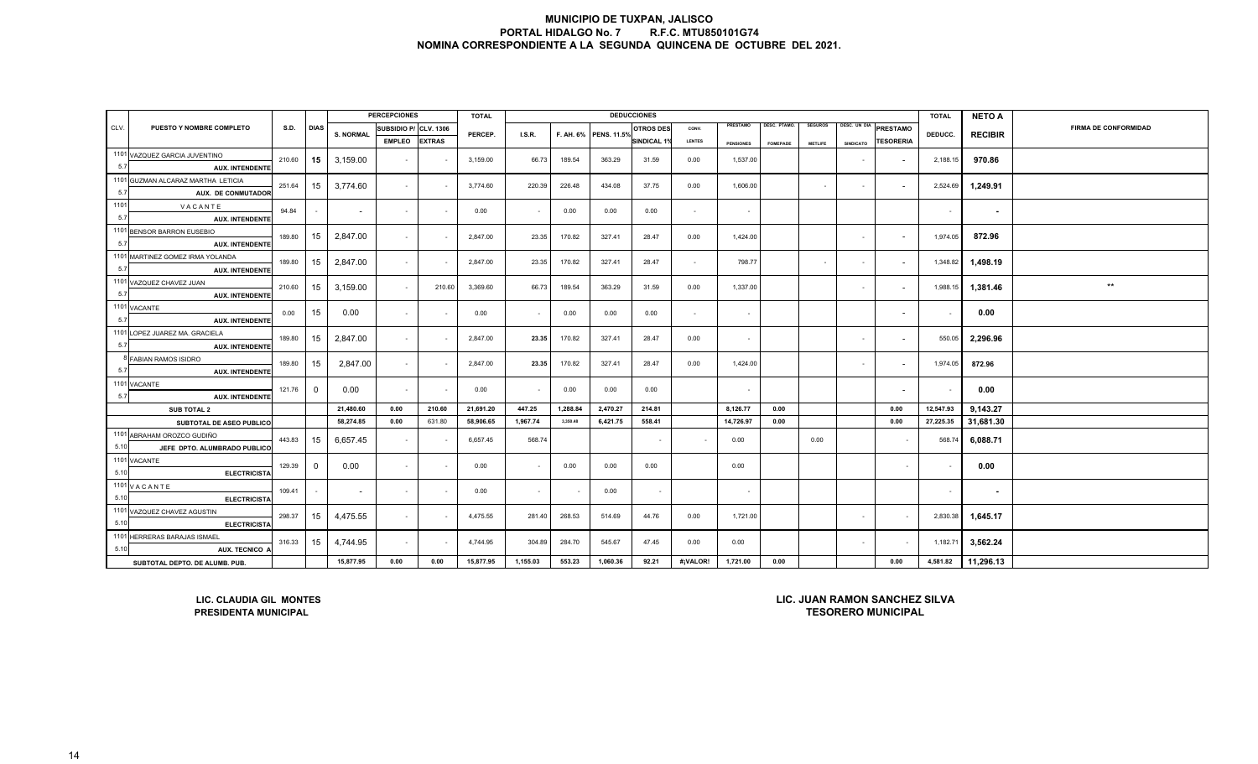|      |                                                                                                                                                            |             |                |                  | <b>PERCEPCIONES</b>   |               | <b>TOTAL</b> |               |          |                       | <b>DEDUCCIONES</b>       |               |                  |                     |                |                  |                               | <b>TOTAL</b> | <b>NETO A</b>            |                             |
|------|------------------------------------------------------------------------------------------------------------------------------------------------------------|-------------|----------------|------------------|-----------------------|---------------|--------------|---------------|----------|-----------------------|--------------------------|---------------|------------------|---------------------|----------------|------------------|-------------------------------|--------------|--------------------------|-----------------------------|
| CLV. | PUESTO Y NOMBRE COMPLETO                                                                                                                                   | <b>S.D.</b> | <b>DIAS</b>    | <b>S. NORMAL</b> | SUBSIDIO P/ CLV. 1306 |               | PERCEP.      | <b>I.S.R.</b> |          | F. AH. 6% PENS. 11.5% | <b>OTROS DES</b>         | CONV.         | PRESTAMO         | <b>DESC. PTAMO.</b> | <b>SEGUROS</b> |                  | DESC. UN DIA PRESTAMO         | DEDUCC.      | <b>RECIBIR</b>           | <b>FIRMA DE CONFORMIDAD</b> |
|      |                                                                                                                                                            |             |                |                  | <b>EMPLEO</b>         | <b>EXTRAS</b> |              |               |          |                       | <b>SINDICAL 1%</b>       | <b>LENTES</b> | <b>PENSIONES</b> | <b>FOMEPADE</b>     | <b>METLIFE</b> | <b>SINDICATO</b> | <b>TESORERIA</b>              |              |                          |                             |
|      | 1101 VAZQUEZ GARCIA JUVENTINO                                                                                                                              | 210.60      | 15             | 3,159.00         |                       |               | 3,159.00     | 66.73         | 189.54   | 363.29                | 31.59                    | 0.00          | 1,537.00         |                     |                | $\sim$           |                               | 2,188.15     | 970.86                   |                             |
| 5.7  | <b>AUX. INTENDENTE</b>                                                                                                                                     |             |                |                  | $\sim$                |               |              |               |          |                       |                          |               |                  |                     |                |                  |                               |              |                          |                             |
|      | 1101 GUZMAN ALCARAZ MARTHA LETICIA                                                                                                                         | 251.64      | 15             | 3,774.60         | $\sim$                |               | 3,774.60     | 220.39        | 226.48   | 434.08                | 37.75                    | 0.00          | 1,606.00         |                     | $\sim$         | $\sim$           |                               | 2,524.69     | 1,249.91                 |                             |
| 5.7  | <b>AUX. DE CONMUTADOR</b>                                                                                                                                  |             |                |                  |                       |               |              |               |          |                       |                          |               |                  |                     |                |                  |                               |              |                          |                             |
| 1101 | VACANTE                                                                                                                                                    | 94.84       |                | $\sim$           | $\sim$                |               | 0.00         | $\sim$        | 0.00     | 0.00                  | 0.00                     | $\sim$        | $\sim$           |                     |                |                  |                               | $\sim$       | $\overline{\phantom{a}}$ |                             |
| 5.7  | <b>AUX. INTENDENTE</b>                                                                                                                                     |             |                |                  |                       |               |              |               |          |                       |                          |               |                  |                     |                |                  |                               |              |                          |                             |
|      | 1101 BENSOR BARRON EUSEBIO                                                                                                                                 | 189.80      | 15             | 2,847.00         | $\sim$                |               | 2,847.00     | 23.35         | 170.82   | 327.41                | 28.47                    | 0.00          | 1,424.00         |                     |                | $\sim$           |                               | 1,974.05     | 872.96                   |                             |
| 5.7  | <b>AUX. INTENDENTE</b>                                                                                                                                     |             |                |                  |                       |               |              |               |          |                       |                          |               |                  |                     |                |                  |                               |              |                          |                             |
|      | 1101 MARTINEZ GOMEZ IRMA YOLANDA                                                                                                                           | 189.80      | 15             | 2,847.00         | $\sim$                |               | 2,847.00     | 23.35         | 170.82   | 327.41                | 28.47                    | $\sim$        | 798.77           |                     | $\sim$         | $\sim$           | $\overline{\phantom{a}}$      | 1,348.82     | 1,498.19                 |                             |
| 5.7  | <b>AUX. INTENDENTE</b>                                                                                                                                     |             |                |                  |                       |               |              |               |          |                       |                          |               |                  |                     |                |                  |                               |              |                          |                             |
|      | 1101 VAZQUEZ CHAVEZ JUAN                                                                                                                                   | 210.60      | 15             | 3,159.00         | $\sim$                | 210.60        | 3,369.60     | 66.73         | 189.54   | 363.29                | 31.59                    | 0.00          | 1,337.00         |                     |                | $\sim$           | $\overline{\phantom{a}}$      | 1,988.15     | 1,381.46                 | $***$                       |
| 5.7  | <b>AUX. INTENDENTE</b>                                                                                                                                     |             |                |                  |                       |               |              |               |          |                       |                          |               |                  |                     |                |                  |                               |              |                          |                             |
|      | 1101 VACANTE                                                                                                                                               | 0.00        | 15             | 0.00             | $\sim$                |               | 0.00         | $\sim$        | 0.00     | 0.00                  | 0.00                     | $\sim$        | $\sim$           |                     |                |                  |                               | $\sim$       | 0.00                     |                             |
| 5.7  | <b>AUX. INTENDENTE</b>                                                                                                                                     |             |                |                  |                       |               |              |               |          |                       |                          |               |                  |                     |                |                  |                               |              |                          |                             |
|      | 1101 LOPEZ JUAREZ MA. GRACIELA                                                                                                                             | 189.80      | 15             | 2,847.00         | $\sim$                |               | 2,847.00     | 23.35         | 170.82   | 327.41                | 28.47                    | 0.00          | $\sim$           |                     |                | $\sim$           |                               | 550.05       | 2,296.96                 |                             |
| 5.7  | <b>AUX. INTENDENTE</b>                                                                                                                                     |             |                |                  |                       |               |              |               |          |                       |                          |               |                  |                     |                |                  |                               |              |                          |                             |
|      | 8 FABIAN RAMOS ISIDRO                                                                                                                                      | 189.80      | 15             | 2,847.00         | $\sim$                |               | 2,847.00     | 23.35         | 170.82   | 327.41                | 28.47                    | 0.00          | 1,424.00         |                     |                | $\sim$           |                               | 1.974.05     | 872.96                   |                             |
| 5.7  | <b>AUX. INTENDENTE</b>                                                                                                                                     |             |                |                  |                       |               |              |               |          |                       |                          |               |                  |                     |                |                  |                               |              |                          |                             |
|      | 1101 VACANTE                                                                                                                                               | 121.76      | $\overline{0}$ | 0.00             | $\sim$                |               | 0.00         | $\sim$        | 0.00     | 0.00                  | 0.00                     |               | $\sim$           |                     |                |                  | $\overline{\phantom{a}}$      | $\sim$       | 0.00                     |                             |
| 5.7  | <b>AUX. INTENDENTE</b>                                                                                                                                     |             |                |                  |                       |               |              |               |          |                       |                          |               |                  |                     |                |                  |                               |              |                          |                             |
|      | <b>SUB TOTAL 2</b>                                                                                                                                         |             |                | 21,480.60        | 0.00                  | 210.60        | 21,691.20    | 447.25        | 1,288.84 | 2,470.27              | 214.81                   |               | 8,126.77         | 0.00                |                |                  | 0.00                          | 12,547.93    | 9,143.27                 |                             |
|      | SUBTOTAL DE ASEO PUBLICO                                                                                                                                   |             |                | 58,274.85        | 0.00                  | 631.80        | 58,906.65    | 1,967.74      | 3,350.48 | 6,421.75              | 558.41                   |               | 14,726.97        | 0.00                |                |                  | 0.00                          | 27,225.35    | 31,681.30                |                             |
|      | 1101 ABRAHAM OROZCO GUDIÑO                                                                                                                                 | 443.83      | 15             | 6,657.45         | $\sim$                |               | 6,657.45     | 568.74        |          |                       | $\overline{\phantom{a}}$ | $\sim$        | 0.00             |                     | 0.00           |                  | $\sim$                        | 568.74       | 6,088.71                 |                             |
| 5.10 | JEFE DPTO. ALUMBRADO PUBLICO                                                                                                                               |             |                |                  |                       |               |              |               |          |                       |                          |               |                  |                     |                |                  |                               |              |                          |                             |
|      | 1101 VACANTE                                                                                                                                               | 129.39      | $\Omega$       | 0.00             | $\sim$                |               | 0.00         | $\sim$        | 0.00     | 0.00                  | 0.00                     |               | 0.00             |                     |                |                  | $\sim$                        |              | 0.00                     |                             |
| 5.10 | ELECTRICIST/                                                                                                                                               |             |                |                  |                       |               |              |               |          |                       |                          |               |                  |                     |                |                  |                               |              |                          |                             |
|      | 1101 VACANTE                                                                                                                                               | 109.41      |                | $\sim$           | $\sim$                |               | 0.00         | $\sim$        |          | 0.00                  | $\sim$                   |               | $\sim$           |                     |                |                  |                               | $\sim$       | ٠                        |                             |
| 5.10 | <b>ELECTRICISTA</b>                                                                                                                                        |             |                |                  |                       |               |              |               |          |                       |                          |               |                  |                     |                |                  |                               |              |                          |                             |
|      | 1101 VAZQUEZ CHAVEZ AGUSTIN                                                                                                                                | 298.37      | 15             | 4,475.55         | $\sim$                |               | 4,475.55     | 281.40        | 268.53   | 514.69                | 44.76                    | 0.00          | 1,721.00         |                     |                | $\sim$           |                               | 2,830.38     | 1.645.17                 |                             |
| 5.10 | <b>ELECTRICISTA</b>                                                                                                                                        |             |                |                  |                       |               |              |               |          |                       |                          |               |                  |                     |                |                  |                               |              |                          |                             |
|      | 1101 HERRERAS BARAJAS ISMAEL                                                                                                                               | 316.33      | 15             | 4,744.95         | $\sim$                |               | 4,744.95     | 304.89        | 284.70   | 545.67                | 47.45                    | 0.00          | 0.00             |                     |                | $\sim$           | $\sim$                        | 1,182.71     | 3,562.24                 |                             |
| 5.10 | AUX. TECNICO                                                                                                                                               |             |                |                  |                       |               |              |               |          |                       |                          |               |                  |                     |                |                  |                               |              |                          |                             |
|      | 15,877.95<br>0.00<br>15,877.95<br>553.23<br>1,060.36<br>92.21<br>#¡VALOR!<br>0.00<br>0.00<br>0.00<br>1,155.03<br>1,721.00<br>SUBTOTAL DEPTO. DE ALUMB. PUB |             |                |                  |                       |               |              |               |          |                       |                          |               |                  |                     | 4,581.82       | 11,296.13        |                               |              |                          |                             |
|      |                                                                                                                                                            |             |                |                  |                       |               |              |               |          |                       |                          |               |                  |                     |                |                  |                               |              |                          |                             |
|      |                                                                                                                                                            |             |                |                  |                       |               |              |               |          |                       |                          |               |                  |                     |                |                  |                               |              |                          |                             |
|      | LIC. CLAUDIA GIL MONTES                                                                                                                                    |             |                |                  |                       |               |              |               |          |                       |                          |               |                  |                     |                |                  | LIC. JUAN RAMON SANCHEZ SILVA |              |                          |                             |

**LIC. CLAUDIA GIL MONTESPRESIDENTA MUNICIPAL** 

**TESORERO MUNICIPALLIC. JUAN RAMON SANCHEZ SILVA**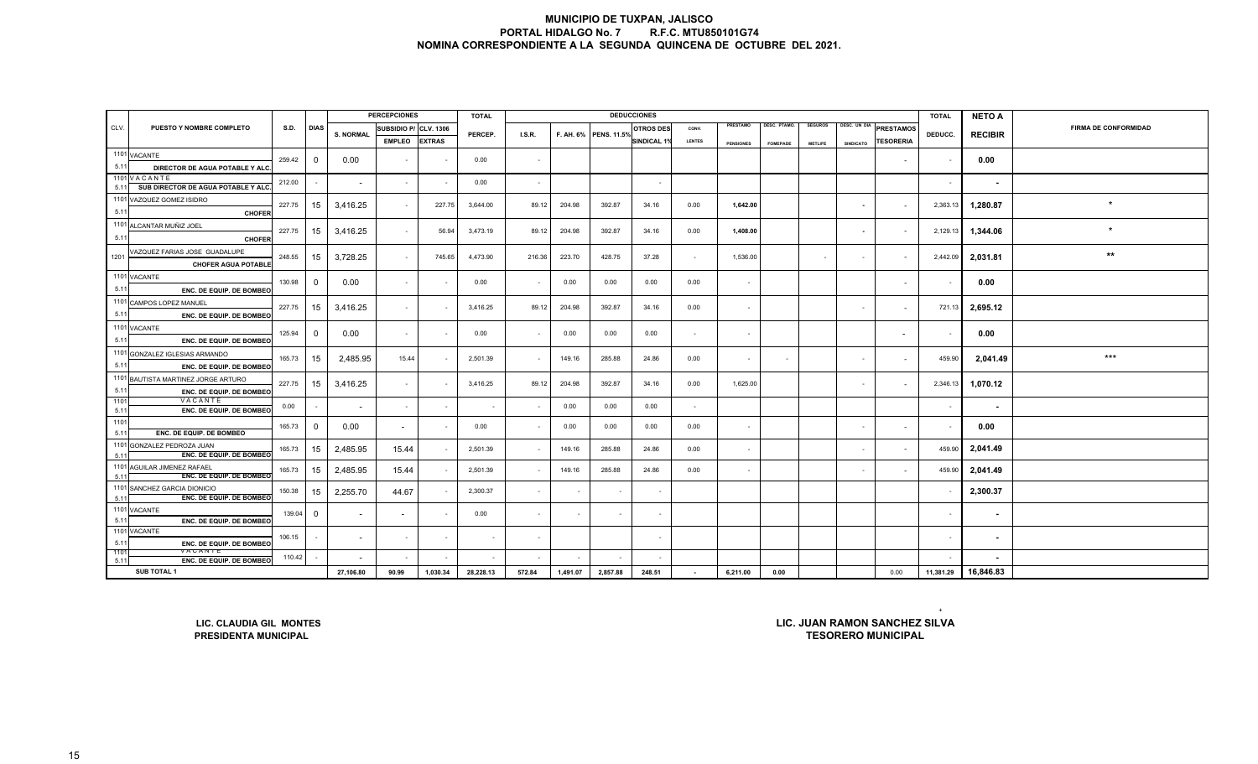|              |                                                                  |             |                          |                          | <b>PERCEPCIONES</b> |                  | <b>TOTAL</b>             |               |          |                       | <b>DEDUCCIONES</b>       |               |                  |                 |                |                          |                                                            | <b>TOTAL</b> | <b>NETO A</b>            |                             |
|--------------|------------------------------------------------------------------|-------------|--------------------------|--------------------------|---------------------|------------------|--------------------------|---------------|----------|-----------------------|--------------------------|---------------|------------------|-----------------|----------------|--------------------------|------------------------------------------------------------|--------------|--------------------------|-----------------------------|
| CLV.         | PUESTO Y NOMBRE COMPLETO                                         | <b>S.D.</b> | <b>DIAS</b>              | <b>S. NORMAL</b>         | SUBSIDIO P/         | <b>CLV. 1306</b> | PERCEP.                  | <b>I.S.R.</b> |          | F. AH. 6% PENS. 11.5% | <b>OTROS DES</b>         | CONV.         | PRESTAMO         | DESC. PTAMO.    | <b>SEGUROS</b> | DESC. UN DIA             | <b>PRESTAMOS</b>                                           | DEDUCC.      | <b>RECIBIR</b>           | <b>FIRMA DE CONFORMIDAD</b> |
|              |                                                                  |             |                          |                          | <b>EMPLEO</b>       | <b>EXTRAS</b>    |                          |               |          |                       | <b>SINDICAL 1</b>        | <b>LENTES</b> | <b>PENSIONES</b> | <b>FOMEPADE</b> | <b>METLIFE</b> | <b>SINDICATO</b>         | <b>TESORERIA</b>                                           |              |                          |                             |
|              | 1101 VACANTE                                                     | 259.42      | 0                        | 0.00                     | $\overline{a}$      |                  | 0.00                     |               |          |                       |                          |               |                  |                 |                |                          | $\sim$                                                     |              | 0.00                     |                             |
| 5.11         | DIRECTOR DE AGUA POTABLE Y ALO                                   |             |                          |                          |                     |                  |                          |               |          |                       |                          |               |                  |                 |                |                          |                                                            |              |                          |                             |
|              | 1101 VACANTE                                                     | 212.00      |                          | $\sim$                   | $\sim$              |                  | 0.00                     | $\sim$        |          |                       | $\overline{\phantom{a}}$ |               |                  |                 |                |                          |                                                            | $\sim$       | $\sim$                   |                             |
| 5.11         | SUB DIRECTOR DE AGUA POTABLE Y ALC.<br>1101 VAZQUEZ GOMEZ ISIDRO |             |                          |                          |                     |                  |                          |               |          |                       |                          |               |                  |                 |                |                          |                                                            |              |                          |                             |
| 5.11         | <b>CHOFER</b>                                                    | 227.75      | 15                       | 3,416.25                 | $\sim$              | 227.75           | 3,644.00                 | 89.12         | 204.98   | 392.87                | 34.16                    | 0.00          | 1,642.00         |                 |                | $\sim$                   | $\sim$                                                     | 2,363.13     | 1,280.87                 | $\star$                     |
|              | 1101 ALCANTAR MUÑIZ JOEL                                         |             |                          |                          |                     |                  |                          |               |          |                       |                          |               |                  |                 |                |                          |                                                            |              |                          |                             |
| 5.11         | <b>CHOFER</b>                                                    | 227.75      | 15                       | 3,416.25                 | $\sim$              | 56.94            | 3,473.19                 | 89.12         | 204.98   | 392.87                | 34.16                    | 0.00          | 1,408.00         |                 |                | $\overline{\phantom{a}}$ |                                                            | 2,129.13     | 1,344.06                 | $\star$                     |
| 1201         | VAZQUEZ FARIAS JOSE GUADALUPE                                    | 248.55      |                          |                          | $\sim$              | 745.65           | 4,473.90                 | 216.36        | 223.70   | 428.75                | 37.28                    | $\sim$        | 1,536.00         |                 | $\sim$         | $\sim$                   | $\sim$                                                     | 2,442.09     | 2,031.81                 | $***$                       |
|              | <b>CHOFER AGUA POTABLE</b>                                       |             | 15                       | 3,728.25                 |                     |                  |                          |               |          |                       |                          |               |                  |                 |                |                          |                                                            |              |                          |                             |
|              | 1101 VACANTE                                                     | 130.98      | $\overline{\mathbf{0}}$  | 0.00                     | $\sim$              |                  | 0.00                     |               | 0.00     | 0.00                  | 0.00                     | 0.00          | $\sim$           |                 |                |                          | $\blacksquare$                                             |              | 0.00                     |                             |
| 5.11         | ENC. DE EQUIP. DE BOMBEO                                         |             |                          |                          |                     |                  |                          |               |          |                       |                          |               |                  |                 |                |                          |                                                            |              |                          |                             |
|              | 1101 CAMPOS LOPEZ MANUEL                                         | 227.75      | 15                       | 3,416.25                 | $\sim$              |                  | 3,416.25                 | 89.12         | 204.98   | 392.87                | 34.16                    | 0.00          | $\sim$           |                 |                | $\sim$                   | $\sim$                                                     | 721.13       | 2,695.12                 |                             |
| 5.11         | ENC. DE EQUIP. DE BOMBEO                                         |             |                          |                          |                     |                  |                          |               |          |                       |                          |               |                  |                 |                |                          |                                                            |              |                          |                             |
|              | 1101 VACANTE                                                     | 125.94      | $\overline{\mathbf{0}}$  | 0.00                     | $\sim$              |                  | 0.00                     |               | 0.00     | 0.00                  | 0.00                     | $\sim$        | $\sim$           |                 |                |                          | $\overline{\phantom{a}}$                                   |              | 0.00                     |                             |
| 5.11         | ENC. DE EQUIP. DE BOMBEC                                         |             |                          |                          |                     |                  |                          |               |          |                       |                          |               |                  |                 |                |                          |                                                            |              |                          |                             |
| 5.11         | 1101 GONZALEZ IGLESIAS ARMANDO                                   | 165.73      | 15                       | 2,485.95                 | 15.44               |                  | 2,501.39                 |               | 149.16   | 285.88                | 24.86                    | 0.00          | $\sim$           |                 |                | $\sim$                   | $\sim$                                                     | 459.90       | 2,041.49                 | $***$                       |
|              | ENC. DE EQUIP. DE BOMBEC<br>1101 BAUTISTA MARTINEZ JORGE ARTURO  |             |                          |                          |                     |                  |                          |               |          |                       |                          |               |                  |                 |                |                          |                                                            |              |                          |                             |
| 5.11         | ENC. DE EQUIP. DE BOMBEO                                         | 227.75      | 15                       | 3,416.25                 | $\sim$              |                  | 3,416.25                 | 89.12         | 204.98   | 392.87                | 34.16                    | 0.00          | 1,625.00         |                 |                | $\sim$                   | $\sim$                                                     | 2,346.13     | 1,070.12                 |                             |
| 1101         | VACANTE                                                          | 0.00        | $\sim$                   |                          | $\sim$              |                  |                          |               | 0.00     | 0.00                  | 0.00                     | $\sim$        |                  |                 |                |                          |                                                            |              | $\blacksquare$           |                             |
| 5.11         | ENC. DE EQUIP. DE BOMBEC                                         |             |                          |                          |                     |                  |                          |               |          |                       |                          |               |                  |                 |                |                          |                                                            |              |                          |                             |
| 1101<br>5.11 | ENC. DE EQUIP. DE BOMBEO                                         | 165.73      | $\mathbf 0$              | 0.00                     | $\sim$              |                  | 0.00                     |               | 0.00     | 0.00                  | 0.00                     | 0.00          | $\sim$           |                 |                | $\sim$                   | $\overline{\phantom{a}}$                                   |              | 0.00                     |                             |
|              | 1101 GONZALEZ PEDROZA JUAN                                       | 165.73      | 15                       | 2,485.95                 | 15.44               |                  | 2,501.39                 |               | 149.16   | 285.88                | 24.86                    | 0.00          | $\sim$           |                 |                | $\sim$                   | $\sim$                                                     | 459.90       | 2,041.49                 |                             |
| 5.11         | ENC. DE EQUIP. DE BOMBEC                                         |             |                          |                          |                     |                  |                          |               |          |                       |                          |               |                  |                 |                |                          |                                                            |              |                          |                             |
| 5.11         | 1101 AGUILAR JIMENEZ RAFAEL<br><b>ENC. DE EQUIP. DE BOMBEO</b>   | 165.73      | 15                       | 2,485.95                 | 15.44               |                  | 2,501.39                 |               | 149.16   | 285.88                | 24.86                    | 0.00          | $\sim$           |                 |                | $\sim$                   | $\sim$                                                     | 459.90       | 2,041.49                 |                             |
|              | 1101 SANCHEZ GARCIA DIONICIO                                     | 150.38      | 15                       | 2,255.70                 | 44.67               |                  | 2,300.37                 |               |          |                       | $\sim$                   |               |                  |                 |                |                          |                                                            |              | 2,300.37                 |                             |
| 5.11         | ENC. DE EQUIP. DE BOMBEO                                         |             |                          |                          |                     |                  |                          |               |          |                       |                          |               |                  |                 |                |                          |                                                            |              |                          |                             |
|              | 1101 VACANTE                                                     | 139.04      | $\mathbf 0$              | $\overline{\phantom{a}}$ |                     |                  | 0.00                     | $\sim$        | $\sim$   |                       | $\sim$                   |               |                  |                 |                |                          |                                                            |              | $\sim$                   |                             |
| 5.11         | ENC. DE EQUIP. DE BOMBEO<br>1101 VACANTE                         |             |                          |                          |                     |                  |                          |               |          |                       |                          |               |                  |                 |                |                          |                                                            |              |                          |                             |
| 5.11         | ENC. DE EQUIP. DE BOMBEC                                         | 106.15      |                          | $\overline{\phantom{a}}$ | $\sim$              | $\sim$           | $\overline{\phantom{a}}$ |               |          |                       | $\overline{\phantom{a}}$ |               |                  |                 |                |                          |                                                            |              | $\overline{\phantom{a}}$ |                             |
| 1101<br>5.11 | VACANTE<br>ENC. DE EQUIP. DE BOMBEO                              | 110.42      | $\overline{\phantom{a}}$ |                          |                     |                  |                          |               |          |                       |                          |               |                  |                 |                |                          |                                                            |              | $\blacksquare$           |                             |
|              | SUB TOTAL 1                                                      |             |                          | 27,106.80                | 90.99               | 1,030.34         | 28,228.13                | 572.84        | 1,491.07 | 2,857.88              | 248.51                   | $\sim$        | 6,211.00         | 0.00            |                |                          | 0.00                                                       | 11,381.29    | 16,846.83                |                             |
|              | LIC. CLAUDIA GIL MONTES<br><b>PRESIDENTA MUNICIPAL</b>           |             |                          |                          |                     |                  |                          |               |          |                       |                          |               |                  |                 |                |                          | LIC. JUAN RAMON SANCHEZ SILVA<br><b>TESORERO MUNICIPAL</b> |              |                          |                             |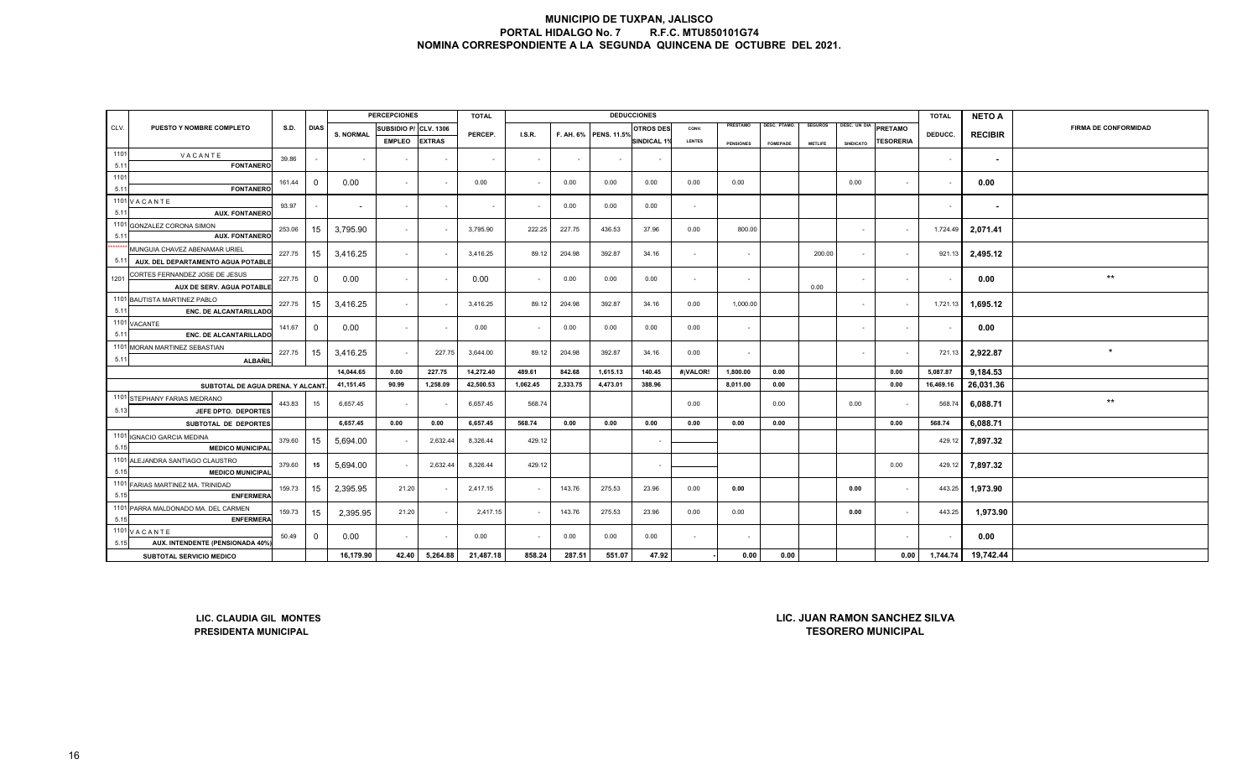|      |                                                                    |        |              |                  | <b>PERCEPCIONES</b> |                  | <b>TOTAL</b> |          |          | <b>DEDUCCIONES</b>    |                    |                |                  |                     |                |                  |                                                                   | <b>TOTAL</b>   | <b>NETO A</b>  |                             |
|------|--------------------------------------------------------------------|--------|--------------|------------------|---------------------|------------------|--------------|----------|----------|-----------------------|--------------------|----------------|------------------|---------------------|----------------|------------------|-------------------------------------------------------------------|----------------|----------------|-----------------------------|
| CLV. | <b>PUESTO Y NOMBRE COMPLETO</b>                                    | S.D.   | <b>DIAS</b>  | <b>S. NORMAL</b> | SUBSIDIO P/         | <b>CLV. 1306</b> | PERCEP.      | I.S.R.   |          | F. AH. 6% PENS. 11.5% | <b>OTROS DES</b>   | CONV.          | PRESTAMO         | <b>DESC. PTAMO.</b> | <b>SEGUROS</b> | DESC. UN DIA     | PRETAMO                                                           |                | <b>RECIBIR</b> | <b>FIRMA DE CONFORMIDAD</b> |
|      |                                                                    |        |              |                  | <b>EMPLEO</b>       | <b>EXTRAS</b>    |              |          |          |                       | <b>SINDICAL 1%</b> | <b>LENTES</b>  | <b>PENSIONES</b> | <b>FOMEPADE</b>     | <b>METLIFE</b> | <b>SINDICATO</b> | <b>TESORERIA</b>                                                  | DEDUCC.        |                |                             |
| 1101 | VACANTE                                                            | 39.86  |              | $\sim$           |                     |                  | $\sim$       | $\sim$   |          |                       |                    |                |                  |                     |                |                  |                                                                   | $\sim$         | $\sim$         |                             |
| 5.11 | <b>FONTANERO</b>                                                   |        |              |                  |                     |                  |              |          |          |                       |                    |                |                  |                     |                |                  |                                                                   |                |                |                             |
| 1101 |                                                                    | 161.44 | $\mathbf 0$  | 0.00             | $\blacksquare$      |                  | 0.00         | $\sim$   | 0.00     | 0.00                  | 0.00               | 0.00           | 0.00             |                     |                | 0.00             | $\sim$                                                            | $\blacksquare$ | 0.00           |                             |
| 5.11 | <b>FONTANERC</b>                                                   |        |              |                  |                     |                  |              |          |          |                       |                    |                |                  |                     |                |                  |                                                                   |                |                |                             |
| 5.11 | 1101 VACANTE<br><b>AUX. FONTANERO</b>                              | 93.97  |              | $\sim$           | $\omega$            | $\sim$           | $\sim$       |          | 0.00     | 0.00                  | 0.00               | $\sim$         |                  |                     |                |                  |                                                                   | $\sim$         | $\sim$         |                             |
| 1101 | <b>GONZALEZ CORONA SIMON</b><br><b>AUX. FONTANERC</b>              | 253.06 | 15           | 3,795.90         | $\sim$              |                  | 3,795.90     | 222.25   | 227.75   | 436.53                | 37.96              | 0.00           | 800.00           |                     |                | $\sim$           | $\sim$                                                            | 1,724.49       | 2,071.41       |                             |
| 5.11 | MUNGUIA CHAVEZ ABENAMAR URIEL                                      |        |              |                  |                     |                  |              |          |          |                       |                    |                |                  |                     |                |                  |                                                                   |                |                |                             |
| 5.11 | AUX. DEL DEPARTAMENTO AGUA POTABLI                                 | 227.75 | 15           | 3,416.25         | $\sim$              |                  | 3,416.25     | 89.12    | 204.98   | 392.87                | 34.16              | $\sim$         | $\sim$           |                     | 200.00         | $\sim$           | $\sim$                                                            | 921.13         | 2,495.12       |                             |
| 1201 | CORTES FERNANDEZ JOSE DE JESUS<br><b>AUX DE SERV. AGUA POTABLE</b> | 227.75 | $\mathbf 0$  | 0.00             | $\sim$              |                  | 0.00         | $\sim$   | 0.00     | 0.00                  | 0.00               | $\sim$         | $\sim$           |                     | 0.00           | $\sim$           |                                                                   |                | 0.00           | $^{\star\star}$             |
| 5.11 | 1101 BAUTISTA MARTINEZ PABLO<br><b>ENC. DE ALCANTARILLADO</b>      | 227.75 | 15           | 3,416.25         | $\sim$              |                  | 3,416.25     | 89.12    | 204.98   | 392.87                | 34.16              | 0.00           | 1,000.00         |                     |                | $\sim$           | $\sim$                                                            | 1,721.13       | 1,695.12       |                             |
|      | 1101 VACANTE                                                       | 141.67 | $\mathbf 0$  | 0.00             | $\sim$              |                  | 0.00         | $\sim$   | 0.00     | 0.00                  | 0.00               | 0.00           | $\sim$           |                     |                | $\sim$           |                                                                   |                | 0.00           |                             |
| 5.11 | <b>ENC. DE ALCANTARILLADO</b>                                      |        |              |                  |                     |                  |              |          |          |                       |                    |                |                  |                     |                |                  |                                                                   |                |                |                             |
| 5.11 | 1101 MORAN MARTINEZ SEBASTIAN<br><b>ALBAÑIL</b>                    | 227.75 | 15           | 3,416.25         | $\sim$              | 227.75           | 3,644.00     | 89.12    | 204.98   | 392.87                | 34.16              | 0.00           | $\sim$           |                     |                | $\sim$           |                                                                   | 721.13         | 2,922.87       | $\star$                     |
|      |                                                                    |        |              | 14,044.65        | 0.00                | 227.75           | 14,272.40    | 489.61   | 842.68   | 1,615.13              | 140.45             | #¡VALOR!       | 1,800.00         | 0.00                |                |                  | 0.00                                                              | 5,087.87       | 9.184.53       |                             |
|      | SUBTOTAL DE AGUA DRENA. Y ALCANT                                   |        |              | 41,151.45        | 90.99               | 1,258.09         | 42,500.53    | 1,062.45 | 2,333.75 | 4,473.01              | 388.96             |                | 8,011.00         | 0.00                |                |                  | 0.00                                                              | 16,469.16      | 26,031.36      |                             |
| 5.13 | 1101 STEPHANY FARIAS MEDRANO                                       | 443.83 | 15           | 6,657.45         | $\blacksquare$      |                  | 6,657.45     | 568.74   |          |                       |                    | 0.00           |                  | 0.00                |                | 0.00             |                                                                   | 568.74         | 6,088.71       | $^{\star\star}$             |
|      | JEFE DPTO. DEPORTES<br>SUBTOTAL DE DEPORTES                        |        |              | 6,657.45         | 0.00                | 0.00             | 6,657.45     | 568.74   | 0.00     | 0.00                  | 0.00               | 0.00           | 0.00             | 0.00                |                |                  | 0.00                                                              | 568.74         | 6,088.71       |                             |
|      | 1101 IGNACIO GARCIA MEDINA                                         |        |              |                  |                     |                  |              |          |          |                       |                    |                |                  |                     |                |                  |                                                                   |                |                |                             |
| 5.15 | <b>MEDICO MUNICIPAL</b>                                            | 379.60 | 15           | 5,694.00         | $\sim$              | 2,632.44         | 8,326.44     | 429.12   |          |                       |                    |                |                  |                     |                |                  |                                                                   | 429.12         | 7,897.32       |                             |
| 5.15 | 1101 ALEJANDRA SANTIAGO CLAUSTRO<br><b>MEDICO MUNICIPAL</b>        | 379.60 | 15           | 5,694.00         | $\sim$              | 2,632.44         | 8,326.44     | 429.12   |          |                       |                    |                |                  |                     |                |                  | 0.00                                                              | 429.12         | 7,897.32       |                             |
| 5.15 | 1101 FARIAS MARTINEZ MA. TRINIDAD<br><b>ENFERMERA</b>              | 159.73 | 15           | 2,395.95         | 21.20               |                  | 2,417.15     | $\sim$   | 143.76   | 275.53                | 23.96              | 0.00           | 0.00             |                     |                | 0.00             | $\sim$                                                            | 443.25         | 1,973.90       |                             |
| 5.15 | 1101 PARRA MALDONADO MA. DEL CARMEN<br><b>ENFERMERA</b>            | 159.73 | 15           | 2,395.95         | 21.20               |                  | 2,417.15     | $\sim$   | 143.76   | 275.53                | 23.96              | 0.00           | 0.00             |                     |                | 0.00             | $\sim$                                                            | 443.25         | 1,973.90       |                             |
| 5.15 | 1101 VACANTE<br>AUX. INTENDENTE (PENSIONADA 40%                    | 50.49  | $\mathbf{0}$ | 0.00             | $\sim$              |                  | 0.00         | $\sim$   | 0.00     | 0.00                  | 0.00               | $\overline{a}$ |                  |                     |                |                  |                                                                   |                | 0.00           |                             |
|      | SUBTOTAL SERVICIO MEDICO                                           |        |              | 16,179.90        | 42.40               | 5,264.88         | 21,487.18    | 858.24   | 287.51   | 551.07                | 47.92              |                | 0.00             | 0.00                |                |                  | 0.00                                                              | 1,744.74       | 19,742.44      |                             |
|      | LIC. CLAUDIA GIL MONTES<br><b>PRESIDENTA MUNICIPAL</b>             |        |              |                  |                     |                  |              |          |          |                       |                    |                |                  |                     |                |                  | <b>LIC. JUAN RAMON SANCHEZ SILVA</b><br><b>TESORERO MUNICIPAL</b> |                |                |                             |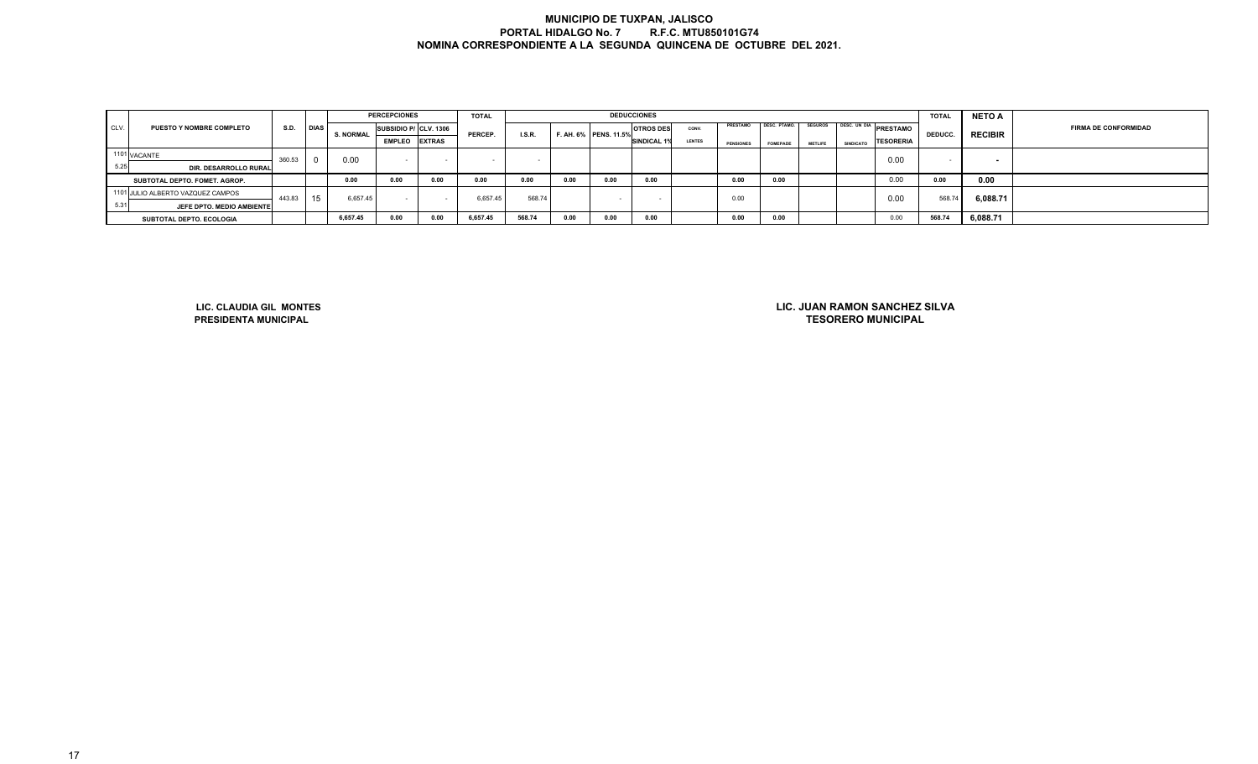|      |                                   |        |             |                  | <b>PERCEPCIONES</b>   |                          | <b>TOTAL</b> |                          |      |                       | <b>DEDUCCIONES</b>       |               |                  |                 |                |                                                    | <b>TOTAL</b>   | <b>NETO A</b>  |                             |
|------|-----------------------------------|--------|-------------|------------------|-----------------------|--------------------------|--------------|--------------------------|------|-----------------------|--------------------------|---------------|------------------|-----------------|----------------|----------------------------------------------------|----------------|----------------|-----------------------------|
| CLV. | <b>PUESTO Y NOMBRE COMPLETO</b>   | S.D.   | <b>DIAS</b> | <b>S. NORMAL</b> | SUBSIDIO P/ CLV. 1306 |                          | PERCEP.      | I.S.R.                   |      | F. AH. 6% PENS. 11.5% | <b>OTROS DES</b>         | CONV.         | PRESTAMO         | DESC. PTAMO.    | <b>SEGUROS</b> | <b>DESC. UN DIA</b><br><b>PRESTAMO</b>             | <b>DEDUCC.</b> | <b>RECIBIR</b> | <b>FIRMA DE CONFORMIDAD</b> |
|      |                                   |        |             |                  | <b>EMPLEO</b> EXTRAS  |                          |              |                          |      |                       | <b>SINDICAL 1%</b>       | <b>LENTES</b> | <b>PENSIONES</b> | <b>FOMEPADE</b> | <b>METLIFE</b> | <b>TESORERIA</b><br><b>SINDICATO</b>               |                |                |                             |
|      | 1101 VACANTE                      | 360.53 | $\mathbf 0$ | 0.00             |                       |                          |              |                          |      |                       |                          |               |                  |                 |                | 0.00                                               |                |                |                             |
| 5.25 | DIR. DESARROLLO RURAL             |        |             |                  | $\sim$                | $\overline{\phantom{a}}$ |              | $\overline{\phantom{a}}$ |      |                       |                          |               |                  |                 |                |                                                    | $\sim$         | $\sim$         |                             |
|      | SUBTOTAL DEPTO. FOMET. AGROP.     |        |             | 0.00             | 0.00                  | 0.00                     | 0.00         | 0.00                     | 0.00 | 0.00                  | 0.00                     |               | 0.00             | 0.00            |                | 0.00                                               | 0.00           | 0.00           |                             |
|      | 1101 JULIO ALBERTO VAZQUEZ CAMPOS | 443.83 | 15          | 6,657.45         | $\sim$                |                          | 6,657.45     | 568.74                   |      |                       | $\overline{\phantom{a}}$ |               | 0.00             |                 |                | 0.00                                               | 568.74         | 6,088.71       |                             |
| 5.31 | JEFE DPTO. MEDIO AMBIENTE         |        |             |                  |                       |                          |              |                          |      |                       |                          |               |                  |                 |                |                                                    |                |                |                             |
|      | SUBTOTAL DEPTO. ECOLOGIA          |        |             | 6,657.45         | 0.00                  | 0.00                     | 6,657.45     | 568.74                   | 0.00 | 0.00                  | 0.00                     |               | 0.00             | 0.00            |                | 0.00                                               | 568.74         | 6,088.71       |                             |
|      |                                   |        |             |                  |                       |                          |              |                          |      |                       |                          |               |                  |                 |                |                                                    |                |                |                             |
|      |                                   |        |             |                  |                       |                          |              |                          |      |                       |                          |               |                  |                 |                |                                                    |                |                |                             |
|      |                                   |        |             |                  |                       |                          |              |                          |      |                       |                          |               |                  |                 |                |                                                    |                |                |                             |
|      |                                   |        |             |                  |                       |                          |              |                          |      |                       |                          |               |                  |                 |                |                                                    |                |                |                             |
|      |                                   |        |             |                  |                       |                          |              |                          |      |                       |                          |               |                  |                 |                |                                                    |                |                |                             |
|      |                                   |        |             |                  |                       |                          |              |                          |      |                       |                          |               |                  |                 |                |                                                    |                |                |                             |
|      | LIC. CLAUDIA GIL MONTES           |        |             |                  |                       |                          |              |                          |      |                       |                          |               |                  |                 |                | LIC. JUAN RAMON SANCHEZ SILVA<br>TEAARERA HUUMARIL |                |                |                             |

**LIC. CLAUDIA GIL MONTESPRESIDENTA MUNICIPAL**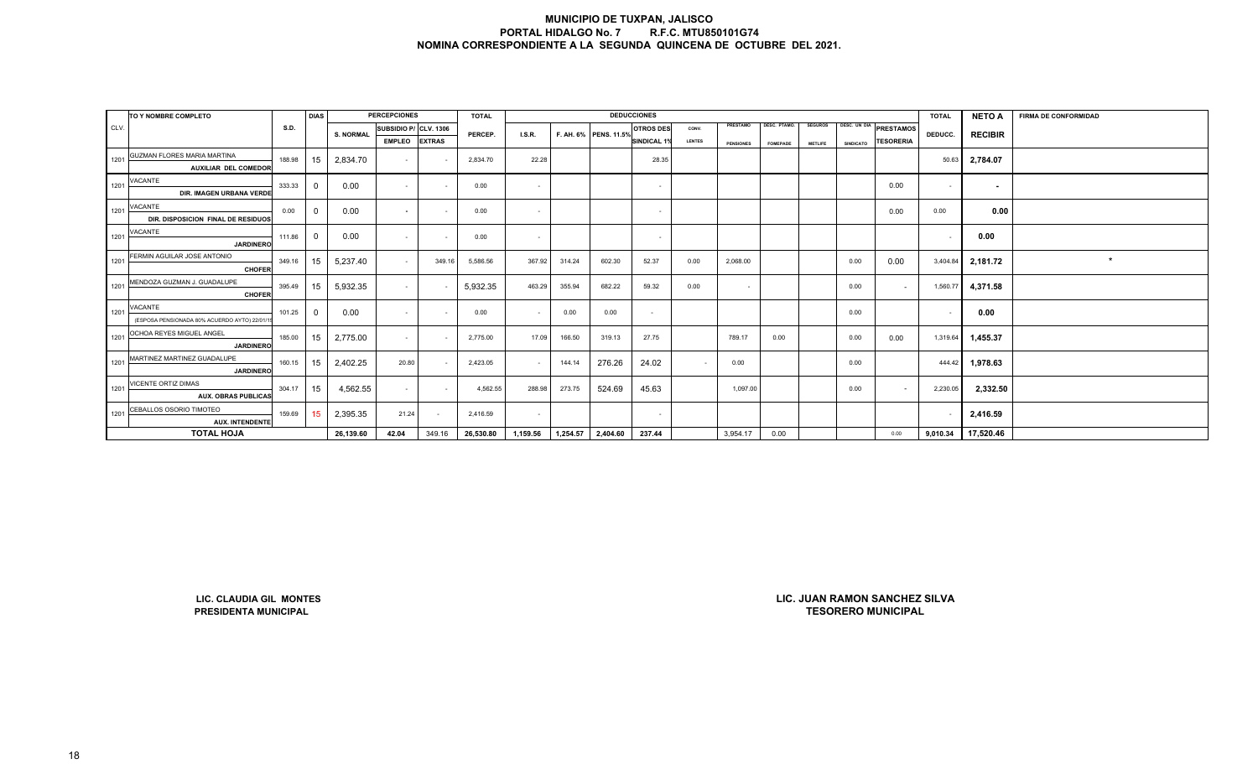|      | TO Y NOMBRE COMPLETO                                       |        | <b>DIAS</b> |                  | <b>PERCEPCIONES</b>      |               | <b>TOTAL</b> |          |          |                       | <b>DEDUCCIONES</b> |        |                  |                     |                |              |                                                            | <b>TOTAL</b> | <b>NETO A</b>  | <b>FIRMA DE CONFORMIDAD</b> |
|------|------------------------------------------------------------|--------|-------------|------------------|--------------------------|---------------|--------------|----------|----------|-----------------------|--------------------|--------|------------------|---------------------|----------------|--------------|------------------------------------------------------------|--------------|----------------|-----------------------------|
| CLV. |                                                            | S.D.   |             |                  | SUBSIDIO P/ CLV. 1306    |               |              |          |          |                       | <b>OTROS DES</b>   | CONV.  | PRESTAMO         | <b>DESC. PTAMO.</b> | <b>SEGUROS</b> | DESC. UN DIA | <b>PRESTAMOS</b>                                           |              |                |                             |
|      |                                                            |        |             | <b>S. NORMAL</b> | <b>EMPLEO</b>            | <b>EXTRAS</b> | PERCEP.      | LS.R.    |          | F. AH. 6% PENS. 11.5% | SINDICAL 1%        | LENTES | <b>PENSIONES</b> | <b>FOMEPADE</b>     | <b>METLIFE</b> | SINDICATO    | <b>TESORERIA</b>                                           | DEDUCC.      | <b>RECIBIR</b> |                             |
| 1201 | GUZMAN FLORES MARIA MARTINA<br><b>AUXILIAR DEL COMEDOR</b> | 188.98 | 15          | 2,834.70         | $\overline{\phantom{a}}$ |               | 2,834.70     | 22.28    |          |                       | 28.35              |        |                  |                     |                |              |                                                            | 50.63        | 2,784.07       |                             |
| 1201 | VACANTE<br>DIR. IMAGEN URBANA VERDE                        | 333.33 | $\mathbf 0$ | 0.00             | $\sim$                   | $\sim$        | 0.00         | $\sim$   |          |                       | $\sim$             |        |                  |                     |                |              | 0.00                                                       | $\sim$       | $\sim$         |                             |
| 1201 | VACANTE<br>DIR. DISPOSICION FINAL DE RESIDUOS              | 0.00   | $\mathbf 0$ | 0.00             | $\sim$                   | $\sim$        | 0.00         | $\sim$   |          |                       | $\sim$             |        |                  |                     |                |              | 0.00                                                       | 0.00         | 0.00           |                             |
| 1201 | VACANTE<br><b>JARDINERO</b>                                | 111.86 | $\mathbf 0$ | 0.00             | $\sim$                   |               | 0.00         | $\sim$   |          |                       | $\sim$             |        |                  |                     |                |              |                                                            | $\sim$       | 0.00           |                             |
| 1201 | FERMIN AGUILAR JOSE ANTONIO<br><b>CHOFER</b>               | 349.16 | 15          | 5,237.40         | $\sim$                   | 349.16        | 5,586.56     | 367.92   | 314.24   | 602.30                | 52.37              | 0.00   | 2,068.00         |                     |                | 0.00         | 0.00                                                       | 3,404.84     | 2,181.72       | $\star$                     |
| 1201 | MENDOZA GUZMAN J. GUADALUPE<br>CHOFER                      | 395.49 | 15          | 5,932.35         | $\sim$                   |               | 5,932.35     | 463.29   | 355.94   | 682.22                | 59.32              | 0.00   | $\sim$           |                     |                | 0.00         | $\sim$                                                     | 1,560.77     | 4,371.58       |                             |
| 1201 | VACANTE<br>(ESPOSA PENSIONADA 80% ACUERDO AYTO) 22/01/     | 101.25 | $\mathbf 0$ | 0.00             | $\sim$                   | $\sim$        | 0.00         | $\sim$   | 0.00     | 0.00                  | $\sim$             |        |                  |                     |                | 0.00         |                                                            | $\sim$       | 0.00           |                             |
| 1201 | OCHOA REYES MIGUEL ANGEL<br><b>JARDINERO</b>               | 185.00 | 15          | 2,775.00         | $\sim$                   | $\sim$        | 2,775.00     | 17.09    | 166.50   | 319.13                | 27.75              |        | 789.17           | 0.00                |                | 0.00         | 0.00                                                       | 1,319.64     | 1,455.37       |                             |
| 1201 | MARTINEZ MARTINEZ GUADALUPE<br><b>JARDINERO</b>            | 160.15 | 15          | 2,402.25         | 20.80                    |               | 2,423.05     | $\sim$   | 144.14   | 276.26                | 24.02              |        | 0.00             |                     |                | 0.00         |                                                            | 444.42       | 1,978.63       |                             |
| 1201 | VICENTE ORTIZ DIMAS<br><b>AUX. OBRAS PUBLICAS</b>          | 304.17 | 15          | 4,562.55         | $\sim$                   | $\sim$        | 4,562.55     | 288.98   | 273.75   | 524.69                | 45.63              |        | 1,097.00         |                     |                | 0.00         | $\sim$                                                     | 2,230.05     | 2,332.50       |                             |
| 1201 | CEBALLOS OSORIO TIMOTEO<br><b>AUX. INTENDENTE</b>          | 159.69 | 15          | 2,395.35         | 21.24                    | $\sim$        | 2,416.59     | $\sim$   |          |                       | $\sim$             |        |                  |                     |                |              |                                                            |              | 2,416.59       |                             |
|      | <b>TOTAL HOJA</b>                                          |        |             | 26,139.60        | 42.04                    | 349.16        | 26,530.80    | 1,159.56 | 1,254.57 | 2,404.60              | 237.44             |        | 3,954.17         | 0.00                |                |              | 0.00                                                       | 9,010.34     | 17,520.46      |                             |
|      |                                                            |        |             |                  |                          |               |              |          |          |                       |                    |        |                  |                     |                |              |                                                            |              |                |                             |
|      | LIC. CLAUDIA GIL MONTES<br>PRESIDENTA MUNICIPAL            |        |             |                  |                          |               |              |          |          |                       |                    |        |                  |                     |                |              | LIC. JUAN RAMON SANCHEZ SILVA<br><b>TESORERO MUNICIPAL</b> |              |                |                             |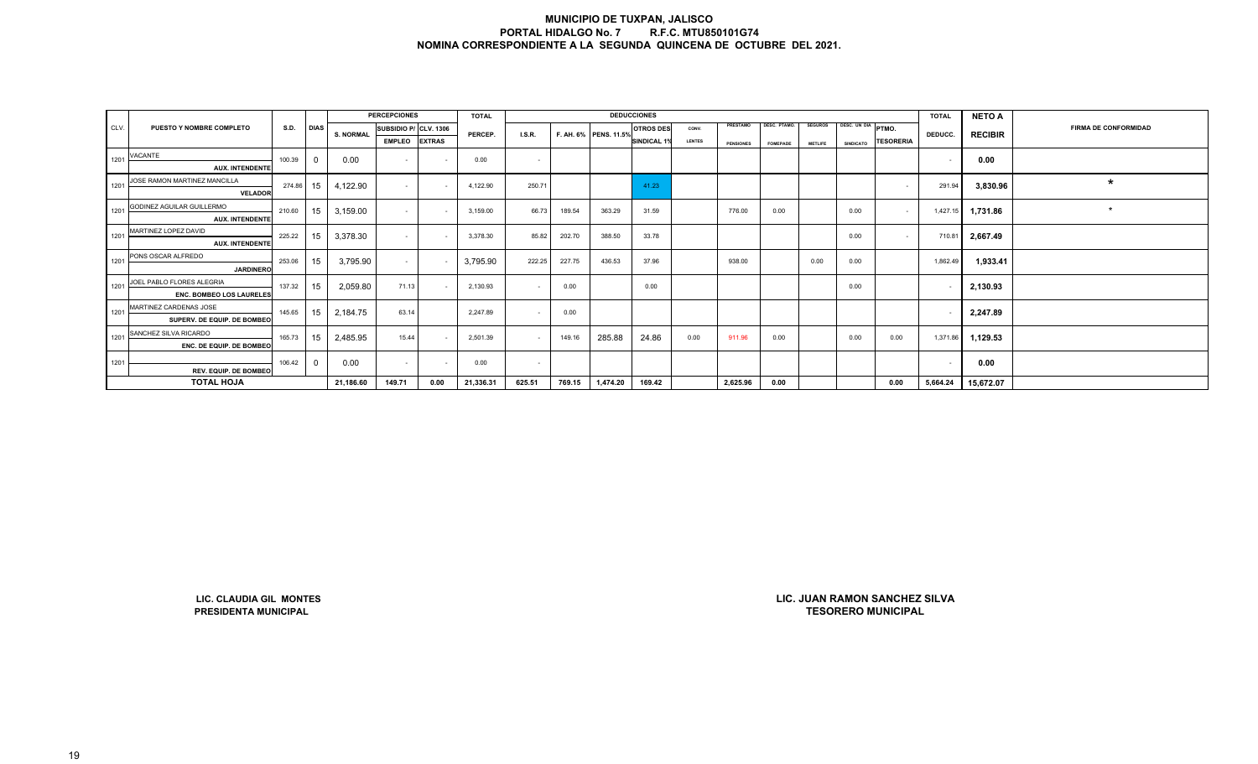|      |                                                       |        |             |                  | <b>PERCEPCIONES</b>      |               | <b>TOTAL</b> |                |        |                       | <b>DEDUCCIONES</b> |               |                  |                     |                |                  |                                                            | <b>TOTAL</b> | <b>NETO A</b>  |                             |
|------|-------------------------------------------------------|--------|-------------|------------------|--------------------------|---------------|--------------|----------------|--------|-----------------------|--------------------|---------------|------------------|---------------------|----------------|------------------|------------------------------------------------------------|--------------|----------------|-----------------------------|
| CLV. | PUESTO Y NOMBRE COMPLETO                              | S.D.   | <b>DIAS</b> | <b>S. NORMAL</b> | SUBSIDIO P/ CLV. 1306    |               | PERCEP.      | <b>I.S.R.</b>  |        | F. AH. 6% PENS. 11.5% | <b>OTROS DES</b>   | CONV.         | PRESTAMO         | <b>DESC. PTAMO.</b> | <b>SEGUROS</b> | DESC. UN DIA     | PTMO.                                                      | DEDUCC.      | <b>RECIBIR</b> | <b>FIRMA DE CONFORMIDAD</b> |
|      |                                                       |        |             |                  | <b>EMPLEO</b>            | <b>EXTRAS</b> |              |                |        |                       | SINDICAL 1%        | <b>LENTES</b> | <b>PENSIONES</b> | <b>FOMEPADE</b>     | <b>METLIFE</b> | <b>SINDICATO</b> | <b>TESORERIA</b>                                           |              |                |                             |
| 1201 | VACANTE                                               | 100.39 | $\mathbf 0$ | 0.00             | $\overline{\phantom{a}}$ | $\sim$        | 0.00         | $\sim$         |        |                       |                    |               |                  |                     |                |                  |                                                            | $\sim$       | 0.00           |                             |
|      | <b>AUX. INTENDENTE</b>                                |        |             |                  |                          |               |              |                |        |                       |                    |               |                  |                     |                |                  |                                                            |              |                |                             |
| 1201 | JOSE RAMON MARTINEZ MANCILLA<br><b>VELADOR</b>        | 274.86 | 15          | 4,122.90         | $\sim$                   |               | 4,122.90     | 250.71         |        |                       | 41.23              |               |                  |                     |                |                  | $\sim$                                                     | 291.94       | 3,830.96       | $\star$                     |
| 1201 | GODINEZ AGUILAR GUILLERMO<br><b>AUX. INTENDENTE</b>   | 210.60 | 15          | 3,159.00         | $\sim$                   |               | 3,159.00     | 66.73          | 189.54 | 363.29                | 31.59              |               | 776.00           | 0.00                |                | 0.00             | $\sim$                                                     | 1,427.15     | 1,731.86       | $\star$                     |
| 1201 | MARTINEZ LOPEZ DAVID<br><b>AUX. INTENDENTE</b>        | 225.22 | 15          | 3,378.30         | $\sim$                   |               | 3,378.30     | 85.82          | 202.70 | 388.50                | 33.78              |               |                  |                     |                | 0.00             | $\sim$                                                     | 710.81       | 2,667.49       |                             |
| 1201 | PONS OSCAR ALFREDO<br><b>JARDINERO</b>                | 253.06 | 15          | 3,795.90         | $\sim$                   |               | 3,795.90     | 222.25         | 227.75 | 436.53                | 37.96              |               | 938.00           |                     | 0.00           | 0.00             |                                                            | 1,862.49     | 1,933.41       |                             |
| 1201 | JOEL PABLO FLORES ALEGRIA<br>ENC. BOMBEO LOS LAURELES | 137.32 | 15          | 2,059.80         | 71.13                    |               | 2,130.93     | $\sim$         | 0.00   |                       | 0.00               |               |                  |                     |                | 0.00             |                                                            |              | 2,130.93       |                             |
| 1201 | MARTINEZ CARDENAS JOSE<br>SUPERV. DE EQUIP. DE BOMBEO | 145.65 | 15          | 2,184.75         | 63.14                    |               | 2,247.89     | $\sim$         | 0.00   |                       |                    |               |                  |                     |                |                  |                                                            | $\sim$       | 2,247.89       |                             |
| 1201 | SANCHEZ SILVA RICARDO<br>ENC. DE EQUIP. DE BOMBEO     | 165.73 | 15          | 2,485.95         | 15.44                    | $\sim$        | 2,501.39     | $\sim$         | 149.16 | 285.88                | 24.86              | 0.00          | 911.96           | 0.00                |                | 0.00             | 0.00                                                       | 1,371.86     | 1,129.53       |                             |
| 1201 |                                                       | 106.42 | $\mathbf 0$ | 0.00             | $\overline{\phantom{a}}$ |               | 0.00         | $\blacksquare$ |        |                       |                    |               |                  |                     |                |                  |                                                            | $\sim$       | 0.00           |                             |
|      | REV. EQUIP. DE BOMBEO                                 |        |             |                  |                          |               |              |                |        |                       |                    |               |                  |                     |                |                  |                                                            |              |                |                             |
|      | <b>TOTAL HOJA</b>                                     |        |             | 21,186.60        | 149.71                   | 0.00          | 21,336.31    | 625.51         | 769.15 | 1,474.20              | 169.42             |               | 2,625.96         | 0.00                |                |                  | 0.00                                                       | 5,664.24     | 15,672.07      |                             |
|      |                                                       |        |             |                  |                          |               |              |                |        |                       |                    |               |                  |                     |                |                  |                                                            |              |                |                             |
|      | LIC. CLAUDIA GIL MONTES<br>PRESIDENTA MUNICIPAL       |        |             |                  |                          |               |              |                |        |                       |                    |               |                  |                     |                |                  | LIC. JUAN RAMON SANCHEZ SILVA<br><b>TESORERO MUNICIPAL</b> |              |                |                             |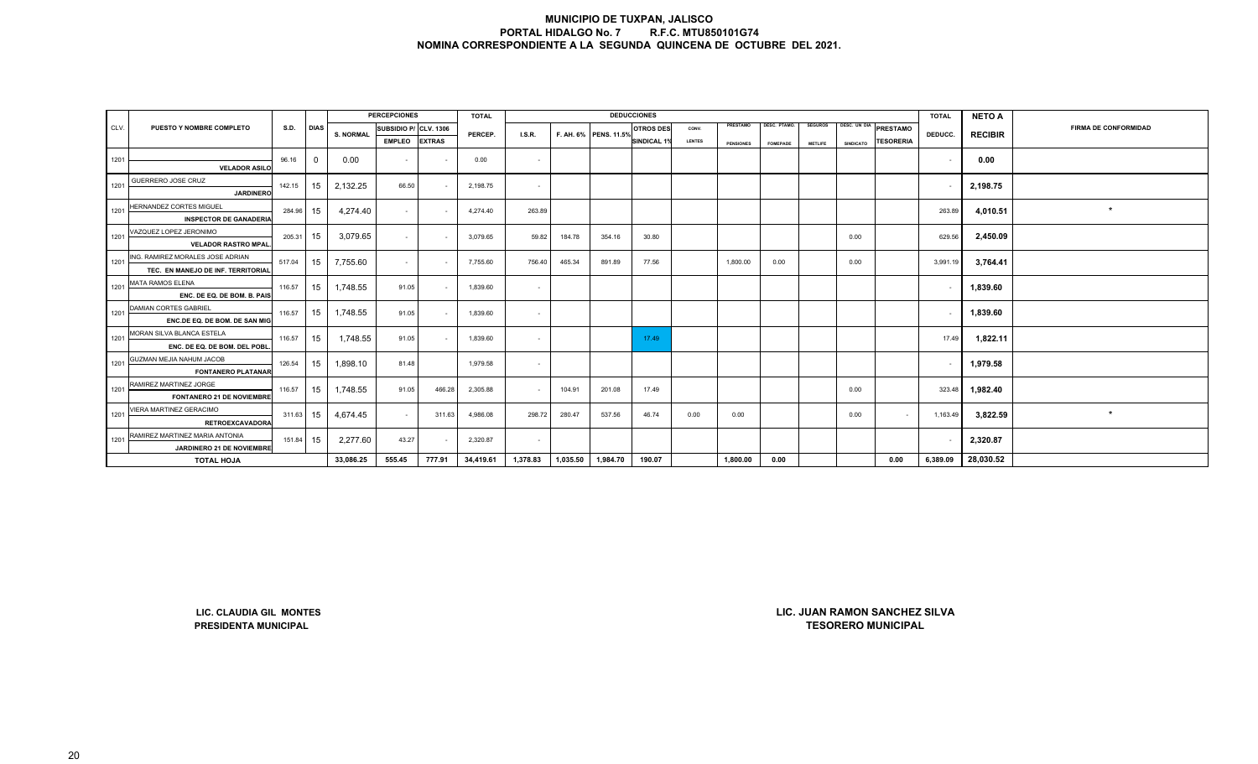|                            |                                       |           |                |                  | <b>PERCEPCIONES</b>   |        | <b>TOTAL</b> |          |          |                       | <b>DEDUCCIONES</b> |               |                  |                 |                |                  |                       | <b>TOTAL</b> | <b>NETO A</b>      |                             |
|----------------------------|---------------------------------------|-----------|----------------|------------------|-----------------------|--------|--------------|----------|----------|-----------------------|--------------------|---------------|------------------|-----------------|----------------|------------------|-----------------------|--------------|--------------------|-----------------------------|
| CLV.                       | PUESTO Y NOMBRE COMPLETO              | S.D. DIAS |                | <b>S. NORMAL</b> | SUBSIDIO P/ CLV. 1306 |        | PERCEP.      |          |          | F. AH. 6% PENS. 11.5% | <b>OTROS DES</b>   | CONV.         | PRESTAMO         | DESC. PTAMO.    | <b>SEGUROS</b> |                  | DESC. UN DIA PRESTAMO | DEDUCC.      |                    | <b>FIRMA DE CONFORMIDAD</b> |
|                            |                                       |           |                |                  | <b>EMPLEO</b> EXTRAS  |        |              | LS.R.    |          |                       | SINDICAL 1%        | <b>LENTES</b> | <b>PENSIONES</b> | <b>FOMEPADE</b> | <b>METLIFE</b> | <b>SINDICATO</b> | <b>TESORERIA</b>      |              | <b>RECIBIR</b>     |                             |
| 1201                       |                                       | 96.16     | $\overline{0}$ | 0.00             |                       |        | 0.00         | $\sim$   |          |                       |                    |               |                  |                 |                |                  |                       |              | 0.00               |                             |
|                            | <b>VELADOR ASILO</b>                  |           |                |                  | $\sim$                |        |              |          |          |                       |                    |               |                  |                 |                |                  |                       |              |                    |                             |
| 1201 $\blacktriangleright$ | GUERRERO JOSE CRUZ                    | 142.15    | 15             | 2,132.25         | 66.50                 |        | 2,198.75     | $\sim$   |          |                       |                    |               |                  |                 |                |                  |                       |              | 2,198.75           |                             |
|                            | <b>JARDINERO</b>                      |           |                |                  |                       |        |              |          |          |                       |                    |               |                  |                 |                |                  |                       |              |                    |                             |
| 1201                       | HERNANDEZ CORTES MIGUEL               | 284.96 15 |                | 4,274.40         | $\sim$ $-$            |        | 4,274.40     | 263.89   |          |                       |                    |               |                  |                 |                |                  |                       | 263.89       | 4,010.51           | $\star$                     |
|                            | <b>INSPECTOR DE GANADERIA</b>         |           |                |                  |                       |        |              |          |          |                       |                    |               |                  |                 |                |                  |                       |              |                    |                             |
| 1201                       | VAZQUEZ LOPEZ JERONIMO                | 205.31 15 |                | 3,079.65         | $\sim$                |        | 3,079.65     | 59.82    | 184.78   | 354.16                | 30.80              |               |                  |                 |                | 0.00             |                       | 629.56       | 2,450.09           |                             |
|                            | <b>VELADOR RASTRO MPAL.</b>           |           |                |                  |                       |        |              |          |          |                       |                    |               |                  |                 |                |                  |                       |              |                    |                             |
|                            | 1201 ING. RAMIREZ MORALES JOSE ADRIAN | 517.04    | 15             | 7,755.60         | $\sim$                |        | 7,755.60     | 756.40   | 465.34   | 891.89                | 77.56              |               | 1,800.00         | 0.00            |                | 0.00             |                       | 3,991.19     | 3,764.41           |                             |
|                            | TEC. EN MANEJO DE INF. TERRITORIAL    |           |                |                  |                       |        |              |          |          |                       |                    |               |                  |                 |                |                  |                       |              |                    |                             |
|                            | 1201 MATA RAMOS ELENA                 | 116.57    | 15             | 1,748.55         | 91.05                 |        | 1,839.60     | $\sim$   |          |                       |                    |               |                  |                 |                |                  |                       |              | 1,839.60           |                             |
|                            | ENC. DE EQ. DE BOM. B. PAIS           |           |                |                  |                       |        |              |          |          |                       |                    |               |                  |                 |                |                  |                       |              |                    |                             |
|                            | 1201 DAMIAN CORTES GABRIEL            | 116.57    | 15             | 1,748.55         | 91.05                 |        | 1,839.60     | $\sim$   |          |                       |                    |               |                  |                 |                |                  |                       |              | 1,839.60           |                             |
|                            | ENC.DE EQ. DE BOM. DE SAN MIG         |           |                |                  |                       |        |              |          |          |                       |                    |               |                  |                 |                |                  |                       |              |                    |                             |
|                            | 1201 MORAN SILVA BLANCA ESTELA        | 116.57    | 15             | 1,748.55         | 91.05                 |        | 1,839.60     | $\sim$   |          |                       | 17.49              |               |                  |                 |                |                  |                       | 17.49        | 1,822.11           |                             |
|                            | ENC. DE EQ. DE BOM. DEL POBL.         |           |                |                  |                       |        |              |          |          |                       |                    |               |                  |                 |                |                  |                       |              |                    |                             |
|                            | 1201 GUZMAN MEJIA NAHUM JACOB         | 126.54    | 15             | 1,898.10         | 81.48                 |        | 1,979.58     | $\sim$   |          |                       |                    |               |                  |                 |                |                  |                       |              | 1,979.58           |                             |
|                            | <b>FONTANERO PLATANAR</b>             |           |                |                  |                       |        |              |          |          |                       |                    |               |                  |                 |                |                  |                       |              |                    |                             |
| 1201                       | RAMIREZ MARTINEZ JORGE                | 116.57    | 15             | 1,748.55         | 91.05                 | 466.28 | 2,305.88     |          | 104.91   | 201.08                | 17.49              |               |                  |                 |                | 0.00             |                       | 323.48       | 1,982.40           |                             |
|                            | <b>FONTANERO 21 DE NOVIEMBRE</b>      |           |                |                  |                       |        |              |          |          |                       |                    |               |                  |                 |                |                  |                       |              |                    |                             |
|                            | 1201 VIERA MARTINEZ GERACIMO          | 311.63 15 |                | 4,674.45         | $\sim$                | 311.63 | 4,986.08     | 298.72   | 280.47   | 537.56                | 46.74              | 0.00          | 0.00             |                 |                | 0.00             |                       | 1,163.49     | 3,822.59           |                             |
|                            | <b>RETROEXCAVADORA</b>                |           |                |                  |                       |        |              |          |          |                       |                    |               |                  |                 |                |                  |                       |              |                    |                             |
|                            | 1201 RAMIREZ MARTINEZ MARIA ANTONIA   | 151.84 15 |                | 2,277.60         | 43.27                 |        | 2,320.87     |          |          |                       |                    |               |                  |                 |                |                  |                       |              | 2,320.87           |                             |
|                            | JARDINERO 21 DE NOVIEMBRE             |           |                |                  |                       |        |              |          |          |                       |                    |               |                  |                 |                |                  |                       |              |                    |                             |
|                            | <b>TOTAL HOJA</b>                     |           |                | 33,086.25        | 555.45                | 777.91 | 34,419.61    | 1,378.83 | 1,035.50 | 1,984.70              | 190.07             |               | 1,800.00         | 0.00            |                |                  | 0.00                  |              | 6,389.09 28,030.52 |                             |

**LIC. CLAUDIA GIL MONTESPRESIDENTA MUNICIPAL**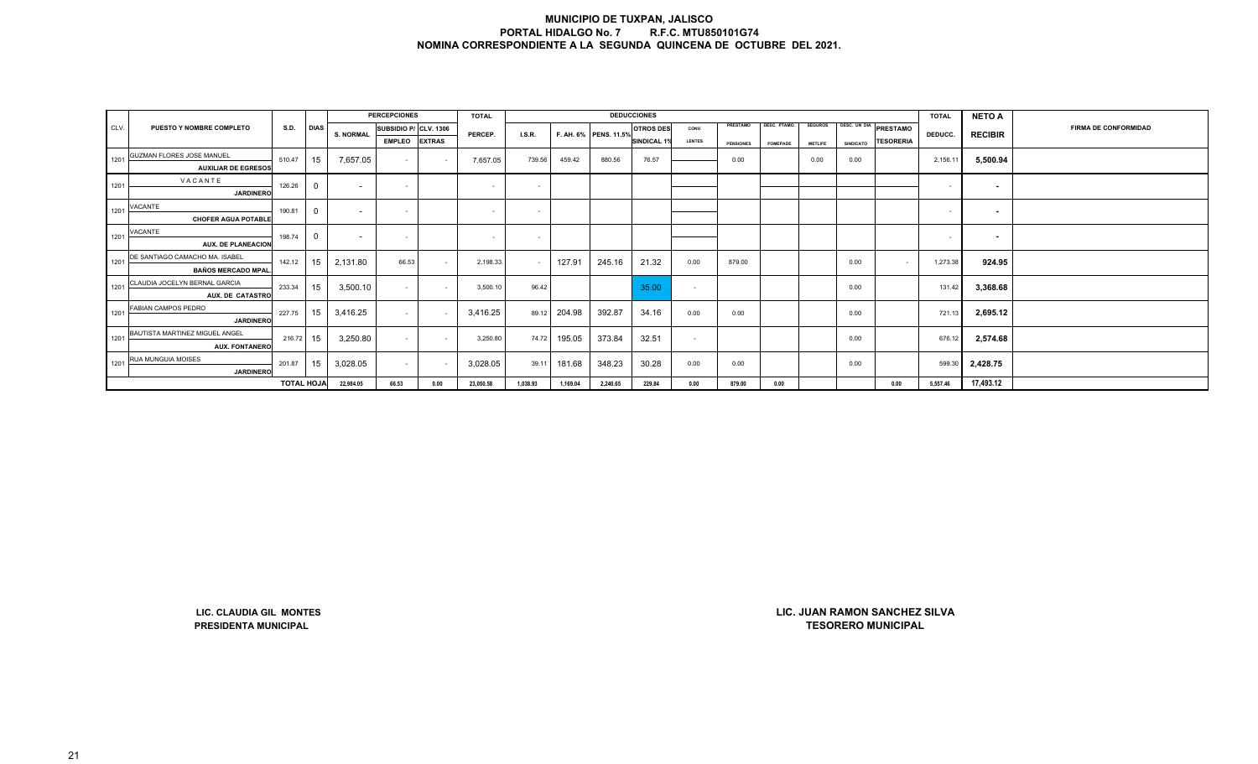|      |                                                         |                   |                |                  | <b>PERCEPCIONES</b>   |               | <b>TOTAL</b> |          |              |                       | <b>DEDUCCIONES</b> |               |                  |              |                |                  |                               | <b>TOTAL</b> | <b>NETO A</b>            |                             |
|------|---------------------------------------------------------|-------------------|----------------|------------------|-----------------------|---------------|--------------|----------|--------------|-----------------------|--------------------|---------------|------------------|--------------|----------------|------------------|-------------------------------|--------------|--------------------------|-----------------------------|
| CLV. | PUESTO Y NOMBRE COMPLETO                                | <b>S.D.</b>       | <b>DIAS</b>    |                  | SUBSIDIO P/ CLV. 1306 |               |              |          |              |                       | <b>OTROS DES</b>   | CONV.         | PRESTAMO         | DESC. PTAMO. | <b>SEGUROS</b> |                  | DESC. UN DIA PRESTAMO         |              |                          | <b>FIRMA DE CONFORMIDAD</b> |
|      |                                                         |                   |                | <b>S. NORMAL</b> | <b>EMPLEO</b>         | <b>EXTRAS</b> | PERCEP.      | LS.R.    |              | F. AH. 6% PENS. 11.5% | <b>SINDICAL 1%</b> | <b>LENTES</b> | <b>PENSIONES</b> | FOMEPADE     | <b>METLIFE</b> | <b>SINDICATO</b> | TESORERIA                     | DEDUCC.      | <b>RECIBIR</b>           |                             |
|      | GUZMAN FLORES JOSE MANUEL                               |                   |                |                  |                       |               |              |          |              |                       |                    |               |                  |              |                |                  |                               |              |                          |                             |
| 1201 | <b>AUXILIAR DE EGRESOS</b>                              | 510.47            | 15             | 7,657.05         | $\sim$                |               | 7,657.05     | 739.56   | 459.42       | 880.56                | 76.57              |               | 0.00             |              | 0.00           | 0.00             |                               | 2,156.11     | 5,500.94                 |                             |
|      | VACANTE                                                 |                   |                |                  |                       |               |              |          |              |                       |                    |               |                  |              |                |                  |                               |              |                          |                             |
| 1201 | <b>JARDINERO</b>                                        | 126.26            | $\mathbf 0$    | $\sim$           | $\sim$                |               | $\sim$       | $\sim$   |              |                       |                    |               |                  |              |                |                  |                               | $\sim$       | $\sim$                   |                             |
| 1201 | VACANTE                                                 | 190.81            | $\mathbf 0$    | $\sim$           | $\sim$                |               | $\sim$       | $\sim$   |              |                       |                    |               |                  |              |                |                  |                               | $\sim$       | $\overline{\phantom{a}}$ |                             |
|      | <b>CHOFER AGUA POTABLE</b>                              |                   |                |                  |                       |               |              |          |              |                       |                    |               |                  |              |                |                  |                               |              |                          |                             |
| 1201 | VACANTE                                                 | 198.74            | $\overline{0}$ | $\sim$           | $\sim$                |               | $\sim$       | $\sim$   |              |                       |                    |               |                  |              |                |                  |                               | $\sim$       | $\sim$                   |                             |
|      | <b>AUX. DE PLANEACION</b>                               |                   |                |                  |                       |               |              |          |              |                       |                    |               |                  |              |                |                  |                               |              |                          |                             |
| 1201 | DE SANTIAGO CAMACHO MA. ISABEL                          | 142.12            | 15             | 2,131.80         | 66.53                 | $\sim$        | 2,198.33     | $\sim$   | 127.91       | 245.16                | 21.32              | 0.00          | 879.00           |              |                | 0.00             | $\sim$                        | 1,273.38     | 924.95                   |                             |
|      | <b>BAÑOS MERCADO MPAL</b>                               |                   |                |                  |                       |               |              |          |              |                       |                    |               |                  |              |                |                  |                               |              |                          |                             |
| 1201 | CLAUDIA JOCELYN BERNAL GARCIA                           | 233.34            | 15             | 3,500.10         | $\sim$                | $\sim$        | 3,500.10     | 96.42    |              |                       | 35.00              | $\sim$        |                  |              |                | 0.00             |                               | 131.42       | 3,368.68                 |                             |
|      | AUX. DE CATASTRO                                        |                   |                |                  |                       |               |              |          |              |                       |                    |               |                  |              |                |                  |                               |              |                          |                             |
| 1201 | FABIAN CAMPOS PEDRO                                     | 227.75            | 15             | 3,416.25         | $\sim$                |               | 3,416.25     |          | 89.12 204.98 | 392.87                | 34.16              | 0.00          | 0.00             |              |                | 0.00             |                               | 721.13       | 2,695.12                 |                             |
|      | <b>JARDINERO</b>                                        |                   |                |                  |                       |               |              |          |              |                       |                    |               |                  |              |                |                  |                               |              |                          |                             |
| 1201 | BAUTISTA MARTINEZ MIGUEL ANGEL<br><b>AUX. FONTANERO</b> | 216.72            | 15             | 3,250.80         | $\sim$                | $\sim$        | 3,250.80     | 74.72    | 195.05       | 373.84                | 32.51              | $\sim$        |                  |              |                | 0.00             |                               | 676.12       | 2,574.68                 |                             |
|      | RUA MUNGUIA MOISES                                      |                   |                |                  |                       |               |              |          |              |                       |                    |               |                  |              |                |                  |                               |              |                          |                             |
| 1201 | <b>JARDINERO</b>                                        | 201.87            | 15             | 3,028.05         | $\sim$                |               | 3,028.05     | 39.11    | 181.68       | 348.23                | 30.28              | 0.00          | 0.00             |              |                | 0.00             |                               | 599.30       | 2,428.75                 |                             |
|      |                                                         | <b>TOTAL HOJA</b> |                | 22,984.05        | 66.53                 | 0.00          | 23,050.58    | 1,038.93 | 1,169.04     | 2,240.65              | 229.84             | 0.00          | 879.00           | 0.00         |                |                  | 0.00                          | 5,557.46     | 17,493.12                |                             |
|      |                                                         |                   |                |                  |                       |               |              |          |              |                       |                    |               |                  |              |                |                  |                               |              |                          |                             |
|      | LIC. CLAUDIA GIL MONTES                                 |                   |                |                  |                       |               |              |          |              |                       |                    |               |                  |              |                |                  | LIC. JUAN RAMON SANCHEZ SILVA |              |                          |                             |

**LIC. CLAUDIA GIL MONTESPRESIDENTA MUNICIPAL**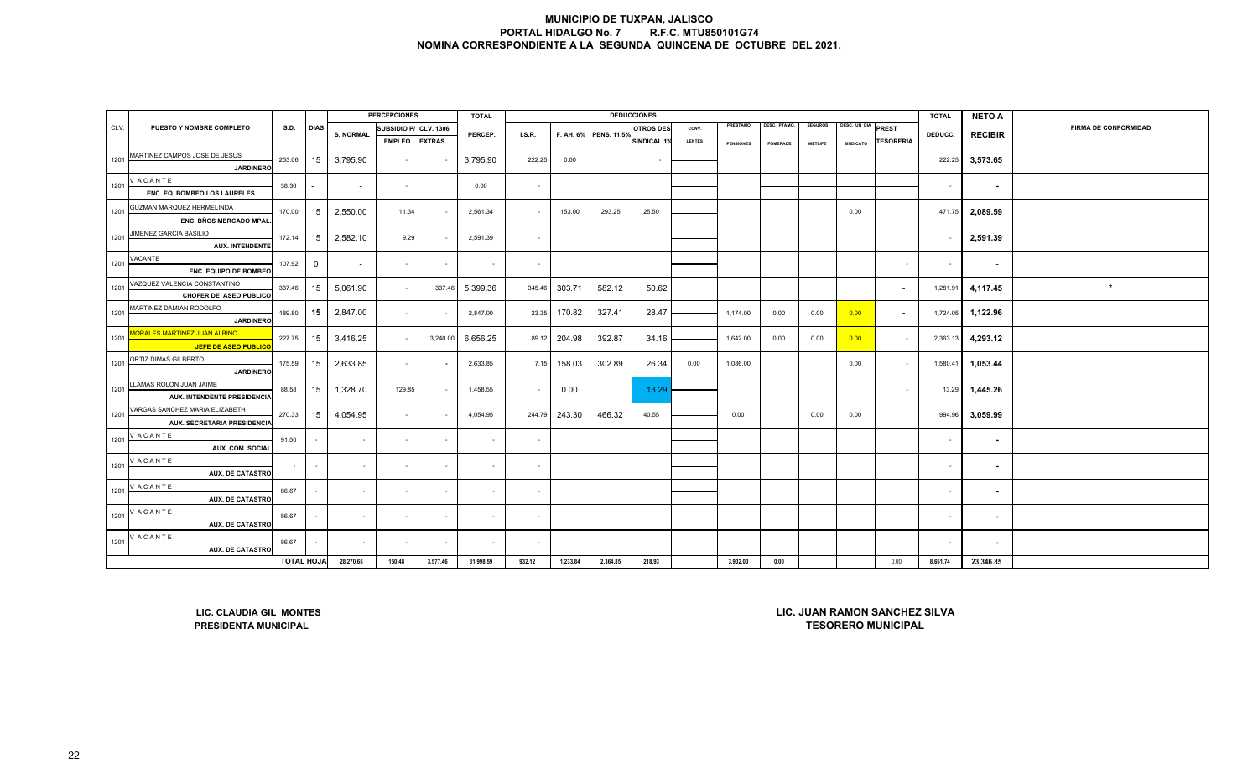|      |                                                                    |                   |                |                          | <b>PERCEPCIONES</b>   |               | <b>TOTAL</b> |                |          |                       | <b>DEDUCCIONES</b> |               |                  |                 |                |                  |                                                                   | <b>TOTAL</b> | <b>NETO A</b>            |                             |
|------|--------------------------------------------------------------------|-------------------|----------------|--------------------------|-----------------------|---------------|--------------|----------------|----------|-----------------------|--------------------|---------------|------------------|-----------------|----------------|------------------|-------------------------------------------------------------------|--------------|--------------------------|-----------------------------|
| CLV. | PUESTO Y NOMBRE COMPLETO                                           | <b>S.D.</b>       | <b>DIAS</b>    | <b>S. NORMAL</b>         | SUBSIDIO P/ CLV. 1306 |               | PERCEP.      | I.S.R.         |          | F. AH. 6% PENS. 11.5% | <b>OTROS DES</b>   | CONV.         | PRESTAMO         | DESC. PTAMO.    | <b>SEGUROS</b> | DESC. UN DIA     | <b>PREST</b>                                                      | DEDUCC.      | <b>RECIBIR</b>           | <b>FIRMA DE CONFORMIDAD</b> |
|      |                                                                    |                   |                |                          | <b>EMPLEO</b>         | <b>EXTRAS</b> |              |                |          |                       | <b>SINDICAL 1%</b> | <b>LENTES</b> | <b>PENSIONES</b> | <b>FOMEPADE</b> | <b>METLIFE</b> | <b>SINDICATO</b> | <b>TESORERIA</b>                                                  |              |                          |                             |
| 1201 | MARTINEZ CAMPOS JOSE DE JESUS<br><b>JARDINERC</b>                  | 253.06            | 15             | 3,795.90                 | $\sim$                |               | 3,795.90     | 222.25         | 0.00     |                       |                    |               |                  |                 |                |                  |                                                                   | 222.25       | 3,573.65                 |                             |
| 1201 | V ACANTE<br>ENC. EQ. BOMBEO LOS LAURELES                           | 38.36             |                | $\overline{a}$           | $\sim$                |               | 0.00         | $\sim$         |          |                       |                    |               |                  |                 |                |                  |                                                                   | $\sim$       | $\sim$                   |                             |
| 1201 | GUZMAN MARQUEZ HERMELINDA<br>ENC. BÑOS MERCADO MPAL                | 170.00            | 15             | 2,550.00                 | 11.34                 |               | 2,561.34     | $\sim$         | 153.00   | 293.25                | 25.50              |               |                  |                 |                | 0.00             |                                                                   | 471.75       | 2,089.59                 |                             |
| 1201 | JIMENEZ GARCIA BASILIO<br><b>AUX. INTENDENTE</b>                   | 172.14            | 15             | 2,582.10                 | 9.29                  |               | 2,591.39     | $\sim$         |          |                       |                    |               |                  |                 |                |                  |                                                                   |              | 2,591.39                 |                             |
| 1201 | VACANTE<br>ENC. EQUIPO DE BOMBEO                                   | 107.92            | $\overline{0}$ | $\overline{\phantom{a}}$ | $\sim$                |               |              | $\sim$         |          |                       |                    |               |                  |                 |                |                  | $\sim$                                                            | $\sim$       | $\overline{\phantom{a}}$ |                             |
| 1201 | VAZQUEZ VALENCIA CONSTANTINO<br>CHOFER DE ASEO PUBLICO             | 337.46            | 15             | 5,061.90                 | $\sim$                | 337.46        | 5,399.36     | 345.46         | 303.71   | 582.12                | 50.62              |               |                  |                 |                |                  |                                                                   | 1,281.91     | 4,117.45                 | $\star$                     |
| 1201 | MARTINEZ DAMIAN RODOLFO<br><b>JARDINERO</b>                        | 189.80            | 15             | 2,847.00                 | $\sim$                |               | 2,847.00     | 23.35          | 170.82   | 327.41                | 28.47              |               | 1,174.00         | 0.00            | 0.00           | 0.00             |                                                                   | 1,724.05     | 1,122.96                 |                             |
| 1201 | <b>IORALES MARTINEZ JUAN ALBINO</b><br><b>JEFE DE ASEO PUBLICO</b> | 227.75            | 15             | 3,416.25                 | $\sim$                | 3,240.00      | 6,656.25     | 89.12          | 204.98   | 392.87                | 34.16              |               | 1,642.00         | 0.00            | 0.00           | 0.00             | $\sim$                                                            | 2,363.13     | 4,293.12                 |                             |
| 1201 | ORTIZ DIMAS GILBERTO<br><b>JARDINERO</b>                           | 175.59            | 15             | 2,633.85                 | $\sim$                |               | 2,633.85     | 7.15           | 158.03   | 302.89                | 26.34              | 0.00          | 1,086.00         |                 |                | 0.00             | $\sim$                                                            | 1,580.41     | 1,053.44                 |                             |
| 1201 | LLAMAS ROLON JUAN JAIME<br><b>AUX. INTENDENTE PRESIDENCIA</b>      | 88.58             | 15             | 1,328.70                 | 129.85                |               | 1,458.55     | $\sim$         | 0.00     |                       | 13.29              |               |                  |                 |                |                  | $\overline{\phantom{a}}$                                          | 13.29        | 1,445.26                 |                             |
| 1201 | VARGAS SANCHEZ MARIA ELIZABETH<br>AUX. SECRETARIA PRESIDENCIA      | 270.33            | 15             | 4,054.95                 | $\sim$                |               | 4,054.95     | 244.79         | 243.30   | 466.32                | 40.55              |               | 0.00             |                 | 0.00           | 0.00             |                                                                   | 994.96       | 3,059.99                 |                             |
| 1201 | <b>VACANTE</b><br>AUX. COM. SOCIAL                                 | 91.50             |                | $\sim$                   | $\sim$                |               |              | $\sim$         |          |                       |                    |               |                  |                 |                |                  |                                                                   | $\sim$       | $\blacksquare$           |                             |
| 1201 | V ACANTE<br><b>AUX. DE CATASTRO</b>                                |                   | $\sim$         | $\sim$                   | $\sim$                | $\sim$        | $\sim$       | $\sim$         |          |                       |                    |               |                  |                 |                |                  |                                                                   | $\sim$       | $\sim$                   |                             |
| 1201 | V ACANTE<br><b>AUX. DE CATASTRO</b>                                | 86.67             | $\sim$         | $\sim$                   | $\sim$                | $\sim$        | $\sim$       | $\sim$         |          |                       |                    |               |                  |                 |                |                  |                                                                   | $\sim$       | $\sim$                   |                             |
| 1201 | <b>VACANTE</b><br><b>AUX. DE CATASTRO</b>                          | 86.67             |                |                          | $\blacksquare$        |               |              | $\blacksquare$ |          |                       |                    |               |                  |                 |                |                  |                                                                   |              | $\blacksquare$           |                             |
| 1201 | <b>VACANTE</b><br><b>AUX. DE CATASTRO</b>                          | 86.67             |                | $\sim$                   | $\sim$                | $\sim$        | $\sim$       | $\sim$         |          |                       |                    |               |                  |                 |                |                  |                                                                   | $\sim$       | $\sim$                   |                             |
|      |                                                                    | <b>TOTAL HOJA</b> |                | 28,270.65                | 150.48                | 3,577.46      | 31,998.59    | 932.12         | 1,233.84 | 2,364.85              | 218.93             |               | 3,902.00         | 0.00            |                |                  | 0.00                                                              | 8,651.74     | 23,346.85                |                             |
|      | LIC. CLAUDIA GIL MONTES<br>PRESIDENTA MUNICIPAL                    |                   |                |                          |                       |               |              |                |          |                       |                    |               |                  |                 |                |                  | <b>LIC. JUAN RAMON SANCHEZ SILVA</b><br><b>TESORERO MUNICIPAL</b> |              |                          |                             |
|      |                                                                    |                   |                |                          |                       |               |              |                |          |                       |                    |               |                  |                 |                |                  |                                                                   |              |                          |                             |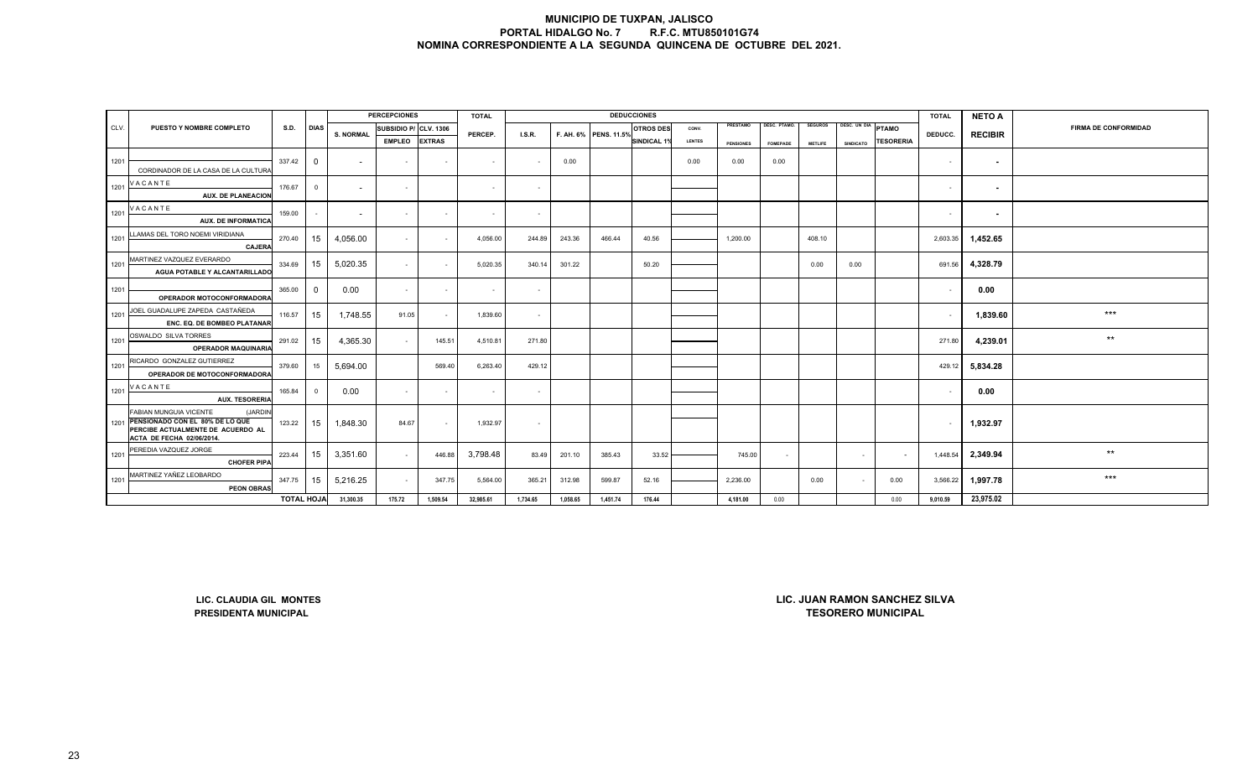|      |                                                                           |                   |                |                          | <b>PERCEPCIONES</b>   |               | <b>TOTAL</b> |          |          |                       | <b>DEDUCCIONES</b> |               |                  |                 |                |                    |                               | <b>TOTAL</b> | <b>NETO A</b>  |                             |
|------|---------------------------------------------------------------------------|-------------------|----------------|--------------------------|-----------------------|---------------|--------------|----------|----------|-----------------------|--------------------|---------------|------------------|-----------------|----------------|--------------------|-------------------------------|--------------|----------------|-----------------------------|
| CLV. | PUESTO Y NOMBRE COMPLETO                                                  | <b>S.D.</b>       | <b>DIAS</b>    | <b>S. NORMAL</b>         | SUBSIDIO P/ CLV. 1306 |               | PERCEP.      | LS.R.    |          | F. AH. 6% PENS. 11.5% | <b>OTROS DES</b>   | CONV.         | PRESTAMO         | DESC. PTAMO.    | <b>SEGUROS</b> | DESC. UN DIA PTAMO |                               | DEDUCC.      | <b>RECIBIR</b> | <b>FIRMA DE CONFORMIDAD</b> |
|      |                                                                           |                   |                |                          | <b>EMPLEO</b>         | <b>EXTRAS</b> |              |          |          |                       | <b>SINDICAL 1%</b> | <b>LENTES</b> | <b>PENSIONES</b> | <b>FOMEPADE</b> | <b>METLIFE</b> | SINDICATO          | <b>TESORERIA</b>              |              |                |                             |
| 1201 |                                                                           | 337.42            | $^{\circ}$     | $\overline{\phantom{a}}$ | $\sim$                | $\sim$        | $\sim$       | $\sim$   | 0.00     |                       |                    | 0.00          | 0.00             | 0.00            |                |                    |                               | $\sim$       | $\sim$         |                             |
|      | CORDINADOR DE LA CASA DE LA CULTURA                                       |                   |                |                          |                       |               |              |          |          |                       |                    |               |                  |                 |                |                    |                               |              |                |                             |
| 1201 | VACANTE                                                                   | 176.67            | $\overline{0}$ | $\overline{\phantom{a}}$ | $\sim$                |               | $\sim$       | $\sim$   |          |                       |                    |               |                  |                 |                |                    |                               | $\sim$       | $\sim$         |                             |
|      | <b>AUX. DE PLANEACION</b>                                                 |                   |                |                          |                       |               |              |          |          |                       |                    |               |                  |                 |                |                    |                               |              |                |                             |
| 1201 | VACANTE                                                                   | 159.00            |                | $\overline{\phantom{a}}$ | $\sim$                | $\sim$        | $\sim$       | $\sim$   |          |                       |                    |               |                  |                 |                |                    |                               | $\sim$       | $\sim$         |                             |
|      | <b>AUX. DE INFORMATICA</b>                                                |                   |                |                          |                       |               |              |          |          |                       |                    |               |                  |                 |                |                    |                               |              |                |                             |
| 1201 | LLAMAS DEL TORO NOEMI VIRIDIANA                                           | 270.40            | 15             | 4,056.00                 | $\sim$                | $\sim$        | 4,056.00     | 244.89   | 243.36   | 466.44                | 40.56              |               | 1,200.00         |                 | 408.10         |                    |                               | 2,603.35     | 1,452.65       |                             |
|      | <b>CAJERA</b>                                                             |                   |                |                          |                       |               |              |          |          |                       |                    |               |                  |                 |                |                    |                               |              |                |                             |
| 1201 | MARTINEZ VAZQUEZ EVERARDO<br>AGUA POTABLE Y ALCANTARILLADO                | 334.69            | 15             | 5,020.35                 | $\sim$                | $\sim$        | 5,020.35     | 340.14   | 301.22   |                       | 50.20              |               |                  |                 | 0.00           | 0.00               |                               | 691.56       | 4,328.79       |                             |
|      |                                                                           |                   |                |                          |                       |               |              |          |          |                       |                    |               |                  |                 |                |                    |                               |              |                |                             |
| 1201 | OPERADOR MOTOCONFORMADORA                                                 | 365.00            | $\mathbf 0$    | 0.00                     | $\sim$                | $\sim$        | $\sim$       | $\sim$   |          |                       |                    |               |                  |                 |                |                    |                               | $\sim$       | 0.00           |                             |
| 1201 | JOEL GUADALUPE ZAPEDA CASTAÑEDA                                           | 116.57            | 15             | 1,748.55                 | 91.05                 | $\sim$        | 1,839.60     | $\sim$   |          |                       |                    |               |                  |                 |                |                    |                               | $\sim$       | 1,839.60       | $***$                       |
|      | ENC. EQ. DE BOMBEO PLATANAR                                               |                   |                |                          |                       |               |              |          |          |                       |                    |               |                  |                 |                |                    |                               |              |                |                             |
| 1201 | OSWALDO SILVA TORRES                                                      | 291.02            | 15             | 4,365.30                 | $\sim$                | 145.51        | 4,510.81     | 271.80   |          |                       |                    |               |                  |                 |                |                    |                               | 271.80       | 4,239.01       | $\star\star$                |
|      | <b>OPERADOR MAQUINARIA</b>                                                |                   |                |                          |                       |               |              |          |          |                       |                    |               |                  |                 |                |                    |                               |              |                |                             |
| 1201 | RICARDO GONZALEZ GUTIERREZ                                                | 379.60            | 15             | 5,694.00                 |                       | 569.40        | 6,263.40     | 429.12   |          |                       |                    |               |                  |                 |                |                    |                               | 429.12       | 5,834.28       |                             |
|      | OPERADOR DE MOTOCONFORMADORA<br>VACANTE                                   |                   |                |                          |                       |               |              |          |          |                       |                    |               |                  |                 |                |                    |                               |              |                |                             |
| 1201 | <b>AUX. TESORERIA</b>                                                     | 165.84            | $\overline{0}$ | 0.00                     | $\sim$                | $\sim$        | $\sim$       | $\sim$   |          |                       |                    |               |                  |                 |                |                    |                               | $\sim$       | 0.00           |                             |
|      | FABIAN MUNGUIA VICENTE<br>(JARDIN                                         |                   |                |                          |                       |               |              |          |          |                       |                    |               |                  |                 |                |                    |                               |              |                |                             |
|      | 1201 PENSIONADO CON EL 80% DE LO QUE<br>PERCIBE ACTUALMENTE DE ACUERDO AL | 123.22            | 15             | 1,848.30                 | 84.67                 | $\sim$        | 1,932.97     | $\sim$   |          |                       |                    |               |                  |                 |                |                    |                               | $\sim$       | 1,932.97       |                             |
|      | ACTA DE FECHA 02/06/2014.                                                 |                   |                |                          |                       |               |              |          |          |                       |                    |               |                  |                 |                |                    |                               |              |                |                             |
| 1201 | PEREDIA VAZQUEZ JORGE                                                     | 223.44            | 15             | 3,351.60                 | $\sim$                | 446.88        | 3,798.48     | 83.49    | 201.10   | 385.43                | 33.52              |               | 745.00           | $\sim$          |                | $\sim$             | $\sim$                        | 1,448.54     | 2,349.94       | $\star\star$                |
|      | <b>CHOFER PIPA</b>                                                        |                   |                |                          |                       |               |              |          |          |                       |                    |               |                  |                 |                |                    |                               |              |                |                             |
| 1201 | MARTINEZ YAÑEZ LEOBARDO<br><b>PEON OBRAS</b>                              | 347.75            | 15             | 5,216.25                 | $\sim$                | 347.75        | 5,564.00     | 365.21   | 312.98   | 599.87                | 52.16              |               | 2,236.00         |                 | 0.00           |                    | 0.00                          | 3,566.22     | 1,997.78       | $***$                       |
|      |                                                                           | <b>TOTAL HOJA</b> |                | 31,300.35                | 175.72                | 1,509.54      | 32,985.61    | 1,734.65 | 1,058.65 | 1,451.74              | 176.44             |               | 4,181.00         | 0.00            |                |                    | 0.00                          | 9,010.59     | 23,975.02      |                             |
|      |                                                                           |                   |                |                          |                       |               |              |          |          |                       |                    |               |                  |                 |                |                    |                               |              |                |                             |
|      |                                                                           |                   |                |                          |                       |               |              |          |          |                       |                    |               |                  |                 |                |                    |                               |              |                |                             |
|      |                                                                           |                   |                |                          |                       |               |              |          |          |                       |                    |               |                  |                 |                |                    |                               |              |                |                             |
|      |                                                                           |                   |                |                          |                       |               |              |          |          |                       |                    |               |                  |                 |                |                    |                               |              |                |                             |
|      |                                                                           |                   |                |                          |                       |               |              |          |          |                       |                    |               |                  |                 |                |                    |                               |              |                |                             |
|      |                                                                           |                   |                |                          |                       |               |              |          |          |                       |                    |               |                  |                 |                |                    |                               |              |                |                             |
|      | LIC. CLAUDIA GIL MONTES                                                   |                   |                |                          |                       |               |              |          |          |                       |                    |               |                  |                 |                |                    | LIC. JUAN RAMON SANCHEZ SILVA |              |                |                             |
|      | <b>PRESIDENTA MUNICIPAL</b>                                               |                   |                |                          |                       |               |              |          |          |                       |                    |               |                  |                 |                |                    | <b>TESORERO MUNICIPAL</b>     |              |                |                             |
|      |                                                                           |                   |                |                          |                       |               |              |          |          |                       |                    |               |                  |                 |                |                    |                               |              |                |                             |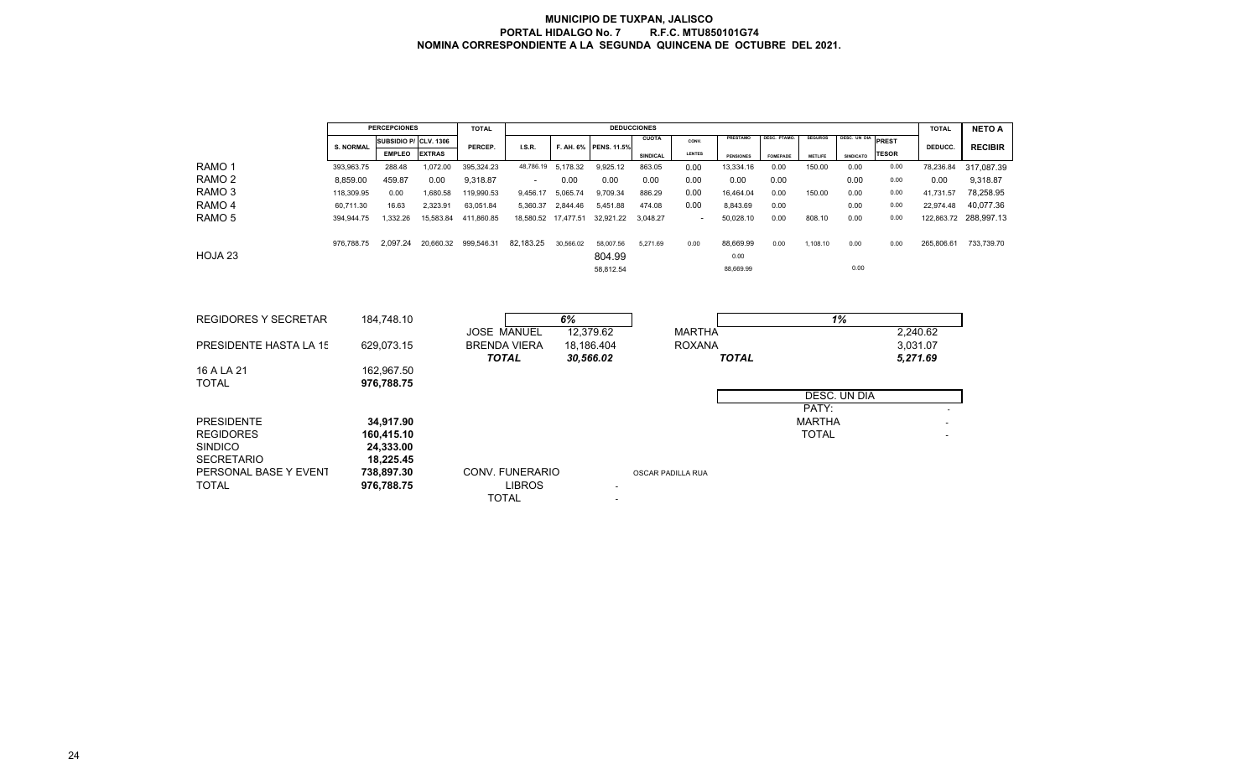|                                       |                  | <b>PERCEPCIONES</b>      |               | <b>TOTAL</b>       |                                                  |                    |                       | <b>DEDUCCIONES</b> |                          |                  |                 |                |                     |              | <b>TOTAL</b>         | <b>NETO A</b>  |
|---------------------------------------|------------------|--------------------------|---------------|--------------------|--------------------------------------------------|--------------------|-----------------------|--------------------|--------------------------|------------------|-----------------|----------------|---------------------|--------------|----------------------|----------------|
|                                       | <b>S. NORMAL</b> | SUBSIDIO P/ CLV. 1306    |               |                    | I.S.R.                                           |                    | F. AH. 6% PENS. 11.5% | <b>CUOTA</b>       | CONV.                    | PRESTAMO         | DESC. PTAMO.    | <b>SEGUROS</b> | <b>DESC. UN DIA</b> | PREST        | DEDUCC.              | <b>RECIBIR</b> |
|                                       |                  | <b>EMPLEO</b>            | <b>EXTRAS</b> | PERCEP.            |                                                  |                    |                       | SINDICAL           | <b>LENTES</b>            | <b>PENSIONES</b> | <b>FOMEPADE</b> | <b>METLIFE</b> | <b>SINDICATO</b>    | <b>TESOR</b> |                      |                |
| RAMO <sub>1</sub>                     | 393,963.75       | 288.48                   | 1,072.00      | 395,324.23         |                                                  | 48,786.19 5,178.32 | 9,925.12              | 863.05             | 0.00                     | 13,334.16        | 0.00            | 150.00         | 0.00                | 0.00         | 78,236.84            | 317,087.39     |
| RAMO <sub>2</sub>                     | 8,859.00         | 459.87                   | 0.00          | 9,318.87           | $\overline{\phantom{a}}$                         | 0.00               | 0.00                  | 0.00               | 0.00                     | 0.00             | 0.00            |                | 0.00                | 0.00         | 0.00                 | 9,318.87       |
| RAMO <sub>3</sub>                     | 118,309.95       | 0.00                     | 1,680.58      | 119,990.53         | 9,456.17                                         | 5,065.74           | 9,709.34              | 886.29             | 0.00                     | 16,464.04        | 0.00            | 150.00         | 0.00                | 0.00         | 41,731.57            | 78,258.95      |
| RAMO <sub>4</sub>                     | 60,711.30        | 16.63                    | 2,323.91      | 63,051.84          | 5,360.37                                         | 2.844.46           | 5,451.88              | 474.08             | 0.00                     | 8,843.69         | 0.00            |                | 0.00                | 0.00         | 22,974.48            | 40,077.36      |
| RAMO <sub>5</sub>                     | 394,944.75       | 1,332.26                 | 15,583.84     | 411,860.85         | 18,580.52 17,477.51                              |                    | 32,921.22             | 3,048.27           | $\overline{\phantom{a}}$ | 50,028.10        | 0.00            | 808.10         | 0.00                | 0.00         | 122,863.72           | 288,997.13     |
|                                       | 976,788.75       | 2,097.24                 | 20,660.32     | 999,546.31         | 82,183.25                                        | 30,566.02          | 58,007.56             | 5,271.69           | 0.00                     | 88,669.99        | 0.00            | 1,108.10       | 0.00                | 0.00         | 265,806.61           | 733,739.70     |
| HOJA <sub>23</sub>                    |                  |                          |               |                    |                                                  |                    | 804.99                |                    |                          | 0.00             |                 |                |                     |              |                      |                |
|                                       |                  |                          |               |                    |                                                  |                    | 58,812.54             |                    |                          | 88,669.99        |                 |                | 0.00                |              |                      |                |
| <b>REGIDORES Y SECRETAR</b>           |                  | 184,748.10               |               |                    |                                                  | 6%                 |                       |                    |                          |                  |                 |                | 1%                  |              |                      |                |
|                                       |                  |                          |               | <b>JOSE MANUEL</b> |                                                  |                    | 12,379.62             |                    | <b>MARTHA</b>            |                  |                 |                |                     |              | 2,240.62             |                |
| PRESIDENTE HASTA LA 15                |                  | 629,073.15               |               | <b>TOTAL</b>       | <b>BRENDA VIERA</b>                              | 30,566.02          | 18,186.404            |                    | <b>ROXANA</b>            | <b>TOTAL</b>     |                 |                |                     |              | 3,031.07<br>5,271.69 |                |
| 16 A LA 21                            |                  | 162,967.50               |               |                    |                                                  |                    |                       |                    |                          |                  |                 |                |                     |              |                      |                |
| <b>TOTAL</b>                          |                  | 976,788.75               |               |                    |                                                  |                    |                       |                    |                          |                  |                 |                |                     |              |                      |                |
|                                       |                  |                          |               |                    |                                                  |                    |                       |                    |                          |                  |                 |                | DESC. UN DIA        |              |                      |                |
|                                       |                  |                          |               |                    |                                                  |                    |                       |                    |                          |                  |                 | PATY:          |                     |              |                      |                |
| <b>PRESIDENTE</b>                     |                  | 34,917.90                |               |                    |                                                  |                    |                       |                    |                          |                  |                 | <b>MARTHA</b>  |                     |              |                      |                |
| <b>REGIDORES</b>                      |                  | 160,415.10               |               |                    |                                                  |                    |                       |                    |                          |                  |                 | <b>TOTAL</b>   |                     |              |                      |                |
| <b>SINDICO</b>                        |                  | 24,333.00                |               |                    |                                                  |                    |                       |                    |                          |                  |                 |                |                     |              |                      |                |
| <b>SECRETARIO</b>                     |                  | 18,225.45                |               |                    |                                                  |                    |                       |                    |                          |                  |                 |                |                     |              |                      |                |
| PERSONAL BASE Y EVENT<br><b>TOTAL</b> |                  | 738,897.30<br>976,788.75 |               |                    | CONV. FUNERARIO<br><b>LIBROS</b><br><b>TOTAL</b> |                    |                       | OSCAR PADILLA RUA  |                          |                  |                 |                |                     |              |                      |                |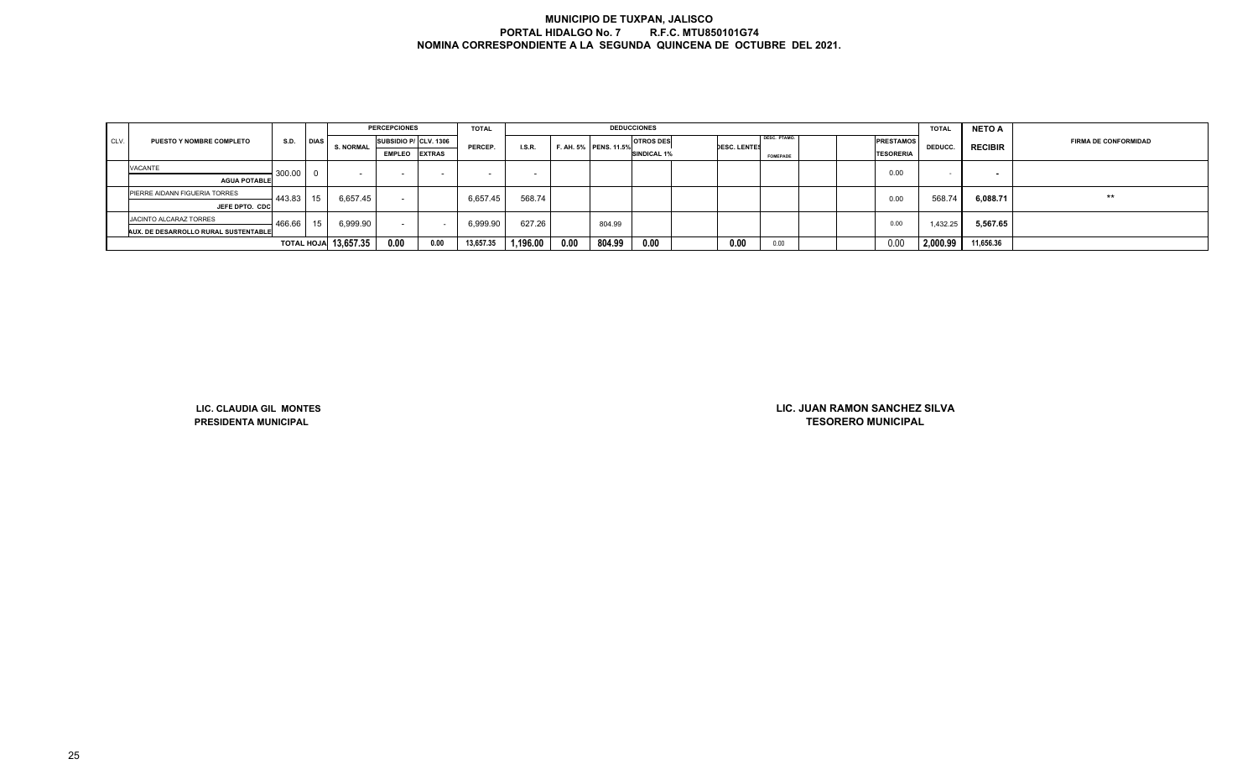|      |                                      |        |             |                             | <b>PERCEPCIONES</b>   |      | <b>TOTAL</b> |                          |      |                       | <b>DEDUCCIONES</b> |                     |                 |  |                  | <b>TOTAL</b> | <b>NETO A</b>            |                             |
|------|--------------------------------------|--------|-------------|-----------------------------|-----------------------|------|--------------|--------------------------|------|-----------------------|--------------------|---------------------|-----------------|--|------------------|--------------|--------------------------|-----------------------------|
| CLV. | <b>PUESTO Y NOMBRE COMPLETO</b>      | S.D.   | <b>DIAS</b> | <b>S. NORMAL</b>            | SUBSIDIO P/ CLV. 1306 |      | PERCEP.      | I.S.R.                   |      | F. AH. 5% PENS. 11.5% | <b>OTROS DES</b>   | <b>DESC. LENTES</b> | DESC. PTAMO.    |  | <b>PRESTAMOS</b> | DEDUCC.      | <b>RECIBIR</b>           | <b>FIRMA DE CONFORMIDAD</b> |
|      |                                      |        |             |                             | <b>EMPLEO</b> EXTRAS  |      |              |                          |      |                       | <b>SINDICAL 1%</b> |                     | <b>FOMEPADE</b> |  | <b>TESORERIA</b> |              |                          |                             |
|      | <b>VACANTE</b>                       | 300.00 |             |                             |                       |      |              | $\overline{\phantom{0}}$ |      |                       |                    |                     |                 |  | 0.00             |              | $\overline{\phantom{a}}$ |                             |
|      | <b>AGUA POTABLE</b>                  |        |             |                             |                       |      |              |                          |      |                       |                    |                     |                 |  |                  |              |                          |                             |
|      | PIERRE AIDANN FIGUERIA TORRES        | 443.83 | 15          | 6,657.45                    |                       |      | 6.657.45     | 568.74                   |      |                       |                    |                     |                 |  | 0.00             | 568.74       | 6,088.71                 | $***$                       |
|      | JEFE DPTO. CDC                       |        |             |                             |                       |      |              |                          |      |                       |                    |                     |                 |  |                  |              |                          |                             |
|      | JACINTO ALCARAZ TORRES               | 466.66 | 15          | 6,999.90                    | $\sim$                |      | 6,999.90     | 627.26                   |      | 804.99                |                    |                     |                 |  | 0.00             | 1,432.25     | 5,567.65                 |                             |
|      | AUX. DE DESARROLLO RURAL SUSTENTABLE |        |             |                             |                       |      |              |                          |      |                       |                    |                     |                 |  |                  |              |                          |                             |
|      |                                      |        |             | <b>TOTAL HOJA</b> 13,657.35 | 0.00                  | 0.00 | 13,657.35    | 1,196.00                 | 0.00 | 804.99                | 0.00               | 0.00                | 0.00            |  | 0.00             | 2,000.99     | 11,656.36                |                             |

**LIC. CLAUDIA GIL MONTESPRESIDENTA MUNICIPAL**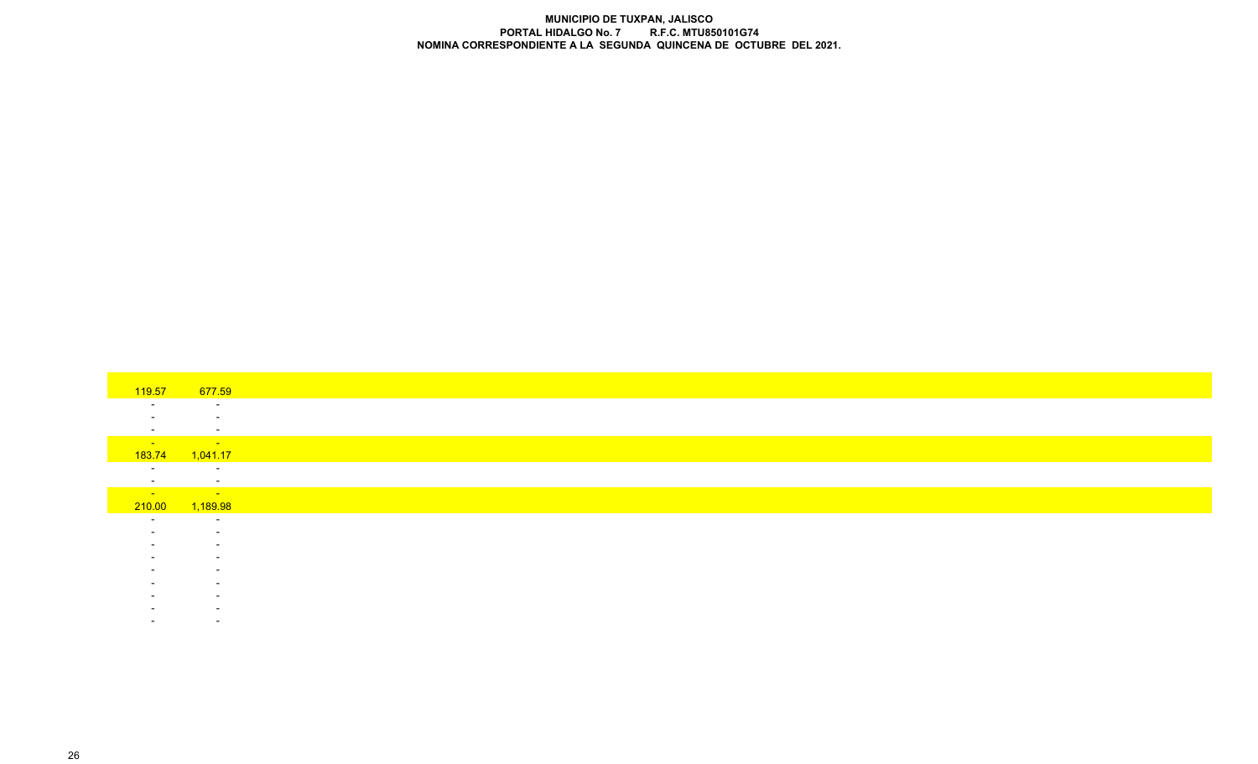| 119.57<br>$\sim$<br>$\overline{\phantom{a}}$<br>$\sim$<br><b>Contract</b><br>183.74<br>$\sim$<br>$\sim$ $-$<br>210.00 | 677.59<br>$\sim$<br>$\sim$<br>$\sim$<br><b>Service State</b><br>1,041.17<br>$\sim$<br>$\sim$<br>$\mathcal{L}_{\text{max}}$ and $\mathcal{L}_{\text{max}}$ and $\mathcal{L}_{\text{max}}$<br>1,189.98 |
|-----------------------------------------------------------------------------------------------------------------------|------------------------------------------------------------------------------------------------------------------------------------------------------------------------------------------------------|
|                                                                                                                       |                                                                                                                                                                                                      |
|                                                                                                                       |                                                                                                                                                                                                      |
|                                                                                                                       |                                                                                                                                                                                                      |
|                                                                                                                       |                                                                                                                                                                                                      |
|                                                                                                                       |                                                                                                                                                                                                      |
|                                                                                                                       |                                                                                                                                                                                                      |
|                                                                                                                       |                                                                                                                                                                                                      |
|                                                                                                                       |                                                                                                                                                                                                      |
|                                                                                                                       |                                                                                                                                                                                                      |
|                                                                                                                       |                                                                                                                                                                                                      |
|                                                                                                                       |                                                                                                                                                                                                      |
|                                                                                                                       |                                                                                                                                                                                                      |
| $\sim$                                                                                                                | $\sim$                                                                                                                                                                                               |
|                                                                                                                       | $\sim$                                                                                                                                                                                               |
|                                                                                                                       | $\overline{\phantom{a}}$                                                                                                                                                                             |
|                                                                                                                       | $\overline{\phantom{a}}$                                                                                                                                                                             |
|                                                                                                                       |                                                                                                                                                                                                      |
|                                                                                                                       | $\overline{\phantom{a}}$                                                                                                                                                                             |
|                                                                                                                       | $\overline{\phantom{a}}$                                                                                                                                                                             |
|                                                                                                                       | $\overline{\phantom{0}}$                                                                                                                                                                             |
|                                                                                                                       | $\overline{\phantom{0}}$                                                                                                                                                                             |
|                                                                                                                       |                                                                                                                                                                                                      |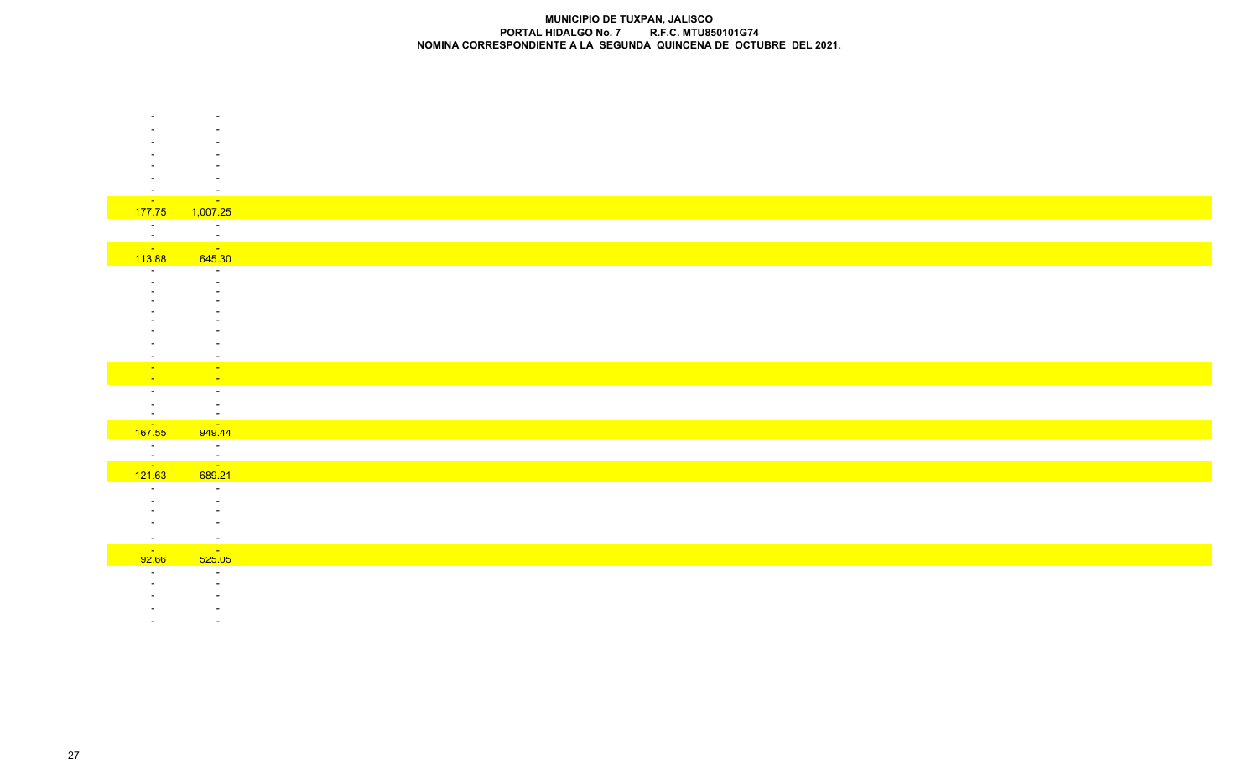|                      | $\overline{\phantom{a}}$           |
|----------------------|------------------------------------|
| <b>Contract</b>      | <b>Contract</b>                    |
| 177.75               | 1,007.25                           |
| $\sim$               | $\sim$<br>$\mathbf{r}$             |
|                      | $\sim 100$ km s $^{-1}$            |
| $\frac{1}{113.88}$   | 645.30                             |
|                      | $\sim$                             |
|                      | $\overline{\phantom{0}}$           |
|                      |                                    |
|                      |                                    |
|                      |                                    |
|                      |                                    |
|                      |                                    |
|                      | $\overline{\phantom{a}}$           |
| $\sim$               | $\sim$                             |
| $\sim$               | $\sim$                             |
| $\sim$               | $\sim$                             |
| $\sim$               | $\overline{\phantom{a}}$<br>$\sim$ |
|                      | <u>-</u><br>949.44                 |
|                      |                                    |
|                      |                                    |
| $\frac{1}{\sqrt{2}}$ | $\frac{1}{\sqrt{2}}$               |
| 121.63               | 689.21                             |
| $\sim$               | $\sim$                             |
|                      |                                    |
|                      |                                    |
|                      |                                    |
| $\sim$               | $\sim$                             |
| <b>College</b>       | $\sim 100$                         |
| 92.00                | <mark>525.05</mark>                |
|                      | $\sim$                             |
|                      |                                    |
|                      |                                    |

- -

-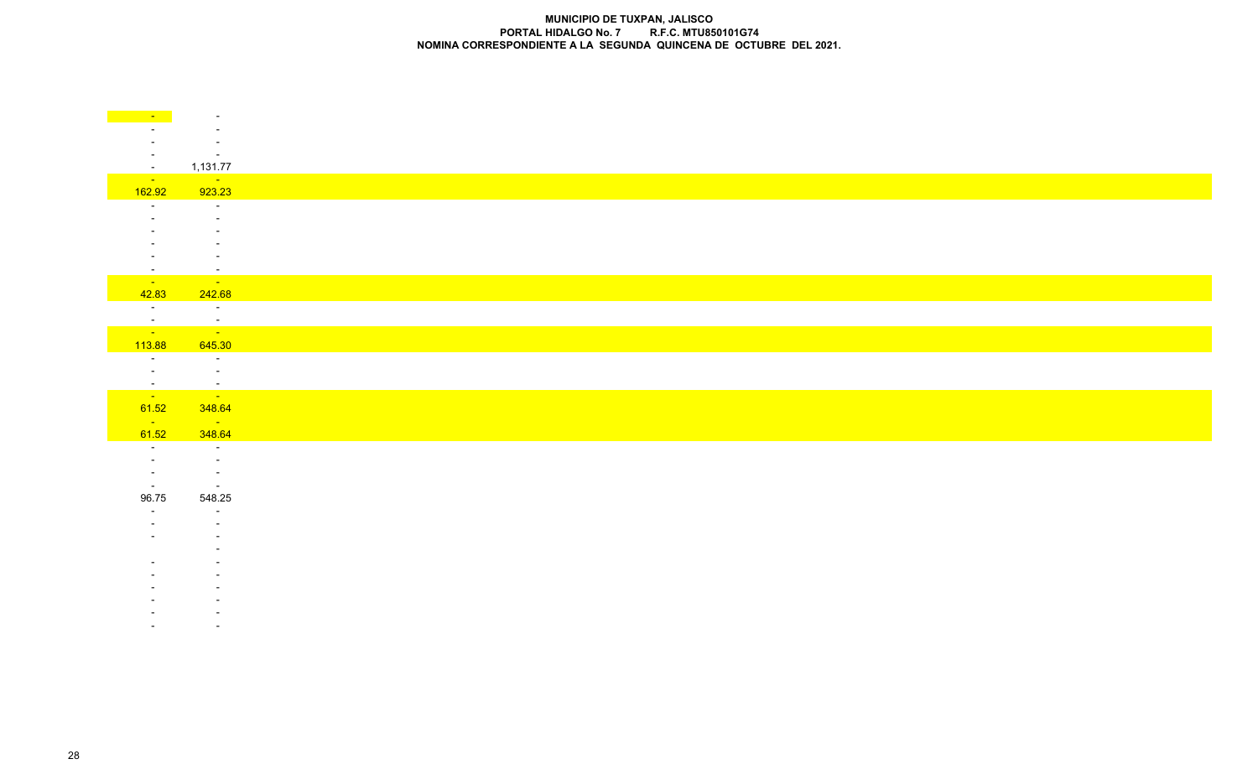| $\sim$                    | $\sim$                                 |
|---------------------------|----------------------------------------|
|                           |                                        |
|                           | $\overline{\phantom{0}}$<br>$\sim$ $-$ |
| $\sim$                    | 1,131.77                               |
| <b>State State</b>        | <b>State State</b>                     |
| 162.92                    | 923.23                                 |
| $\sim$                    | $\sim 100$<br>$\sim$                   |
|                           | $\overline{\phantom{a}}$               |
|                           |                                        |
|                           |                                        |
| $\sim$<br><b>Contract</b> | $\sim$<br><b>Contract</b>              |
| 42.83                     | 242.68                                 |
| $\sim 10^{-10}$           | $\sim 100$ km s $^{-1}$                |
| $\frac{1}{\sqrt{2}}$      | $\mathcal{A}$<br>$\sim$ 100 $\pm$      |
| 113.88                    | 645.30                                 |
| $\sim$                    | $\sim 10^{-1}$                         |
| $\sim$                    | $\sim$ $ \sim$                         |
| $\frac{1}{\sqrt{2}}$      | $\frac{1}{\sqrt{2}}$                   |
| 61.52                     | 348.64                                 |
| <b>Contract Contract</b>  | $\sim 10^{11}$ km s $^{-1}$            |
| 61.52                     | 348.64                                 |
| $\sim$ $-$<br>$\sim$      | $\sim 10^{-10}$<br>$\sim$              |
| $\sim$                    | $\sim$ $-$                             |
| $\sim$                    | $\sim$ $-$                             |
| 96.75                     | 548.25<br>$\sim$                       |
|                           |                                        |
|                           |                                        |
|                           |                                        |
|                           |                                        |
|                           |                                        |
|                           |                                        |
|                           | $\overline{\phantom{a}}$               |
|                           |                                        |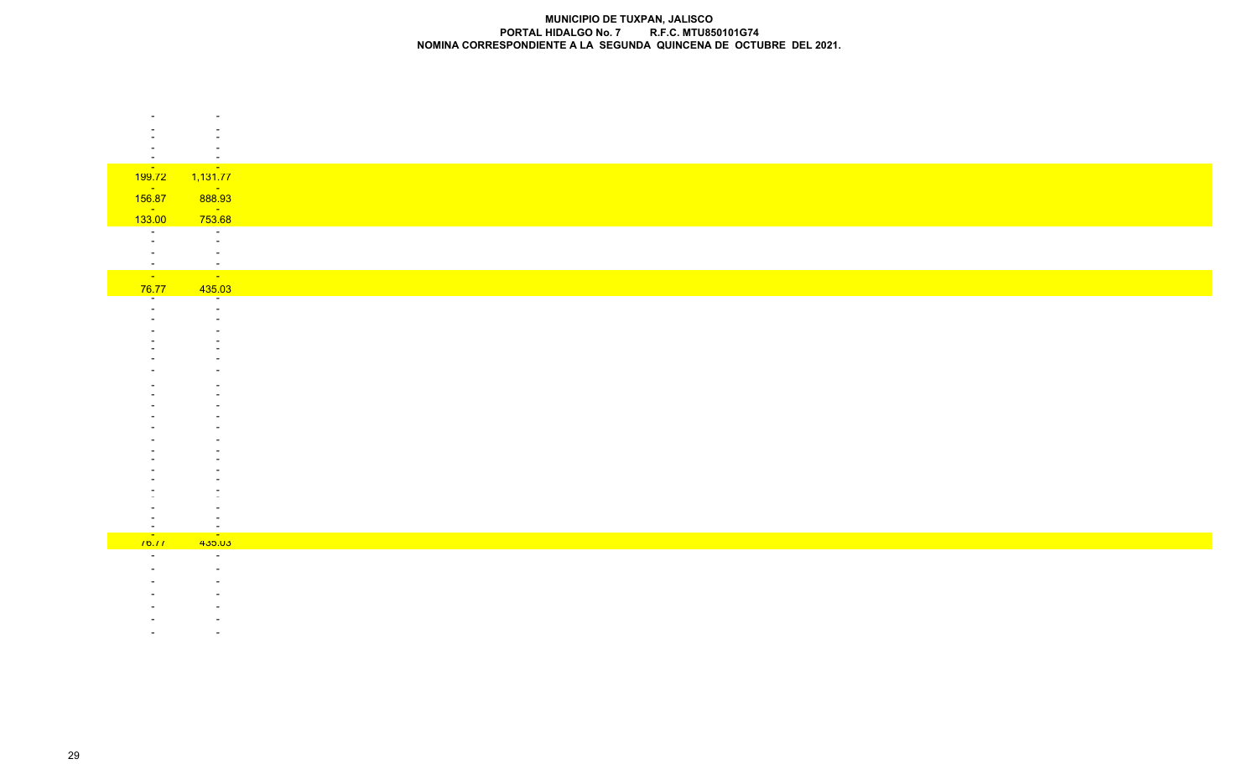| $-1,131.77$                        |
|------------------------------------|
| <b>State State</b>                 |
| 888.93                             |
| $\frac{1}{753.68}$                 |
| $\sim$                             |
| $\sim$<br>$\overline{\phantom{0}}$ |
| $\blacksquare$                     |
| $\sim 100$                         |
| 435.03<br>$\sim$                   |
| $\overline{\phantom{0}}$           |
|                                    |
|                                    |
|                                    |
|                                    |
|                                    |
|                                    |
|                                    |
|                                    |
|                                    |
|                                    |
|                                    |
|                                    |
|                                    |
|                                    |
| $\overline{\phantom{a}}$           |
| <b>Contract</b><br>435.03          |
| $\sim$                             |
| $\overline{\phantom{0}}$           |
|                                    |
|                                    |
|                                    |
|                                    |
|                                    |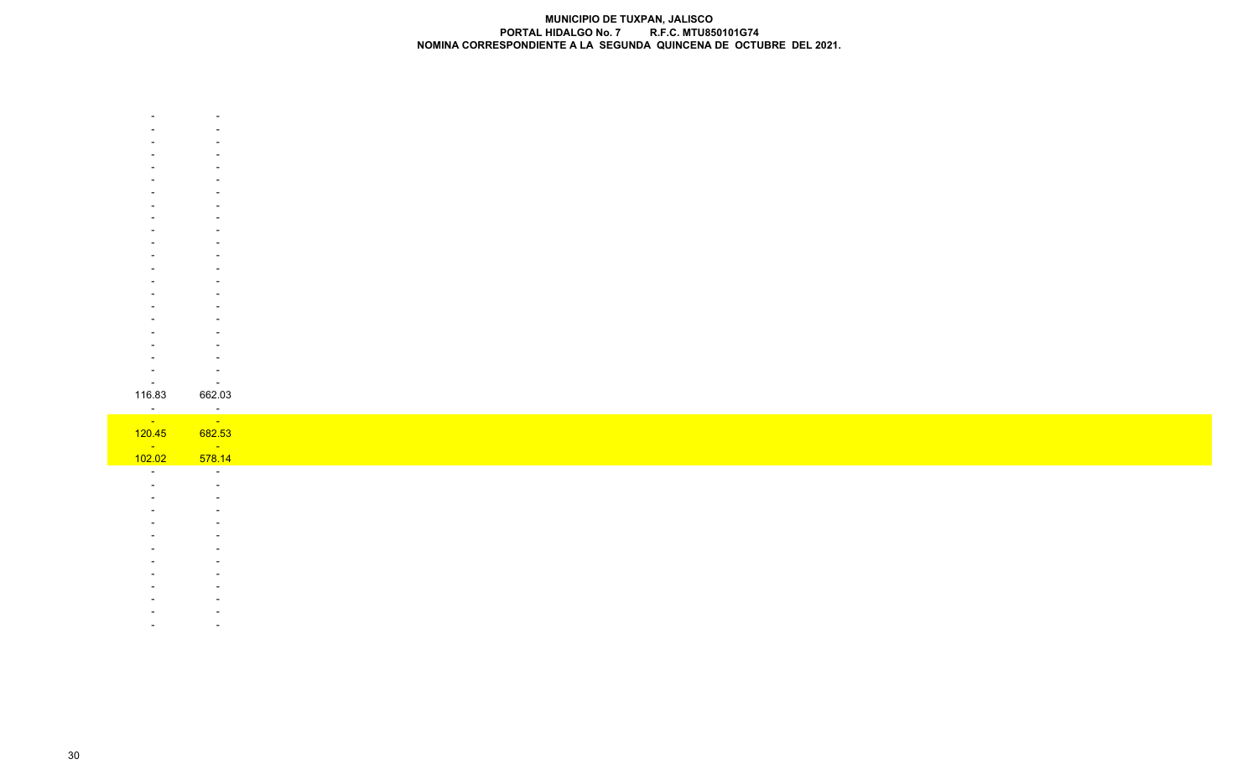| $\overline{\phantom{a}}$          | $\sim$                            |
|-----------------------------------|-----------------------------------|
| 116.83                            | 662.03                            |
| $\frac{1}{\sqrt{2}}$              | $\frac{1}{\sqrt{2}}$              |
|                                   |                                   |
| 120.45<br>$\sim 100$ km s $^{-1}$ | 682.53<br>$\sim 100$ km s $^{-1}$ |
| 102.02                            | 578.14                            |
| $\sim$                            | $\sim 10$                         |
|                                   | $\sim$                            |
|                                   | $\overline{\phantom{a}}$          |
|                                   |                                   |
|                                   |                                   |
|                                   |                                   |
|                                   |                                   |
|                                   |                                   |
|                                   |                                   |
|                                   |                                   |
|                                   |                                   |
|                                   |                                   |
|                                   |                                   |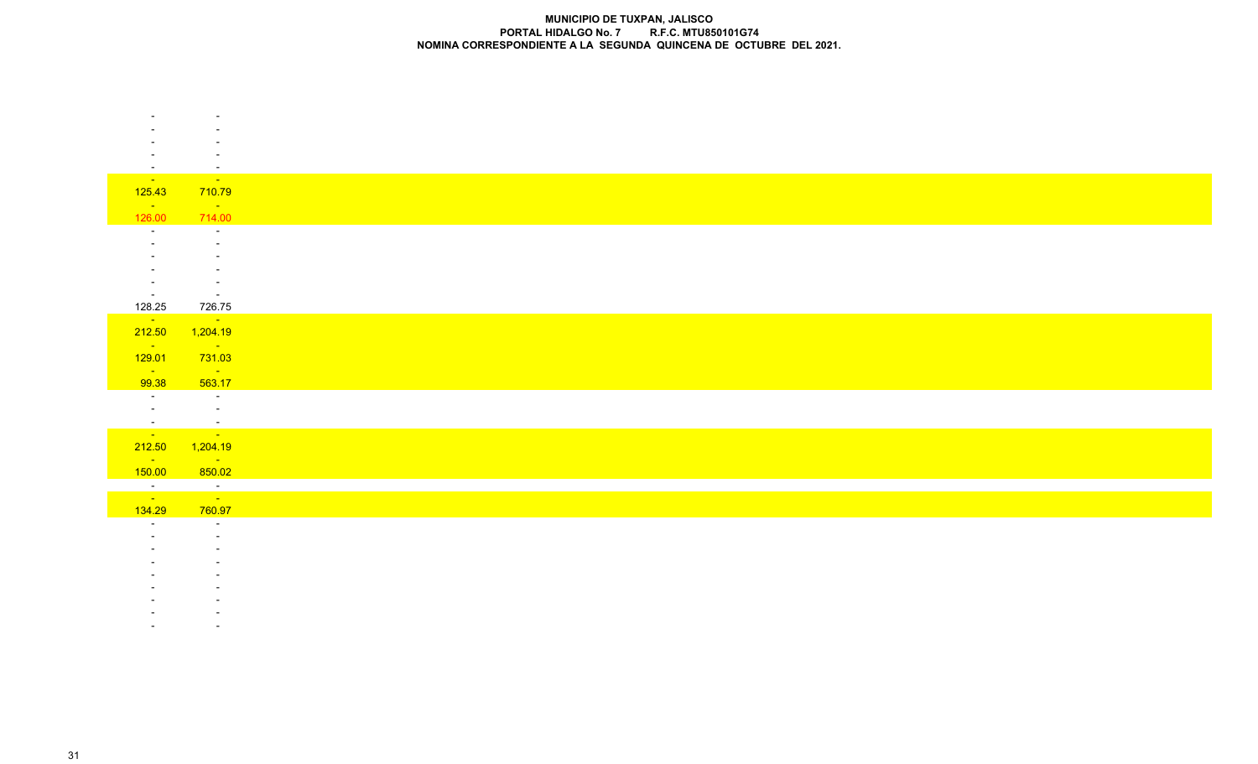| $\sim$                       | $\sim$                                  |
|------------------------------|-----------------------------------------|
| <b>State State</b>           | <b>Contract</b>                         |
| 125.43                       | 710.79<br><b>Service</b>                |
| <b>State State</b><br>126.00 | 714.00                                  |
| $\sim$                       | $\sim$                                  |
|                              | $\sim$                                  |
|                              |                                         |
|                              |                                         |
| $\overline{\phantom{a}}$     |                                         |
| $\sim 10^{-10}$              | $\sim$ $-$                              |
| 128.25                       | 726.75                                  |
| $\sim 10^{11}$               | $\mathcal{O}(\mathcal{O}(\log n))$      |
| 212.50                       | 1,204.19                                |
| $\sim 100$ km s $^{-1}$      | $\mathcal{L}^{\text{max}}_{\text{max}}$ |
| 129.01                       | 731.03                                  |
| <b>Contract</b>              | <b>State State</b><br>563.17            |
| 99.38<br><b>Contractor</b>   | <b>Contractor</b>                       |
| $\sim 10^{-10}$              | $\sim 10^{-1}$                          |
|                              |                                         |
|                              | <u>a sa sala</u>                        |
|                              | 212.50 1,204.19                         |
| $\sim 100$ km s $^{-1}$      | <b>Service</b>                          |
| 150.00                       | 850.02                                  |
| $\frac{1}{\sqrt{2}}$         | $\frac{1}{\sqrt{2}}$                    |
|                              |                                         |
| 134.29                       | 760.97                                  |
| $\sim$                       | $\sim$                                  |
|                              |                                         |
|                              |                                         |
|                              |                                         |
|                              |                                         |
|                              |                                         |

- 
- -
- -**All Contract Contract**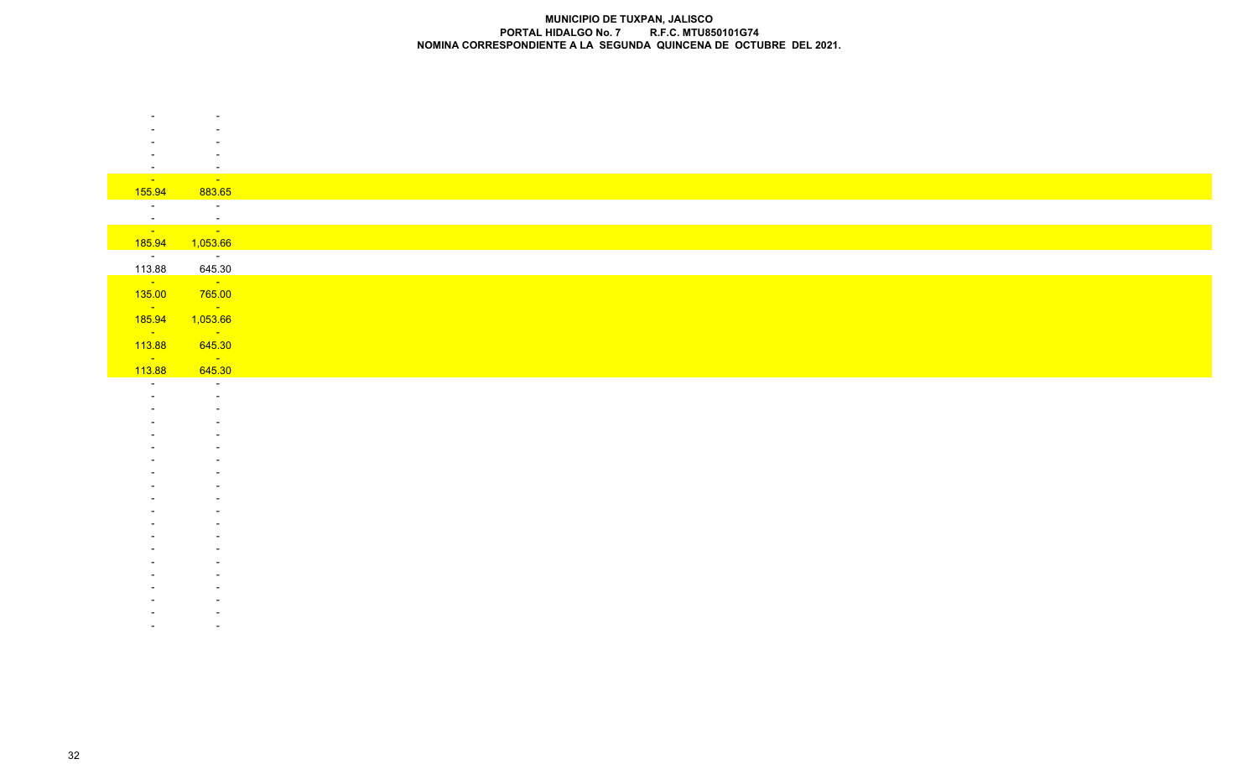| $\sim$                             | $\sim$                                       |
|------------------------------------|----------------------------------------------|
| <b>State State</b>                 | <b>State State</b>                           |
| 155.94                             | 883.65                                       |
| $\sim$ $-$                         | $\sim 100$                                   |
| $\sim$ $ \sim$                     | in Bri                                       |
| <u>a sa sa</u>                     | $\sim 10^{11}$ km s $^{-1}$                  |
| 185.94                             | 1,053.66                                     |
| $\sim 1000$ km s $^{-1}$<br>113.88 | $\sim 100$ m $^{-1}$<br>645.30               |
| $\sim 100$ km s $^{-1}$            | $\sim 10^{11}$ km $^{-1}$                    |
| 135.00                             | 765.00                                       |
| $\sim 100$ km s $^{-1}$            | <b>State</b>                                 |
| 185.94                             | 1,053.66                                     |
| $\sim 100$ km s $^{-1}$            | $\sim 10^{11}$ km s $^{-1}$                  |
| 113.88                             | 645.30                                       |
| <b>State State</b><br>113.88       | $\mathcal{O}(\mathcal{O}(\log n))$<br>645.30 |
| $\sim$                             | $\sim$                                       |
|                                    | $\sim$                                       |
|                                    |                                              |
|                                    |                                              |
|                                    |                                              |
|                                    |                                              |
|                                    |                                              |
|                                    |                                              |
|                                    |                                              |
|                                    |                                              |
|                                    |                                              |
|                                    |                                              |
|                                    |                                              |
|                                    |                                              |
|                                    |                                              |
|                                    |                                              |
|                                    |                                              |
|                                    |                                              |
|                                    |                                              |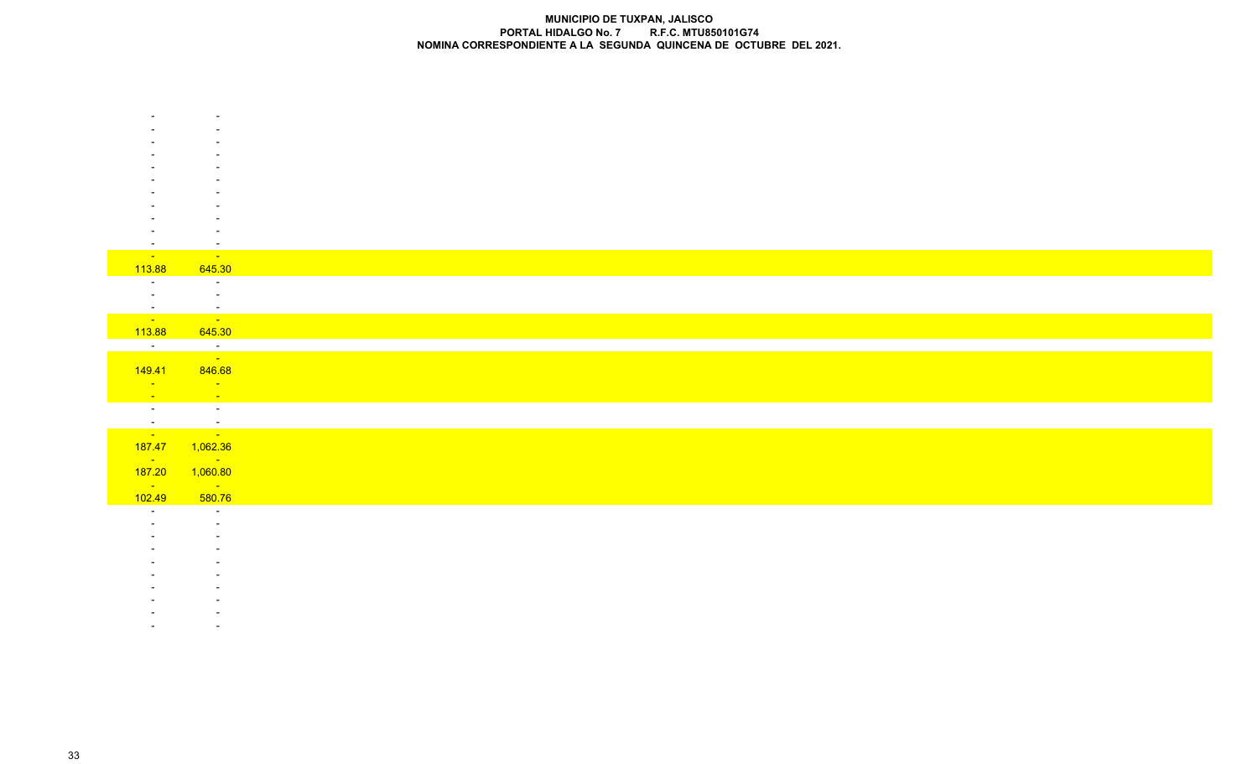|                          | $\sim$                                                                                                                                                                                                                           |
|--------------------------|----------------------------------------------------------------------------------------------------------------------------------------------------------------------------------------------------------------------------------|
| <b>State State</b>       | <b>Service State</b>                                                                                                                                                                                                             |
| 113.88                   | 645.30                                                                                                                                                                                                                           |
| $\sim$ $-$               | $\sim 100$ m $^{-1}$                                                                                                                                                                                                             |
| $\sim$                   | $\sim 100$ m $^{-1}$                                                                                                                                                                                                             |
|                          | $\sim 100$<br>an di Kabupatén Bandungan<br>Kacamatan Sumarang                                                                                                                                                                    |
|                          |                                                                                                                                                                                                                                  |
| 113.88                   | 645.30                                                                                                                                                                                                                           |
|                          | a di Santa Barat del Barat del Barat del Barat del Barat de la Barat de la Barat de la Barat de la Barat de la<br>Del Barat de la Barat de la Barat de la Barat de la Barat de la Barat de la Barat de la Barat de la Barat de l |
|                          | 149.41 846.68                                                                                                                                                                                                                    |
| <b>Contract</b>          | <b>State State</b>                                                                                                                                                                                                               |
| <b>State State</b>       | <b>Service</b>                                                                                                                                                                                                                   |
| $\overline{a}$           | $\sim 10^{11}$ km $^{-1}$                                                                                                                                                                                                        |
|                          |                                                                                                                                                                                                                                  |
|                          | <u>a da san a</u>                                                                                                                                                                                                                |
|                          | 187.47 1,062.36                                                                                                                                                                                                                  |
| <b>State State</b>       | <b>Service State</b>                                                                                                                                                                                                             |
| 187.20                   | 1,060.80                                                                                                                                                                                                                         |
| <b>State State</b>       | $\mathcal{L}_{\text{max}}$ and $\mathcal{L}_{\text{max}}$                                                                                                                                                                        |
| 102.49                   | 580.76                                                                                                                                                                                                                           |
| $\overline{\phantom{a}}$ | $\sim$                                                                                                                                                                                                                           |
|                          | $\sim$                                                                                                                                                                                                                           |
|                          |                                                                                                                                                                                                                                  |
|                          |                                                                                                                                                                                                                                  |
|                          |                                                                                                                                                                                                                                  |
|                          |                                                                                                                                                                                                                                  |
|                          |                                                                                                                                                                                                                                  |
|                          |                                                                                                                                                                                                                                  |

 - -**-** Control of the Second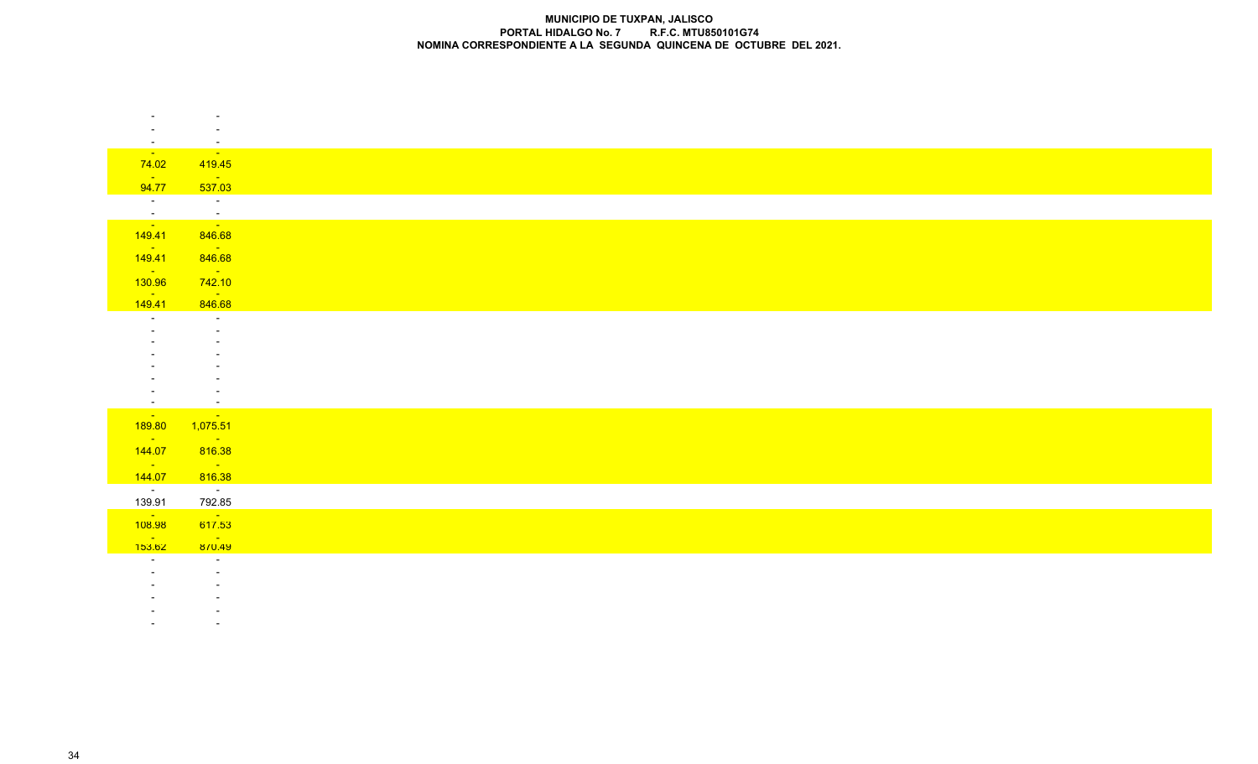| $\sim$<br><b>State State</b>                              |
|-----------------------------------------------------------|
| 419.45                                                    |
| <b>Contract</b><br>537.03                                 |
| $\sim 100$ km s $^{-1}$                                   |
| $\frac{1}{\sqrt{2}}$                                      |
| 846.68                                                    |
| <b>State State</b><br>846.68                              |
| <b>State State</b>                                        |
| 742.10<br><b>State State</b>                              |
| 846.68                                                    |
| $\sim$                                                    |
|                                                           |
|                                                           |
|                                                           |
|                                                           |
| $\sim$                                                    |
| <b>Contact</b><br>1,075.51                                |
| $\mathcal{L}_{\text{max}}$ and $\mathcal{L}_{\text{max}}$ |
| 816.38                                                    |
| <b>State State</b>                                        |
| 816.38<br>$\sim 10^{11}$ m $^{-1}$                        |
| 792.85                                                    |
| <b>Contract Contract</b><br>617.53                        |
| <b>Contract Contract</b>                                  |
|                                                           |
| 870.49                                                    |
| $\sim$ $-$                                                |
|                                                           |
|                                                           |

 - --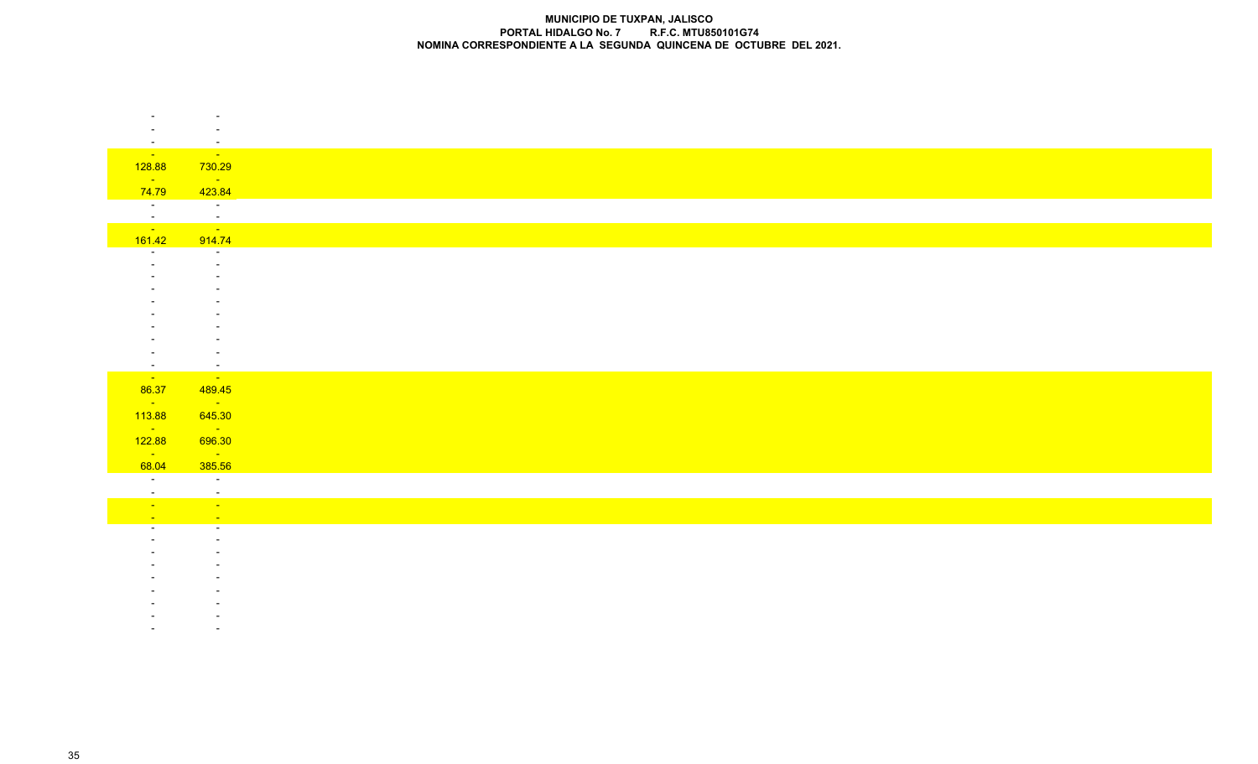|                           | $\overline{\phantom{a}}$                                  |
|---------------------------|-----------------------------------------------------------|
|                           |                                                           |
| $\sim$<br><b>Contract</b> | $\sim$<br>$\sim$ 10 $\mu$                                 |
| 128.88                    | 730.29                                                    |
| <b>College</b>            | <b>Contract</b>                                           |
| 74.79                     | 423.84                                                    |
| $\sim 100$ m $^{-1}$      | $\sim 100$ km s $^{-1}$                                   |
| $\mathcal{L}$             | $\sim$ $-$                                                |
| <b>Contract Contract</b>  | <b>Contract</b>                                           |
| 161.42                    | 914.74                                                    |
| $\sim$                    | $\sim$                                                    |
|                           |                                                           |
|                           |                                                           |
|                           |                                                           |
|                           |                                                           |
|                           |                                                           |
|                           |                                                           |
|                           |                                                           |
| $\sim$<br>$\sim 10^{-10}$ | $\sim$<br>$\sim 100$                                      |
| 86.37                     | 489.45                                                    |
| <b>Contract</b>           | $\mathcal{L}^{\text{max}}_{\text{max}}$                   |
| 113.88                    | 645.30                                                    |
| $\sim 100$ km s $^{-1}$   | $\mathcal{L}_{\text{max}}$ and $\mathcal{L}_{\text{max}}$ |
| 122.88                    | 696.30                                                    |
| <b>College</b>            | $\sim 10^{11}$ km $^{-1}$                                 |
| 68.04                     | 385.56                                                    |
| $\sim$ $ \sim$            | $\sim$                                                    |
| $\sim$<br><b>Contract</b> | $\sim$<br>$\sim 10^{-1}$                                  |
| <b>Page</b>               | $\sim$                                                    |
|                           | $\sim$                                                    |
|                           |                                                           |
|                           |                                                           |
|                           |                                                           |
|                           |                                                           |
|                           |                                                           |
|                           |                                                           |
|                           |                                                           |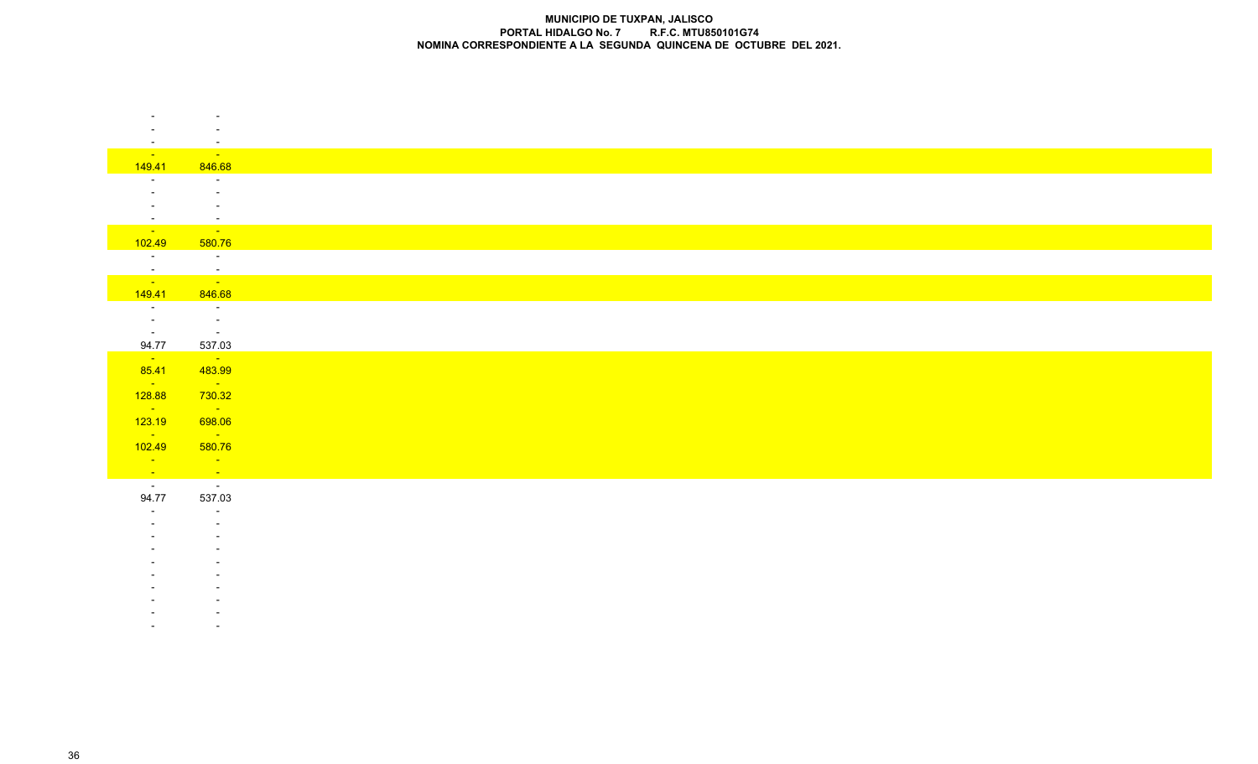|                                                                                                                                                                                                                                | $\sim$                                                                              |
|--------------------------------------------------------------------------------------------------------------------------------------------------------------------------------------------------------------------------------|-------------------------------------------------------------------------------------|
| <b>State State</b><br>149.41                                                                                                                                                                                                   | <u> 1999 - La</u><br>846.68                                                         |
|                                                                                                                                                                                                                                | $\sim$                                                                              |
|                                                                                                                                                                                                                                | $\sim$                                                                              |
| $\sim$                                                                                                                                                                                                                         | $\sim$                                                                              |
| $\sim$                                                                                                                                                                                                                         | $\sim$                                                                              |
|                                                                                                                                                                                                                                | <b>Service Control Control</b>                                                      |
| 102.49                                                                                                                                                                                                                         | 580.76                                                                              |
| $\sim 1000$ km s $^{-1}$                                                                                                                                                                                                       | $\sim 100$ m $^{-1}$                                                                |
| ing and and a series of the series of the series of the series of the series of the series of the series of the series of the series of the series of the series of the series of the series of the series of the series of th | $\frac{1}{\sqrt{2}}$                                                                |
| 149.41                                                                                                                                                                                                                         | 846.68                                                                              |
| $\sim$ $-$                                                                                                                                                                                                                     | $\sim 100$                                                                          |
| $\sim 10^{-10}$                                                                                                                                                                                                                | $\sim 100$ km s $^{-1}$                                                             |
| $\sim 10^{-10}$ m $^{-1}$                                                                                                                                                                                                      | <b>Contractor</b>                                                                   |
| 94.77                                                                                                                                                                                                                          | 537.03                                                                              |
| $\mathbb{Z}^{\mathbb{Z}^{\times}}$<br>85.41                                                                                                                                                                                    | $\sim 10^{11}$<br>483.99                                                            |
| <b>State State</b>                                                                                                                                                                                                             | $\mathcal{L}^{\text{max}}_{\text{max}}$ and $\mathcal{L}^{\text{max}}_{\text{max}}$ |
| 128.88                                                                                                                                                                                                                         | 730.32                                                                              |
| <b>State State</b>                                                                                                                                                                                                             | <b>Service</b>                                                                      |
| 123.19                                                                                                                                                                                                                         | 698.06                                                                              |
| <b>State State</b>                                                                                                                                                                                                             | <u>an Si</u>                                                                        |
| 102.49                                                                                                                                                                                                                         | 580.76                                                                              |
| <b>Contact Contact</b>                                                                                                                                                                                                         | <b>Service</b>                                                                      |
| $\frac{1}{\sqrt{2}}$                                                                                                                                                                                                           | $\frac{1}{2}$                                                                       |
| 94.77                                                                                                                                                                                                                          | 537.03                                                                              |
| $\overline{\phantom{0}}$                                                                                                                                                                                                       | $\sim$                                                                              |
|                                                                                                                                                                                                                                | $\sim$                                                                              |
|                                                                                                                                                                                                                                |                                                                                     |
|                                                                                                                                                                                                                                |                                                                                     |
|                                                                                                                                                                                                                                |                                                                                     |
|                                                                                                                                                                                                                                |                                                                                     |
|                                                                                                                                                                                                                                |                                                                                     |
|                                                                                                                                                                                                                                |                                                                                     |
|                                                                                                                                                                                                                                |                                                                                     |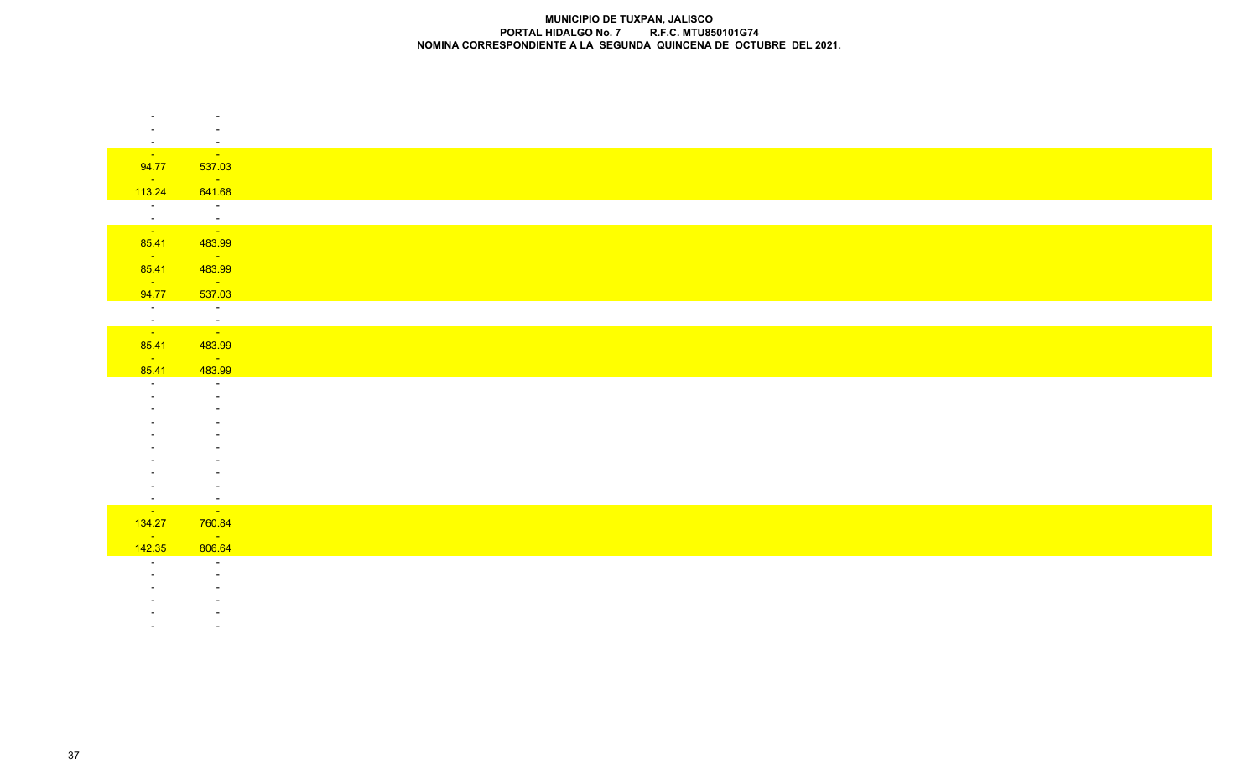|                                    | $\sim$                                                            |
|------------------------------------|-------------------------------------------------------------------|
|                                    |                                                                   |
| $\sim$<br><b>Contract Contract</b> | $\sim$<br>$\sim 100$ km s $^{-1}$                                 |
| 94.77                              | 537.03                                                            |
| <b>Service</b> State               | <b>Service</b>                                                    |
| 113.24                             | 641.68                                                            |
| <b>THE R</b>                       | <b>Contractor</b>                                                 |
| $\frac{1}{\sqrt{2}}$               | $\frac{1}{\sqrt{2}}$                                              |
| 85.41                              | 483.99                                                            |
| <b>State State</b>                 | <b>State State</b>                                                |
| 85.41                              | 483.99                                                            |
| $\sim 10^{11}$<br>94.77            | <b>State Advise</b><br>537.03                                     |
| $\sim 10^{-10}$                    | $\sim 10^{11}$ km $^{-1}$                                         |
|                                    | an di kacamatan Ing Kabupatèn Bandar<br>Kacamatan Sulawesi Bandar |
|                                    |                                                                   |
| 85.41                              | 483.99                                                            |
| <b>Contract Contract</b><br>85.41  | <u> Tanzania</u><br>483.99                                        |
| $\sim$ $-$                         | $\sim$ $-$                                                        |
|                                    | $\sim$                                                            |
|                                    |                                                                   |
|                                    |                                                                   |
|                                    |                                                                   |
|                                    |                                                                   |
|                                    |                                                                   |
|                                    |                                                                   |
| $\sim$                             | $\sim$                                                            |
| <b>State</b><br>134.27             | <u> a s</u><br>760.84                                             |
| <b>Contact</b>                     | $\mathcal{L}^{\text{max}}_{\text{max}}$                           |
| 142.35                             | 806.64                                                            |
| $\sim$ 100 $\sim$                  | $\sim 10^{-1}$                                                    |
|                                    |                                                                   |
|                                    | $\sim$                                                            |

- -

 - --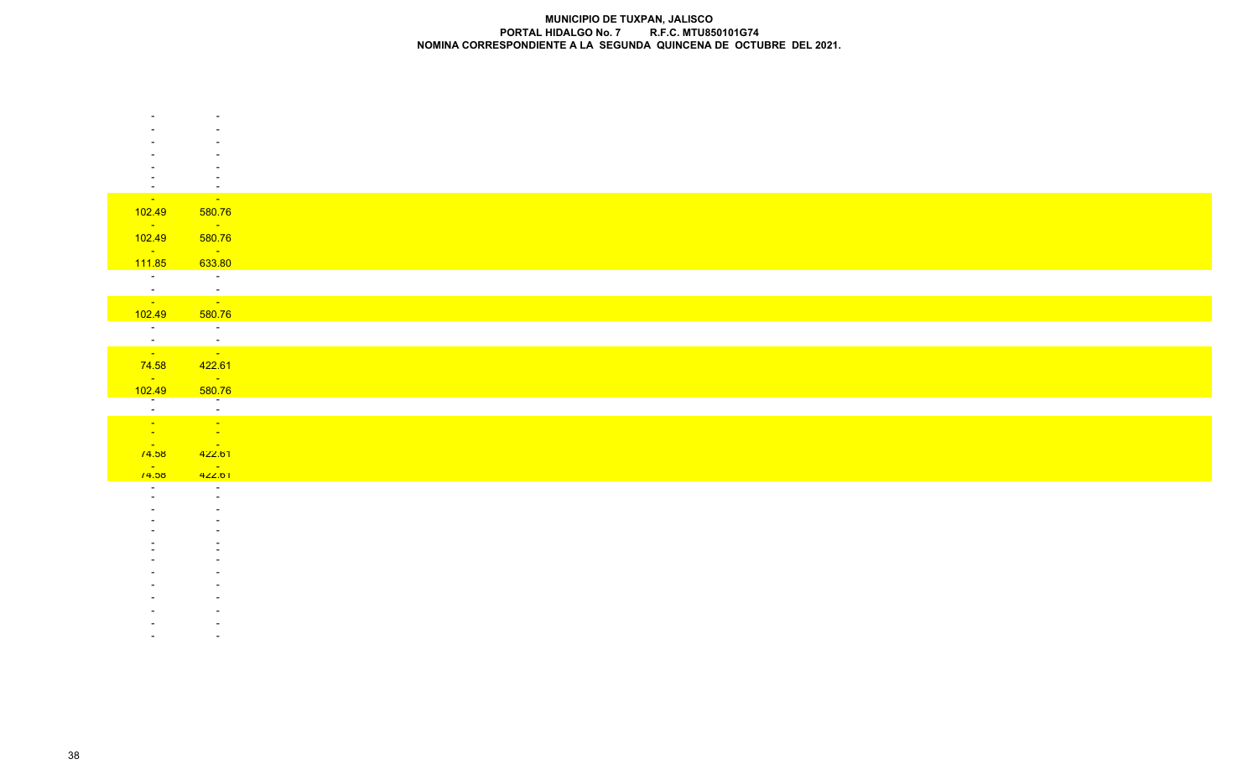| $\sim$                       | $\sim$                                                              |
|------------------------------|---------------------------------------------------------------------|
| <b>State State</b>           | <b>State</b>                                                        |
| 102.49                       | 580.76                                                              |
| <b>State State</b><br>102.49 | $\sim 10^{11}$ km s $^{-1}$<br>580.76                               |
| $\sim 100$                   | $\sim 100$ km s $^{-1}$                                             |
| 111.85                       | 633.80                                                              |
| $\sim 10^{-10}$              | $\sim 100$ km s $^{-1}$                                             |
| $\frac{1}{\sqrt{2}}$         | $\frac{1}{\sqrt{2}}$                                                |
| 102.49                       | 580.76                                                              |
| $\overline{\phantom{a}}$     | $\sim 100$ km s $^{-1}$                                             |
| $\frac{1}{\sqrt{2}}$         | $\frac{1}{2}$                                                       |
| 74.58                        | 422.61                                                              |
| <b>Service</b><br>102.49     | $\mathcal{L}(\mathcal{L})$ and $\mathcal{L}(\mathcal{L})$<br>580.76 |
|                              | —<br>—                                                              |
| $\frac{1}{\sqrt{2}}$         |                                                                     |
|                              | $\sim 10^{11}$ km s $^{-1}$                                         |
| <b>College</b><br>/4.58      | $\sim 100$<br>422.61                                                |
| <b>Contract</b>              | <b>State State</b>                                                  |
| 14.56                        | 422.01<br>$\sim$                                                    |
|                              | $\sim$                                                              |
|                              |                                                                     |
|                              |                                                                     |
|                              |                                                                     |
|                              |                                                                     |
|                              |                                                                     |
|                              |                                                                     |
|                              |                                                                     |
|                              |                                                                     |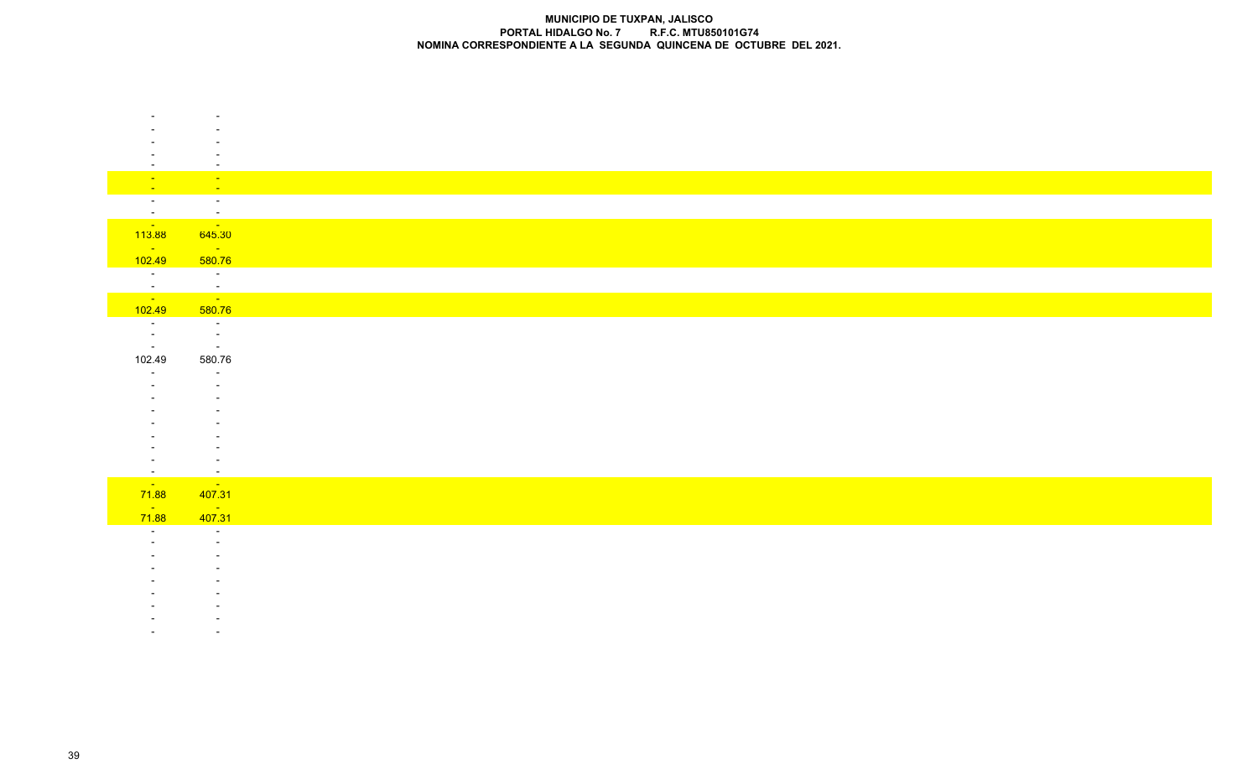| <b>Fig.</b>                       | $\sim$ $\sim$<br>$\sim$      |
|-----------------------------------|------------------------------|
| $\sim$ $-$<br>$\sim$              | $\sim$                       |
| $\sim$                            | $\mathbb{Z}$                 |
| $\sim 100$                        | <b>State State</b>           |
| 113.88<br>$\sim 100$ km s $^{-1}$ | 645.30<br><b>State State</b> |
| 102.49                            | 580.76                       |
| $\sim 10^{-1}$                    | $\sim 1000$                  |
|                                   | $\frac{1}{\sqrt{2}}$         |
| $\frac{1}{102.49}$                | 580.76                       |
|                                   | $\sim 100$                   |
| $\sim$ $-$                        | $\sim 100$                   |
| $\sim$ $-$                        | $\sim 100$                   |
| 102.49                            | 580.76                       |
| $\overline{a}$                    | $\sim$                       |
|                                   |                              |
|                                   |                              |
|                                   |                              |
|                                   |                              |
|                                   |                              |
| $\sim$                            | $\overline{\phantom{a}}$     |
| <b>Contract</b>                   | <b>Contact</b>               |
| 71.88<br>$\sim 100$               | 407.31                       |
| 71.88                             | $\frac{1}{407.31}$           |
| $\overline{a}$                    | $\sim$                       |
|                                   |                              |
|                                   |                              |
|                                   |                              |
|                                   |                              |
|                                   |                              |
|                                   |                              |
|                                   |                              |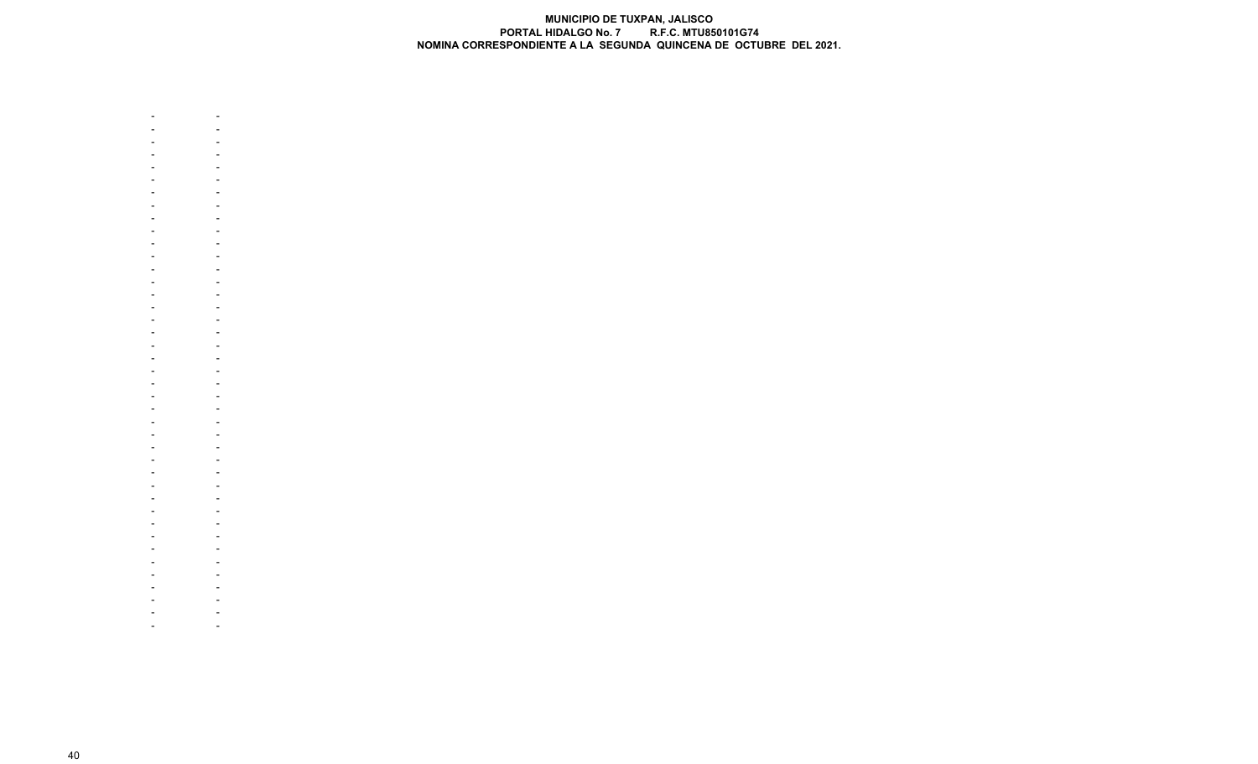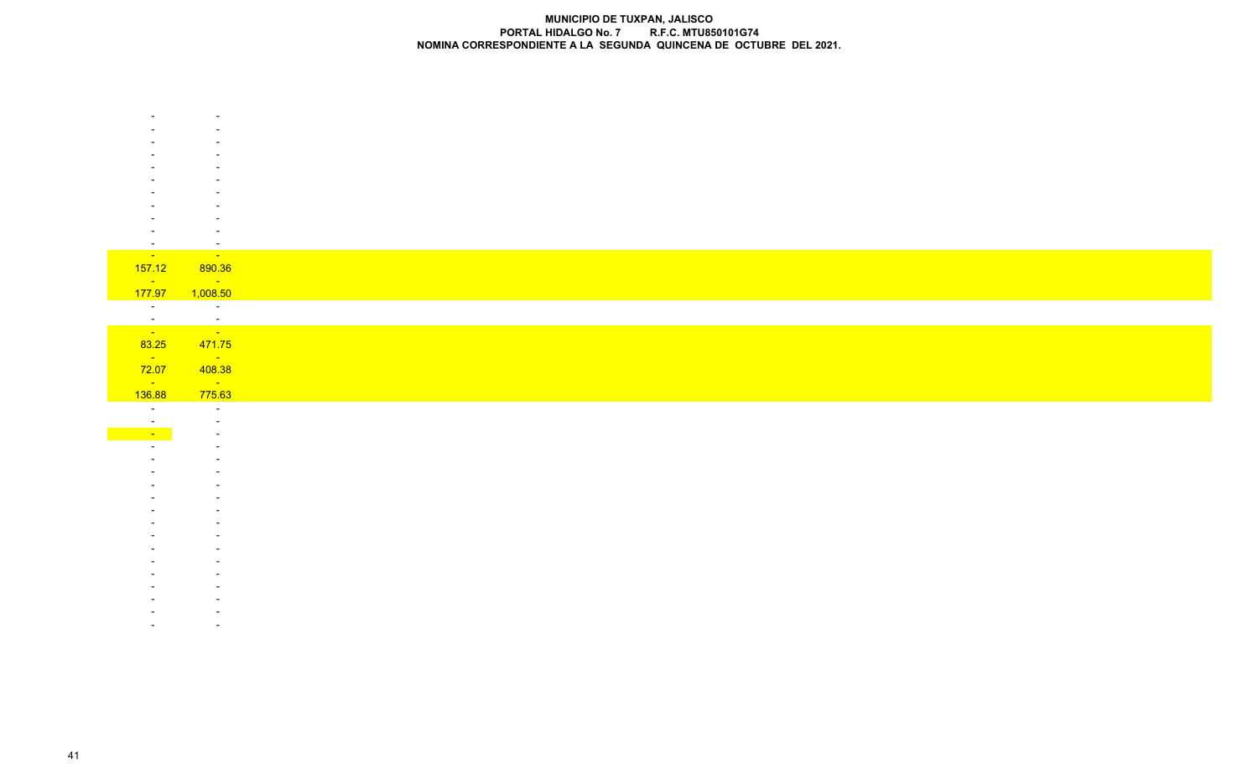|                                   | $\sim$                            |
|-----------------------------------|-----------------------------------|
| <b>State State</b>                | <b>State State</b>                |
| 157.12                            | 890.36                            |
| $\sim 100$ km s $^{-1}$           | <b>State Advise</b>               |
| 177.97                            | 1,008.50<br><b>Contractor</b>     |
| $\frac{1}{\sqrt{2}}$              |                                   |
|                                   | $\frac{1}{\sqrt{2}}$              |
| 83.25                             | 471.75                            |
| <b>State</b>                      | <b>State State</b>                |
| 72.07                             | 408.38                            |
| $\sim 100$ km s $^{-1}$<br>136.88 | $\sim 100$ km s $^{-1}$<br>775.63 |
| $\overline{\phantom{a}}$          | $\sim$                            |
| $\sim$                            | $\overline{\phantom{a}}$          |
| $\sim$                            |                                   |
|                                   |                                   |
|                                   |                                   |
|                                   |                                   |
|                                   |                                   |
|                                   |                                   |
|                                   |                                   |
|                                   |                                   |
|                                   |                                   |
|                                   |                                   |
|                                   |                                   |
|                                   |                                   |
|                                   |                                   |
|                                   |                                   |
|                                   |                                   |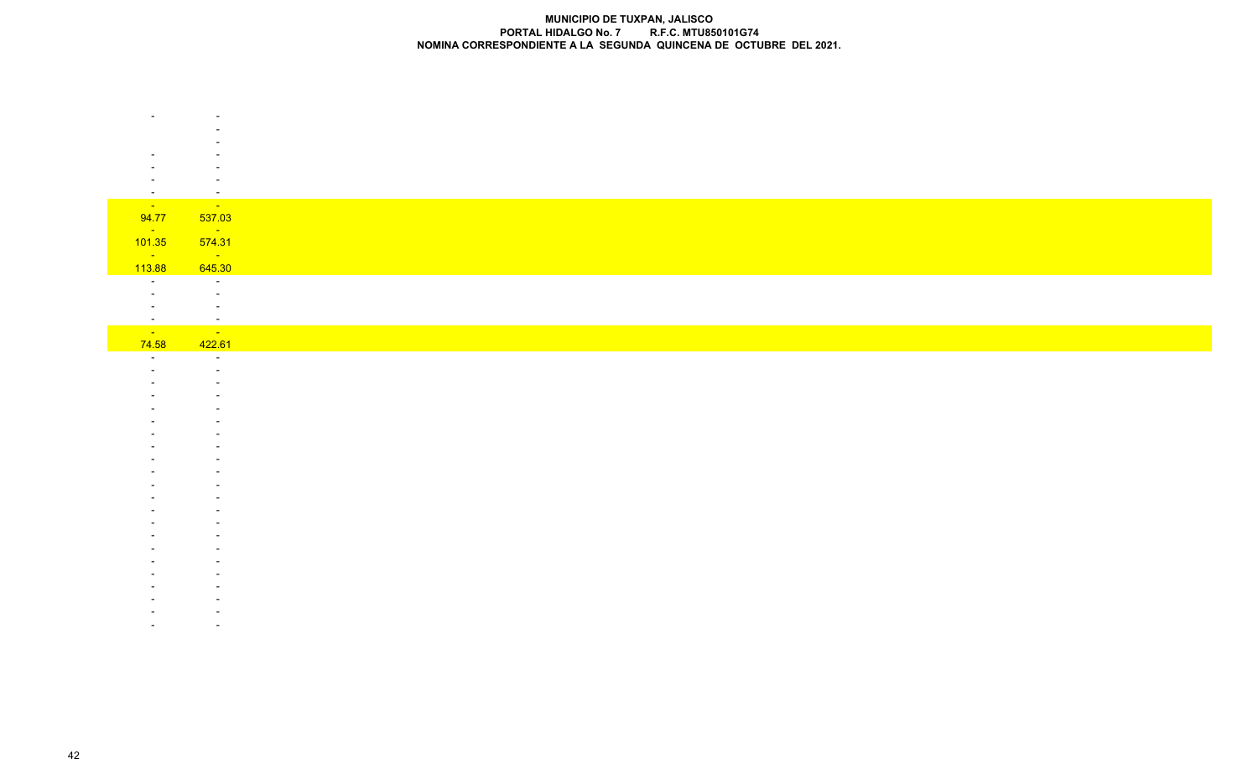| $\overline{\phantom{a}}$ | $\overline{\phantom{a}}$                                    |
|--------------------------|-------------------------------------------------------------|
| <b>Contract</b>          | <b>Contract</b>                                             |
| 94.77                    | 537.03                                                      |
| <b>State State</b>       | $\mathcal{L}_{\text{max}}$ , and $\mathcal{L}_{\text{max}}$ |
| 101.35                   | 574.31                                                      |
| $\sim 10^{11}$<br>113.88 | $\sim 100$<br>645.30                                        |
| $\sim$ $-$               | $\sim$ $ \sim$                                              |
|                          | $\sim$                                                      |
|                          | $\sim$                                                      |
| $\sim$                   | $\sim$                                                      |
| <b>College</b>           | $\sim 10^{11}$                                              |
| 74.58<br>$\sim$          | 422.61<br>$\sim$                                            |
|                          | $\overline{\phantom{a}}$                                    |
|                          |                                                             |
|                          |                                                             |
|                          |                                                             |
|                          |                                                             |
|                          |                                                             |
|                          |                                                             |
|                          |                                                             |
|                          |                                                             |
|                          |                                                             |
|                          |                                                             |
|                          |                                                             |
|                          |                                                             |
|                          |                                                             |
|                          |                                                             |
|                          |                                                             |
|                          |                                                             |
|                          |                                                             |
|                          |                                                             |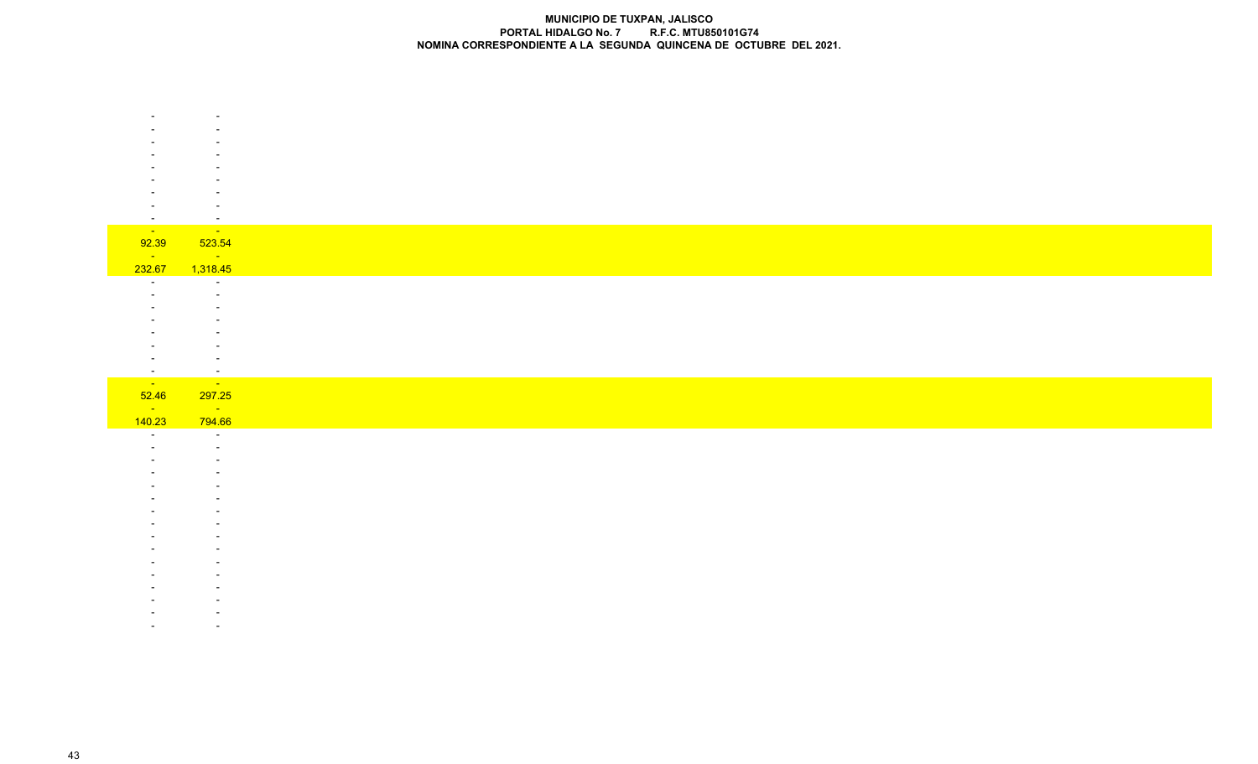| $\sim$                             | $\overline{\phantom{a}}$                                            |
|------------------------------------|---------------------------------------------------------------------|
| <b>TILLE</b>                       | <b>SILLER</b>                                                       |
| 92.39                              | 523.54                                                              |
| $\sim 100$ km s $^{-1}$            | <b>Service State</b>                                                |
| 232.67                             | 1,318.45                                                            |
| $\sim$                             | $\sim$                                                              |
|                                    |                                                                     |
|                                    |                                                                     |
|                                    |                                                                     |
|                                    | ٠                                                                   |
|                                    |                                                                     |
|                                    | $\overline{\phantom{a}}$                                            |
| $\sim$                             | $\sim$                                                              |
| <b>STARTING</b>                    | $\mathcal{L}_{\text{max}}$ and $\mathcal{L}_{\text{max}}$           |
| 52.46<br>$\sim 10^{11}$ km $^{-1}$ | 297.25                                                              |
| 140.23                             | $\mathcal{L}_{\text{max}}$ and $\mathcal{L}_{\text{max}}$<br>794.66 |
|                                    |                                                                     |

 - - - - -- -

 - - - -- -

 - - - -- -

 - -- -

- -

 - -- -

 - --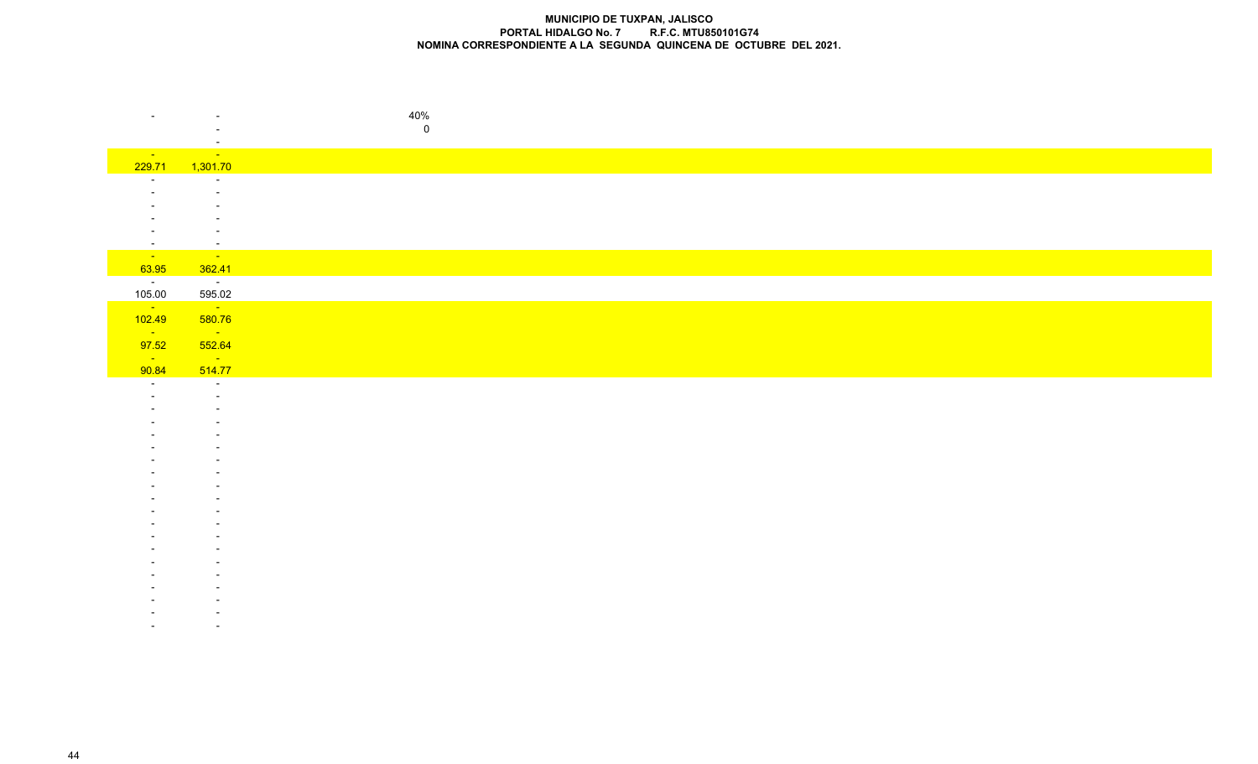| $\overline{\phantom{a}}$                    | $\overline{\phantom{a}}$                    | 40%         |
|---------------------------------------------|---------------------------------------------|-------------|
|                                             |                                             | $\mathbf 0$ |
|                                             | $\sim$                                      |             |
| <b>State State</b>                          | $\sim 100$                                  |             |
| 229.71<br>$\sim$                            | 1,301.70<br>$\sim$                          |             |
|                                             | $\overline{\phantom{a}}$                    |             |
|                                             |                                             |             |
|                                             |                                             |             |
|                                             | $\overline{\phantom{a}}$                    |             |
| $\overline{\phantom{0}}$<br><b>Contract</b> | $\overline{\phantom{a}}$<br><b>Contract</b> |             |
| 63.95                                       | 362.41                                      |             |
| $\sim 10^{-10}$                             | $\sim 100$ km s $^{-1}$                     |             |
| 105.00                                      | 595.02                                      |             |
| $\sim 10^{-10}$<br>102.49                   | $\sim 10^{11}$<br>580.76                    |             |
| $\sim 10^{11}$                              | $\mathcal{L}^{\text{max}}_{\text{max}}$     |             |
| 97.52                                       | 552.64                                      |             |
| <b>College</b>                              | $\sim 100$ km s $^{-1}$                     |             |
| 90.84                                       | 514.77                                      |             |
| $\sim$                                      | $\sim$<br>$\sim$                            |             |
|                                             |                                             |             |
|                                             |                                             |             |
|                                             |                                             |             |
|                                             |                                             |             |
|                                             |                                             |             |
|                                             |                                             |             |
|                                             |                                             |             |
|                                             |                                             |             |
|                                             |                                             |             |
|                                             |                                             |             |
|                                             |                                             |             |
|                                             |                                             |             |
|                                             |                                             |             |
|                                             |                                             |             |
|                                             |                                             |             |
|                                             |                                             |             |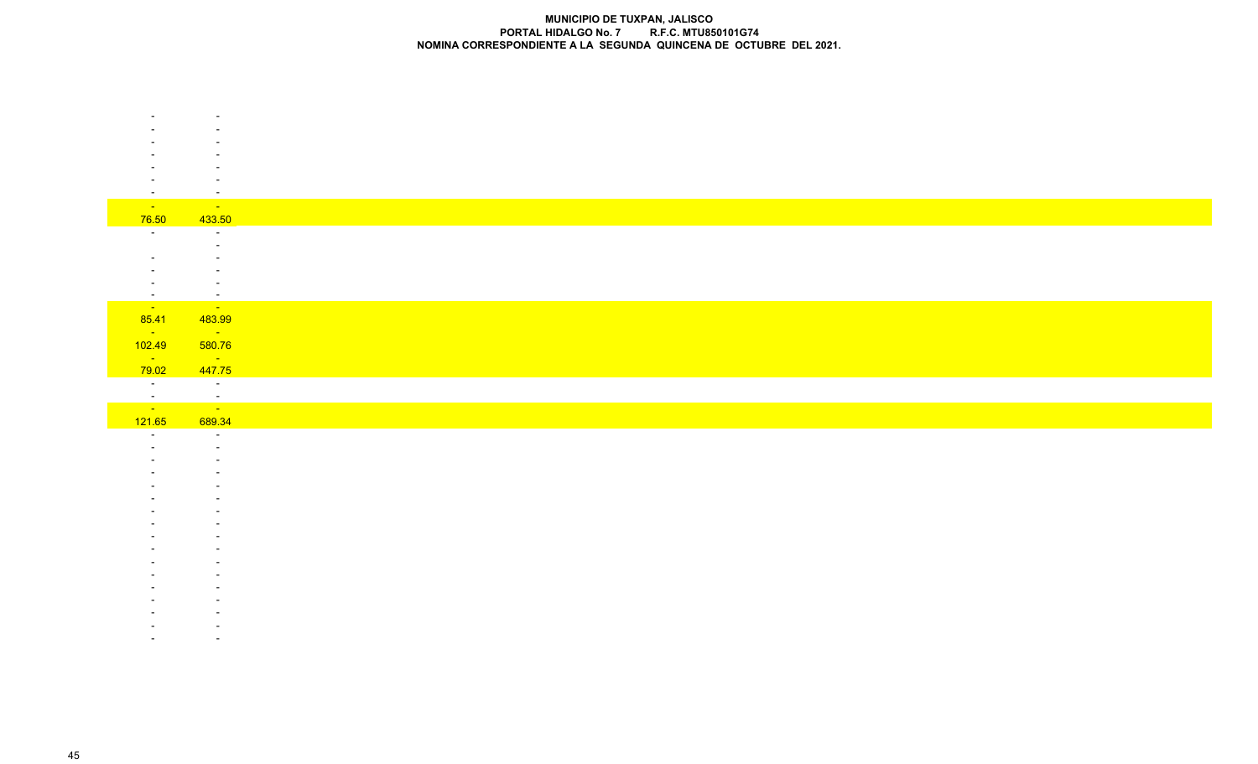| $\overline{\phantom{a}}$           | $\overline{\phantom{a}}$                   |
|------------------------------------|--------------------------------------------|
| $\sim 10^{-10}$                    | $\sim 100$                                 |
| 76.50                              | 433.50                                     |
| $\sim$ $-$                         | $\sim$                                     |
|                                    |                                            |
|                                    |                                            |
|                                    |                                            |
| $\overline{\phantom{0}}$<br>$\sim$ | $\overline{a}$<br>$\overline{\phantom{a}}$ |
| $\sim 10^{10}$ km s $^{-1}$        | <u>an A</u>                                |
| 85.41                              | 483.99                                     |
| <b>State State</b>                 | $\sim 10^{11}$ km s $^{-1}$                |
| 102.49                             | 580.76                                     |
| $\sim 10^{11}$ km $^{-1}$          | $\sim 100$ km s $^{-1}$                    |
| 79.02                              | 447.75                                     |
| $\sim 10^{-10}$                    | $\sim$ $\sim$                              |
| $\frac{1}{\sqrt{2}}$               | $\frac{1}{2}$                              |
| 121.65                             | 689.34                                     |
| $\overline{\phantom{a}}$           | $\sim$                                     |
|                                    |                                            |
|                                    |                                            |
|                                    |                                            |
|                                    |                                            |
|                                    |                                            |
|                                    |                                            |
|                                    |                                            |
|                                    |                                            |
|                                    |                                            |
|                                    |                                            |
|                                    |                                            |
|                                    |                                            |
|                                    |                                            |
|                                    |                                            |
|                                    |                                            |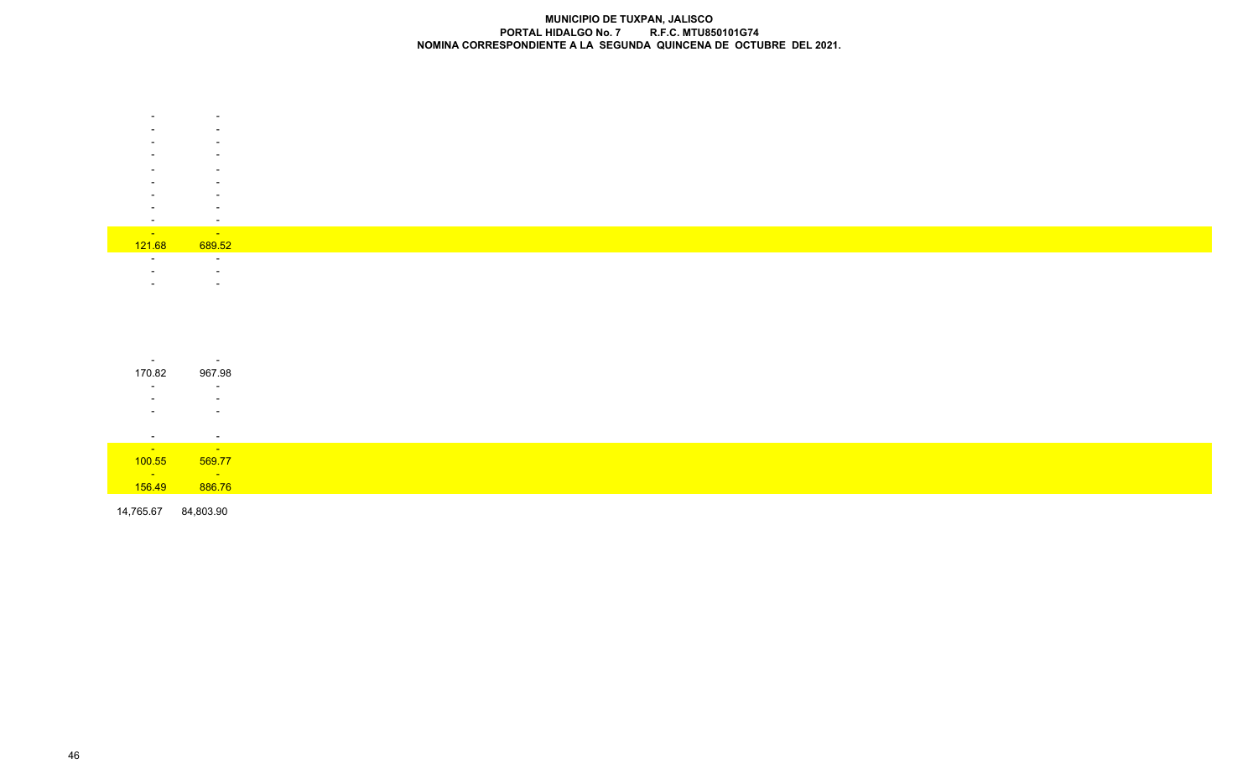|                    | $\overline{\phantom{0}}$ |
|--------------------|--------------------------|
|                    |                          |
|                    |                          |
|                    |                          |
|                    | -                        |
|                    |                          |
|                    |                          |
|                    |                          |
|                    |                          |
|                    |                          |
|                    |                          |
|                    |                          |
|                    |                          |
|                    |                          |
|                    |                          |
| <b>State State</b> | <b>Contract Contract</b> |
| 121.68             | 689.52                   |
|                    |                          |
|                    | $\overline{\phantom{0}}$ |
|                    |                          |
|                    |                          |
|                    |                          |

| $\sim$                | $\overline{\phantom{a}}$ |
|-----------------------|--------------------------|
| 170.82                | 967.98                   |
| $\sim$                | $\sim$                   |
|                       | $\overline{\phantom{a}}$ |
|                       | $\overline{\phantom{0}}$ |
|                       |                          |
| $\sim$                | $\sim$                   |
| and the first service | <b>Service</b>           |
| 100.55                | 569.77                   |
| $\frac{1}{156.49}$    | <b>STATISTICS</b>        |
|                       | 886.76                   |

14,765.67 84,803.90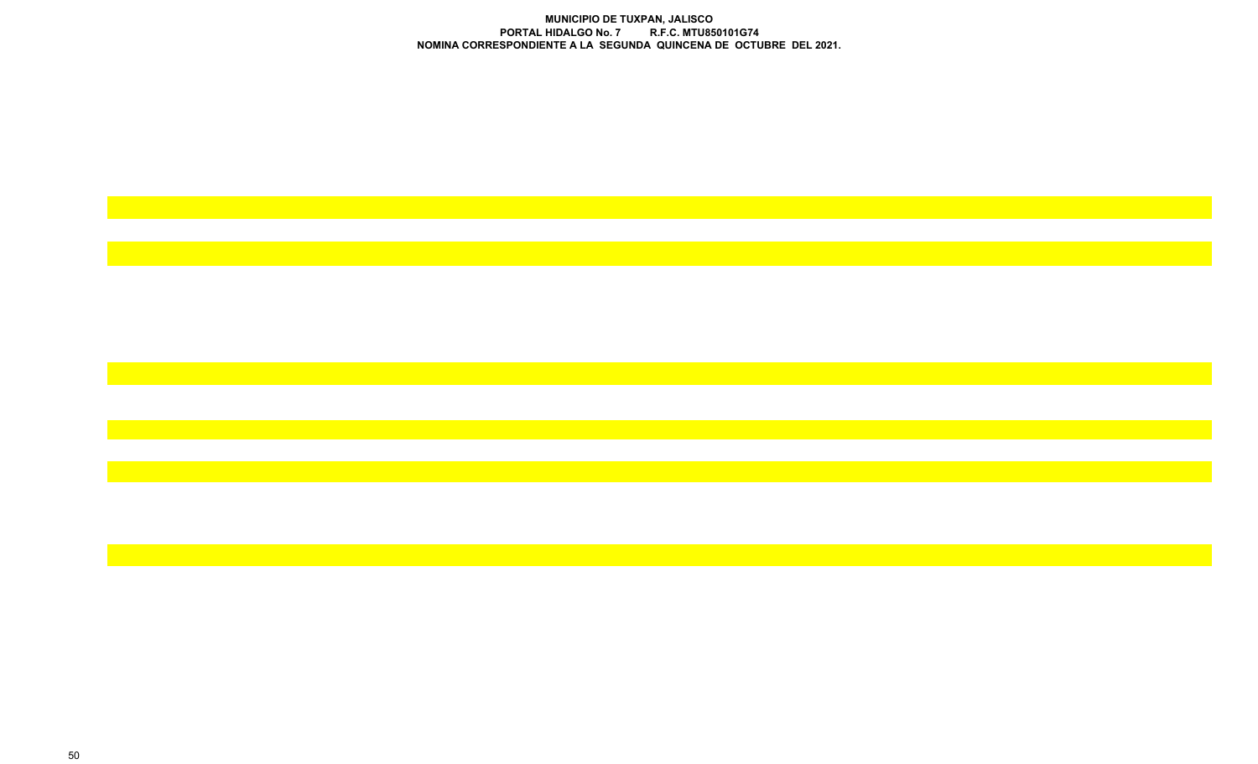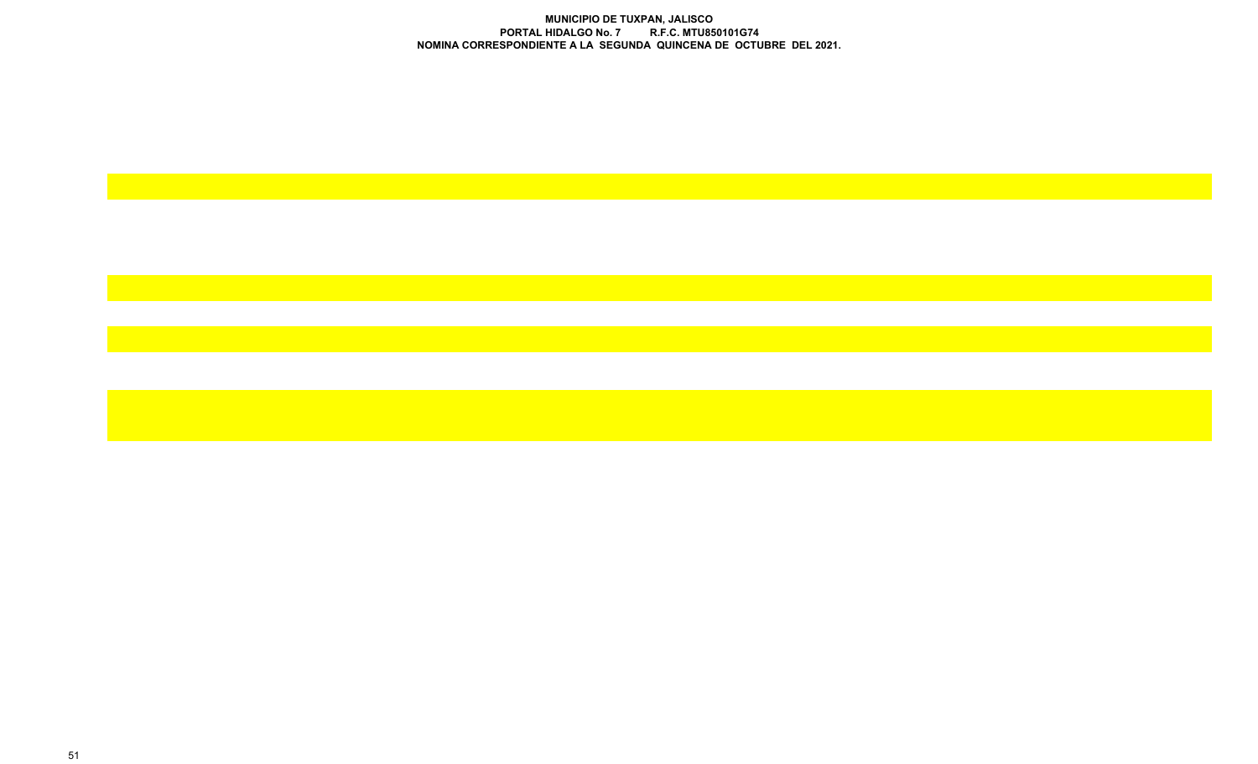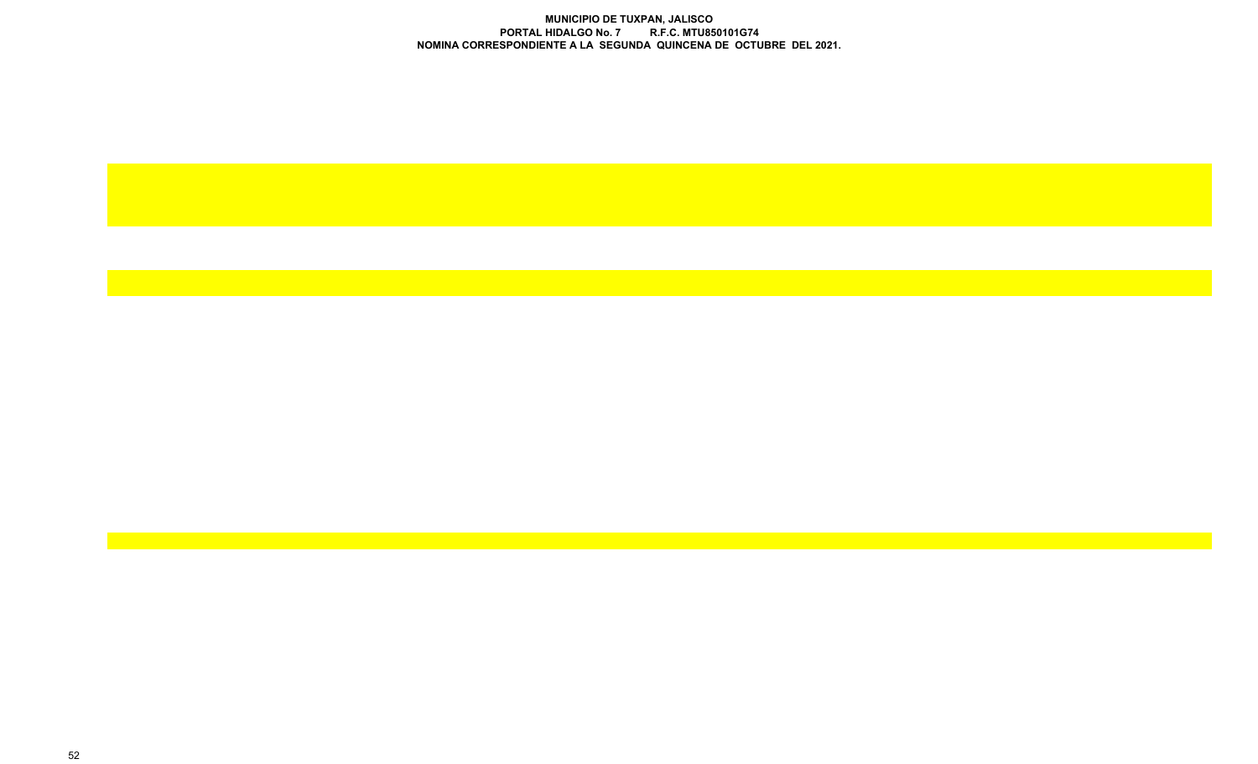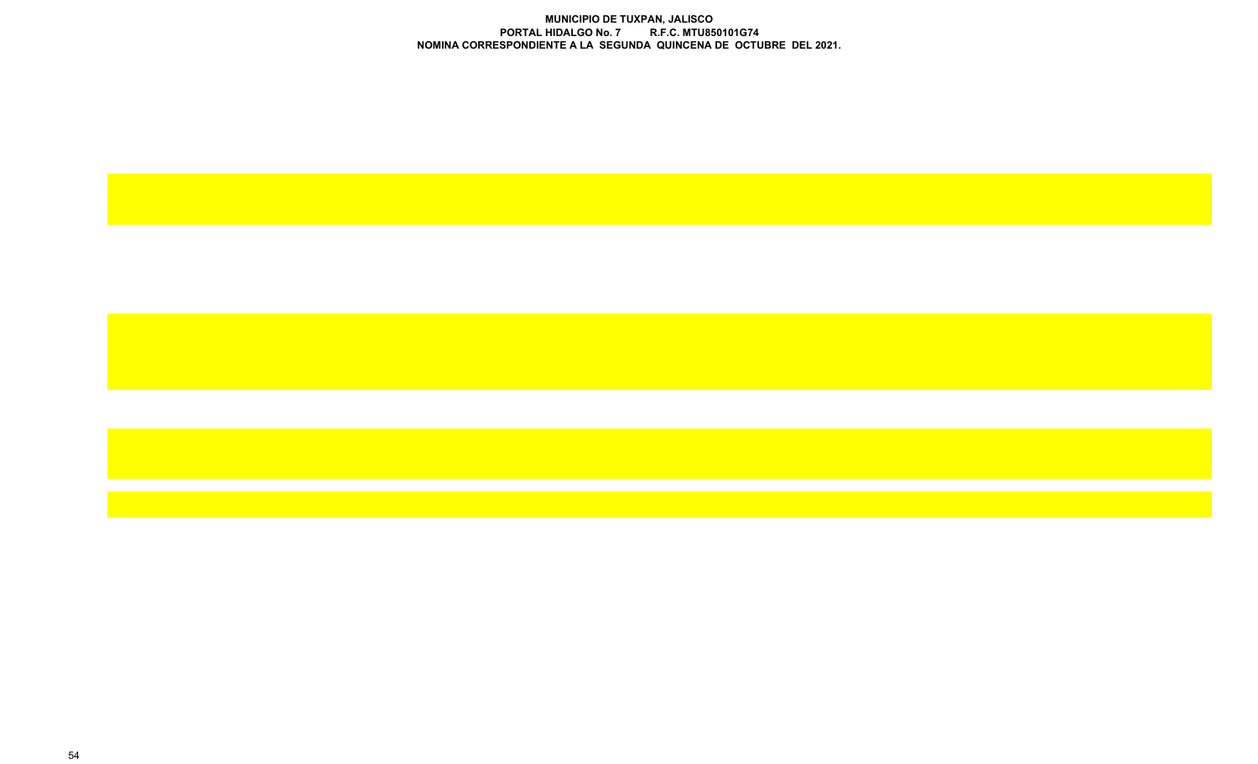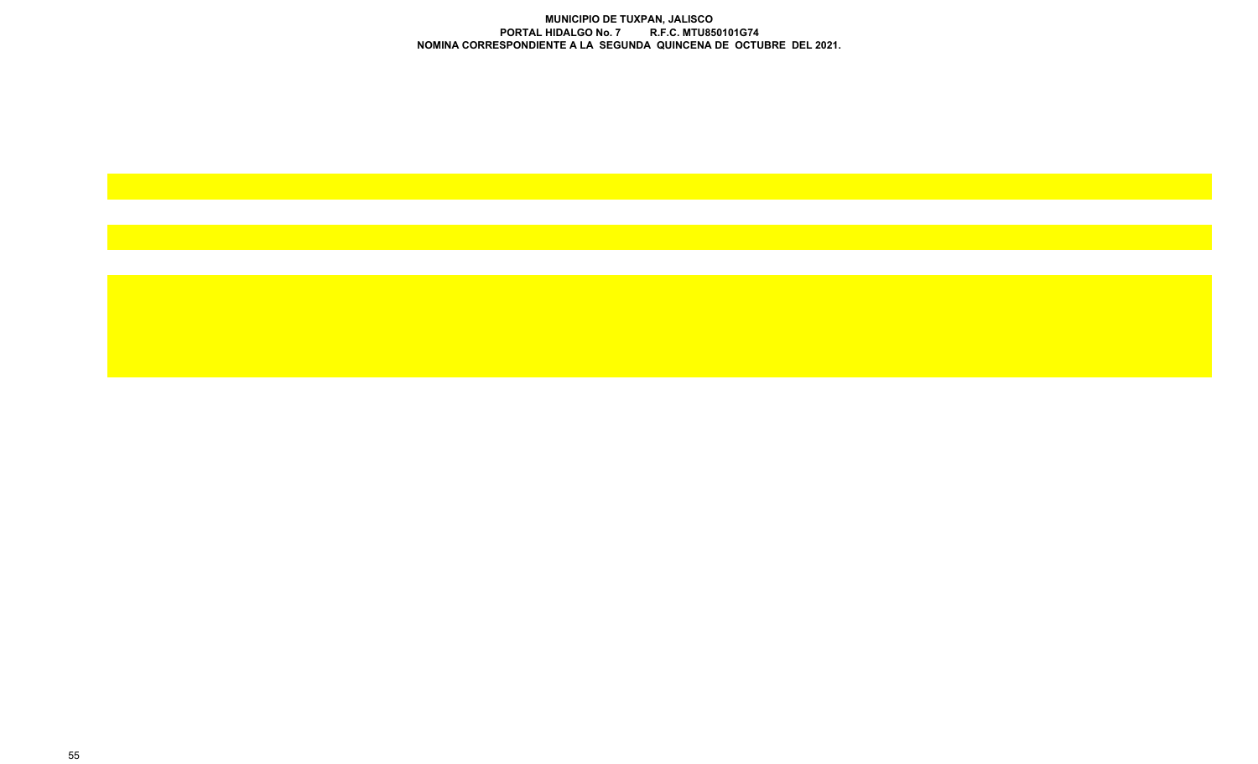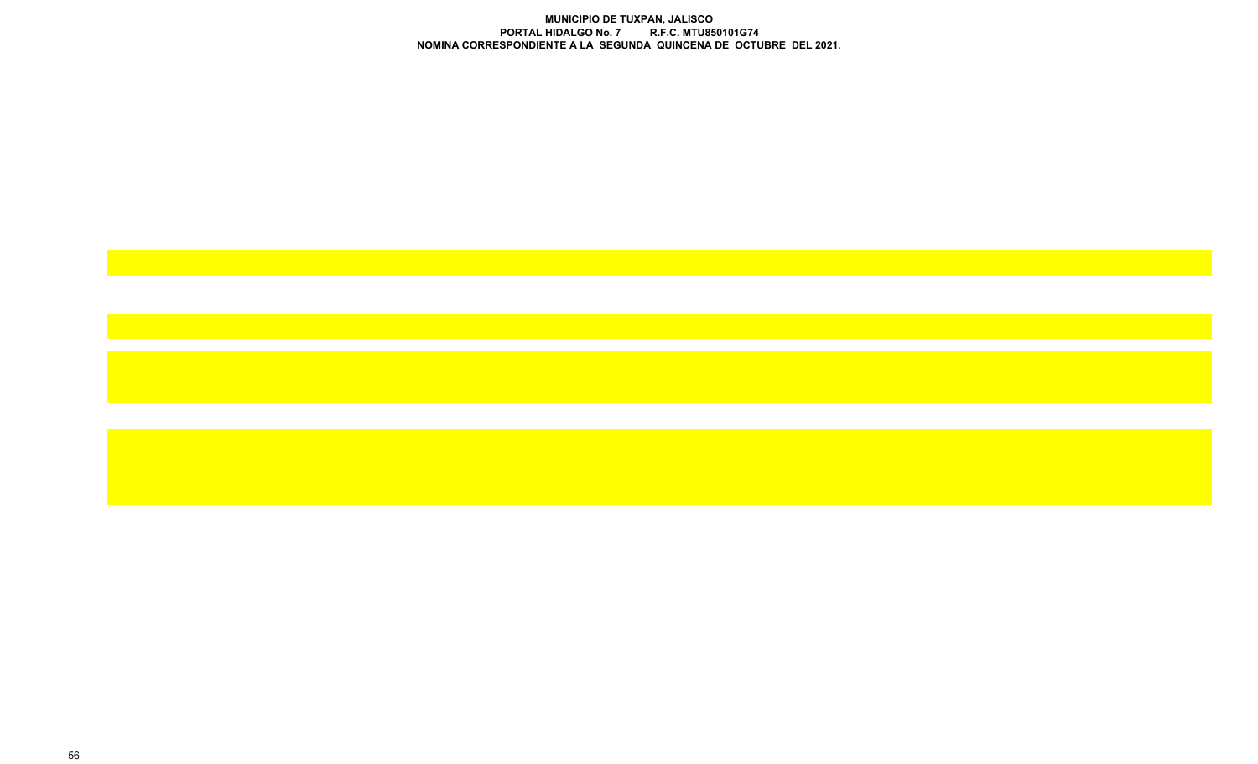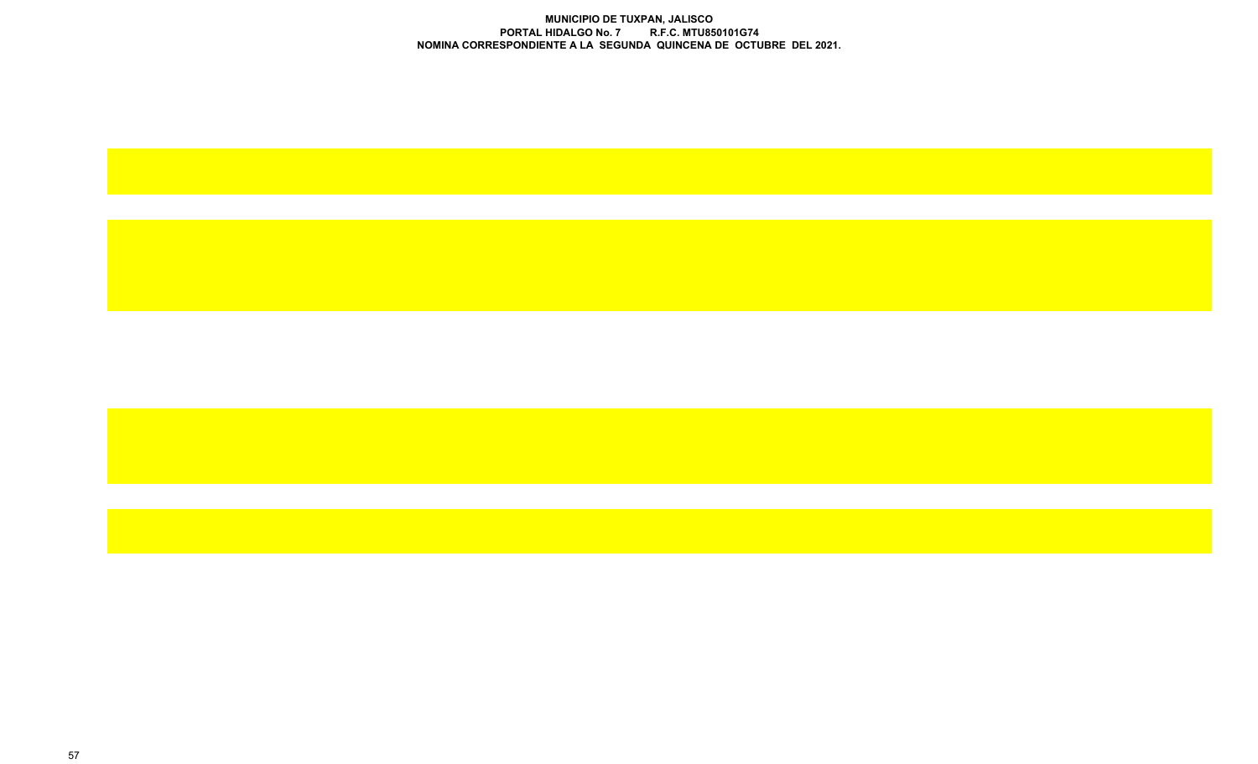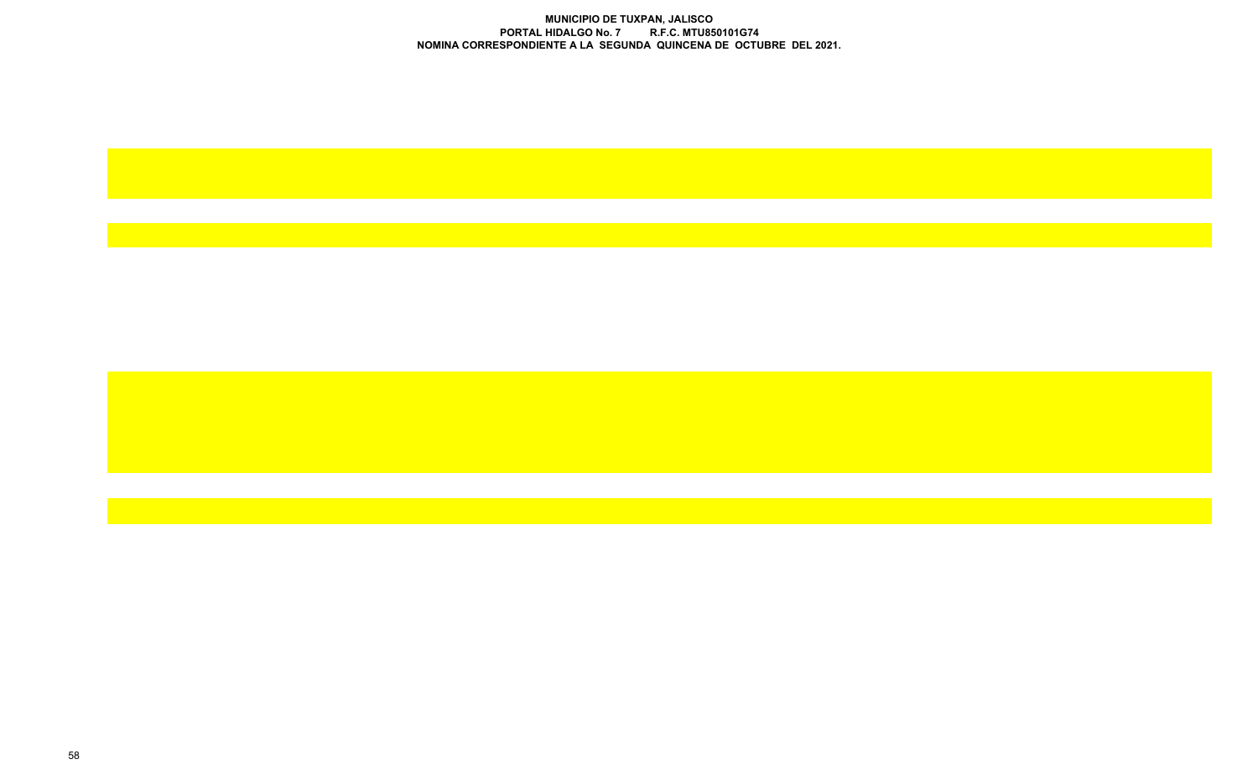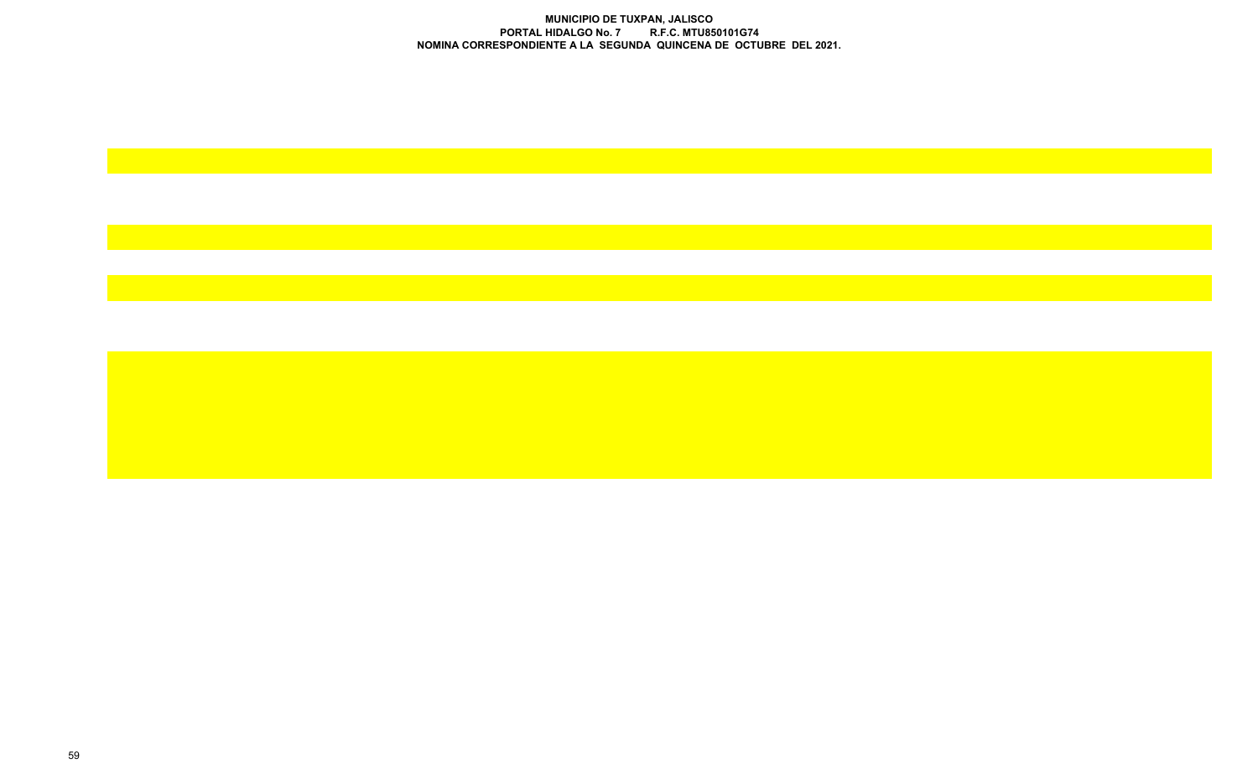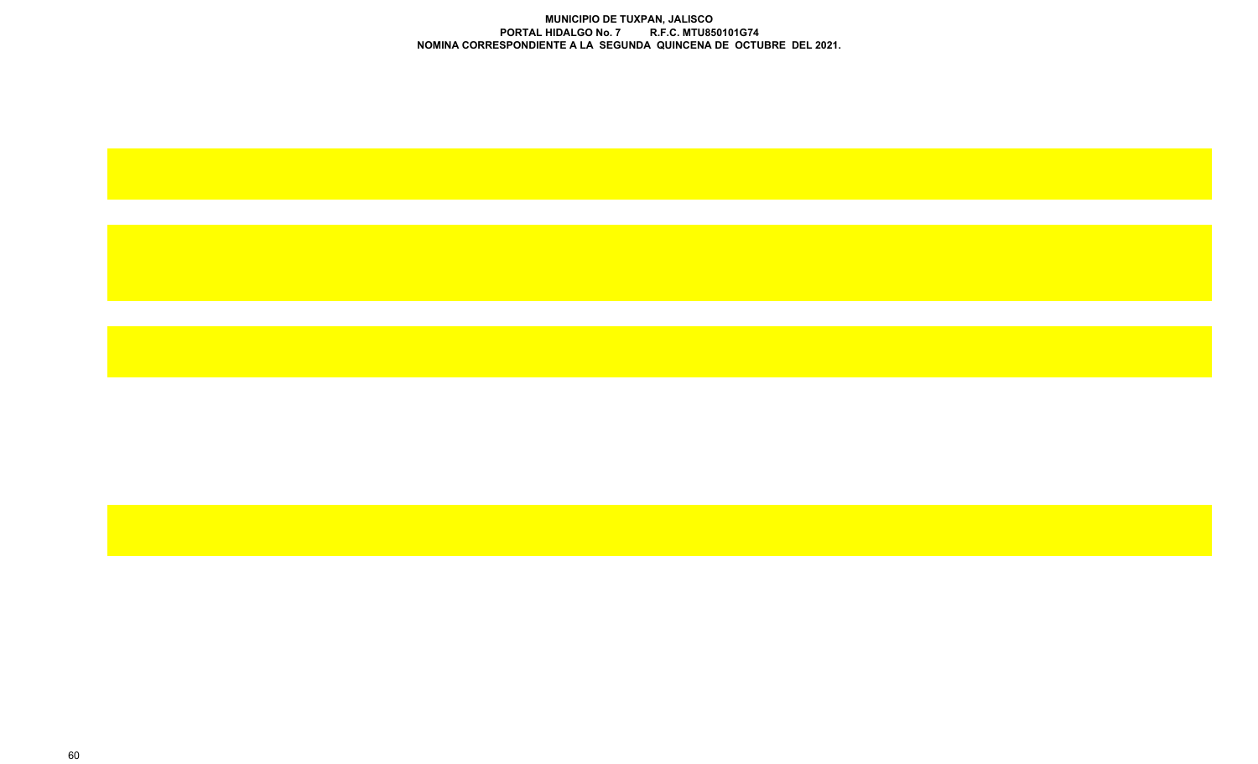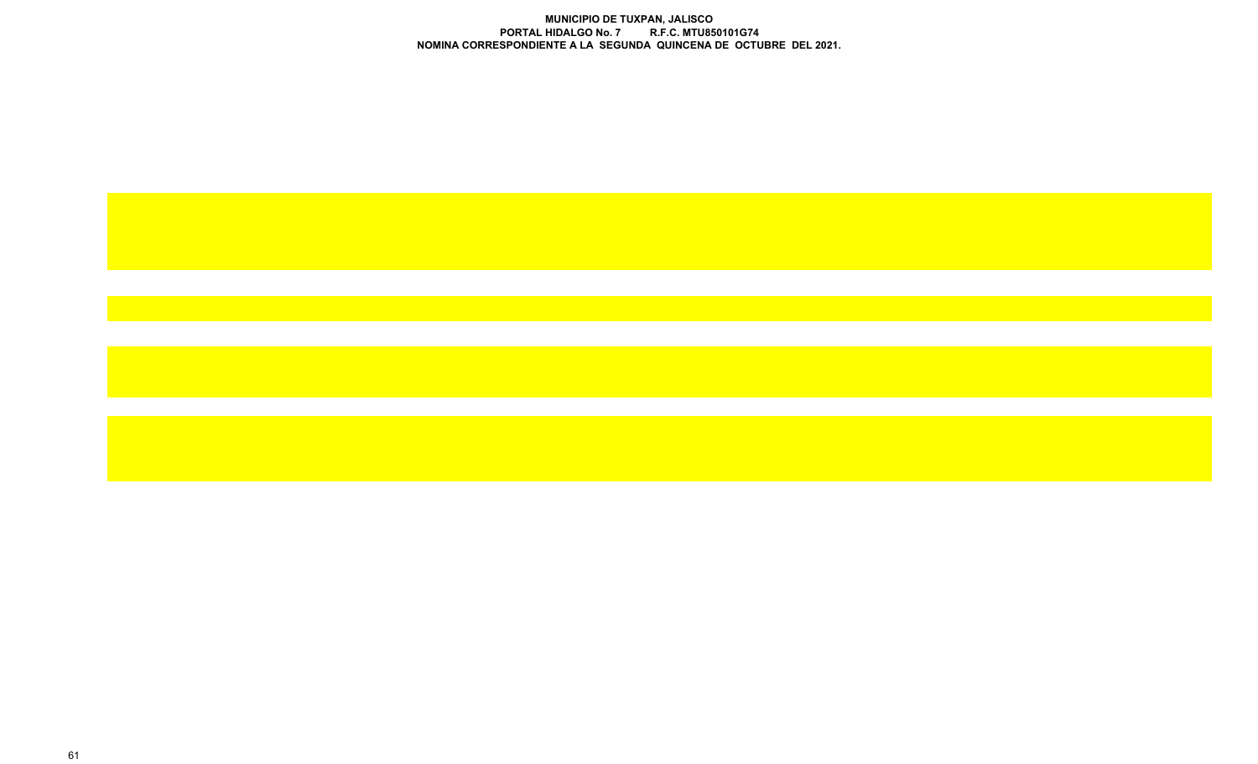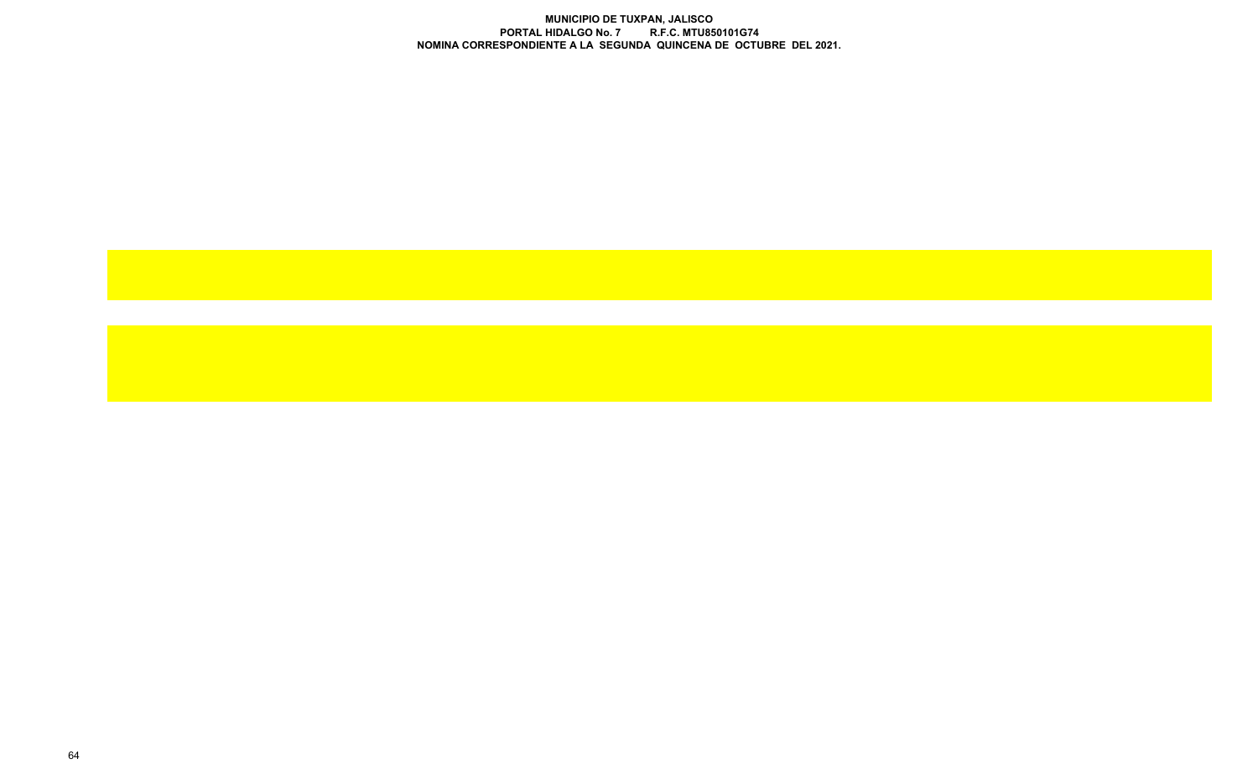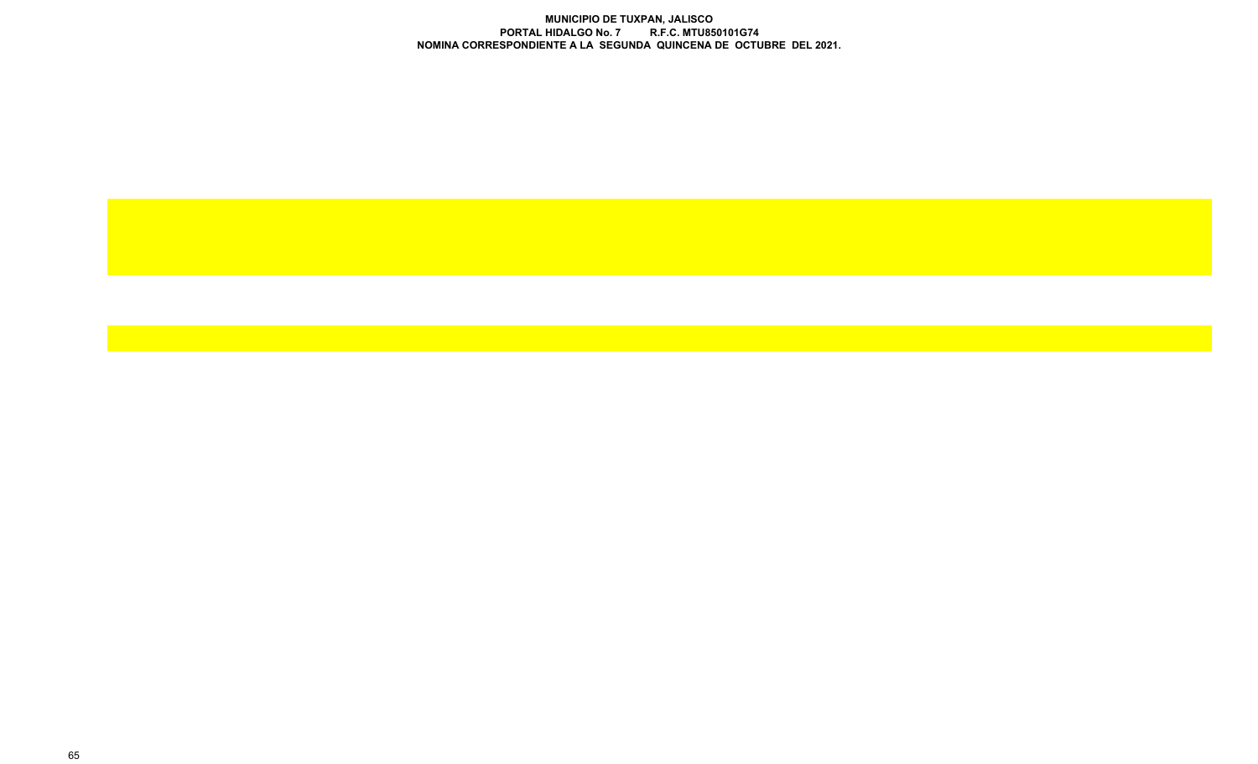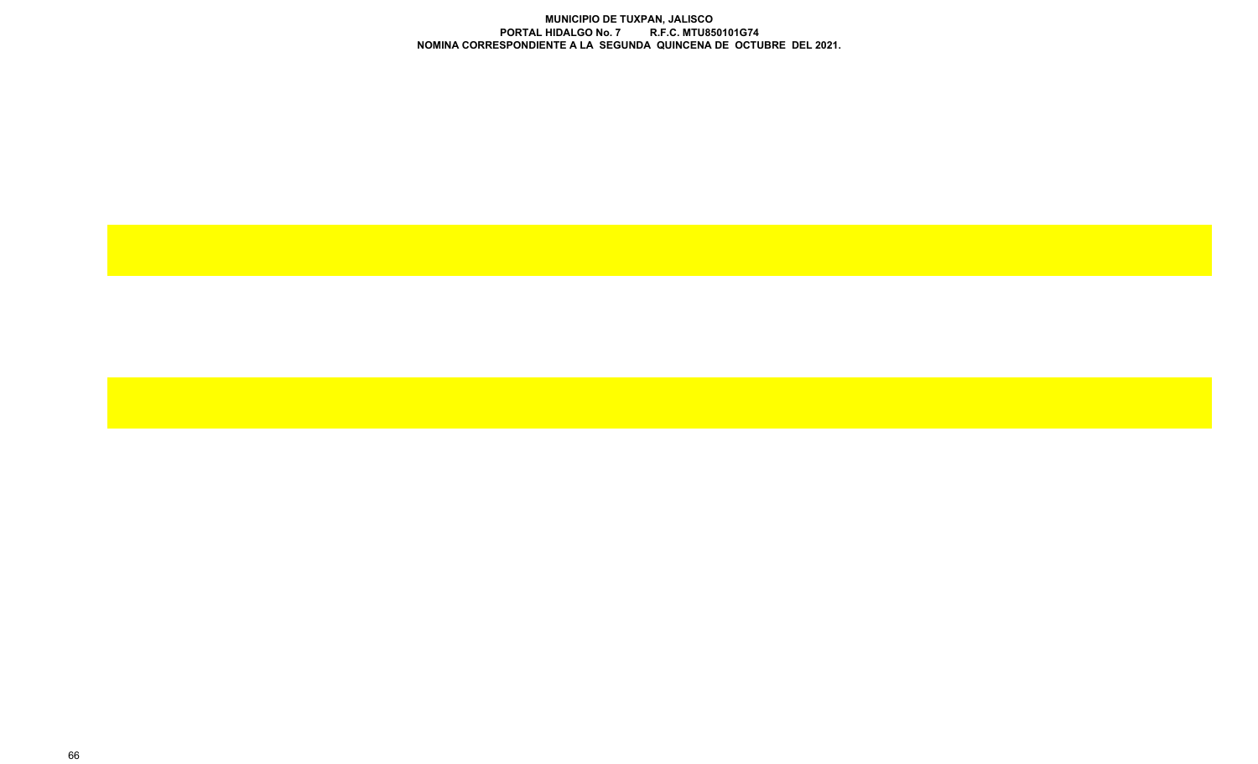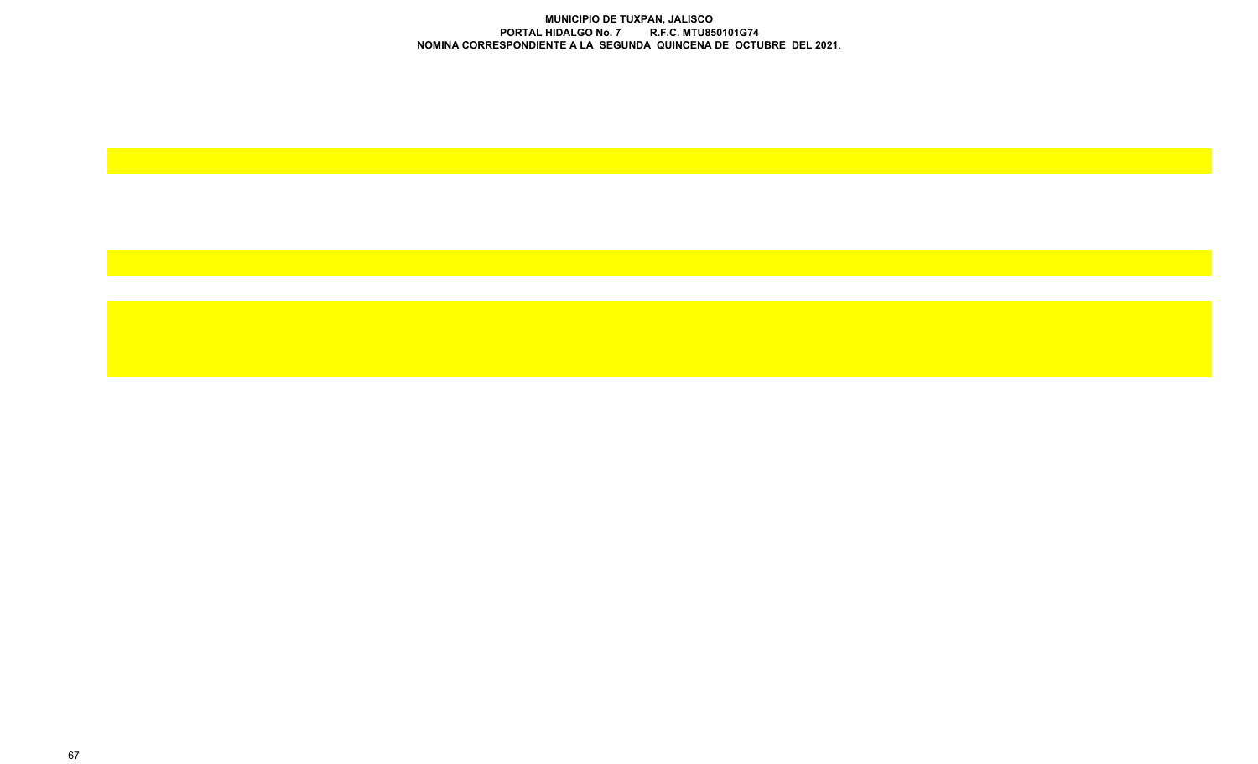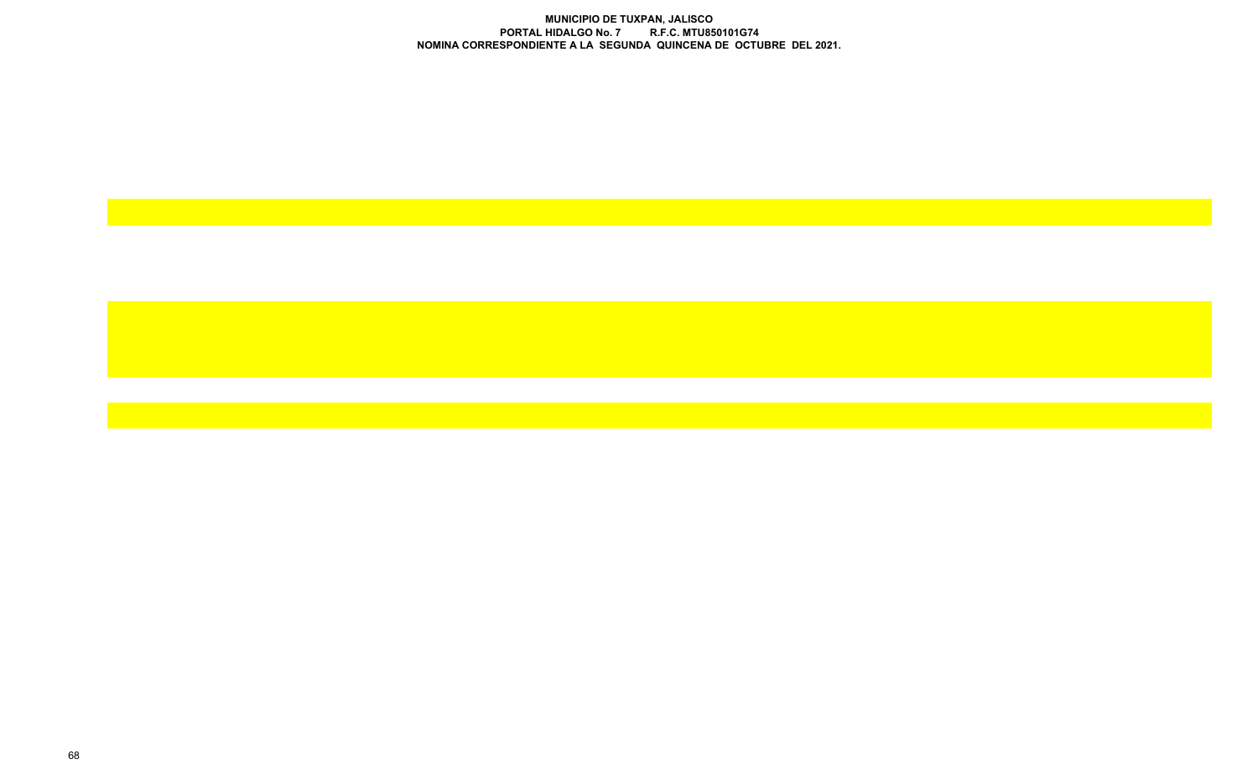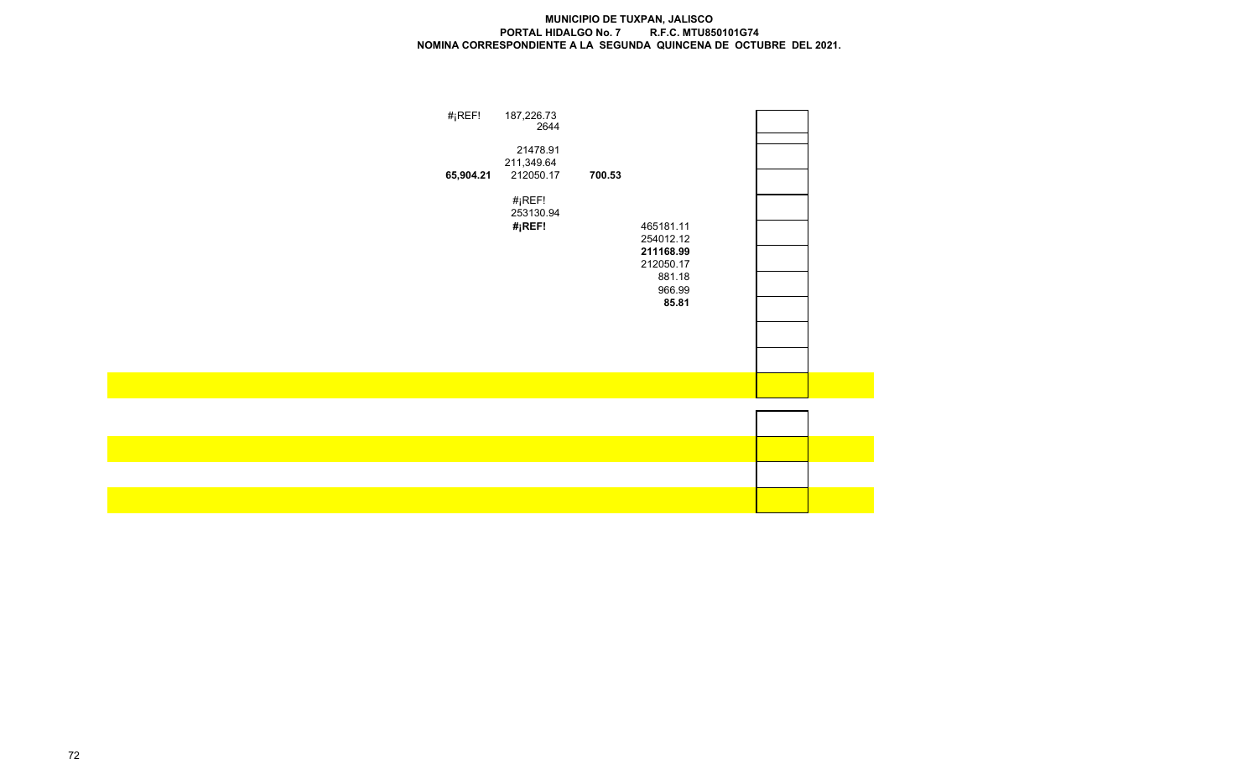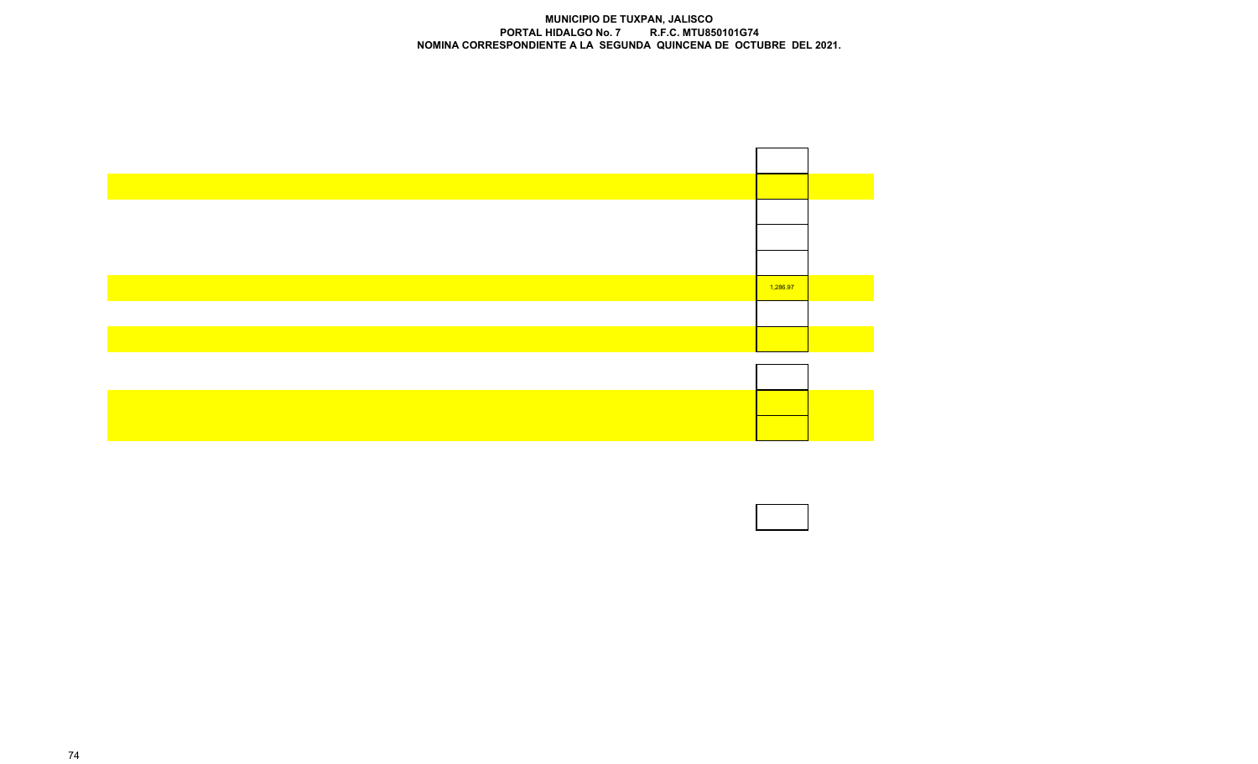

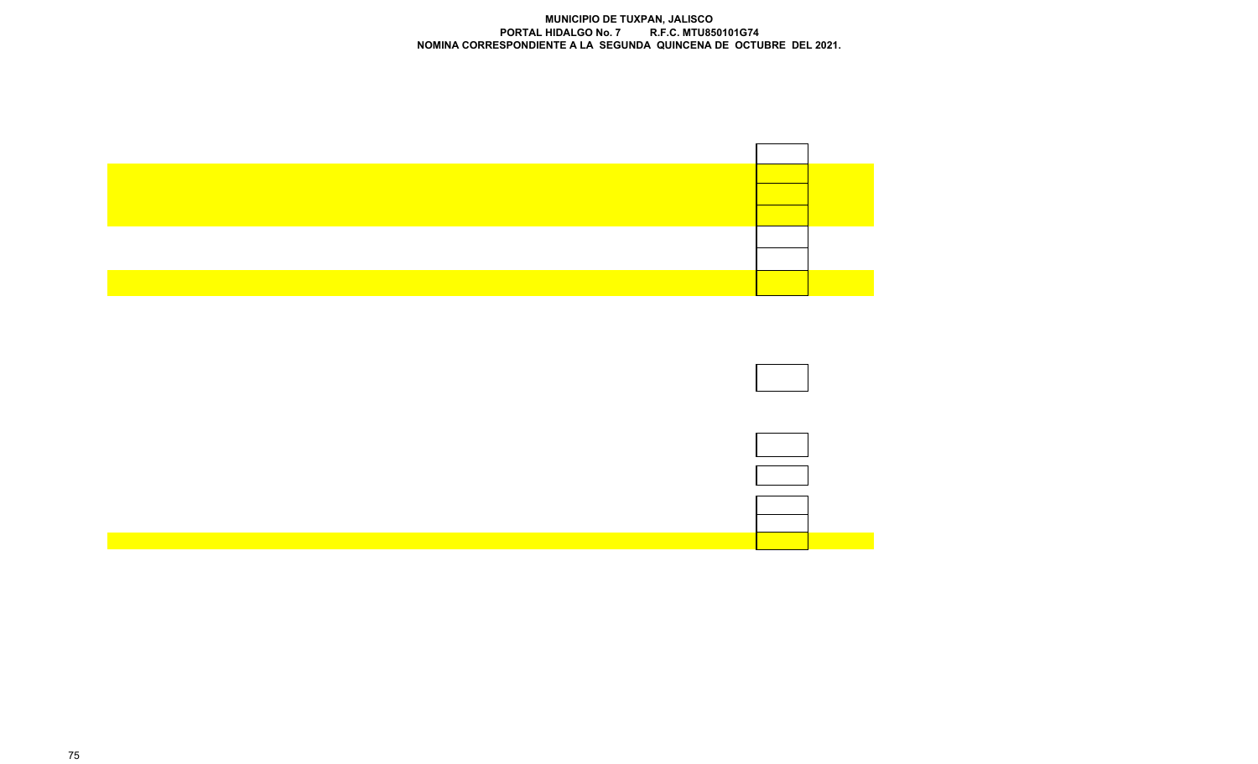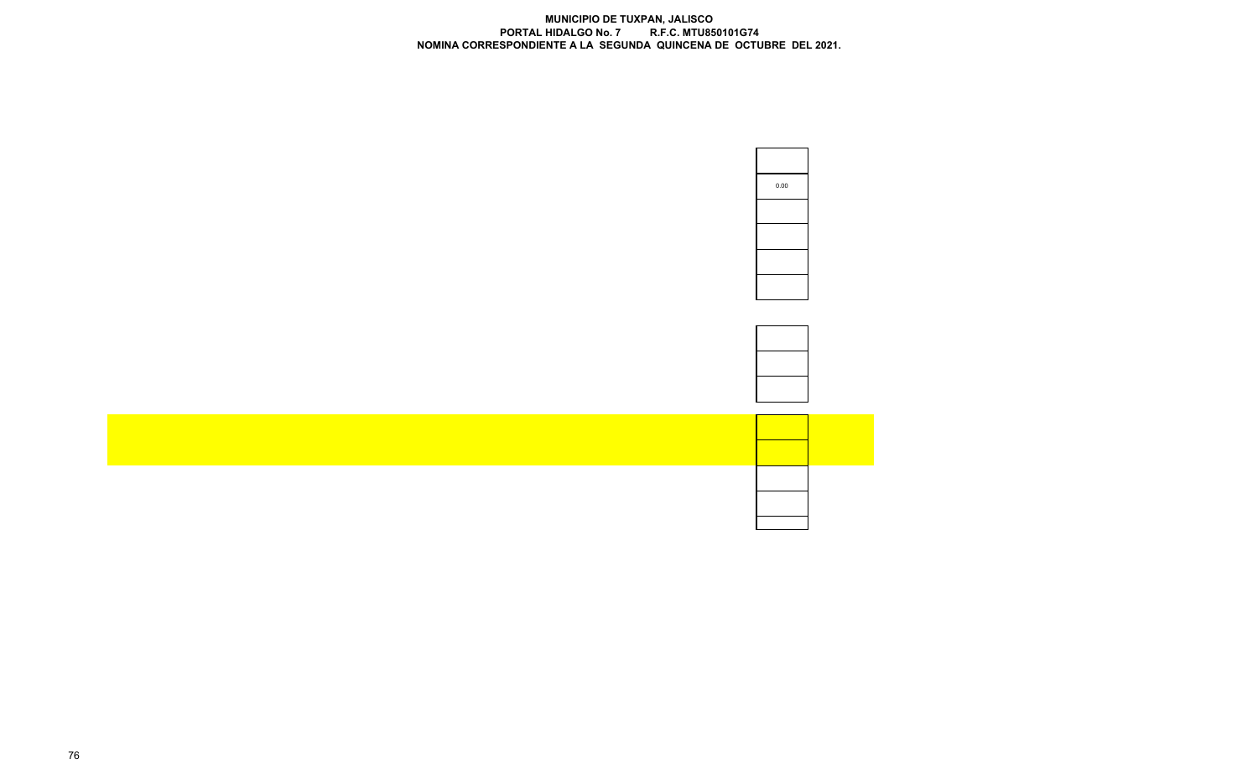



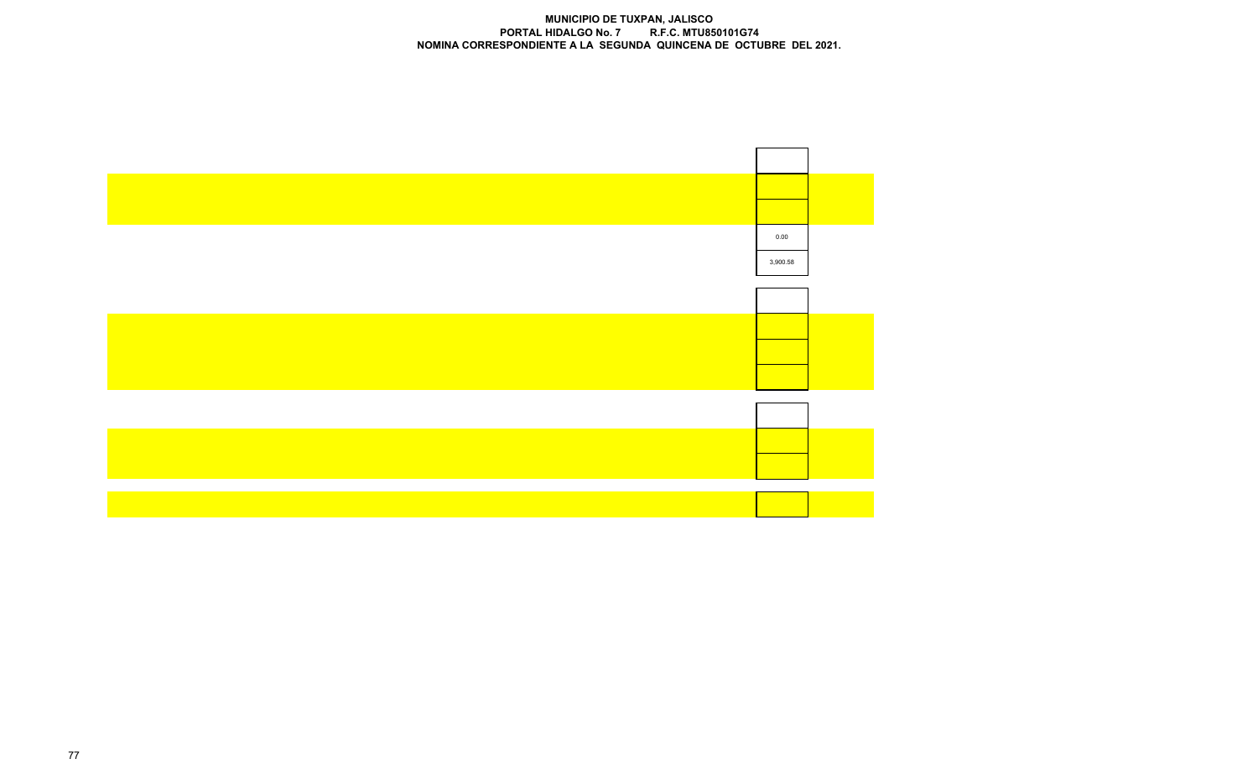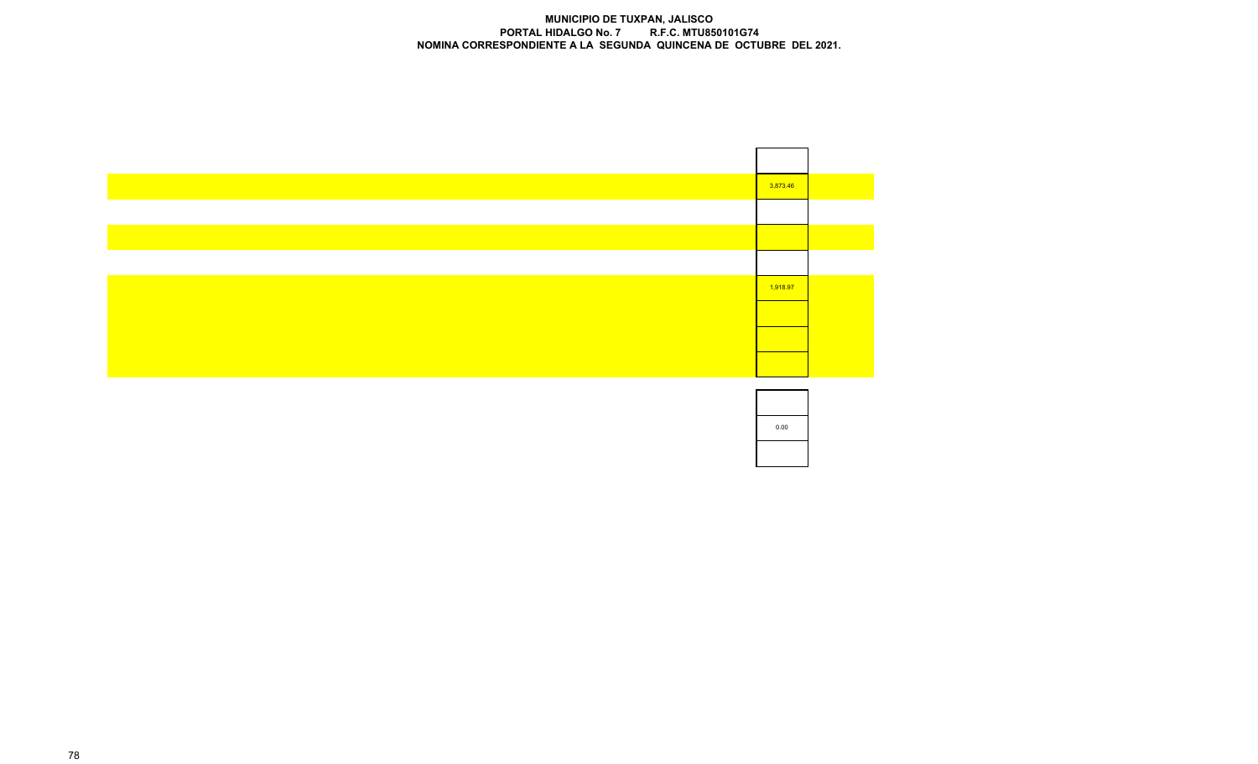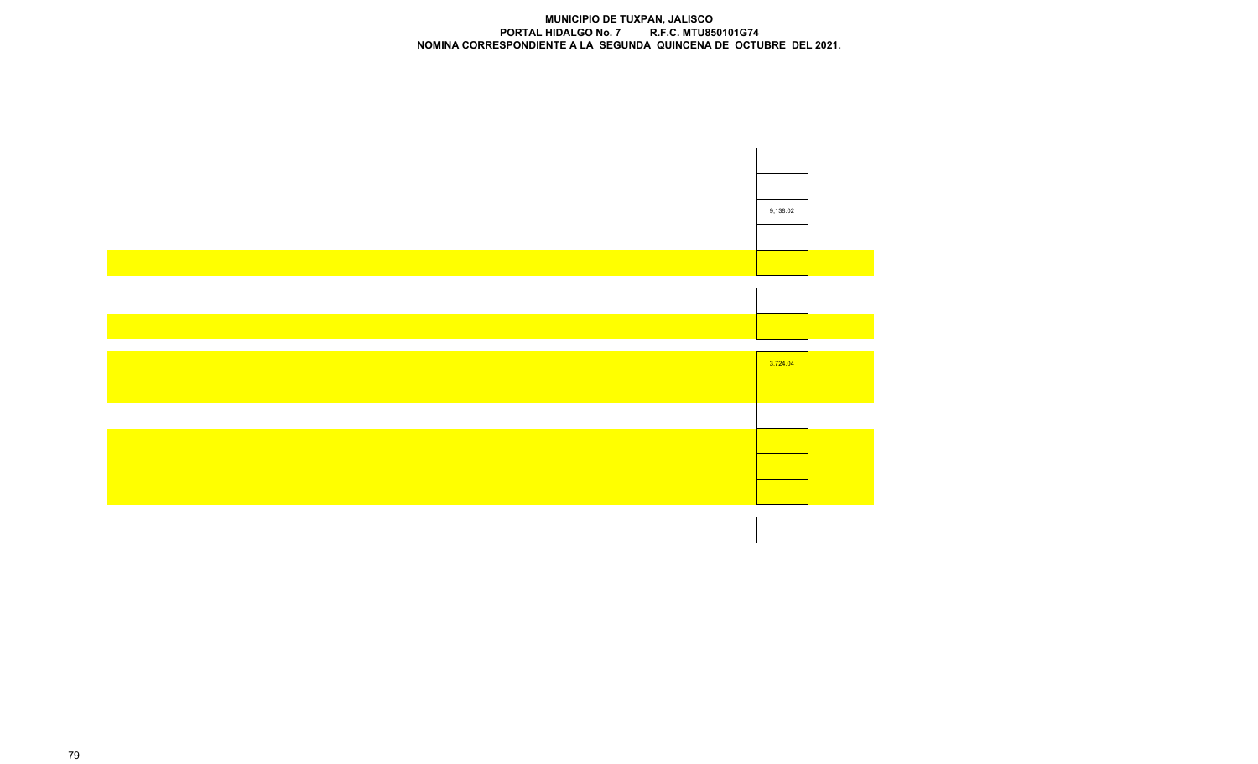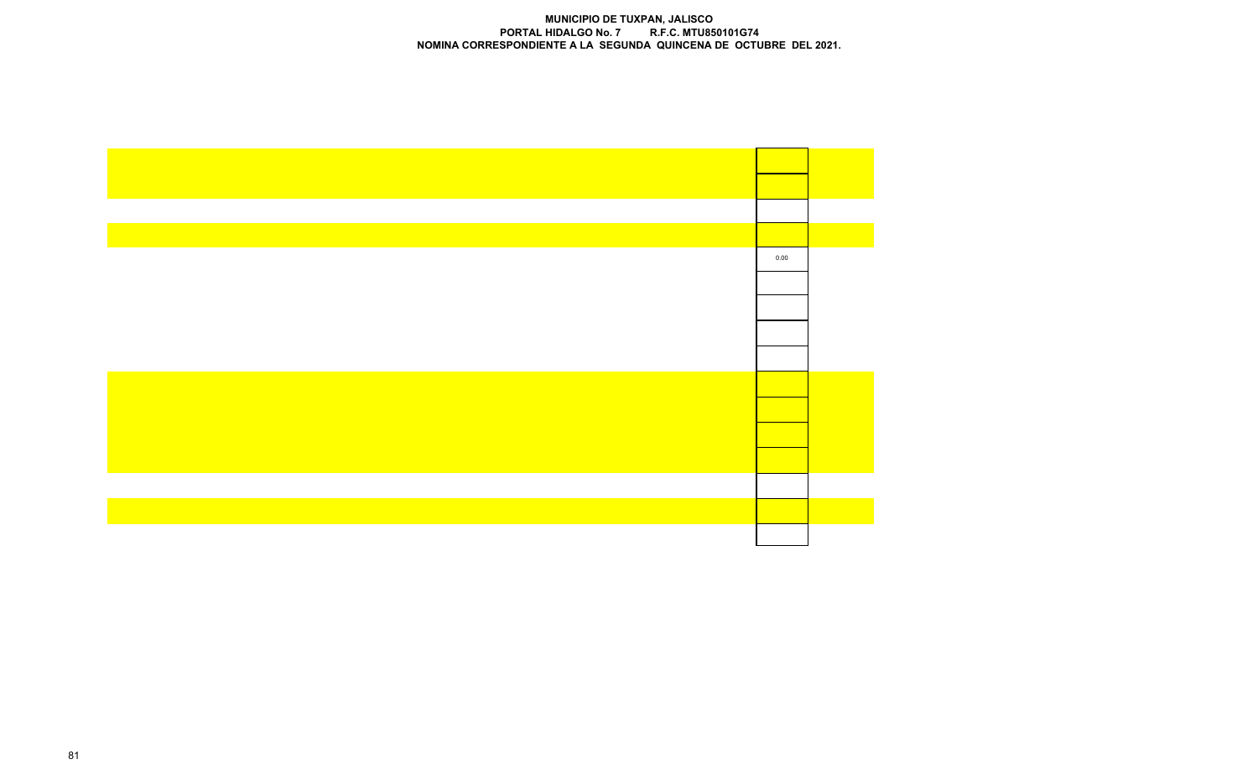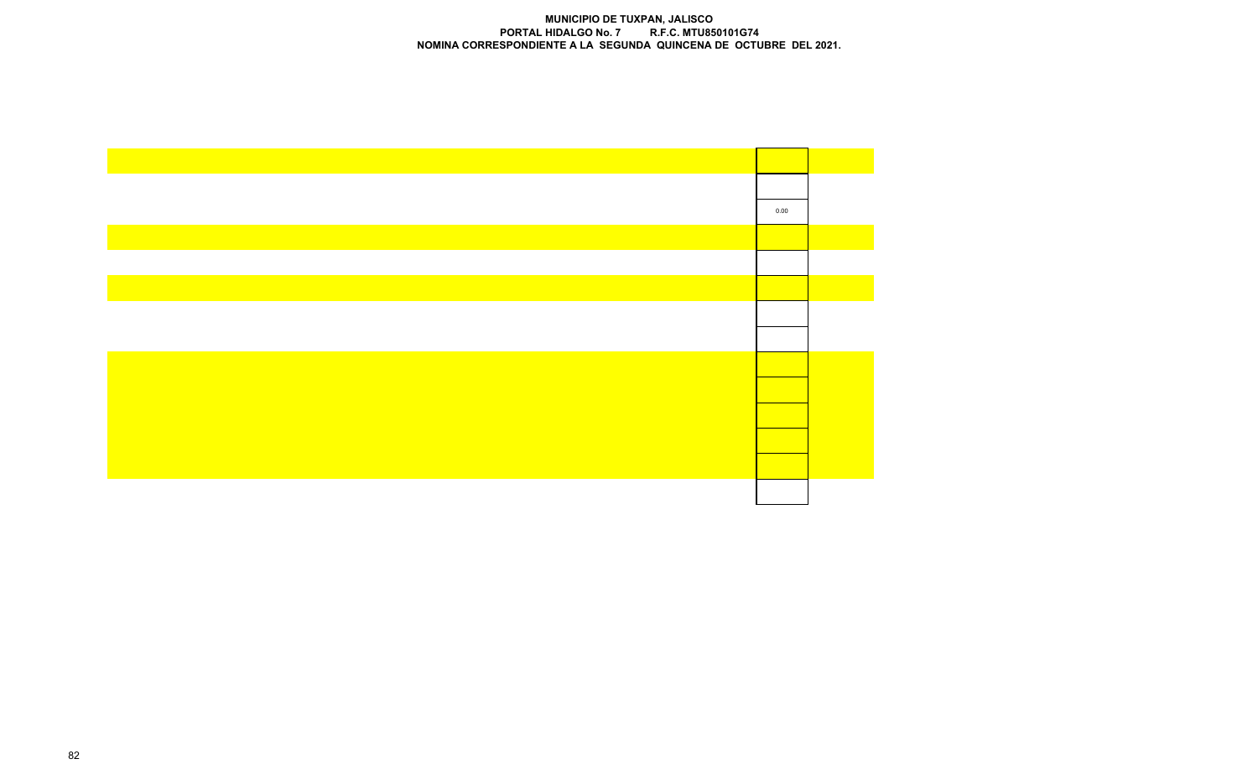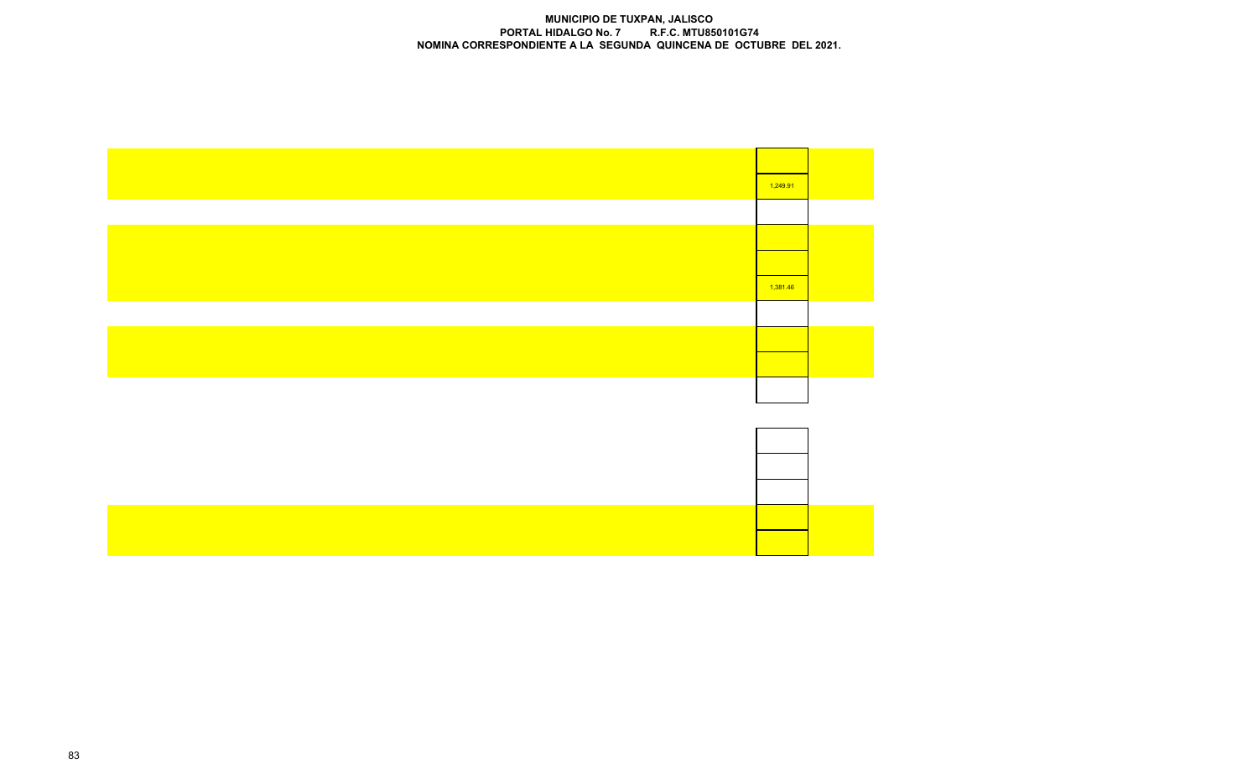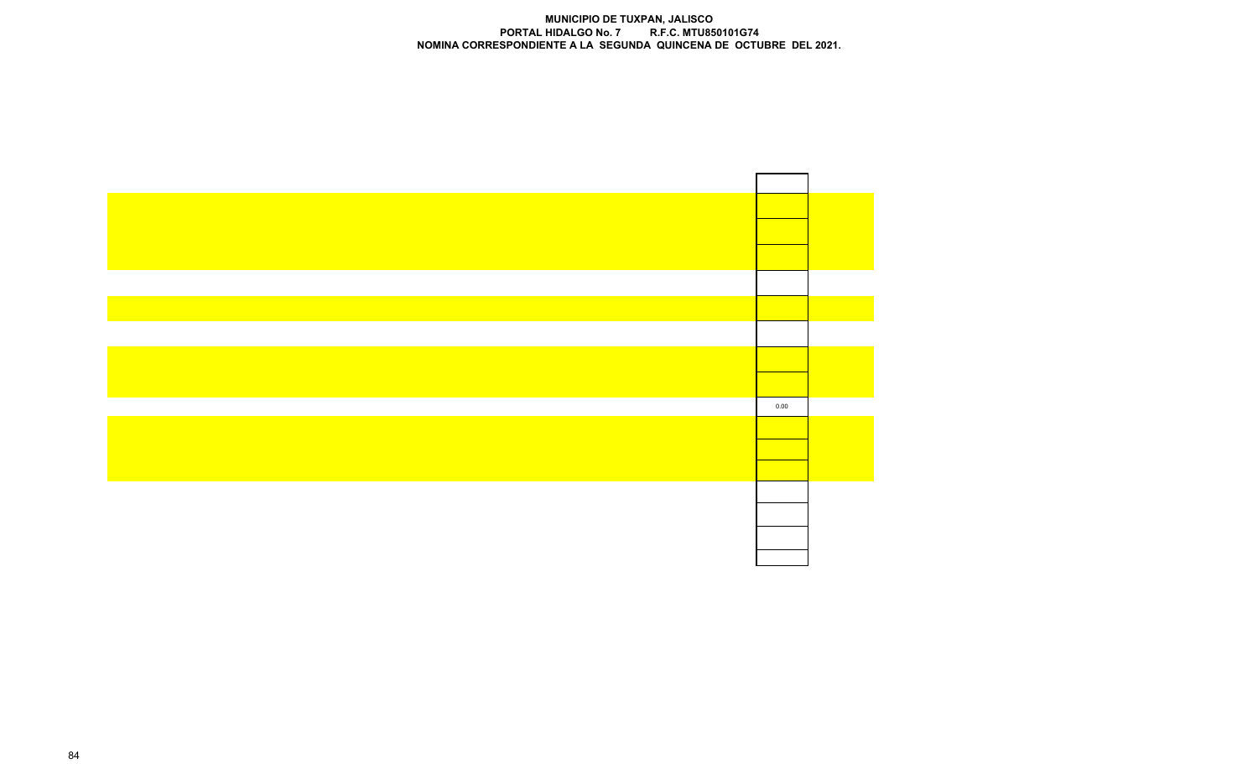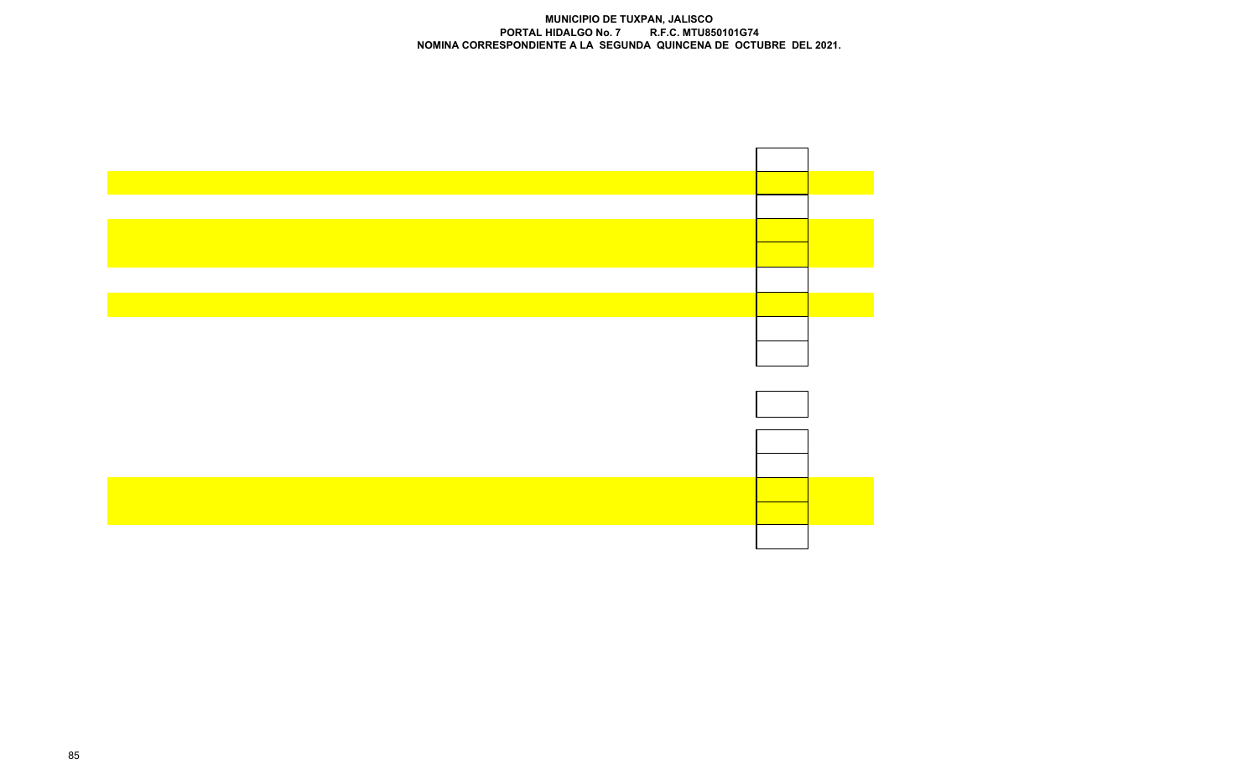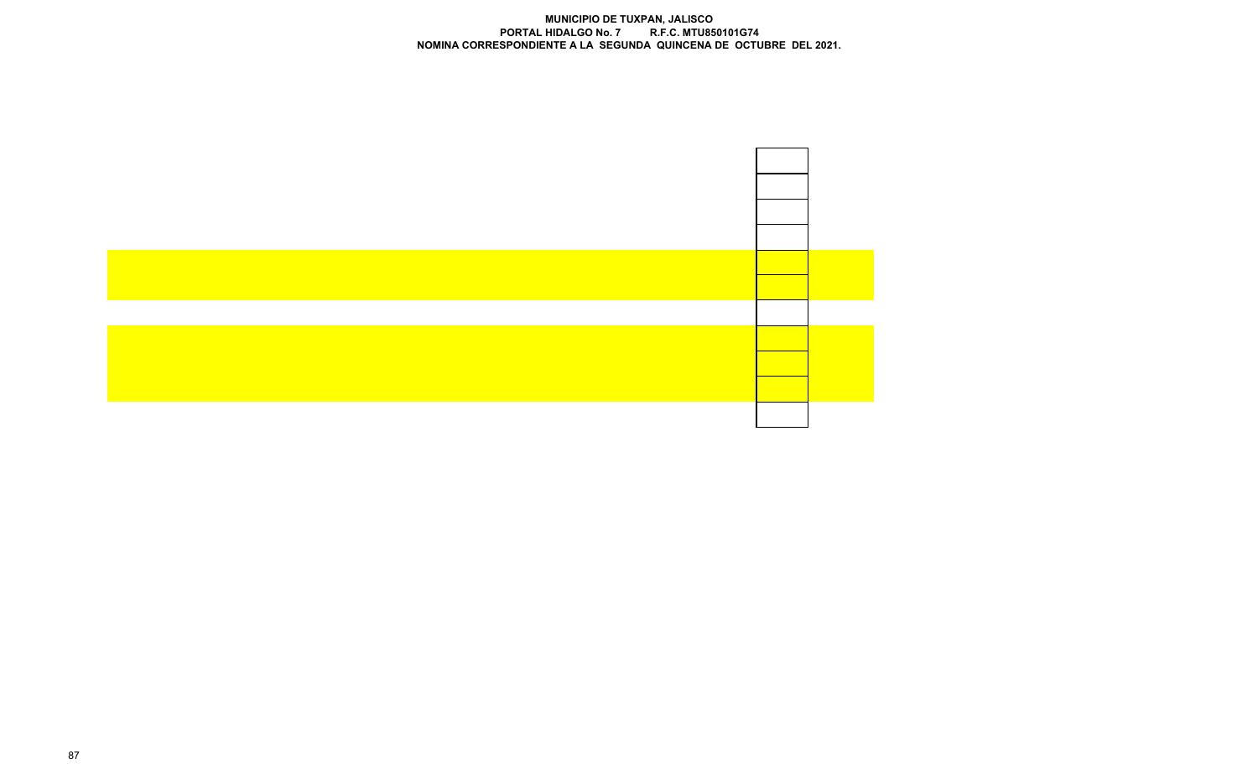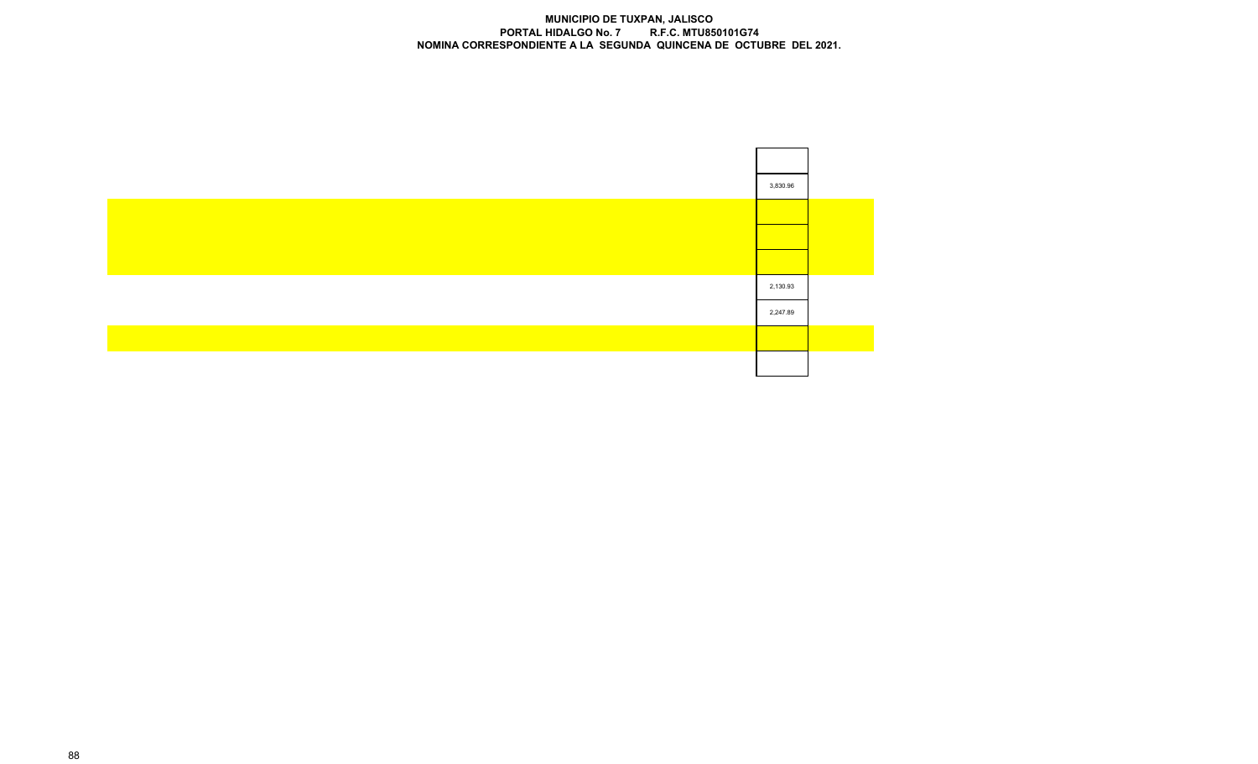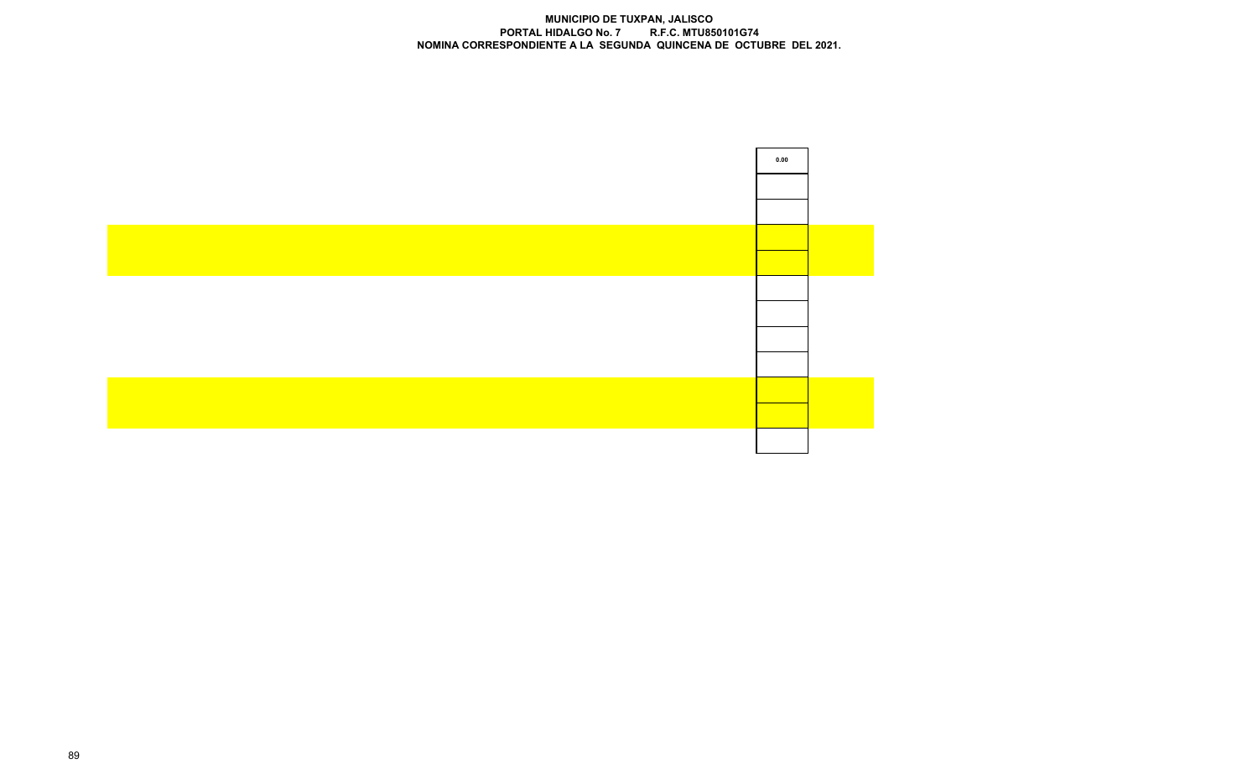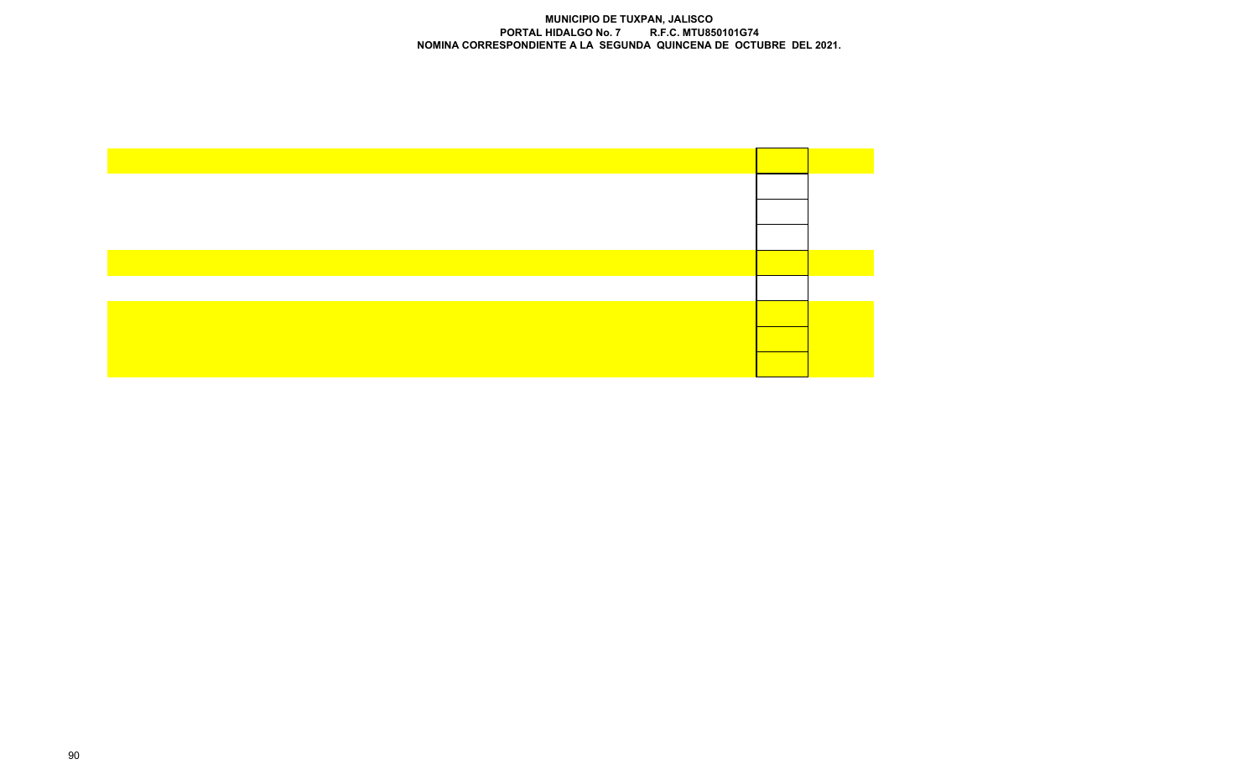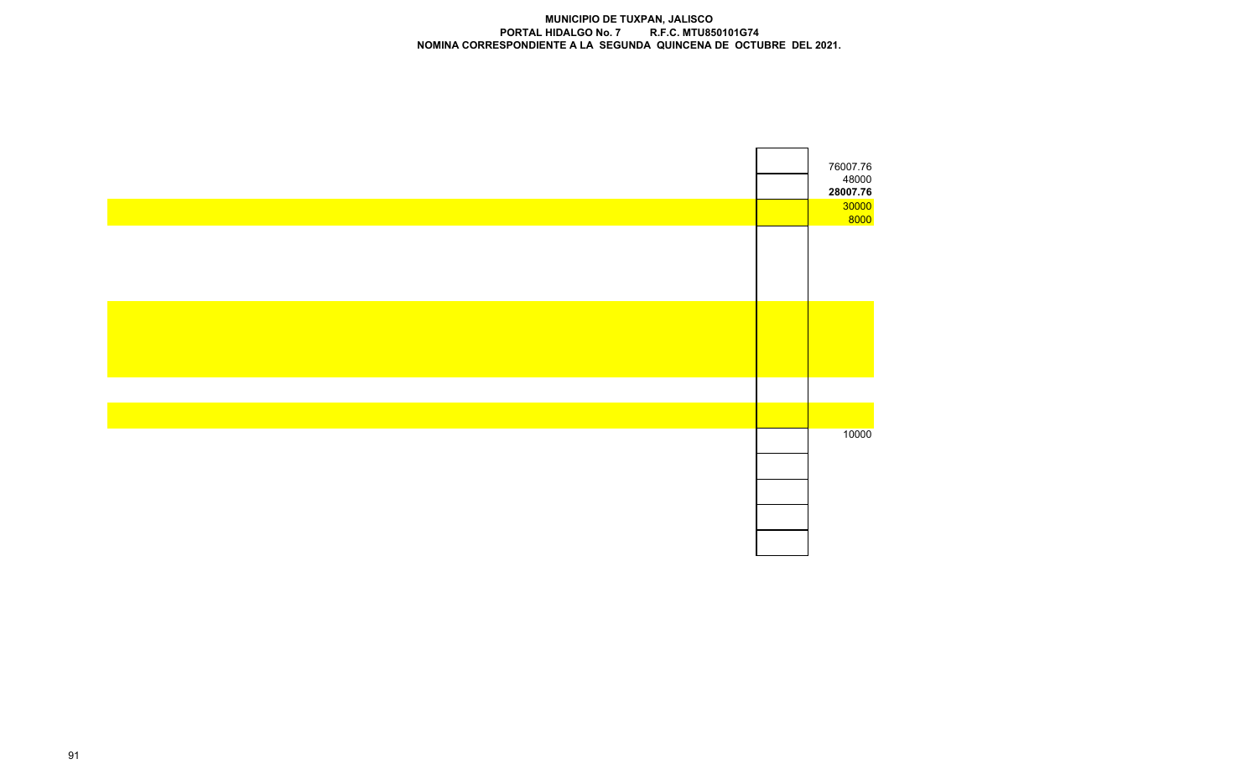